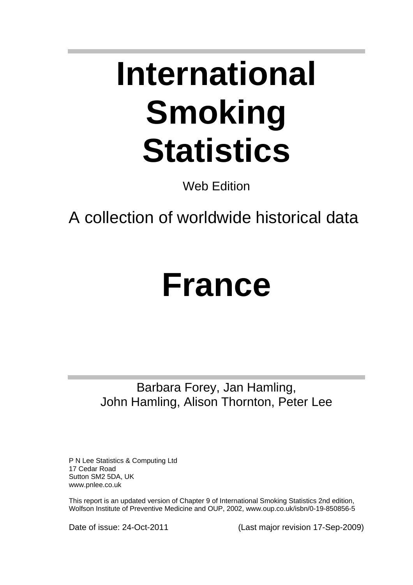# **International Smoking Statistics**

Web Edition

A collection of worldwide historical data

## **France**

Barbara Forey, Jan Hamling, John Hamling, Alison Thornton, Peter Lee

P N Lee Statistics & Computing Ltd 17 Cedar Road Sutton SM2 5DA, UK www.pnlee.co.uk

This report is an updated version of Chapter 9 of International Smoking Statistics 2nd edition, Wolfson Institute of Preventive Medicine and OUP, 2002, www.oup.co.uk/isbn/0-19-850856-5

Date of issue: 24-Oct-2011 (Last major revision 17-Sep-2009)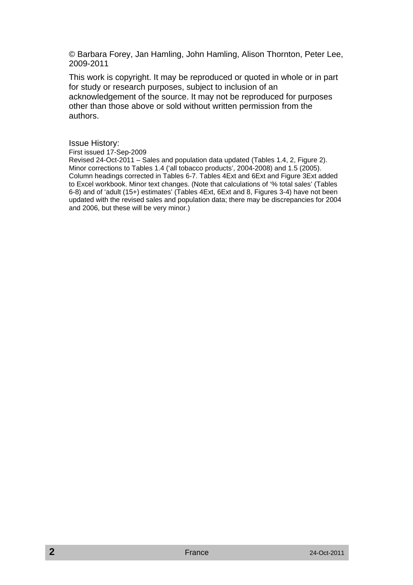© Barbara Forey, Jan Hamling, John Hamling, Alison Thornton, Peter Lee, 2009-2011

This work is copyright. It may be reproduced or quoted in whole or in part for study or research purposes, subject to inclusion of an acknowledgement of the source. It may not be reproduced for purposes other than those above or sold without written permission from the authors.

#### Issue History:

First issued 17-Sep-2009

Revised 24-Oct-2011 – Sales and population data updated (Tables 1.4, 2, Figure 2). Minor corrections to Tables 1.4 ('all tobacco products', 2004-2008) and 1.5 (2005). Column headings corrected in Tables 6-7. Tables 4Ext and 6Ext and Figure 3Ext added to Excel workbook. Minor text changes. (Note that calculations of '% total sales' (Tables 6-8) and of 'adult (15+) estimates' (Tables 4Ext, 6Ext and 8, Figures 3-4) have not been updated with the revised sales and population data; there may be discrepancies for 2004 and 2006, but these will be very minor.)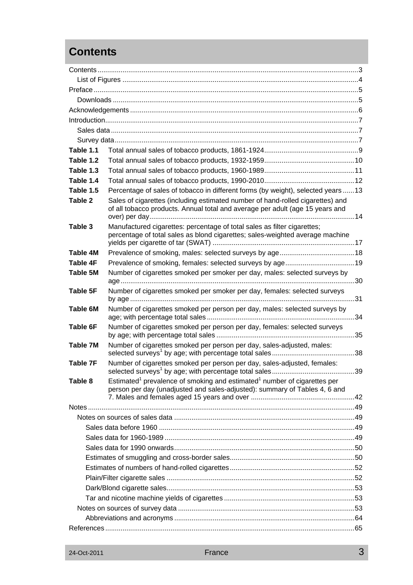## **Contents**

| Table 1.1       |                                                                                                                                                                                |  |  |  |  |  |
|-----------------|--------------------------------------------------------------------------------------------------------------------------------------------------------------------------------|--|--|--|--|--|
| Table 1.2       |                                                                                                                                                                                |  |  |  |  |  |
| Table 1.3       |                                                                                                                                                                                |  |  |  |  |  |
| Table 1.4       |                                                                                                                                                                                |  |  |  |  |  |
| Table 1.5       | Percentage of sales of tobacco in different forms (by weight), selected years  13                                                                                              |  |  |  |  |  |
| Table 2         | Sales of cigarettes (including estimated number of hand-rolled cigarettes) and<br>of all tobacco products. Annual total and average per adult (age 15 years and                |  |  |  |  |  |
| Table 3         | Manufactured cigarettes: percentage of total sales as filter cigarettes;<br>percentage of total sales as blond cigarettes; sales-weighted average machine                      |  |  |  |  |  |
| Table 4M        |                                                                                                                                                                                |  |  |  |  |  |
| Table 4F        |                                                                                                                                                                                |  |  |  |  |  |
| Table 5M        | Number of cigarettes smoked per smoker per day, males: selected surveys by                                                                                                     |  |  |  |  |  |
| Table 5F        | Number of cigarettes smoked per smoker per day, females: selected surveys                                                                                                      |  |  |  |  |  |
| Table 6M        | Number of cigarettes smoked per person per day, males: selected surveys by                                                                                                     |  |  |  |  |  |
| Table 6F        | Number of cigarettes smoked per person per day, females: selected surveys                                                                                                      |  |  |  |  |  |
| Table 7M        | Number of cigarettes smoked per person per day, sales-adjusted, males:                                                                                                         |  |  |  |  |  |
| <b>Table 7F</b> | Number of cigarettes smoked per person per day, sales-adjusted, females:                                                                                                       |  |  |  |  |  |
| Table 8         | Estimated <sup>1</sup> prevalence of smoking and estimated <sup>1</sup> number of cigarettes per<br>person per day (unadjusted and sales-adjusted): summary of Tables 4, 6 and |  |  |  |  |  |
|                 |                                                                                                                                                                                |  |  |  |  |  |
|                 |                                                                                                                                                                                |  |  |  |  |  |
|                 |                                                                                                                                                                                |  |  |  |  |  |
|                 |                                                                                                                                                                                |  |  |  |  |  |
|                 |                                                                                                                                                                                |  |  |  |  |  |
|                 |                                                                                                                                                                                |  |  |  |  |  |
|                 |                                                                                                                                                                                |  |  |  |  |  |
|                 |                                                                                                                                                                                |  |  |  |  |  |
|                 |                                                                                                                                                                                |  |  |  |  |  |
|                 |                                                                                                                                                                                |  |  |  |  |  |
|                 |                                                                                                                                                                                |  |  |  |  |  |
|                 |                                                                                                                                                                                |  |  |  |  |  |
|                 |                                                                                                                                                                                |  |  |  |  |  |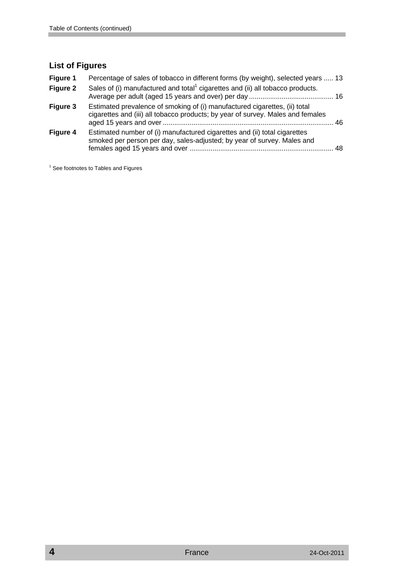#### **List of Figures**

| Figure 1 | Percentage of sales of tobacco in different forms (by weight), selected years  13                                                                             |     |
|----------|---------------------------------------------------------------------------------------------------------------------------------------------------------------|-----|
| Figure 2 | Sales of (i) manufactured and total <sup>1</sup> cigarettes and (ii) all tobacco products.                                                                    |     |
| Figure 3 | Estimated prevalence of smoking of (i) manufactured cigarettes, (ii) total<br>cigarettes and (iii) all tobacco products; by year of survey. Males and females | -46 |
| Figure 4 | Estimated number of (i) manufactured cigarettes and (ii) total cigarettes<br>smoked per person per day, sales-adjusted; by year of survey. Males and          | 48  |

<sup>1</sup> See footnotes to Tables and Figures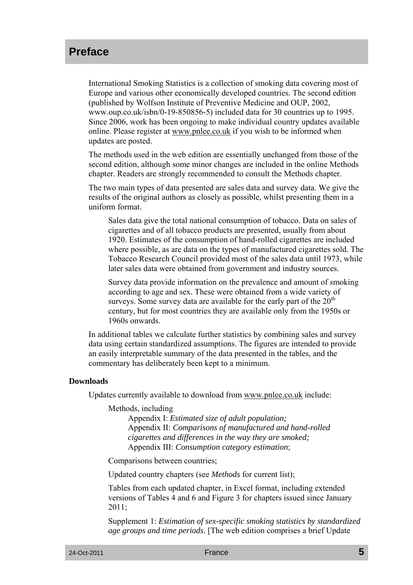## **Preface**

International Smoking Statistics is a collection of smoking data covering most of Europe and various other economically developed countries. The second edition (published by Wolfson Institute of Preventive Medicine and OUP, 2002, www.oup.co.uk/isbn/0-19-850856-5) included data for 30 countries up to 1995. Since 2006, work has been ongoing to make individual country updates available online. Please register at www.pnlee.co.uk if you wish to be informed when updates are posted.

The methods used in the web edition are essentially unchanged from those of the second edition, although some minor changes are included in the online Methods chapter. Readers are strongly recommended to consult the Methods chapter.

The two main types of data presented are sales data and survey data. We give the results of the original authors as closely as possible, whilst presenting them in a uniform format.

Sales data give the total national consumption of tobacco. Data on sales of cigarettes and of all tobacco products are presented, usually from about 1920. Estimates of the consumption of hand-rolled cigarettes are included where possible, as are data on the types of manufactured cigarettes sold. The Tobacco Research Council provided most of the sales data until 1973, while later sales data were obtained from government and industry sources.

Survey data provide information on the prevalence and amount of smoking according to age and sex. These were obtained from a wide variety of surveys. Some survey data are available for the early part of the  $20<sup>th</sup>$ century, but for most countries they are available only from the 1950s or 1960s onwards.

In additional tables we calculate further statistics by combining sales and survey data using certain standardized assumptions. The figures are intended to provide an easily interpretable summary of the data presented in the tables, and the commentary has deliberately been kept to a minimum.

#### **Downloads**

Updates currently available to download from www.pnlee.co.uk include:

Methods, including

Appendix I: *Estimated size of adult population;* Appendix II: *Comparisons of manufactured and hand-rolled cigarettes and differences in the way they are smoked;*  Appendix III: *Consumption category estimation*;

Comparisons between countries;

Updated country chapters (see *Methods* for current list);

Tables from each updated chapter, in Excel format, including extended versions of Tables 4 and 6 and Figure 3 for chapters issued since January  $2011$ 

Supplement 1: *Estimation of sex-specific smoking statistics by standardized age groups and time periods*. [The web edition comprises a brief Update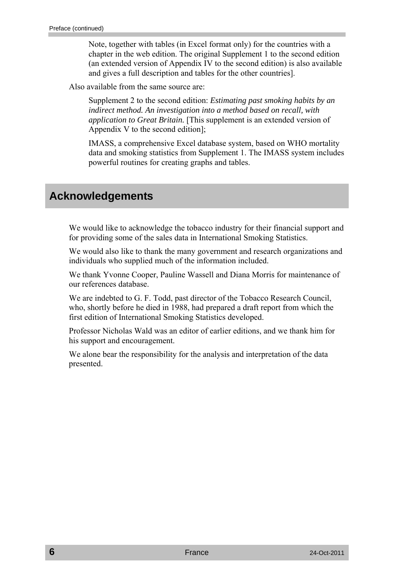Note, together with tables (in Excel format only) for the countries with a chapter in the web edition. The original Supplement 1 to the second edition (an extended version of Appendix IV to the second edition) is also available and gives a full description and tables for the other countries].

Also available from the same source are:

Supplement 2 to the second edition: *Estimating past smoking habits by an indirect method. An investigation into a method based on recall, with application to Great Britain.* [This supplement is an extended version of Appendix V to the second edition];

IMASS, a comprehensive Excel database system, based on WHO mortality data and smoking statistics from Supplement 1. The IMASS system includes powerful routines for creating graphs and tables.

## **Acknowledgements**

We would like to acknowledge the tobacco industry for their financial support and for providing some of the sales data in International Smoking Statistics.

We would also like to thank the many government and research organizations and individuals who supplied much of the information included.

We thank Yvonne Cooper, Pauline Wassell and Diana Morris for maintenance of our references database.

We are indebted to G. F. Todd, past director of the Tobacco Research Council, who, shortly before he died in 1988, had prepared a draft report from which the first edition of International Smoking Statistics developed.

Professor Nicholas Wald was an editor of earlier editions, and we thank him for his support and encouragement.

We alone bear the responsibility for the analysis and interpretation of the data presented.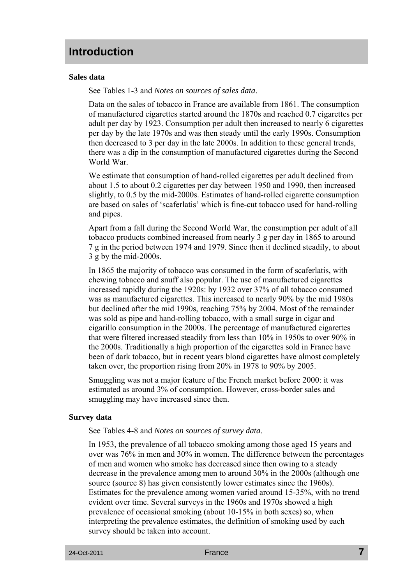### **Introduction**

#### **Sales data**

See Tables 1-3 and *Notes on sources of sales data*.

Data on the sales of tobacco in France are available from 1861. The consumption of manufactured cigarettes started around the 1870s and reached 0.7 cigarettes per adult per day by 1923. Consumption per adult then increased to nearly 6 cigarettes per day by the late 1970s and was then steady until the early 1990s. Consumption then decreased to 3 per day in the late 2000s. In addition to these general trends, there was a dip in the consumption of manufactured cigarettes during the Second World War.

We estimate that consumption of hand-rolled cigarettes per adult declined from about 1.5 to about 0.2 cigarettes per day between 1950 and 1990, then increased slightly, to 0.5 by the mid-2000s. Estimates of hand-rolled cigarette consumption are based on sales of 'scaferlatis' which is fine-cut tobacco used for hand-rolling and pipes.

Apart from a fall during the Second World War, the consumption per adult of all tobacco products combined increased from nearly 3 g per day in 1865 to around 7 g in the period between 1974 and 1979. Since then it declined steadily, to about 3 g by the mid-2000s.

In 1865 the majority of tobacco was consumed in the form of scaferlatis, with chewing tobacco and snuff also popular. The use of manufactured cigarettes increased rapidly during the 1920s: by 1932 over 37% of all tobacco consumed was as manufactured cigarettes. This increased to nearly 90% by the mid 1980s but declined after the mid 1990s, reaching 75% by 2004. Most of the remainder was sold as pipe and hand-rolling tobacco, with a small surge in cigar and cigarillo consumption in the 2000s. The percentage of manufactured cigarettes that were filtered increased steadily from less than 10% in 1950s to over 90% in the 2000s. Traditionally a high proportion of the cigarettes sold in France have been of dark tobacco, but in recent years blond cigarettes have almost completely taken over, the proportion rising from 20% in 1978 to 90% by 2005.

Smuggling was not a major feature of the French market before 2000: it was estimated as around 3% of consumption. However, cross-border sales and smuggling may have increased since then.

#### **Survey data**

See Tables 4-8 and *Notes on sources of survey data*.

In 1953, the prevalence of all tobacco smoking among those aged 15 years and over was 76% in men and 30% in women. The difference between the percentages of men and women who smoke has decreased since then owing to a steady decrease in the prevalence among men to around 30% in the 2000s (although one source (source 8) has given consistently lower estimates since the 1960s). Estimates for the prevalence among women varied around 15-35%, with no trend evident over time. Several surveys in the 1960s and 1970s showed a high prevalence of occasional smoking (about 10-15% in both sexes) so, when interpreting the prevalence estimates, the definition of smoking used by each survey should be taken into account.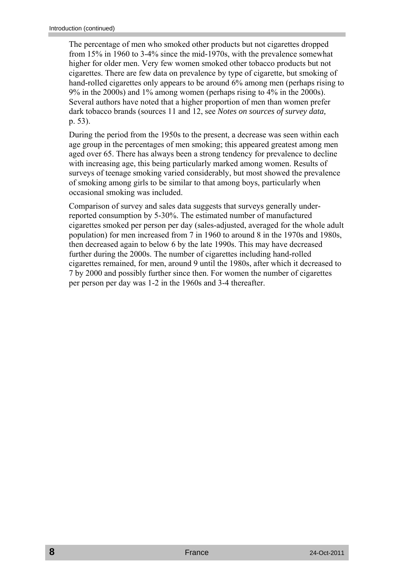The percentage of men who smoked other products but not cigarettes dropped from 15% in 1960 to 3-4% since the mid-1970s, with the prevalence somewhat higher for older men. Very few women smoked other tobacco products but not cigarettes. There are few data on prevalence by type of cigarette, but smoking of hand-rolled cigarettes only appears to be around 6% among men (perhaps rising to 9% in the 2000s) and 1% among women (perhaps rising to 4% in the 2000s). Several authors have noted that a higher proportion of men than women prefer dark tobacco brands (sources 11 and 12, see *Notes on sources of survey data,*  p. 53).

During the period from the 1950s to the present, a decrease was seen within each age group in the percentages of men smoking; this appeared greatest among men aged over 65. There has always been a strong tendency for prevalence to decline with increasing age, this being particularly marked among women. Results of surveys of teenage smoking varied considerably, but most showed the prevalence of smoking among girls to be similar to that among boys, particularly when occasional smoking was included.

Comparison of survey and sales data suggests that surveys generally underreported consumption by 5-30%. The estimated number of manufactured cigarettes smoked per person per day (sales-adjusted, averaged for the whole adult population) for men increased from 7 in 1960 to around 8 in the 1970s and 1980s, then decreased again to below 6 by the late 1990s. This may have decreased further during the 2000s. The number of cigarettes including hand-rolled cigarettes remained, for men, around 9 until the 1980s, after which it decreased to 7 by 2000 and possibly further since then. For women the number of cigarettes per person per day was 1-2 in the 1960s and 3-4 thereafter.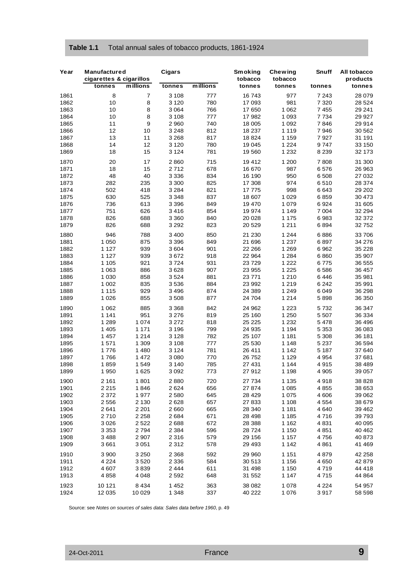| Table 1.1 | Total annual sales of tobacco products, 1861-1924 |  |
|-----------|---------------------------------------------------|--|
|-----------|---------------------------------------------------|--|

| Year | <b>Manufactured</b><br>cigarettes & cigarillos |                | Cigars  |                                            | Smoking<br>tobacco | <b>Chewing</b><br>tobacco | Snuff   | All tobacco<br>products |
|------|------------------------------------------------|----------------|---------|--------------------------------------------|--------------------|---------------------------|---------|-------------------------|
|      | tonnes                                         | millions       | tonnes  | $\overline{\overline{\mathsf{m}}}$ illions | tonnes             | tonnes                    | tonnes  | tonnes                  |
| 1861 | 8                                              | $\overline{7}$ | 3 1 0 8 | 777                                        | 16 743             | 977                       | 7 2 4 3 | 28 079                  |
| 1862 | 10                                             | 8              | 3 1 2 0 | 780                                        | 17 093             | 981                       | 7 3 2 0 | 28 5 24                 |
| 1863 | 10                                             | 8              | 3064    | 766                                        | 17 650             | 1 0 6 2                   | 7 4 5 5 | 29 241                  |
| 1864 | 10                                             | 8              | 3 1 0 8 | 777                                        | 17 982             | 1 0 9 3                   | 7 7 3 4 | 29 9 27                 |
| 1865 | 11                                             | 9              | 2960    | 740                                        | 18 005             | 1 0 9 2                   | 7846    | 29 914                  |
| 1866 | 12                                             | 10             | 3 2 4 8 | 812                                        | 18 237             | 1 1 1 9                   | 7946    | 30 562                  |
| 1867 | 13                                             | 11             | 3 2 6 8 | 817                                        | 18 824             | 1 159                     | 7927    | 31 191                  |
| 1868 | 14                                             | 12             | 3 1 2 0 | 780                                        | 19 045             | 1 2 2 4                   | 9747    | 33 150                  |
| 1869 | 18                                             | 15             | 3 1 2 4 | 781                                        | 19 560             | 1 2 3 2                   | 8 2 3 9 | 32 173                  |
|      |                                                |                |         |                                            |                    |                           |         |                         |
| 1870 | 20<br>18                                       | 17<br>15       | 2860    | 715                                        | 19 412             | 1 200<br>987              | 7808    | 31 300                  |
| 1871 |                                                |                | 2712    | 678                                        | 16 670             |                           | 6576    | 26 963                  |
| 1872 | 48                                             | 40             | 3 3 3 6 | 834                                        | 16 190             | 950                       | 6 508   | 27 032                  |
| 1873 | 282                                            | 235            | 3 3 0 0 | 825                                        | 17 308             | 974                       | 6510    | 28 374                  |
| 1874 | 502                                            | 418            | 3 2 8 4 | 821                                        | 17 775             | 998                       | 6643    | 29 20 2                 |
| 1875 | 630                                            | 525            | 3 3 4 8 | 837                                        | 18 607             | 1 0 2 9                   | 6859    | 30 473                  |
| 1876 | 736                                            | 613            | 3 3 9 6 | 849                                        | 19 470             | 1 0 7 9                   | 6924    | 31 605                  |
| 1877 | 751                                            | 626            | 3416    | 854                                        | 19 974             | 1 1 4 9                   | 7 0 0 4 | 32 294                  |
| 1878 | 826                                            | 688            | 3 3 6 0 | 840                                        | 20 028             | 1 1 7 5                   | 6983    | 32 372                  |
| 1879 | 826                                            | 688            | 3 2 9 2 | 823                                        | 20 529             | 1 2 1 1                   | 6894    | 32752                   |
| 1880 | 946                                            | 788            | 3 4 0 0 | 850                                        | 21 230             | 1 244                     | 6886    | 33 706                  |
| 1881 | 1 0 5 0                                        | 875            | 3 3 9 6 | 849                                        | 21 696             | 1 2 3 7                   | 6897    | 34 276                  |
| 1882 | 1 1 2 7                                        | 939            | 3604    | 901                                        | 22 266             | 1 2 6 9                   | 6962    | 35 228                  |
| 1883 | 1 1 2 7                                        | 939            | 3672    | 918                                        | 22 964             | 1 2 8 4                   | 6860    | 35 907                  |
| 1884 | 1 1 0 5                                        | 921            | 3724    | 931                                        | 23729              | 1 2 2 2                   | 6775    | 36 555                  |
| 1885 | 1 0 6 3                                        | 886            | 3628    | 907                                        | 23 955             | 1 2 2 5                   | 6586    | 36 457                  |
| 1886 | 1 0 3 0                                        | 858            | 3524    | 881                                        | 23 771             | 1 2 1 0                   | 6446    | 35 981                  |
| 1887 | 1 0 0 2                                        | 835            | 3536    | 884                                        | 23 992             | 1 2 1 9                   | 6 2 4 2 | 35 991                  |
| 1888 | 1 1 1 5                                        | 929            | 3496    | 874                                        | 24 389             | 1 2 4 9                   | 6049    | 36 298                  |
| 1889 | 1 0 2 6                                        | 855            | 3508    | 877                                        | 24 704             | 1 2 1 4                   | 5898    | 36 350                  |
| 1890 | 1 0 6 2                                        | 885            | 3 3 6 8 | 842                                        | 24 962             | 1 2 2 3                   | 5732    | 36 347                  |
| 1891 | 1 1 4 1                                        | 951            | 3 2 7 6 | 819                                        | 25 160             | 1 250                     | 5 5 0 7 | 36 334                  |
| 1892 | 1 2 8 9                                        | 1 0 7 4        | 3 2 7 2 | 818                                        | 25 225             | 1 2 3 2                   | 5478    | 36 496                  |
| 1893 | 1 4 0 5                                        | 1 1 7 1        | 3 1 9 6 | 799                                        | 24 935             | 1 1 9 4                   | 5 3 5 3 | 36 083                  |
| 1894 | 1 457                                          | 1 2 1 4        | 3 1 2 8 | 782                                        | 25 107             | 1 1 8 1                   | 5 3 0 8 | 36 181                  |
| 1895 | 1571                                           | 1 3 0 9        | 3 1 0 8 | 777                                        | 25 530             | 1 1 4 8                   | 5 2 3 7 | 36 594                  |
| 1896 | 1776                                           | 1480           | 3 1 2 4 | 781                                        | 26 411             | 1 1 4 2                   | 5 1 8 7 | 37 640                  |
| 1897 | 1766                                           | 1472           | 3 0 8 0 | 770                                        | 26 752             | 1 1 2 9                   | 4 9 5 4 | 37 681                  |
| 1898 | 1859                                           | 1549           | 3 140   | 785                                        | 27 431             | 1 144                     | 4915    | 38 489                  |
| 1899 | 1 950                                          | 1625           | 3 0 9 2 | 773                                        | 27912              | 1 1 9 8                   | 4 9 0 5 | 39 057                  |
|      |                                                |                |         |                                            |                    |                           |         |                         |
| 1900 | 2 1 6 1                                        | 1801           | 2880    | 720                                        | 27 734             | 1 1 3 5                   | 4918    | 38 828                  |
| 1901 | 2 2 1 5                                        | 1846           | 2624    | 656                                        | 27 874             | 1 0 8 5                   | 4855    | 38 653                  |
| 1902 | 2 3 7 2                                        | 1977           | 2580    | 645                                        | 28 429             | 1 0 7 5                   | 4 60 6  | 39 062                  |
| 1903 | 2 5 5 6                                        | 2 1 3 0        | 2628    | 657                                        | 27 833             | 1 1 0 8                   | 4 5 5 4 | 38 679                  |
| 1904 | 2641                                           | 2 2 0 1        | 2660    | 665                                        | 28 340             | 1 1 8 1                   | 4640    | 39 4 62                 |
| 1905 | 2710                                           | 2 2 5 8        | 2684    | 671                                        | 28 4 98            | 1 1 8 5                   | 4716    | 39793                   |
| 1906 | 3 0 26                                         | 2522           | 2688    | 672                                        | 28 3 88            | 1 1 6 2                   | 4831    | 40 095                  |
| 1907 | 3 3 5 3                                        | 2794           | 2 3 8 4 | 596                                        | 28 7 24            | 1 150                     | 4851    | 40 4 62                 |
| 1908 | 3 4 8 8                                        | 2 9 0 7        | 2 3 1 6 | 579                                        | 29 15 6            | 1 1 5 7                   | 4756    | 40 873                  |
| 1909 | 3661                                           | 3 0 5 1        | 2 3 1 2 | 578                                        | 29 4 9 3           | 1 1 4 2                   | 4861    | 41 4 69                 |
| 1910 | 3 900                                          | 3 2 5 0        | 2 3 6 8 | 592                                        | 29 960             | 1 1 5 1                   | 4879    | 42 258                  |
| 1911 | 4 2 2 4                                        | 3520           | 2 3 3 6 | 584                                        | 30 513             | 1 1 5 6                   | 4650    | 42 879                  |
| 1912 | 4 607                                          | 3839           | 2 4 4 4 | 611                                        | 31 498             | 1 150                     | 4719    | 44 418                  |
| 1913 | 4858                                           | 4 0 4 8        | 2592    | 648                                        | 31 552             | 1 1 4 7                   | 4715    | 44 864                  |
| 1923 | 10 121                                         | 8 4 3 4        | 1 4 5 2 | 363                                        | 38 082             | 1 0 7 8                   | 4 2 2 4 | 54 957                  |
| 1924 | 12 035                                         | 10 0 29        | 1 3 4 8 | 337                                        | 40 222             | 1 0 7 6                   | 3917    | 58 598                  |

Source: see *Notes on sources of sales data: Sales data before 1960*, p. 49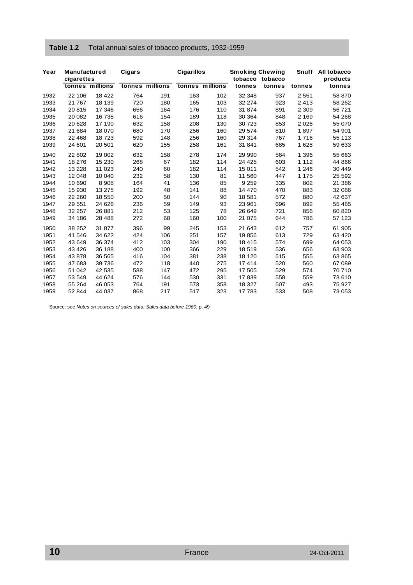| Year | <b>Manufactured</b> |                 | Cigars |                 | <b>Cigarillos</b> |                 | <b>Smoking Chewing</b> |         | <b>Snuff</b> | All tobacco |
|------|---------------------|-----------------|--------|-----------------|-------------------|-----------------|------------------------|---------|--------------|-------------|
|      | cigarettes          |                 |        |                 |                   |                 | tobacco                | tobacco |              | products    |
|      |                     | tonnes millions |        | tonnes millions |                   | tonnes millions | tonnes                 | tonnes  | tonnes       | tonnes      |
| 1932 | 22 106              | 18 422          | 764    | 191             | 163               | 102             | 32 348                 | 937     | 2 5 5 1      | 58 870      |
| 1933 | 21 767              | 18 139          | 720    | 180             | 165               | 103             | 32 274                 | 923     | 2413         | 58 262      |
| 1934 | 20815               | 17 346          | 656    | 164             | 176               | 110             | 31 874                 | 891     | 2 3 0 9      | 56 721      |
| 1935 | 20 082              | 16 735          | 616    | 154             | 189               | 118             | 30 364                 | 848     | 2 1 6 9      | 54 268      |
| 1936 | 20 628              | 17 190          | 632    | 158             | 208               | 130             | 30 723                 | 853     | 2026         | 55 070      |
| 1937 | 21 684              | 18 070          | 680    | 170             | 256               | 160             | 29 574                 | 810     | 1897         | 54 901      |
| 1938 | 22 4 6 8            | 18723           | 592    | 148             | 256               | 160             | 29 314                 | 767     | 1716         | 55 113      |
| 1939 | 24 601              | 20 501          | 620    | 155             | 258               | 161             | 31 841                 | 685     | 1628         | 59 633      |
| 1940 | 22 802              | 19 002          | 632    | 158             | 278               | 174             | 29 990                 | 564     | 1 3 9 6      | 55 663      |
| 1941 | 18 276              | 15 230          | 268    | 67              | 182               | 114             | 24 4 25                | 603     | 1 1 1 2      | 44 866      |
| 1942 | 13 2 28             | 11 023          | 240    | 60              | 182               | 114             | 15 011                 | 542     | 1 2 4 6      | 30 449      |
| 1943 | 12 048              | 10 040          | 232    | 58              | 130               | 81              | 11 560                 | 447     | 1 1 7 5      | 25 592      |
| 1944 | 10 690              | 8908            | 164    | 41              | 136               | 85              | 9 2 5 9                | 335     | 802          | 21 386      |
| 1945 | 15 930              | 13 275          | 192    | 48              | 141               | 88              | 14 470                 | 470     | 883          | 32 086      |

1946 22 260 18 550 200 50 144 90 18 581 572 880 42 637 1947 29 551 24 626 236 59 149 93 23 961 696 892 55 485 1948 32 257 26 881 212 53 125 78 26 649 721 856 60 820 1949 34 186 28 488 272 68 160 100 21 075 644 786 57 123 1950 38 252 31 877 396 99 245 153 21 643 612 757 61 905 1951 41 546 34 622 424 106 251 157 19 856 613 729 63 420 1952 43 649 36 374 412 103 304 190 18 415 574 699 64 053 1953 43 426 36 188 400 100 366 229 18 519 536 656 63 903 1954 43 878 36 565 416 104 381 238 18 120 515 555 63 865 1955 47 683 39 736 472 118 440 275 17 414 520 560 67 089 1956 51 042 42 535 588 147 472 295 17 505 529 574 70 710 1957 53 549 44 624 576 144 530 331 17 839 558 559 73 610 1958 55 264 46 053 764 191 573 358 18 327 507 493 75 927 1959 52 844 44 037 868 217 517 323 17 783 533 508 73 053

#### **Table 1.2** Total annual sales of tobacco products, 1932-1959

Source: see *Notes on sources of sales data: Sales data before 1960*, p. 49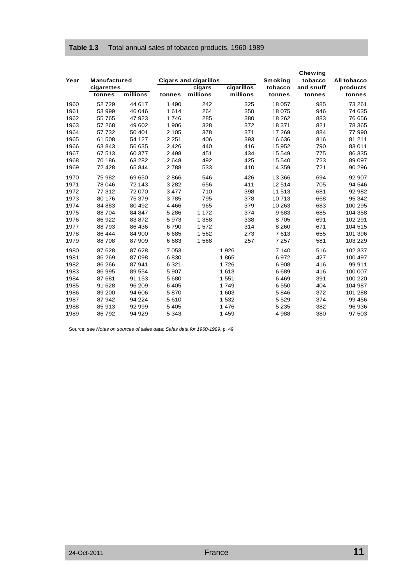#### **Table 1.3** Total annual sales of tobacco products, 1960-1989

|      |              |          |         |                              |                 |                | <b>Chewing</b> |             |
|------|--------------|----------|---------|------------------------------|-----------------|----------------|----------------|-------------|
| Year | Manufactured |          |         | <b>Cigars and cigarillos</b> |                 | <b>Smoking</b> | tobacco        | All tobacco |
|      | cigarettes   |          |         | cigars                       | cigarillos      | tobacco        | and snuff      | products    |
|      | tonnes       | millions | tonnes  | millions                     | <b>millions</b> | tonnes         | tonnes         | tonnes      |
| 1960 | 52729        | 44 617   | 1 4 9 0 | 242                          | 325             | 18 057         | 985            | 73 261      |
| 1961 | 53 999       | 46 046   | 1614    | 264                          | 350             | 18 075         | 946            | 74 635      |
| 1962 | 55 765       | 47 923   | 1746    | 285                          | 380             | 18 26 2        | 883            | 76 656      |
| 1963 | 57 268       | 49 602   | 1 906   | 328                          | 372             | 18 371         | 821            | 78 365      |
| 1964 | 57 732       | 50 401   | 2 1 0 5 | 378                          | 371             | 17 269         | 884            | 77 990      |
| 1965 | 61 508       | 54 127   | 2 2 5 1 | 406                          | 393             | 16 636         | 816            | 81 211      |
| 1966 | 63 843       | 56 635   | 2 4 2 6 | 440                          | 416             | 15 952         | 790            | 83 011      |
| 1967 | 67 513       | 60 377   | 2 4 9 8 | 451                          | 434             | 15 549         | 775            | 86 335      |
| 1968 | 70 186       | 63 282   | 2648    | 492                          | 425             | 15 540         | 723            | 89 097      |
| 1969 | 72 428       | 65 844   | 2788    | 533                          | 410             | 14 359         | 721            | 90 296      |
| 1970 | 75 982       | 69 650   | 2866    | 546                          | 426             | 13 3 66        | 694            | 92 907      |
| 1971 | 78 046       | 72 143   | 3 2 8 2 | 656                          | 411             | 12514          | 705            | 94 546      |
| 1972 | 77 312       | 72 070   | 3477    | 710                          | 398             | 11 513         | 681            | 92 982      |
| 1973 | 80 176       | 75 379   | 3785    | 795                          | 378             | 10713          | 668            | 95 342      |
| 1974 | 84 883       | 80 492   | 4 4 6 6 | 965                          | 379             | 10 263         | 683            | 100 295     |
| 1975 | 88 704       | 84 847   | 5 2 8 6 | 1 1 7 2                      | 374             | 9683           | 685            | 104 358     |
| 1976 | 86 922       | 83872    | 5973    | 1 3 5 8                      | 338             | 8705           | 691            | 102 291     |
| 1977 | 88793        | 86 436   | 6790    | 1572                         | 314             | 8 2 6 0        | 671            | 104 515     |
| 1978 | 86 444       | 84 900   | 6685    | 1562                         | 273             | 7613           | 655            | 101 396     |
| 1979 | 88708        | 87 909   | 6683    | 1568                         | 257             | 7 2 5 7        | 581            | 103 229     |
| 1980 | 87 628       | 87 628   | 7053    |                              | 1926            | 7 1 4 0        | 516            | 102 337     |
| 1981 | 86 269       | 87 098   | 6830    |                              | 1865            | 6972           | 427            | 100 497     |
| 1982 | 86 266       | 87 941   | 6 3 2 1 |                              | 1726            | 6908           | 416            | 99 911      |
| 1983 | 86 995       | 89 554   | 5 9 0 7 |                              | 1613            | 6689           | 416            | 100 007     |
| 1984 | 87 681       | 91 153   | 5680    |                              | 1 5 5 1         | 6469           | 391            | 100 220     |
| 1985 | 91 628       | 96 209   | 6405    |                              | 1749            | 6550           | 404            | 104 987     |
| 1986 | 89 200       | 94 606   | 5870    |                              | 1 603           | 5846           | 372            | 101 288     |
| 1987 | 87942        | 94 224   | 5610    |                              | 1 5 3 2         | 5 5 2 9        | 374            | 99 456      |
| 1988 | 85 913       | 92 999   | 5 4 0 5 |                              | 1 4 7 6         | 5 2 3 5        | 382            | 96 936      |
| 1989 | 86 792       | 94 929   | 5 3 4 3 |                              | 1 4 5 9         | 4988           | 380            | 97 503      |

Source: see *Notes on sources of sales data: Sales data for 1960-1989*, p. 49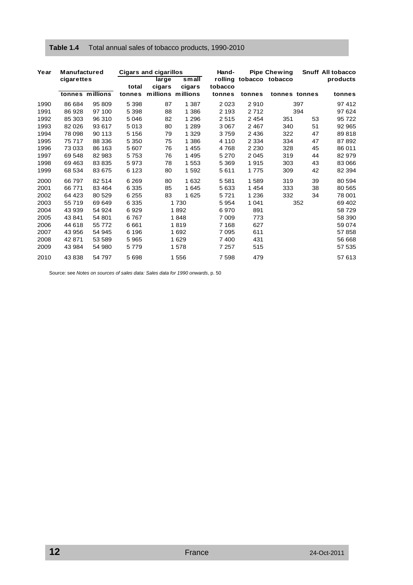#### **Table 1.4** Total annual sales of tobacco products, 1990-2010

| Year | <b>Manufactured</b> |                 |         | <b>Cigars and cigarillos</b> |                 | Hand-   |         | <b>Pipe Chewing</b>     |               | Snuff All tobacco |
|------|---------------------|-----------------|---------|------------------------------|-----------------|---------|---------|-------------------------|---------------|-------------------|
|      | cigarettes          |                 | total   | <b>Targe</b><br>cigars       | small<br>cigars | tobacco |         | rolling tobacco tobacco |               | products          |
|      |                     | tonnes millions | tonnes  | millions millions            |                 | tonnes  | tonnes  |                         | tonnes tonnes | tonnes            |
| 1990 | 86 684              | 95 809          | 5 3 9 8 | 87                           | 1 3 8 7         | 2023    | 2910    |                         | 397           | 97412             |
| 1991 | 86 928              | 97 100          | 5 3 9 8 | 88                           | 1 3 8 6         | 2 1 9 3 | 2712    |                         | 394           | 97 624            |
| 1992 | 85 303              | 96 310          | 5 0 4 6 | 82                           | 1 2 9 6         | 2515    | 2 4 5 4 | 351                     | 53            | 95 722            |
| 1993 | 82 0 26             | 93 617          | 5013    | 80                           | 1 2 8 9         | 3 0 6 7 | 2467    | 340                     | 51            | 92 965            |
| 1994 | 78 098              | 90 113          | 5 1 5 6 | 79                           | 1 3 2 9         | 3759    | 2 4 3 6 | 322                     | 47            | 89818             |
| 1995 | 75 717              | 88 336          | 5 3 5 0 | 75                           | 1 3 8 6         | 4 1 1 0 | 2 3 3 4 | 334                     | 47            | 87 892            |
| 1996 | 73 033              | 86 163          | 5 607   | 76                           | 1455            | 4768    | 2 2 3 0 | 328                     | 45            | 86 011            |
| 1997 | 69 548              | 82 983          | 5753    | 76                           | 1 4 9 5         | 5 2 7 0 | 2045    | 319                     | 44            | 82 979            |
| 1998 | 69 4 63             | 83 835          | 5973    | 78                           | 1553            | 5 3 6 9 | 1915    | 303                     | 43            | 83 066            |
| 1999 | 68 534              | 83 675          | 6 1 2 3 | 80                           | 1592            | 5611    | 1775    | 309                     | 42            | 82 394            |
| 2000 | 66 797              | 82 514          | 6 2 6 9 | 80                           | 1632            | 5581    | 1589    | 319                     | 39            | 80 594            |
| 2001 | 66771               | 83 4 64         | 6 3 3 5 | 85                           | 1645            | 5633    | 1 4 5 4 | 333                     | 38            | 80 565            |
| 2002 | 64 4 23             | 80 529          | 6 2 5 5 | 83                           | 1625            | 5721    | 1 2 3 6 | 332                     | 34            | 78 001            |
| 2003 | 55 719              | 69 649          | 6 3 3 5 |                              | 1730            | 5954    | 1 0 4 1 |                         | 352           | 69 402            |
| 2004 | 43 939              | 54 924          | 6929    |                              | 1892            | 6970    | 891     |                         |               | 58729             |
| 2005 | 43 841              | 54 801          | 6767    |                              | 1848            | 7 0 0 9 | 773     |                         |               | 58 390            |
| 2006 | 44 618              | 55 772          | 6661    |                              | 1819            | 7 1 6 8 | 627     |                         |               | 59 074            |
| 2007 | 43 956              | 54 945          | 6 196   |                              | 1 6 9 2         | 7095    | 611     |                         |               | 57858             |
| 2008 | 42 871              | 53 589          | 5965    |                              | 1629            | 7400    | 431     |                         |               | 56 668            |
| 2009 | 43 984              | 54 980          | 5779    |                              | 1 578           | 7 257   | 515     |                         |               | 57 535            |
| 2010 | 43838               | 54 797          | 5698    |                              | 1 556           | 7598    | 479     |                         |               | 57 613            |

Source: see *Notes on sources of sales data: Sales data for 1990 onwards*, p. 50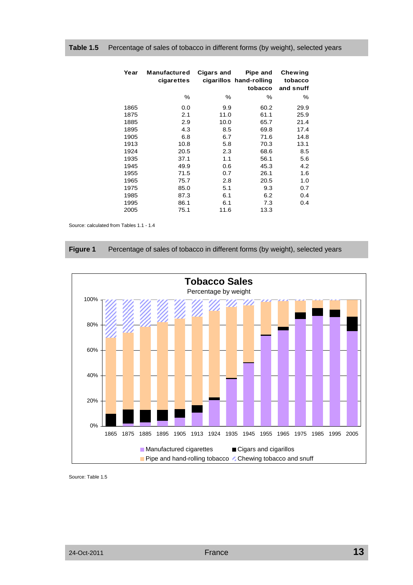| Year         | Manufactured<br>cigarettes | Cigars and  | Pipe and<br>cigarillos hand-rolling<br>tobacco | <b>Chewing</b><br>tobacco<br>and snuff |
|--------------|----------------------------|-------------|------------------------------------------------|----------------------------------------|
|              | $\%$                       | $\%$        | $\%$                                           | ℅                                      |
| 1865<br>1875 | 0.0<br>2.1                 | 9.9<br>11.0 | 60.2<br>61.1                                   | 29.9<br>25.9                           |
| 1885         | 2.9                        | 10.0        | 65.7                                           | 21.4                                   |
| 1895         | 4.3                        | 8.5         | 69.8                                           | 17.4                                   |
| 1905         | 6.8                        | 6.7         | 71.6                                           | 14.8                                   |
| 1913         | 10.8                       | 5.8         | 70.3                                           | 13.1                                   |
| 1924         | 20.5                       | 2.3         | 68.6                                           | 8.5                                    |
| 1935         | 37.1                       | 1.1         | 56.1                                           | 5.6                                    |
| 1945         | 49.9                       | 0.6         | 45.3                                           | 4.2                                    |
| 1955         | 71.5                       | 0.7         | 26.1                                           | 1.6                                    |
| 1965         | 75.7                       | 2.8         | 20.5                                           | 1.0                                    |
| 1975         | 85.0                       | 5.1         | 9.3                                            | 0.7                                    |
| 1985         | 87.3                       | 6.1         | 6.2                                            | 0.4                                    |
| 1995         | 86.1                       | 6.1         | 7.3                                            | 0.4                                    |
| 2005         | 75.1                       | 11.6        | 13.3                                           |                                        |

#### **Table 1.5** Percentage of sales of tobacco in different forms (by weight), selected years

Source: calculated from Tables 1.1 - 1.4

|  | Figure 1 | Percentage of sales of tobacco in different forms (by weight), selected years |  |  |  |
|--|----------|-------------------------------------------------------------------------------|--|--|--|
|--|----------|-------------------------------------------------------------------------------|--|--|--|



Source: Table 1.5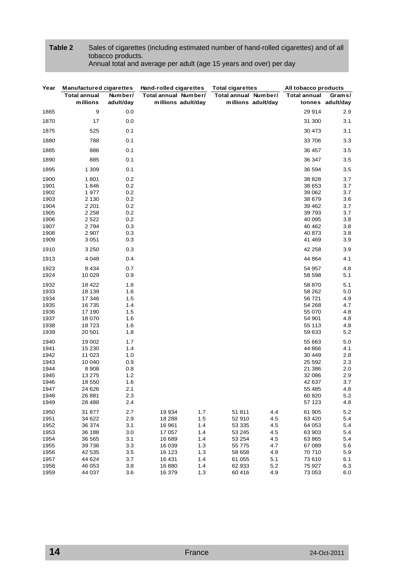#### **Table 2** Sales of cigarettes (including estimated number of hand-rolled cigarettes) and of all tobacco products. Annual total and average per adult (age 15 years and over) per day

| Year | <b>Manufactured cigarettes</b> |           | Hand-rolled cigarettes | <b>Total cigarettes</b> | All tobacco products |                  |
|------|--------------------------------|-----------|------------------------|-------------------------|----------------------|------------------|
|      | <b>Total annual</b>            | Number/   | Total annual Number/   | Total annual Number/    | <b>Total annual</b>  | Grams/           |
|      | millions                       | adult/day | millions adult/day     | millions adult/day      |                      | tonnes adult/day |
| 1865 | 9                              | 0.0       |                        |                         | 29 914               | 2.9              |
| 1870 | 17                             | 0.0       |                        |                         | 31 300               | 3.1              |
| 1875 | 525                            | 0.1       |                        |                         | 30 473               | 3.1              |
| 1880 | 788                            | 0.1       |                        |                         | 33 706               | 3.3              |
| 1885 | 886                            | 0.1       |                        |                         | 36 457               | 3.5              |
| 1890 | 885                            | 0.1       |                        |                         | 36 347               | 3.5              |
| 1895 | 1 3 0 9                        | 0.1       |                        |                         | 36 594               | 3.5              |
| 1900 | 1801                           | 0.2       |                        |                         | 38 828               | 3.7              |
| 1901 | 1846                           | 0.2       |                        |                         | 38 653               | 3.7              |
| 1902 | 1977                           | 0.2       |                        |                         | 39 062               | 3.7              |
| 1903 | 2 1 3 0                        | 0.2       |                        |                         | 38 679               | 3.6              |
| 1904 | 2 2 0 1                        | 0.2       |                        |                         | 39 462               | 3.7              |
| 1905 | 2 2 5 8                        | 0.2       |                        |                         | 39 7 9 3             | 3.7              |
| 1906 | 2522                           | 0.2       |                        |                         | 40 095               | 3.8              |
| 1907 | 2794                           | 0.3       |                        |                         | 40 462               | 3.8              |
| 1908 | 2907                           | 0.3       |                        |                         | 40 873               | 3.8              |
| 1909 | 3 0 5 1                        | 0.3       |                        |                         | 41 469               | 3.9              |
| 1910 | 3 2 5 0                        | 0.3       |                        |                         | 42 258               | 3.9              |
| 1913 | 4048                           | 0.4       |                        |                         | 44 864               | 4.1              |
| 1923 | 8 4 3 4                        | 0.7       |                        |                         | 54 957               | 4.8              |
| 1924 | 10 0 29                        | 0.9       |                        |                         | 58 598               | 5.1              |
| 1932 | 18 4 22                        | 1.6       |                        |                         | 58 870               | 5.1              |
| 1933 | 18 139                         | 1.6       |                        |                         | 58 262               | 5.0              |
| 1934 | 17 346                         | 1.5       |                        |                         | 56 721               | 4.9              |
| 1935 | 16735                          | 1.4       |                        |                         | 54 268               | 4.7              |
| 1936 | 17 190                         | 1.5       |                        |                         | 55 070               | 4.8              |
| 1937 | 18 0 70                        | 1.6       |                        |                         | 54 901               | 4.8              |
| 1938 | 18723                          | 1.6       |                        |                         | 55 113               | 4.8              |
| 1939 | 20 501                         | 1.8       |                        |                         | 59 633               | 5.2              |
| 1940 | 19 002                         | 1.7       |                        |                         | 55 663               | $5.0\,$          |
| 1941 | 15 230                         | 1.4       |                        |                         | 44 866               | 4.1              |
| 1942 | 11 023                         | 1.0       |                        |                         | 30 449               | 2.8              |
| 1943 | 10 040                         | 0.9       |                        |                         | 25 592               | 2.3              |
| 1944 | 8908                           | 0.8       |                        |                         | 21 386               | 2.0              |
| 1945 | 13 275                         | 1.2       |                        |                         | 32 086               | 2.9              |
| 1946 | 18 550                         | 1.6       |                        |                         | 42 637               | 3.7              |
| 1947 | 24 626                         | 2.1       |                        |                         | 55 485               | 4.8              |
| 1948 | 26 881                         | 2.3       |                        |                         | 60 820               | $5.2\,$          |
| 1949 | 28 4 88                        | 2.4       |                        |                         | 57 123               | 4.8              |
| 1950 | 31 877                         | 2.7       | 19 9 34<br>1.7         | 51811<br>4.4            | 61 905               | $5.2\,$          |
| 1951 | 34 622                         | 2.9       | 18 288<br>1.5          | 52 910<br>4.5           | 63 4 20              | 5.4              |
| 1952 | 36 374                         | 3.1       | 16 961<br>1.4          | 53 335<br>4.5           | 64 053               | 5.4              |
| 1953 | 36 188                         | 3.0       | 17 057<br>1.4          | 53 245<br>4.5           | 63 903               | 5.4              |
| 1954 | 36 565                         | 3.1       | 16 689<br>1.4          | 53 254<br>4.5           | 63 865               | 5.4              |
| 1955 | 39 736                         | 3.3       | 16 039<br>1.3          | 55 7 7 5<br>4.7         | 67 089               | 5.6              |
| 1956 | 42 535                         | 3.5       | 16 123<br>1.3          | 58 658<br>4.9           | 70 710               | 5.9              |
| 1957 | 44 624                         | 3.7       | 16 431<br>1.4          | 61 055<br>5.1           | 73 610               | 6.1              |
| 1958 | 46 053                         | 3.8       | 16880<br>1.4           | 62 933<br>5.2           | 75 927               | 6.3              |
| 1959 | 44 037                         | 3.6       | 16 379<br>1.3          | 60 416<br>4.9           | 73 053               | 6.0              |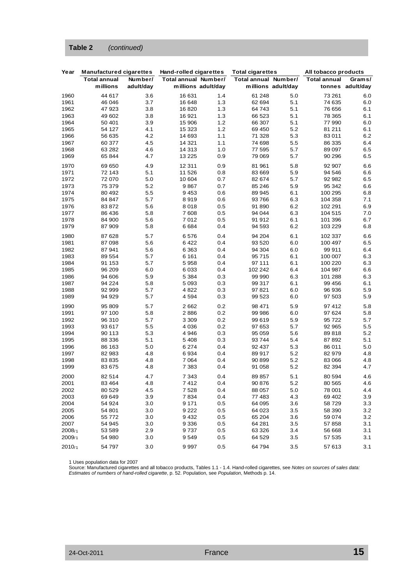#### **Table 2** *(continued)*

| Year   | <b>Manufactured cigarettes</b> |           | Hand-rolled cigarettes |                    | <b>Total cigarettes</b> |                    | All tobacco products |                  |
|--------|--------------------------------|-----------|------------------------|--------------------|-------------------------|--------------------|----------------------|------------------|
|        | <b>Total annual</b>            | Number/   | Total annual Number/   |                    | Total annual Number/    |                    | <b>Total annual</b>  | Grams/           |
|        | millions                       | adult/day |                        | millions adult/day |                         | millions adult/day |                      | tonnes adult/day |
| 1960   | 44 617                         | 3.6       | 16 631                 | 1.4                | 61 248                  | 5.0                | 73 261               | 6.0              |
| 1961   | 46 046                         | 3.7       | 16 648                 | 1.3                | 62 694                  | 5.1                | 74 635               | 6.0              |
| 1962   | 47 923                         | 3.8       | 16820                  | 1.3                | 64 743                  | 5.1                | 76 656               | 6.1              |
| 1963   | 49 602                         | 3.8       | 16921                  | 1.3                | 66 523                  | 5.1                | 78 365               | 6.1              |
| 1964   | 50 401                         | 3.9       | 15 906                 | 1.2                | 66 307                  | 5.1                | 77 990               | 6.0              |
| 1965   | 54 127                         | 4.1       | 15 323                 | 1.2                | 69 450                  | 5.2                | 81 211               | 6.1              |
| 1966   | 56 635                         | 4.2       | 14 693                 | 1.1                | 71 328                  | 5.3                | 83 011               | 6.2              |
| 1967   | 60 377                         | 4.5       | 14 3 21                | 1.1                | 74 698                  | 5.5                | 86 335               | 6.4              |
| 1968   | 63 282                         | 4.6       | 14 313                 | 1.0                | 77 595                  | 5.7                | 89 097               | 6.5              |
| 1969   | 65 844                         | 4.7       | 13 2 25                | 0.9                | 79 069                  | 5.7                | 90 296               | 6.5              |
| 1970   | 69 650                         | 4.9       | 12 311                 | 0.9                | 81 961                  | 5.8                | 92 907               | 6.6              |
| 1971   | 72 143                         | 5.1       | 11 526                 | 0.8                | 83 669                  | 5.9                | 94 546               | 6.6              |
| 1972   | 72 070                         | 5.0       | 10 604                 | 0.7                | 82 674                  | 5.7                | 92 982               | 6.5              |
| 1973   | 75 379                         | 5.2       | 9867                   | 0.7                | 85 246                  | 5.9                | 95 342               | 6.6              |
| 1974   | 80 492                         | 5.5       | 9453                   | 0.6                | 89 945                  | 6.1                | 100 295              | 6.8              |
| 1975   | 84 847                         | 5.7       | 8919                   | 0.6                | 93766                   | 6.3                | 104 358              | 7.1              |
| 1976   | 83 872                         | 5.6       | 8018                   | 0.5                | 91 890                  | 6.2                | 102 291              | 6.9              |
| 1977   | 86 436                         | 5.8       | 7608                   | 0.5                | 94 044                  | 6.3                | 104 515              | 7.0              |
| 1978   | 84 900                         | 5.6       | 7012                   | 0.5                | 91912                   | 6.1                | 101 396              | 6.7              |
| 1979   | 87 909                         | 5.8       | 6684                   | 0.4                | 94 593                  | 6.2                | 103 229              | 6.8              |
| 1980   | 87 628                         | 5.7       | 6576                   | 0.4                | 94 204                  | 6.1                | 102 337              | 6.6              |
| 1981   | 87 098                         | 5.6       | 6422                   | 0.4                | 93 520                  | 6.0                | 100 497              | 6.5              |
| 1982   | 87941                          | 5.6       | 6 3 6 3                | 0.4                | 94 304                  | 6.0                | 99 911               | 6.4              |
| 1983   | 89 554                         | 5.7       | 6 1 6 1                | 0.4                | 95715                   | 6.1                | 100 007              | 6.3              |
| 1984   | 91 153                         | 5.7       | 5958                   | 0.4                | 97 111                  | 6.1                | 100 220              | 6.3              |
| 1985   | 96 209                         | 6.0       | 6033                   | 0.4                | 102 242                 | 6.4                | 104 987              | 6.6              |
| 1986   | 94 606                         | 5.9       | 5 3 8 4                | 0.3                | 99 990                  | 6.3                | 101 288              | 6.3              |
| 1987   | 94 224                         | 5.8       | 5093                   | 0.3                | 99 317                  | 6.1                | 99 456               | 6.1              |
| 1988   | 92 999                         | 5.7       | 4822                   | 0.3                | 97821                   | 6.0                | 96 936               | 5.9              |
| 1989   | 94 929                         | 5.7       | 4594                   | 0.3                | 99 523                  | 6.0                | 97 503               | 5.9              |
| 1990   | 95 809                         | 5.7       | 2662                   | 0.2                | 98 471                  | 5.9                | 97 412               | 5.8              |
| 1991   | 97 100                         | 5.8       | 2886                   | 0.2                | 99 986                  | 6.0                | 97 624               | 5.8              |
| 1992   | 96 310                         | 5.7       | 3 3 0 9                | 0.2                | 99 619                  | 5.9                | 95 722               | 5.7              |
| 1993   | 93 617                         | 5.5       | 4036                   | 0.2                | 97 653                  | 5.7                | 92 965               | 5.5              |
| 1994   | 90 113                         | 5.3       | 4946                   | 0.3                | 95 059                  | 5.6                | 89 818               | 5.2              |
| 1995   | 88 336                         | 5.1       | 5408                   | 0.3                | 93744                   | 5.4                | 87 892               | 5.1              |
| 1996   | 86 163                         | 5.0       | 6 2 7 4                | 0.4                | 92 437                  | 5.3                | 86 011               | 5.0              |
| 1997   | 82 983                         | 4.8       | 6934                   | 0.4                | 89917                   | 5.2                | 82 979               | 4.8              |
| 1998   | 83 835                         | 4.8       | 7064                   | 0.4                | 90 899                  | 5.2                | 83 066               | 4.8              |
| 1999   | 83 675                         | 4.8       | 7 3 8 3                | 0.4                | 91 058                  | 5.2                | 82 394               | 4.7              |
| 2000   | 82 514                         | 4.7       | 7 343                  | 0.4                | 89 857                  | 5.1                | 80 594               | 4.6              |
| 2001   | 83 4 64                        | 4.8       | 7412                   | 0.4                | 90 876                  | 5.2                | 80 565               | 4.6              |
| 2002   | 80 529                         | 4.5       | 7528                   | 0.4                | 88 057                  | $5.0\,$            | 78 001               | 4.4              |
| 2003   | 69 649                         | 3.9       | 7834                   | 0.4                | 77 483                  | 4.3                | 69 402               | 3.9              |
| 2004   | 54 924                         | 3.0       | 9 1 7 1                | 0.5                | 64 095                  | 3.6                | 58729                | 3.3              |
| 2005   | 54 801                         | 3.0       | 9 2 2 2                | 0.5                | 64 023                  | 3.5                | 58 390               | 3.2              |
| 2006   | 55 772                         | 3.0       | 9432                   | 0.5                | 65 204                  | 3.6                | 59 074               | 3.2              |
| 2007   | 54 945                         | 3.0       | 9 3 3 6                | 0.5                | 64 281                  | 3.5                | 57 858               | 3.1              |
| 2008/1 | 53 589                         | 2.9       | 9737                   | 0.5                | 63 326                  | 3.4                | 56 668               | 3.1              |
| 2009/1 | 54 980                         | 3.0       | 9549                   | 0.5                | 64 529                  | 3.5                | 57 535               | 3.1              |
| 2010/1 | 54 797                         | 3.0       | 9997                   | 0.5                | 64 794                  | 3.5                | 57 613               | 3.1              |

1 Uses population data for 2007

Source: Manufactured cigarettes and all tobacco products, Tables 1.1 - 1.4. Hand-rolled cigarettes, see *Notes on sources of sales data: Estimates of numbers of hand-rolled cigarette*, p. 52. Population, see *Population*, Methods p. 14.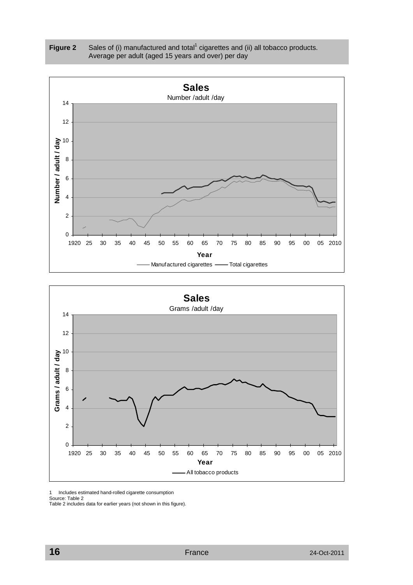





1 Includes estimated hand-rolled cigarette consumption

Source: Table 2

Table 2 includes data for earlier years (not shown in this figure).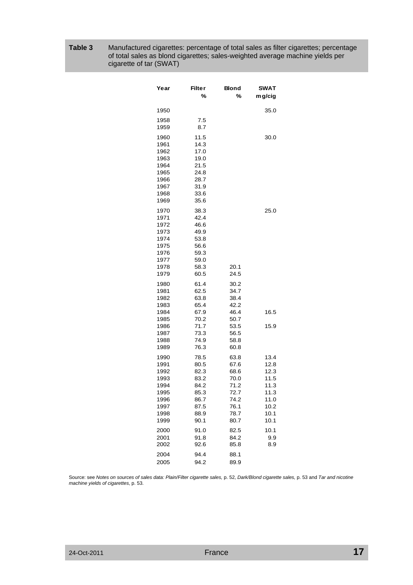| Table 3 | Manufactured cigarettes: percentage of total sales as filter cigarettes; percentage |
|---------|-------------------------------------------------------------------------------------|
|         | of total sales as blond cigarettes; sales-weighted average machine yields per       |
|         | cigarette of tar (SWAT)                                                             |

| Year                                                                         | Filter<br>%                                                                  | Blond<br>%                                                                   | SWAT<br>m g/cig                                                              |
|------------------------------------------------------------------------------|------------------------------------------------------------------------------|------------------------------------------------------------------------------|------------------------------------------------------------------------------|
| 1950                                                                         |                                                                              |                                                                              | 35.0                                                                         |
| 1958<br>1959                                                                 | 7.5<br>8.7                                                                   |                                                                              |                                                                              |
| 1960<br>1961<br>1962<br>1963<br>1964<br>1965<br>1966<br>1967<br>1968<br>1969 | 11.5<br>14.3<br>17.0<br>19.0<br>21.5<br>24.8<br>28.7<br>31.9<br>33.6<br>35.6 |                                                                              | 30.0                                                                         |
| 1970<br>1971<br>1972<br>1973<br>1974<br>1975<br>1976<br>1977<br>1978<br>1979 | 38.3<br>42.4<br>46.6<br>49.9<br>53.8<br>56.6<br>59.3<br>59.0<br>58.3<br>60.5 | 20.1<br>24.5                                                                 | 25.0                                                                         |
| 1980<br>1981<br>1982                                                         | 61.4<br>62.5<br>63.8                                                         | 30.2<br>34.7<br>38.4<br>42.2                                                 |                                                                              |
| 1983<br>1984                                                                 | 65.4<br>67.9                                                                 | 46.4<br>50.7                                                                 | 16.5                                                                         |
| 1985<br>1986<br>1987<br>1988<br>1989                                         | 70.2<br>71.7<br>73.3<br>74.9<br>76.3                                         | 53.5<br>56.5<br>58.8<br>60.8                                                 | 15.9                                                                         |
| 1990<br>1991<br>1992<br>1993<br>1994<br>1995<br>1996<br>1997<br>1998<br>1999 | 78.5<br>80.5<br>82.3<br>83.2<br>84.2<br>85.3<br>86.7<br>87.5<br>88.9<br>90.1 | 63.8<br>67.6<br>68.6<br>70.0<br>71.2<br>72.7<br>74.2<br>76.1<br>78.7<br>80.7 | 13.4<br>12.8<br>12.3<br>11.5<br>11.3<br>11.3<br>11.0<br>10.2<br>10.1<br>10.1 |
| 2000<br>2001<br>2002                                                         | 91.0<br>91.8<br>92.6                                                         | 82.5<br>84.2<br>85.8                                                         | 10.1<br>9.9<br>8.9                                                           |
| 2004<br>2005                                                                 | 94.4<br>94.2                                                                 | 88.1<br>89.9                                                                 |                                                                              |

Source: see *Notes on sources of sales data: Plain/Filter cigarette sales,* p. 52, *Dark/Blond cigarette sales,* p. 53 and *Tar and nicotine machine yields of cigarettes*, p. 53.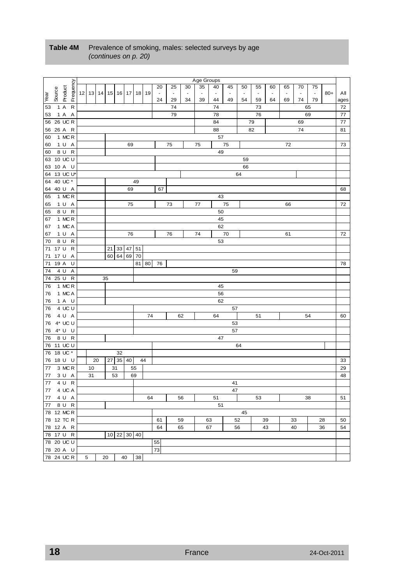|                  |         |             |              |                             |    |    |             |       |    |       |                |                |                          | Age Groups               |                          |                |                |        |    |                |                |                |       |      |
|------------------|---------|-------------|--------------|-----------------------------|----|----|-------------|-------|----|-------|----------------|----------------|--------------------------|--------------------------|--------------------------|----------------|----------------|--------|----|----------------|----------------|----------------|-------|------|
|                  |         |             | Frequency    |                             |    |    |             |       |    |       | 20             | 25             | 30                       | 35                       | 40                       | 45             | 50             | 55     | 60 | 65             | 70             | 75             |       |      |
|                  | Source  | Product     |              | 12   13   14   15   16   17 |    |    |             |       | 18 | 19    | $\blacksquare$ | $\blacksquare$ | $\overline{\phantom{a}}$ | $\overline{\phantom{a}}$ | $\overline{\phantom{a}}$ | $\blacksquare$ | $\blacksquare$ | $\Box$ |    | $\blacksquare$ | $\blacksquare$ | $\blacksquare$ | $80+$ | All  |
| lee <sub>A</sub> |         |             |              |                             |    |    |             |       |    |       | 24             | 29             | 34                       | 39                       | 44                       | 49             | 54             | 59     | 64 | 69             | 74             | 79             |       | ages |
| 53               | 1A      |             | $\mathsf{R}$ |                             |    |    |             |       |    |       |                | 74             |                          |                          | 74                       |                |                | 73     |    |                |                | 65             |       | 72   |
| 53               |         | 1 A A       |              |                             |    |    |             |       |    |       |                | 79             |                          |                          | 78                       |                |                | 76     |    |                |                | 69             |       | 77   |
|                  |         | 56 26 UC R  |              |                             |    |    |             |       |    |       |                |                |                          |                          | 84                       |                |                | 79     |    |                | 69             |                |       | 77   |
|                  |         | 56 26 A R   |              |                             |    |    |             |       |    |       |                |                |                          |                          | 88                       |                |                | 82     |    |                | 74             |                |       | 81   |
| 60               |         | 1 MCR       |              |                             |    |    |             |       |    |       |                |                |                          |                          | 57                       |                |                |        |    |                |                |                |       |      |
| 60               |         | 1 U A       |              |                             |    |    |             | 69    |    |       |                | 75             |                          | 75                       |                          | 75             |                |        |    | 72             |                |                |       | 73   |
| 60               |         | 8 U R       |              |                             |    |    |             |       |    |       |                |                |                          |                          | 49                       |                |                |        |    |                |                |                |       |      |
|                  |         | 63 10 UC U  |              |                             |    |    |             |       |    |       |                |                |                          |                          |                          |                | 59             |        |    |                |                |                |       |      |
|                  |         | 63 10 A U   |              |                             |    |    |             |       |    |       |                |                |                          |                          |                          |                | 66             |        |    |                |                |                |       |      |
|                  |         | 64 13 UC U* |              |                             |    |    |             |       |    |       |                |                |                          |                          |                          |                | 64             |        |    |                |                |                |       |      |
|                  |         | 64 40 UC *  |              |                             |    |    |             |       | 49 |       |                |                |                          |                          |                          |                |                |        |    |                |                |                |       |      |
|                  |         | 64 40 U A   |              |                             |    |    |             | 69    |    |       | 67             |                |                          |                          |                          |                |                |        |    |                |                |                |       | 68   |
| 65               |         | 1 MCR       |              |                             |    |    |             |       |    |       |                |                |                          |                          | 43                       |                |                |        |    |                |                |                |       |      |
| 65               |         | 1 U A       |              |                             |    |    |             | 75    |    |       |                | 73             |                          | 77                       |                          | 75             |                |        |    | 66             |                |                |       | 72   |
| 65               |         | 8 U R       |              |                             |    |    |             |       |    |       |                |                |                          |                          | 50                       |                |                |        |    |                |                |                |       |      |
| 67               |         | 1 MCR       |              |                             |    |    |             |       |    |       |                |                |                          |                          | 45                       |                |                |        |    |                |                |                |       |      |
| 67               |         | 1 MCA       |              |                             |    |    |             |       |    |       |                |                |                          |                          | 62                       |                |                |        |    |                |                |                |       |      |
| 67               |         | 1 U A       |              |                             |    |    |             | 76    |    |       |                | 76             |                          | 74                       |                          | 70             |                |        |    | 61             |                |                |       | 72   |
| 70               |         | 8 U         | R            |                             |    |    |             |       |    |       |                |                |                          |                          | 53                       |                |                |        |    |                |                |                |       |      |
| 71               | 17 U    |             | $\mathsf{R}$ |                             |    | 21 |             | 33 47 | 51 |       |                |                |                          |                          |                          |                |                |        |    |                |                |                |       |      |
| 71               | 17 U    |             | Α            |                             |    | 60 |             | 64 69 | 70 |       |                |                |                          |                          |                          |                |                |        |    |                |                |                |       |      |
| 71               | 19 A    |             | U            |                             |    |    |             |       |    | 81 80 | 76             |                |                          |                          |                          |                |                |        |    |                |                |                |       | 78   |
| 74               | 4 U     |             | Α            |                             |    |    |             |       |    |       |                |                |                          |                          |                          | 59             |                |        |    |                |                |                |       |      |
|                  | 74 25 U |             | $\mathsf{R}$ |                             |    | 35 |             |       |    |       |                |                |                          |                          |                          |                |                |        |    |                |                |                |       |      |
| 76               |         | 1 MCR       |              |                             |    |    |             |       |    |       |                |                |                          |                          | 45                       |                |                |        |    |                |                |                |       |      |
| 76               |         | 1 MCA       |              |                             |    |    |             |       |    |       |                |                |                          |                          | 56                       |                |                |        |    |                |                |                |       |      |
| 76               |         | 1 A U       |              |                             |    |    |             |       |    |       |                |                |                          |                          | 62                       |                |                |        |    |                |                |                |       |      |
| 76               |         | 4 UC U      |              |                             |    |    |             |       |    |       |                |                |                          |                          |                          | 57             |                |        |    |                |                |                |       |      |
| 76               |         | 4 U A       |              |                             |    |    |             |       |    | 74    |                |                | 62                       |                          | 64                       |                |                | 51     |    |                |                | 54             |       | 60   |
| 76               |         | 4* UC U     |              |                             |    |    |             |       |    |       |                |                |                          |                          |                          | 53             |                |        |    |                |                |                |       |      |
| 76               |         | 4* U U      |              |                             |    |    |             |       |    |       |                |                |                          |                          |                          | 57             |                |        |    |                |                |                |       |      |
| 76               |         | 8 U R       |              |                             |    |    |             |       |    |       |                |                |                          |                          | 47                       |                |                |        |    |                |                |                |       |      |
|                  |         | 76 11 UC U  |              |                             |    |    |             |       |    |       |                |                |                          |                          |                          |                | 64             |        |    |                |                |                |       |      |
|                  |         | 76 18 UC *  |              |                             |    |    | 32          |       |    |       |                |                |                          |                          |                          |                |                |        |    |                |                |                |       |      |
|                  |         | 76 18 U U   |              |                             | 20 |    | 27 35 40    |       |    | 44    |                |                |                          |                          |                          |                |                |        |    |                |                |                |       | 33   |
| 77               |         | 3 MCR       |              | 10                          |    |    | 31          |       | 55 |       |                |                |                          |                          |                          |                |                |        |    |                |                |                |       | 29   |
| 77               |         | 3 U A       |              | 31                          |    |    | 53          |       | 69 |       |                |                |                          |                          |                          |                |                |        |    |                |                |                |       | 48   |
| 77               |         | 4 U         | $\mathsf{R}$ |                             |    |    |             |       |    |       |                |                |                          |                          |                          | 41             |                |        |    |                |                |                |       |      |
|                  |         | 77 4 UC A   |              |                             |    |    |             |       |    |       |                |                |                          |                          |                          | 47             |                |        |    |                |                |                |       |      |
| 77               |         | 4 U A       |              |                             |    |    |             |       |    | 64    |                |                | 56                       |                          | 51                       |                |                | 53     |    |                |                | 38             |       | 51   |
|                  |         | 77 8 U R    |              |                             |    |    |             |       |    |       |                |                |                          |                          | 51                       |                |                |        |    |                |                |                |       |      |
|                  |         | 78 12 MCR   |              |                             |    |    |             |       |    |       |                |                |                          |                          |                          |                | 45             |        |    |                |                |                |       |      |
|                  |         | 78 12 TC R  |              |                             |    |    |             |       |    |       | 61             |                | 59                       |                          | 63                       |                | 52             |        | 39 |                | 33             |                | 28    | 50   |
|                  |         | 78 12 A R   |              |                             |    |    |             |       |    |       | 64             |                | 65                       |                          | 67                       |                | 56             |        | 43 |                | 40             |                | 36    | 54   |
|                  |         | 78 17 U R   |              |                             |    |    | 10 22 30 40 |       |    |       |                |                |                          |                          |                          |                |                |        |    |                |                |                |       |      |
|                  |         | 78 20 UC U  |              |                             |    |    |             |       |    |       | 55             |                |                          |                          |                          |                |                |        |    |                |                |                |       |      |
|                  |         | 78 20 A U   |              |                             |    |    |             |       |    |       | 73             |                |                          |                          |                          |                |                |        |    |                |                |                |       |      |
|                  |         | 78 24 UC R  |              | 5                           |    | 20 |             | 40    | 38 |       |                |                |                          |                          |                          |                |                |        |    |                |                |                |       |      |

#### Table 4M Prevalence of smoking, males: selected surveys by age *(continues on p. 20)*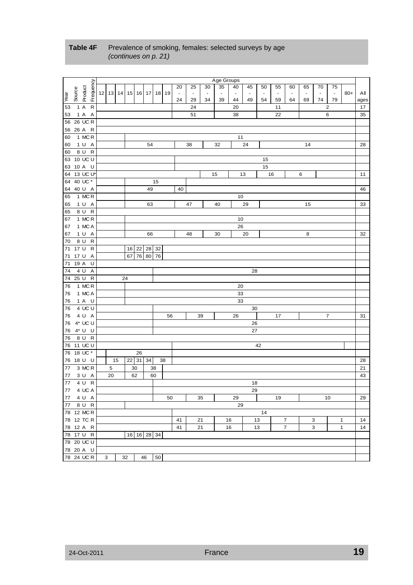|          |                          |         |              |          |                         |  |    |    |              |    |       |                |                |                          | Age Groups     |                |                |                          |                |                |                          |                          |                |              |      |
|----------|--------------------------|---------|--------------|----------|-------------------------|--|----|----|--------------|----|-------|----------------|----------------|--------------------------|----------------|----------------|----------------|--------------------------|----------------|----------------|--------------------------|--------------------------|----------------|--------------|------|
|          |                          |         | Frequency    |          |                         |  |    |    |              |    |       | 20             | 25             | 30                       | 35             | 40             | 45             | 50                       | 55             | 60             | 65                       | 70                       | 75             |              |      |
|          | Source                   | Product |              | 12 13 14 |                         |  |    |    | 15   16   17 |    | 18 19 | $\blacksquare$ | $\blacksquare$ | $\overline{\phantom{a}}$ | $\blacksquare$ | $\blacksquare$ | $\overline{a}$ | $\overline{\phantom{a}}$ | $\blacksquare$ |                | $\overline{\phantom{a}}$ | $\overline{\phantom{a}}$ | $\blacksquare$ | $80+$        | All  |
| Near     |                          |         |              |          |                         |  |    |    |              |    |       | 24             | 29             | 34                       | 39             | 44             | 49             | 54                       | 59             | 64             | 69                       | 74                       | 79             |              | ages |
| 53       | 1 A                      |         | $\mathsf{R}$ |          |                         |  |    |    |              |    |       |                | 24             |                          |                | 20             |                |                          | 11             |                |                          |                          | 2              |              | 17   |
| 53       |                          | 1 A A   |              |          |                         |  |    |    |              |    |       |                | 51             |                          |                | 38             |                |                          | 22             |                |                          |                          | 6              |              | 35   |
|          | 56 26 UC R               |         |              |          |                         |  |    |    |              |    |       |                |                |                          |                |                |                |                          |                |                |                          |                          |                |              |      |
|          | 56 26 A R                |         |              |          |                         |  |    |    |              |    |       |                |                |                          |                |                |                |                          |                |                |                          |                          |                |              |      |
| 60       |                          | 1 MC R  |              |          |                         |  |    |    |              |    |       |                |                |                          |                | 11             |                |                          |                |                |                          |                          |                |              |      |
| 60       |                          | 1 U A   |              |          |                         |  |    |    | 54           |    |       |                | 38             |                          | 32             |                | 24             |                          |                |                | 14                       |                          |                |              | 28   |
| 60       |                          | 8 U R   |              |          |                         |  |    |    |              |    |       |                |                |                          |                |                |                |                          |                |                |                          |                          |                |              |      |
|          | 63 10 UC U               |         |              |          |                         |  |    |    |              |    |       |                |                |                          |                |                |                |                          |                |                |                          |                          |                |              |      |
|          |                          |         |              |          |                         |  |    |    |              |    |       |                |                |                          |                |                |                | 15                       |                |                |                          |                          |                |              |      |
|          | 63 10 A U                |         |              |          |                         |  |    |    |              |    |       |                |                |                          |                |                |                | 15                       |                |                |                          |                          |                |              |      |
|          | 64 13 UC U*              |         |              |          |                         |  |    |    |              |    |       |                |                |                          | 15             |                | 13             |                          | 16             |                | 6                        |                          |                |              | 11   |
|          | 64 40 UC *               |         |              |          |                         |  |    |    |              | 15 |       |                |                |                          |                |                |                |                          |                |                |                          |                          |                |              |      |
|          | 64 40 U A                |         |              |          |                         |  |    |    | 49           |    |       | 40             |                |                          |                |                |                |                          |                |                |                          |                          |                |              | 46   |
| 65       |                          | 1 MCR   |              |          |                         |  |    |    |              |    |       |                |                |                          |                | 10             |                |                          |                |                |                          |                          |                |              |      |
| 65       |                          | 1 U A   |              |          |                         |  |    |    | 63           |    |       |                | 47             |                          | 40             |                | 29             |                          |                |                | 15                       |                          |                |              | 33   |
| 65       |                          | 8 U R   |              |          |                         |  |    |    |              |    |       |                |                |                          |                |                |                |                          |                |                |                          |                          |                |              |      |
| 67       |                          | 1 MC R  |              |          |                         |  |    |    |              |    |       |                |                |                          |                | 10             |                |                          |                |                |                          |                          |                |              |      |
| 67       |                          | 1 MC A  |              |          |                         |  |    |    |              |    |       |                |                |                          |                | 26             |                |                          |                |                |                          |                          |                |              |      |
| 67       |                          | 1 U A   |              |          |                         |  |    |    | 66           |    |       |                | 48             |                          | 30             |                | 20             |                          |                |                | 8                        |                          |                |              | 32   |
| 70       |                          | 8 U R   |              |          |                         |  |    |    |              |    |       |                |                |                          |                |                |                |                          |                |                |                          |                          |                |              |      |
|          | 71 17 U                  |         | $\mathsf R$  |          |                         |  |    |    | 16 22 28 32  |    |       |                |                |                          |                |                |                |                          |                |                |                          |                          |                |              |      |
|          | 71 17 U A                |         |              |          |                         |  | 67 |    |              |    |       |                |                |                          |                |                |                |                          |                |                |                          |                          |                |              |      |
| 71       | 19 A                     |         | U            |          |                         |  |    |    |              |    |       |                |                |                          |                |                |                |                          |                |                |                          |                          |                |              |      |
| 74       | 4 U                      |         | A            |          | 76 80<br>76<br>28<br>24 |  |    |    |              |    |       |                |                |                          |                |                |                |                          |                |                |                          |                          |                |              |      |
|          | 74 25 U R                |         |              |          | 20                      |  |    |    |              |    |       |                |                |                          |                |                |                |                          |                |                |                          |                          |                |              |      |
| 76       |                          | 1 MC R  |              |          |                         |  |    |    |              |    |       |                |                |                          |                |                |                |                          |                |                |                          |                          |                |              |      |
| 76       |                          | 1 MC A  |              |          |                         |  |    |    |              |    |       |                |                |                          |                |                |                |                          |                |                |                          |                          |                |              |      |
| 76       |                          | 1 A U   |              |          | 33<br>33                |  |    |    |              |    |       |                |                |                          |                |                |                |                          |                |                |                          |                          |                |              |      |
| 76       |                          | 4 UC U  |              |          | 30                      |  |    |    |              |    |       |                |                |                          |                |                |                |                          |                |                |                          |                          |                |              |      |
| 76       |                          | 4 U A   |              |          |                         |  |    |    |              |    | 56    |                |                | 39                       |                | 26             |                |                          | 17             |                |                          |                          | 7              |              | 31   |
| 76       | 4* UC U                  |         |              |          |                         |  |    |    |              |    |       |                |                |                          |                |                | 26             |                          |                |                |                          |                          |                |              |      |
|          | 4* U U                   |         |              |          |                         |  |    |    |              |    |       |                |                |                          |                |                | 27             |                          |                |                |                          |                          |                |              |      |
| 76<br>76 |                          | 8 U R   |              |          |                         |  |    |    |              |    |       |                |                |                          |                |                |                |                          |                |                |                          |                          |                |              |      |
|          |                          |         |              |          |                         |  |    |    |              |    |       |                |                |                          |                |                |                |                          |                |                |                          |                          |                |              |      |
|          | 76 11 UC U<br>76 18 UC * |         |              |          |                         |  |    |    |              |    |       |                |                |                          |                |                |                | 42                       |                |                |                          |                          |                |              |      |
|          |                          |         |              |          |                         |  |    | 26 |              |    |       |                |                |                          |                |                |                |                          |                |                |                          |                          |                |              |      |
|          | 76 18 U U                |         |              |          | 15                      |  |    |    | 22 31 34     |    | 38    |                |                |                          |                |                |                |                          |                |                |                          |                          |                |              | 28   |
| 77       |                          | 3 MCR   |              |          | 5                       |  |    | 30 |              | 38 |       |                |                |                          |                |                |                |                          |                |                |                          |                          |                |              | 21   |
| 77       |                          | 3 U A   |              |          | 20                      |  |    | 62 |              | 60 |       |                |                |                          |                |                |                |                          |                |                |                          |                          |                |              | 43   |
| 77       |                          | 4 U     | ${\sf R}$    |          |                         |  |    |    |              |    |       |                |                |                          |                |                | 18             |                          |                |                |                          |                          |                |              |      |
|          | 77 4 UC A                |         |              |          |                         |  |    |    |              |    |       |                |                |                          |                |                | 29             |                          |                |                |                          |                          |                |              |      |
|          | 77 4 U A                 |         |              |          |                         |  |    |    |              |    | 50    |                |                | 35                       |                | 29             |                |                          | 19             |                |                          |                          | 10             |              | 29   |
| 77       |                          | 8 U R   |              |          |                         |  |    |    |              |    |       |                |                |                          |                | 29             |                |                          |                |                |                          |                          |                |              |      |
|          | 78 12 MC R               |         |              |          |                         |  |    |    |              |    |       |                |                |                          |                |                |                | 14                       |                |                |                          |                          |                |              |      |
|          | 78 12 TC R               |         |              |          |                         |  |    |    |              |    |       | 41             |                | 21                       |                | 16             |                | 13                       |                | 7              |                          | 3                        |                | 1            | 14   |
|          | 78 12 A R                |         |              |          |                         |  |    |    |              |    |       | 41             |                | 21                       |                | 16             |                | 13                       |                | $\overline{7}$ |                          | 3                        |                | $\mathbf{1}$ | 14   |
|          | 78 17 U R                |         |              |          |                         |  |    |    | 16 16 28 34  |    |       |                |                |                          |                |                |                |                          |                |                |                          |                          |                |              |      |
|          | 78 20 UC U               |         |              |          |                         |  |    |    |              |    |       |                |                |                          |                |                |                |                          |                |                |                          |                          |                |              |      |
|          | 78 20 A U                |         |              |          |                         |  |    |    |              |    |       |                |                |                          |                |                |                |                          |                |                |                          |                          |                |              |      |
|          | 78 24 UC R               |         |              | 3        |                         |  | 32 |    | 46           | 50 |       |                |                |                          |                |                |                |                          |                |                |                          |                          |                |              |      |
|          |                          |         |              |          |                         |  |    |    |              |    |       |                |                |                          |                |                |                |                          |                |                |                          |                          |                |              |      |

#### Table 4F Prevalence of smoking, females: selected surveys by age *(continues on p. 21)*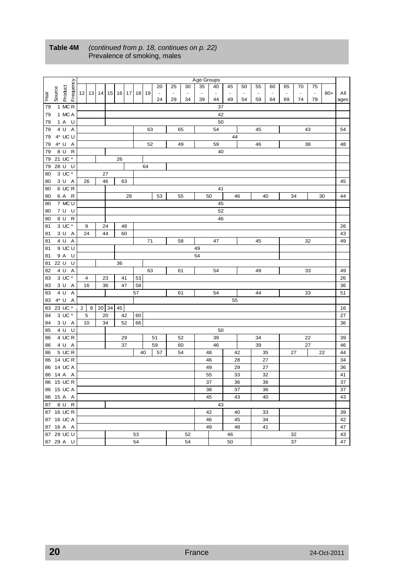|      |         |                       |   |           |       |    |    |    |    |    |        |                          |                          | Age Groups               |                |    |                          |                |                |                |                          |                          |       |      |
|------|---------|-----------------------|---|-----------|-------|----|----|----|----|----|--------|--------------------------|--------------------------|--------------------------|----------------|----|--------------------------|----------------|----------------|----------------|--------------------------|--------------------------|-------|------|
|      |         |                       |   |           |       |    |    |    |    |    | 20     | 25                       | 30                       | 35                       | 40             | 45 | 50                       | 55             | 60             | 65             | 70                       | 75                       |       |      |
|      | Source  | Frequency<br>Product  |   | $12$   13 | 14    | 15 | 16 | 17 | 18 | 19 | $\Box$ | $\overline{\phantom{a}}$ | $\overline{\phantom{a}}$ | $\overline{\phantom{a}}$ | $\blacksquare$ |    | $\overline{\phantom{a}}$ | $\blacksquare$ | $\blacksquare$ | $\blacksquare$ | $\overline{\phantom{a}}$ | $\overline{\phantom{a}}$ | $80+$ | All  |
| Year |         |                       |   |           |       |    |    |    |    |    | 24     | 29                       | 34                       | 39                       | 44             | 49 | 54                       | 59             | 64             | 69             | 74                       | 79                       |       | ages |
| 79   |         | 1 MCR                 |   |           |       |    |    |    |    |    |        |                          |                          |                          | 37             |    |                          |                |                |                |                          |                          |       |      |
| 79   |         | 1 MC A                |   |           |       |    |    |    |    |    |        |                          |                          |                          | 42             |    |                          |                |                |                |                          |                          |       |      |
| 79   |         | 1 A U                 |   |           |       |    |    |    |    |    |        |                          |                          |                          | 50             |    |                          |                |                |                |                          |                          |       |      |
| 79   |         | 4 U<br>Α              |   |           |       |    |    |    |    | 63 |        |                          | 65                       |                          | 54             |    |                          | 45             |                |                |                          | 43                       |       | 54   |
|      |         | 4* UC U               |   |           |       |    |    |    |    |    |        |                          |                          |                          |                | 44 |                          |                |                |                |                          |                          |       |      |
| 79   |         | 4* U A                |   |           |       |    |    |    |    |    |        |                          |                          |                          | 59             |    |                          |                |                |                |                          |                          |       |      |
| 79   |         |                       |   |           |       |    |    |    |    | 52 |        |                          | 49                       |                          |                |    |                          | 46             |                |                |                          | 38                       |       | 48   |
| 79   |         | 8 U<br>$\mathsf R$    |   |           |       |    |    |    |    |    |        |                          |                          |                          | 40             |    |                          |                |                |                |                          |                          |       |      |
| 79   |         | 21 UC *               |   |           |       |    | 26 |    |    |    |        |                          |                          |                          |                |    |                          |                |                |                |                          |                          |       |      |
| 79   |         | 28 U<br>U             |   |           |       |    |    |    |    | 64 |        |                          |                          |                          |                |    |                          |                |                |                |                          |                          |       |      |
| 80   |         | 3 UC *                |   |           | 27    |    |    |    |    |    |        |                          |                          |                          |                |    |                          |                |                |                |                          |                          |       |      |
| 80   |         | 3 U A                 |   | 26        | 46    |    |    | 63 |    |    |        |                          |                          |                          |                |    |                          |                |                |                |                          |                          |       | 45   |
| 80   |         | 6 UC R                |   |           |       |    |    |    |    |    |        |                          |                          |                          | 41             |    |                          |                |                |                |                          |                          |       |      |
| 80   |         | 6 A R                 |   |           |       |    |    | 28 |    |    | 53     |                          | 55                       |                          | 50             |    | 46                       |                | 40             |                | 34                       |                          | 30    | 44   |
| 80   |         | 7 MC U                |   |           |       |    |    |    |    |    |        |                          |                          |                          | 45             |    |                          |                |                |                |                          |                          |       |      |
| 80   |         | 7 U U                 |   |           |       |    |    |    |    |    |        |                          |                          |                          | 52             |    |                          |                |                |                |                          |                          |       |      |
| 80   |         | $\mathsf{R}$<br>8 U   |   |           |       |    |    |    |    |    |        |                          |                          |                          | 46             |    |                          |                |                |                |                          |                          |       |      |
| 81   |         | 3 UC *                |   | 9         | 24    |    |    | 48 |    |    |        |                          |                          |                          |                |    |                          |                |                |                |                          |                          |       | 26   |
| 81   |         | 3 U A                 |   | 24        | 44    |    |    | 60 |    |    |        |                          |                          |                          |                |    |                          |                |                |                |                          |                          |       | 43   |
| 81   |         | A<br>4 U              |   |           |       |    |    |    |    | 71 |        |                          | 58                       |                          | 47             |    |                          | 45             |                |                |                          | 32                       |       | 49   |
| 81   |         | 9 UC U                |   |           |       |    |    |    |    |    |        |                          |                          | 49                       |                |    |                          |                |                |                |                          |                          |       |      |
| 81   |         | 9 A U                 |   |           |       |    |    |    |    |    |        |                          |                          | 54                       |                |    |                          |                |                |                |                          |                          |       |      |
| 81   | 22 U    | U                     |   |           |       |    | 36 |    |    |    |        |                          |                          |                          |                |    |                          |                |                |                |                          |                          |       |      |
| 82   |         | 4 U<br>Α              |   |           |       |    |    |    |    | 63 |        |                          | 61                       |                          | 54             |    |                          | 49             |                |                |                          | 33                       |       | 49   |
| 83   |         | 3 UC *                |   | 4         | 23    |    |    | 41 | 53 |    |        |                          |                          |                          |                |    |                          |                |                |                |                          |                          |       | 26   |
| 83   |         | 3 U<br>A              |   | 16        | 36    |    |    | 47 | 58 |    |        |                          |                          |                          |                |    |                          |                |                |                |                          |                          |       | 36   |
| 83   |         | 4 U<br>$\overline{A}$ |   |           |       |    |    |    | 57 |    |        |                          | 61                       |                          | 54             |    |                          | 44             |                |                |                          | 33                       |       | 51   |
| 83   | $4^*$ U | $\overline{A}$        |   |           |       |    |    |    |    |    |        |                          |                          |                          |                | 55 |                          |                |                |                |                          |                          |       |      |
| 83   |         | 23 UC *               | 2 | 9         | 20 34 |    | 45 |    |    |    |        |                          |                          |                          |                |    |                          |                |                |                |                          |                          |       | 16   |
| 84   |         | 3 UC *                |   | 5         | 20    |    |    | 42 | 60 |    |        |                          |                          |                          |                |    |                          |                |                |                |                          |                          |       | 27   |
| 84   |         | 3 U A                 |   | 10        | 34    |    |    | 52 | 66 |    |        |                          |                          |                          |                |    |                          |                |                |                |                          |                          |       | 36   |
| 85   |         | 4 U<br>U              |   |           |       |    |    |    |    |    |        |                          |                          |                          | 50             |    |                          |                |                |                |                          |                          |       |      |
| 86   |         | 4 UC R                |   |           |       |    |    | 29 |    |    | 51     |                          | 52                       |                          | 39             |    |                          | 34             |                |                |                          | 22                       |       | 39   |
| 86   |         | 4 U A                 |   |           |       |    |    | 37 |    |    | 59     |                          | 60                       |                          | 46             |    |                          | 39             |                |                |                          | 27                       |       | 46   |
| 86   |         | 5 UC R                |   |           |       |    |    |    |    | 40 | 57     |                          | 54                       |                          | 48             |    | 42                       |                | 35             |                | 27                       |                          | 22    | 44   |
| 86   |         | 14 UC R               |   |           |       |    |    |    |    |    |        |                          |                          |                          | 46             |    | 28                       |                | 27             |                |                          |                          |       | 34   |
|      |         | 86 14 UC A            |   |           |       |    |    |    |    |    |        |                          |                          |                          | 49             |    | 29                       |                | 27             |                |                          |                          |       | 36   |
| 86   | 14 A    | A                     |   |           |       |    |    |    |    |    |        |                          |                          |                          | 55             |    | 33                       |                | 32             |                |                          |                          |       | 41   |
|      |         | 86 15 UC R            |   |           |       |    |    |    |    |    |        |                          |                          |                          | 37             |    | 36                       |                | 36             |                |                          |                          |       | 37   |
|      |         | 86 15 UC A            |   |           |       |    |    |    |    |    |        |                          |                          |                          | 38             |    | 37                       |                | 36             |                |                          |                          |       | 37   |
|      |         | 86 15 A A             |   |           |       |    |    |    |    |    |        |                          |                          |                          | 45             |    | 43                       |                | 40             |                |                          |                          |       | 43   |
|      |         | 87 8 U R              |   |           |       |    |    |    |    |    |        |                          |                          |                          | 43             |    |                          |                |                |                |                          |                          |       |      |
|      |         | 87 16 UC R            |   |           |       |    |    |    |    |    |        |                          |                          |                          | 42             |    | 40                       |                | 33             |                |                          |                          |       | 39   |
|      |         | 87 16 UC A            |   |           |       |    |    |    |    |    |        |                          |                          |                          | 46             |    | 45                       |                | 34             |                |                          |                          |       | 42   |
|      |         | 87 16 A A             |   |           |       |    |    |    |    |    |        |                          |                          |                          | 49             |    | 48                       |                | 41             |                |                          |                          |       | 47   |
|      |         | 87 29 UC U            |   |           |       |    |    |    | 53 |    |        |                          | 52                       |                          |                | 46 |                          |                |                |                | 32                       |                          |       | 43   |
|      |         |                       |   |           |       |    |    |    | 54 |    |        |                          | 54                       |                          |                |    |                          |                |                |                | 37                       |                          |       | 47   |
|      |         | 87 29 A U             |   |           |       |    |    |    |    |    |        |                          |                          |                          |                | 50 |                          |                |                |                |                          |                          |       |      |

#### **Table 4M** *(continued from p. 18, continues on p. 22)* Prevalence of smoking, males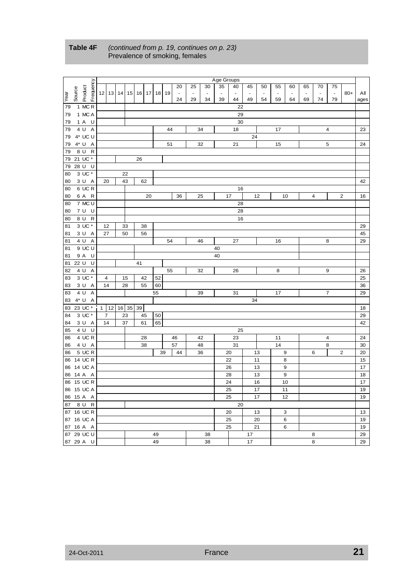|      |         |                         |              |            |       |    |       |                 |    |                |    |                | Age Groups               |                |                |                |                          |                           |                |                |                |                |      |
|------|---------|-------------------------|--------------|------------|-------|----|-------|-----------------|----|----------------|----|----------------|--------------------------|----------------|----------------|----------------|--------------------------|---------------------------|----------------|----------------|----------------|----------------|------|
|      |         |                         |              |            |       |    |       |                 |    | 20             | 25 | 30             | 35                       | 40             | 45             | 50             | 55                       | 60                        | 65             | 70             | 75             |                |      |
|      | Source  | Frequency<br>Product    |              | $12$ 13 14 | 15    |    | 16 17 | 18 <sup>1</sup> | 19 | $\blacksquare$ |    | $\blacksquare$ | $\overline{\phantom{a}}$ | $\blacksquare$ | $\blacksquare$ | $\blacksquare$ | $\overline{\phantom{a}}$ |                           | $\blacksquare$ | $\blacksquare$ | $\blacksquare$ | $80+$          | All  |
| Year |         |                         |              |            |       |    |       |                 |    | 24             | 29 | 34             | 39                       | 44             | 49             | 54             | 59                       | 64                        | 69             | 74             | 79             |                | ages |
| 79   |         | 1 MCR                   |              |            |       |    |       |                 |    |                |    |                |                          | 22             |                |                |                          |                           |                |                |                |                |      |
| 79   |         | 1 MC A                  |              |            |       |    |       |                 |    |                |    |                |                          | 29             |                |                |                          |                           |                |                |                |                |      |
| 79   |         | 1 A U                   |              |            |       |    |       |                 |    |                |    |                |                          | 30             |                |                |                          |                           |                |                |                |                |      |
| 79   |         | 4 U<br>$\overline{A}$   |              |            |       |    |       |                 | 44 |                |    | 34             |                          | 18             |                |                | 17                       |                           |                |                | $\overline{4}$ |                | 23   |
| 79   |         | 4* UC U                 |              |            |       |    |       |                 |    |                |    |                |                          |                | 24             |                |                          |                           |                |                |                |                |      |
| 79   |         | 4* U A                  |              |            |       |    |       |                 | 51 |                |    | 32             |                          | 21             |                |                | 15                       |                           |                |                | 5              |                | 24   |
| 79   |         | 8 U<br>$\mathsf{R}$     |              |            |       |    |       |                 |    |                |    |                |                          |                |                |                |                          |                           |                |                |                |                |      |
|      |         | 79 21 UC *              |              |            |       | 26 |       |                 |    |                |    |                |                          |                |                |                |                          |                           |                |                |                |                |      |
| 79   | 28 U    | U                       |              |            |       |    |       |                 |    |                |    |                |                          |                |                |                |                          |                           |                |                |                |                |      |
| 80   |         | 3 UC *                  |              |            | 22    |    |       |                 |    |                |    |                |                          |                |                |                |                          |                           |                |                |                |                |      |
| 80   |         | 3 U A                   |              | 20         | 43    |    | 62    |                 |    |                |    |                |                          |                |                |                |                          |                           |                |                |                |                | 42   |
| 80   |         | 6 UCR                   |              |            |       |    |       |                 |    |                |    |                |                          | 16             |                |                |                          |                           |                |                |                |                |      |
| 80   |         | 6 A R                   |              |            |       |    | 20    |                 |    | 36             |    | 25             |                          | 17             |                | 12             |                          | 10                        |                | 4              |                | $\mathbf 2$    | 16   |
| 80   |         | 7 MC U                  |              |            |       |    |       |                 |    |                |    |                |                          | 28             |                |                |                          |                           |                |                |                |                |      |
| 80   |         | 7 U U                   |              |            |       |    |       |                 |    |                |    |                |                          | 28             |                |                |                          |                           |                |                |                |                |      |
| 80   |         | 8 U<br>R                |              |            |       |    |       |                 |    |                |    |                |                          | 16             |                |                |                          |                           |                |                |                |                |      |
| 81   |         | 3 UC *                  |              | 12         | 33    |    | 38    |                 |    |                |    |                |                          |                |                |                |                          |                           |                |                |                |                | 29   |
| 81   |         | 3 U A                   |              | 27         | 50    |    | 56    |                 |    |                |    |                |                          |                |                |                |                          |                           |                |                |                |                | 45   |
| 81   |         | 4 U<br>Α                |              |            |       |    |       |                 | 54 |                |    | 46             |                          | 27             |                |                | 16                       |                           |                |                | 8              |                | 29   |
| 81   |         | 9UCU                    |              |            |       |    |       |                 |    |                |    |                | 40                       |                |                |                |                          |                           |                |                |                |                |      |
| 81   |         | 9 A U                   |              |            |       |    |       |                 |    |                |    |                | 40                       |                |                |                |                          |                           |                |                |                |                |      |
|      | 81 22 U | U                       |              |            |       | 41 |       |                 |    |                |    |                |                          |                |                |                |                          |                           |                |                |                |                |      |
| 82   |         | 4 U<br>Α                |              |            |       |    |       |                 | 55 |                |    | 32             |                          | 26             |                |                | 8                        |                           |                |                | 9              |                | 26   |
| 83   |         | $3\overline{UC}$ *      |              | 4          | 15    |    | 42    | 52              |    |                |    |                |                          |                |                |                |                          |                           |                |                |                |                | 25   |
| 83   |         | 3 U A                   |              | 14         | 28    |    | 55    | 60              |    |                |    |                |                          |                |                |                |                          |                           |                |                |                |                | 36   |
| 83   |         | 4 U<br>$\overline{A}$   |              |            |       |    |       | 55              |    |                |    | 39             |                          | 31             |                |                | 17                       |                           |                |                | $\overline{7}$ |                | 29   |
| 83   |         | $4^*$ U<br>Α            |              |            |       |    |       |                 |    |                |    |                |                          |                | 34             |                |                          |                           |                |                |                |                |      |
|      |         | 83 23 UC *              | $\mathbf{1}$ | 12         | 16 35 | 39 |       |                 |    |                |    |                |                          |                |                |                |                          |                           |                |                |                |                | 18   |
| 84   |         | 3 UC *                  |              | 7          | 23    |    | 45    | 50              |    |                |    |                |                          |                |                |                |                          |                           |                |                |                |                | 29   |
| 84   |         | 3 U A                   |              | 14         | 37    |    | 61    | 65              |    |                |    |                |                          |                |                |                |                          |                           |                |                |                |                | 42   |
| 85   |         | 4 U<br>U                |              |            |       |    |       |                 |    |                |    |                |                          | 25             |                |                |                          |                           |                |                |                |                |      |
| 86   |         | 4 UCR                   |              |            |       |    | 28    |                 |    | 46             |    | 42             |                          | 23             |                |                | 11                       |                           |                |                | $\overline{4}$ |                | 24   |
| 86   |         | 4 U A                   |              |            |       |    | 38    |                 |    | 57             |    | 48             |                          | 31             |                |                | 14                       |                           |                |                | 8              |                | 30   |
| 86   |         | 5 UC R                  |              |            |       |    |       |                 | 39 | 44             |    | 36             |                          | 20             |                | 13             |                          | $\boldsymbol{9}$          |                | 6              |                | $\overline{c}$ | 20   |
|      |         | 86 14 UC R              |              |            |       |    |       |                 |    |                |    |                |                          | 22             |                | 11             |                          | 8                         |                |                |                |                | 15   |
|      |         | 86 14 UC A              |              |            |       |    |       |                 |    |                |    |                |                          | 26             |                | 13             |                          | 9                         |                |                |                |                | 17   |
| 86   | 14 A    | Α                       |              |            |       |    |       |                 |    |                |    |                |                          | 28             |                | 13             |                          | $\boldsymbol{9}$          |                |                |                |                | 18   |
|      |         | 86 15 UC R              |              |            |       |    |       |                 |    |                |    |                |                          | 24             |                | 16             |                          | 10                        |                |                |                |                | 17   |
|      |         | 86 15 UC A              |              |            |       |    |       |                 |    |                |    |                |                          | 25             |                | 17             |                          | 11                        |                |                |                |                | 19   |
|      |         | 86 15 A A               |              |            |       |    |       |                 |    |                |    |                |                          | 25             |                | 17             |                          | 12                        |                |                |                |                | 19   |
|      |         | 87 8 U R                |              |            |       |    |       |                 |    |                |    |                |                          | 20             |                |                |                          |                           |                |                |                |                |      |
|      |         | 87 16 UC R              |              |            |       |    |       |                 |    |                |    |                |                          | 20             |                | 13             |                          | $\ensuremath{\mathsf{3}}$ |                |                |                |                | 13   |
|      |         | 87 16 UC A              |              |            |       |    |       |                 |    |                |    |                |                          | 25             |                | 20             |                          | 6                         |                |                |                |                | 19   |
|      |         |                         |              |            |       |    |       |                 |    |                |    |                |                          | 25             |                | 21             |                          |                           |                |                |                |                | 19   |
|      |         | 87 16 A A<br>87 29 UC U |              |            |       |    |       | 49              |    |                |    |                |                          |                |                |                |                          | 6                         |                |                |                |                |      |
|      |         |                         |              |            |       |    |       | 49              |    |                |    | 38             |                          |                | 17             |                |                          |                           |                | 8              |                |                | 29   |
|      |         | 87 29 A U               |              |            |       |    |       |                 |    |                |    | 38             |                          |                | 17             |                |                          |                           |                | 8              |                |                | 29   |

#### **Table 4F** *(continued from p. 19, continues on p. 23)* Prevalence of smoking, females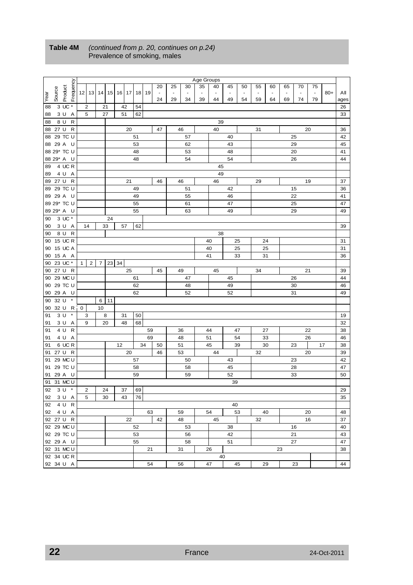|      |         |                                |   |                |                |    |    |       |          |    |                |    |                          | Age Groups     |                          |          |                |                |                |    |                |                |       |      |
|------|---------|--------------------------------|---|----------------|----------------|----|----|-------|----------|----|----------------|----|--------------------------|----------------|--------------------------|----------|----------------|----------------|----------------|----|----------------|----------------|-------|------|
|      |         | Frequency                      |   |                |                |    |    |       |          |    | 20             | 25 | 30                       | 35             | 40                       | 45       | 50             | 55             | 60             | 65 | 70             | 75             |       |      |
|      | Source  | Product                        |   | $12$   13      | 14             | 15 |    | 16 17 | 18       | 19 | $\blacksquare$ |    | $\overline{\phantom{a}}$ | $\blacksquare$ | $\overline{\phantom{a}}$ |          | $\blacksquare$ | $\blacksquare$ | $\blacksquare$ |    | $\blacksquare$ | $\blacksquare$ | $80+$ | All  |
| Year |         |                                |   |                |                |    |    |       |          |    | 24             | 29 | 34                       | 39             | 44                       | 49       | 54             | 59             | 64             | 69 | 74             | 79             |       | ages |
| 88   |         | 3 UC *                         |   | 2              | 21             |    |    | 42    | 54       |    |                |    |                          |                |                          |          |                |                |                |    |                |                |       | 26   |
| 88   |         | 3 U A                          |   | 5              | 27             |    |    | 51    | 62       |    |                |    |                          |                |                          |          |                |                |                |    |                |                |       | 33   |
| 88   |         | 8 U<br>R                       |   |                |                |    |    |       |          |    |                |    |                          |                | 39                       |          |                |                |                |    |                |                |       |      |
|      | 88 27 U | R                              |   |                |                |    |    | 20    |          |    | 47             |    | 46                       |                | 40                       |          |                | 31             |                |    |                | 20             |       | 36   |
|      |         | 88 29 TC U                     |   |                |                |    |    |       | 51       |    |                |    | 57                       |                |                          | 40       |                |                |                |    | 25             |                |       | 42   |
|      |         | 88 29 A U                      |   |                |                |    |    |       | 53       |    |                |    | 62                       |                |                          | 43       |                |                |                |    | 29             |                |       | 45   |
|      |         | 88 29* TC U                    |   |                |                |    |    |       | 48       |    |                |    | 53                       |                |                          | 48       |                |                |                |    | 20             |                |       | 41   |
|      |         | 88 29* A U                     |   |                |                |    |    |       | 48       |    |                |    | 54                       |                |                          | 54       |                |                |                |    | 26             |                |       | 44   |
| 89   |         | 4 UC R                         |   |                |                |    |    |       |          |    |                |    |                          |                | 45                       |          |                |                |                |    |                |                |       |      |
| 89   |         | 4 U A                          |   |                |                |    |    |       |          |    |                |    |                          |                | 49                       |          |                |                |                |    |                |                |       |      |
|      |         | 89 27 U R                      |   |                |                |    |    | 21    |          |    | 46             |    | 46                       |                | 46                       |          |                | 29             |                |    |                | 19             |       | 37   |
|      |         | 89 29 TC U                     |   |                |                |    |    |       | 49       |    |                |    | 51                       |                |                          | 42       |                |                |                |    | 15             |                |       | 36   |
|      |         | 89 29 A U                      |   |                |                |    |    |       | 49       |    |                |    | 55                       |                |                          | 46       |                |                |                |    | 22             |                |       | 41   |
|      |         | 89 29* TC U                    |   |                |                |    |    |       | 55       |    |                |    | 61                       |                |                          | 47       |                |                |                |    | 25             |                |       | 47   |
|      |         | 89 29* A U                     |   |                |                |    |    |       | 55       |    |                |    | 63                       |                |                          | 49       |                |                |                |    | 29             |                |       | 49   |
| 90   |         | 3 UC *                         |   |                |                | 24 |    |       |          |    |                |    |                          |                |                          |          |                |                |                |    |                |                |       |      |
| 90   |         | 3 U A                          |   | 14             |                | 33 |    | 57    | 62       |    |                |    |                          |                |                          |          |                |                |                |    |                |                |       | 39   |
| 90   |         | 8 U R                          |   |                |                |    |    |       |          |    |                |    |                          |                | 38                       |          |                |                |                |    |                |                |       |      |
|      |         | 90 15 UC R                     |   |                |                |    |    |       |          |    |                |    |                          |                | 40                       |          | 25             |                | 24             |    |                |                |       | 31   |
| 90   |         | 15 UC A                        |   |                |                |    |    |       |          |    |                |    |                          |                | 40                       |          | 25             |                | 25             |    |                |                |       | 31   |
| 90   |         | 15 A A                         |   |                |                |    |    |       |          |    |                |    |                          |                | 41                       |          | 33             |                | 31             |    |                |                |       | 36   |
|      |         | 90 23 UC *                     | 1 | $\overline{2}$ | $\overline{7}$ | 23 | 34 |       |          |    |                |    |                          |                |                          |          |                |                |                |    |                |                |       |      |
|      |         | 90 27 U R                      |   |                |                |    |    | 25    |          |    | 45             |    | 49                       |                | 45                       |          |                | 34             |                |    |                | 21             |       | 39   |
|      |         | 90 29 MC U                     |   |                |                |    |    |       | 61       |    |                |    | 47                       |                |                          | 45       |                |                |                |    | 26             |                |       | 44   |
| 90   |         | 29 TC U                        |   |                |                |    |    |       | 62       |    |                |    | 48                       |                |                          | 49       |                |                |                |    | 30             |                |       | 46   |
| 90   |         | 29 A U                         |   |                |                |    |    |       | 62       |    |                |    | 52                       |                |                          | 52       |                |                |                |    | 31             |                |       | 49   |
| 90   | 32 U    | $^\star$                       |   |                | 6              | 11 |    |       |          |    |                |    |                          |                |                          |          |                |                |                |    |                |                |       |      |
| 90   |         | 32 U R                         | 0 |                | 10             |    |    |       |          |    |                |    |                          |                |                          |          |                |                |                |    |                |                |       |      |
| 91   |         | $\star$<br>3U                  |   | 3              | 8              |    |    | 31    | 50       |    |                |    |                          |                |                          |          |                |                |                |    |                |                |       | 19   |
| 91   |         | 3 U<br>A                       |   | 9              | 20             |    |    | 48    | 68       |    |                |    |                          |                |                          |          |                |                |                |    |                |                |       | 32   |
| 91   |         | 4 <sup>U</sup><br>$\mathsf{R}$ |   |                |                |    |    |       |          | 59 |                |    | 36                       |                | 44                       |          | 47             |                | 27             |    |                | 22             |       | 38   |
| 91   |         | 4 U A                          |   |                |                |    |    |       |          | 69 |                |    | 48                       |                | 51                       |          | 54             |                | 33             |    |                | 26             |       | 46   |
| 91   |         | 6 UCR                          |   |                |                |    | 12 |       |          | 34 | 50             |    | 51                       |                | 45                       |          | 39             |                | 30             |    | 23             |                | 17    | 38   |
| 91   |         | 27 U R                         |   |                |                |    |    | 20    |          |    | 46             |    | 53                       |                | 44                       |          |                | 32             |                |    |                | 20             |       | 39   |
| 91   |         | 29 MC U                        |   |                |                |    |    |       | 57       |    |                |    | 50                       |                |                          | 43       |                |                |                |    | 23             |                |       | 42   |
| 91   |         | 29 TC U                        |   |                |                |    |    |       | 58       |    |                |    | 58                       |                |                          | 45       |                |                |                |    | 28             |                |       | 47   |
| 91   |         | 29 A U                         |   |                |                |    |    |       | 59       |    |                |    | 59                       |                |                          | 52       |                |                |                |    | 33             |                |       | 50   |
|      |         | 91 31 MC U                     |   |                |                |    |    |       |          |    |                |    |                          |                |                          | 39       |                |                |                |    |                |                |       |      |
|      |         | 92 3 U *                       |   | 2              | 24             |    |    | 37    | 69       |    |                |    |                          |                |                          |          |                |                |                |    |                |                |       | 29   |
|      |         | 92 3 U A                       |   | 5              |                | 30 |    | 43    | 76       |    |                |    |                          |                |                          |          |                |                |                |    |                |                |       | 35   |
|      |         | 92 4 U R                       |   |                |                |    |    |       |          |    |                |    |                          |                |                          | 40       |                |                |                |    |                |                |       |      |
|      |         | 92 4 U A                       |   |                |                |    |    |       |          | 63 |                |    | 59                       |                | 54                       |          | 53             |                | 40             |    |                | 20             |       | 48   |
|      |         | 92 27 U R                      |   |                |                |    |    |       |          |    | 42             |    | 48                       |                |                          |          |                |                |                |    |                | 16             |       | 37   |
|      |         | 92 29 MC U                     |   |                |                |    |    | 22    |          |    |                |    |                          |                | 45                       |          |                | 32             |                |    |                |                |       | 40   |
|      |         | 92 29 TC U                     |   |                |                |    |    |       | 52       |    |                |    | 53                       |                |                          | 38<br>42 |                |                |                |    | 16             |                |       | 43   |
|      |         | 92 29 A U                      |   |                |                |    |    |       | 53<br>55 |    |                |    | 56<br>58                 |                |                          | 51       |                |                |                |    | 21<br>27       |                |       | 47   |
|      |         | 92 31 MC U                     |   |                |                |    |    |       |          | 21 |                |    |                          |                | 26                       |          |                |                |                | 23 |                |                |       | 38   |
|      |         | 92 34 UC R                     |   |                |                |    |    |       |          |    |                |    | 31                       |                |                          |          |                |                |                |    |                |                |       |      |
|      |         | 92 34 U A                      |   |                |                |    |    |       |          | 54 |                |    | 56                       |                | 40<br>47                 |          | 45             |                | 29             |    | 23             |                |       | 44   |
|      |         |                                |   |                |                |    |    |       |          |    |                |    |                          |                |                          |          |                |                |                |    |                |                |       |      |

#### **Table 4M** *(continued from p. 20, continues on p.24)* Prevalence of smoking, males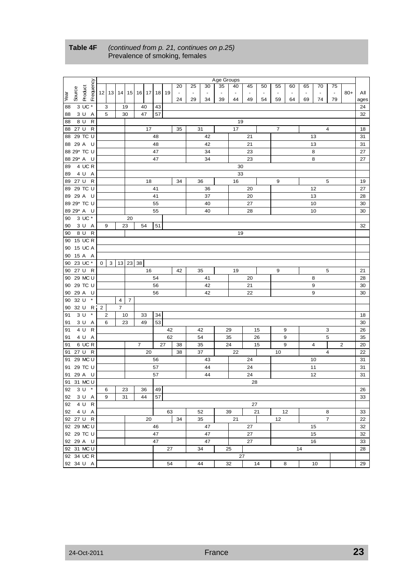|      |         |                       |                |   |   |                             |                |    |    |                                  |                |    |                          | Age Groups |                |    |    |                          |    |                |                          |                |                |      |
|------|---------|-----------------------|----------------|---|---|-----------------------------|----------------|----|----|----------------------------------|----------------|----|--------------------------|------------|----------------|----|----|--------------------------|----|----------------|--------------------------|----------------|----------------|------|
|      |         |                       |                |   |   |                             |                |    |    |                                  | 20             | 25 | 30                       | 35         | 40             | 45 | 50 | 55                       | 60 | 65             | 70                       | 75             |                |      |
|      | Source  | Frequency             | 12             |   |   |                             |                |    |    | 13   14   15   16   17   18   19 | $\blacksquare$ |    | $\overline{\phantom{a}}$ |            | $\blacksquare$ |    |    | $\overline{\phantom{a}}$ |    | $\blacksquare$ | $\overline{\phantom{a}}$ | $\blacksquare$ | $80+$          | All  |
| Year |         | Product               |                |   |   |                             |                |    |    |                                  | 24             | 29 | 34                       | 39         | 44             | 49 | 54 | 59                       | 64 | 69             | 74                       | 79             |                | ages |
| 88   |         | $3 \text{ UC}^*$      |                | 3 |   | 19                          |                | 40 | 43 |                                  |                |    |                          |            |                |    |    |                          |    |                |                          |                |                | 24   |
| 88   |         | 3 U A                 |                | 5 |   | 30                          |                | 47 | 57 |                                  |                |    |                          |            |                |    |    |                          |    |                |                          |                |                | 32   |
| 88   | 8 U     | R                     |                |   |   |                             |                |    |    |                                  |                |    |                          |            | 19             |    |    |                          |    |                |                          |                |                |      |
|      |         | 88 27 U R             |                |   |   |                             |                | 17 |    |                                  | 35             |    | 31                       |            | 17             |    |    | $\overline{7}$           |    |                |                          | 4              |                | 18   |
|      |         | 88 29 TC U            |                |   |   |                             |                |    | 48 |                                  |                |    | 42                       |            |                | 21 |    |                          |    |                | 13                       |                |                | 31   |
|      |         | 88 29 A U             |                |   |   |                             |                |    | 48 |                                  |                |    | 42                       |            |                | 21 |    |                          |    |                | 13                       |                |                | 31   |
|      |         | 88 29* TC U           |                |   |   |                             |                |    | 47 |                                  |                |    | 34                       |            |                | 23 |    |                          |    |                | 8                        |                |                | 27   |
|      |         | 88 29* A U            |                |   |   |                             |                |    | 47 |                                  |                |    | 34                       |            |                | 23 |    |                          |    |                | 8                        |                |                | 27   |
| 89   |         | 4 UC R                |                |   |   |                             |                |    |    |                                  |                |    |                          |            | 30             |    |    |                          |    |                |                          |                |                |      |
| 89   |         | 4 U A                 |                |   |   |                             |                |    |    |                                  |                |    |                          |            | 33             |    |    |                          |    |                |                          |                |                |      |
|      | 89 27 U | $\mathsf{R}$          |                |   |   |                             |                | 18 |    |                                  | 34             |    | 36                       |            | 16             |    |    | 9                        |    |                |                          | 5              |                | 19   |
|      |         | 89 29 TC U            |                |   |   |                             |                |    | 41 |                                  |                |    | 36                       |            |                | 20 |    |                          |    |                | 12                       |                |                | 27   |
|      |         | 89 29 A U             |                |   |   |                             |                |    | 41 |                                  |                |    | 37                       |            |                | 20 |    |                          |    |                | 13                       |                |                | 28   |
|      |         | 89 29* TC U           |                |   |   |                             |                |    | 55 |                                  |                |    | 40                       |            |                | 27 |    |                          |    |                | 10                       |                |                | 30   |
|      |         |                       |                |   |   |                             |                |    |    |                                  |                |    |                          |            |                |    |    |                          |    |                |                          |                |                |      |
|      |         | 89 29* A U<br>3 UC *  |                |   |   |                             |                |    | 55 |                                  |                |    | 40                       |            |                | 28 |    |                          |    |                | 10                       |                |                | 30   |
| 90   |         | 3 U A                 |                |   |   | 20                          |                |    |    |                                  |                |    |                          |            |                |    |    |                          |    |                |                          |                |                |      |
| 90   |         |                       |                | 9 |   | 23                          |                | 54 | 51 |                                  |                |    |                          |            |                |    |    |                          |    |                |                          |                |                | 32   |
| 90   |         | 8 U R<br>90 15 UC R   |                |   |   |                             |                |    |    |                                  |                |    |                          |            | 19             |    |    |                          |    |                |                          |                |                |      |
|      |         |                       |                |   |   |                             |                |    |    |                                  |                |    |                          |            |                |    |    |                          |    |                |                          |                |                |      |
| 90   |         | 15 UC A               |                |   |   |                             |                |    |    |                                  |                |    |                          |            |                |    |    |                          |    |                |                          |                |                |      |
| 90   |         | 15 A A                |                |   |   |                             |                |    |    |                                  |                |    |                          |            |                |    |    |                          |    |                |                          |                |                |      |
| 90   |         | 23 UC *               | 0              |   |   | $3 \mid 13 \mid 23 \mid 38$ |                |    |    |                                  |                |    |                          |            |                |    |    |                          |    |                |                          |                |                |      |
|      |         | 90 27 U R             |                |   |   |                             |                | 16 |    |                                  | 42             |    | 35                       |            | 19             |    |    | 9                        |    |                |                          | 5              |                | 21   |
| 90   |         | 29 MC U               |                |   |   |                             |                |    | 54 |                                  |                |    | 41                       |            |                | 20 |    |                          |    |                | 8                        |                |                | 28   |
| 90   |         | 29 TC U               |                |   |   |                             |                |    | 56 |                                  |                |    | 42                       |            |                | 21 |    |                          |    |                | 9                        |                |                | 30   |
| 90   |         | 29 A U                |                |   |   |                             |                |    | 56 |                                  |                |    | 42                       |            |                | 22 |    |                          |    |                | 9                        |                |                | 30   |
| 90   | 32 U    | $\pmb{\ast}$          |                |   | 4 | $\overline{7}$              |                |    |    |                                  |                |    |                          |            |                |    |    |                          |    |                |                          |                |                |      |
| 90   | 32 U    | R                     | $\overline{2}$ |   | 7 |                             |                |    |    |                                  |                |    |                          |            |                |    |    |                          |    |                |                          |                |                |      |
| 91   | 3U      | $\pmb{\ast}$          |                | 2 |   | 10                          |                | 33 | 34 |                                  |                |    |                          |            |                |    |    |                          |    |                |                          |                |                | 18   |
| 91   |         | 3 U<br>A              |                | 6 |   | 23                          |                | 49 | 53 |                                  |                |    |                          |            |                |    |    |                          |    |                |                          |                |                | 30   |
| 91   |         | $\mathsf{R}$<br>4 U   |                |   |   |                             |                |    |    | 42                               |                |    | 42                       |            | 29             |    | 15 |                          | 9  |                |                          | 3              |                | 26   |
| 91   |         | 4 U A                 |                |   |   |                             |                |    |    | 62                               |                |    | 54                       |            | 35             |    | 26 |                          | 9  |                |                          | 5              |                | 35   |
| 91   |         | 6 UC R                |                |   |   |                             | $\overline{7}$ |    |    | 27                               | 38             |    | 35                       |            | 24             |    | 15 |                          | 9  |                | $\overline{4}$           |                | $\overline{c}$ | 20   |
| 91   |         | 27 U R                |                |   |   |                             |                | 20 |    |                                  | 38             |    | 37                       |            | 22             |    |    | 10                       |    |                |                          | 4              |                | 22   |
| 91   |         | 29 MC U               |                |   |   |                             |                |    | 56 |                                  |                |    | 43                       |            |                | 24 |    |                          |    |                | 10                       |                |                | 31   |
| 91   |         | 29 TC U               |                |   |   |                             |                |    | 57 |                                  |                |    | 44                       |            |                | 24 |    |                          |    |                | 11                       |                |                | 31   |
| 91   |         | 29 A U                |                |   |   |                             |                |    | 57 |                                  |                |    | 44                       |            |                | 24 |    |                          |    |                | 12                       |                |                | 31   |
|      |         | 91 31 MC U            |                |   |   |                             |                |    |    |                                  |                |    |                          |            |                | 28 |    |                          |    |                |                          |                |                |      |
|      |         | 92 3 U *              |                | 6 |   | 23                          |                | 36 | 49 |                                  |                |    |                          |            |                |    |    |                          |    |                |                          |                |                | 26   |
|      |         | 92 3 U A              |                | 9 |   | 31                          |                | 44 | 57 |                                  |                |    |                          |            |                |    |    |                          |    |                |                          |                |                | 33   |
|      |         | $\overline{92}$ 4 U R |                |   |   |                             |                |    |    |                                  |                |    |                          |            |                | 27 |    |                          |    |                |                          |                |                |      |
|      |         | 92 4 U A              |                |   |   |                             |                |    |    | 63                               |                |    | 52                       |            | 39             |    | 21 |                          | 12 |                |                          | 8              |                | 33   |
|      |         | 92 27 U R             |                |   |   |                             |                | 20 |    |                                  | 34             |    | 35                       |            | 21             |    |    | 12                       |    |                |                          | $\overline{7}$ |                | 22   |
|      |         | 92 29 MC U            |                |   |   |                             |                |    | 46 |                                  |                |    | 47                       |            |                | 27 |    |                          |    |                | 15                       |                |                | 32   |
|      |         | 92 29 TC U            |                |   |   |                             |                |    | 47 |                                  |                |    | 47                       |            |                | 27 |    |                          |    |                | 15                       |                |                | 32   |
|      |         | 92 29 A U             |                |   |   |                             |                |    | 47 |                                  |                |    | 47                       |            |                | 27 |    |                          |    |                | 16                       |                |                | 33   |
|      |         | 92 31 MC U            |                |   |   |                             |                |    |    | 27                               |                |    | 34                       |            | 25             |    |    |                          |    | 14             |                          |                |                | 28   |
|      |         | 92 34 UC R            |                |   |   |                             |                |    |    |                                  |                |    |                          |            | 27             |    |    |                          |    |                |                          |                |                |      |
|      |         | 92 34 U A             |                |   |   |                             |                |    |    | 54                               |                |    | 44                       |            | 32             |    | 14 |                          | 8  |                | 10                       |                |                | 29   |
|      |         |                       |                |   |   |                             |                |    |    |                                  |                |    |                          |            |                |    |    |                          |    |                |                          |                |                |      |

#### **Table 4F** *(continued from p. 21, continues on p.25)*  Prevalence of smoking, females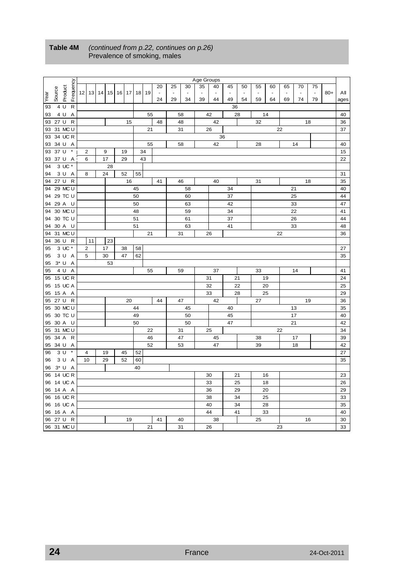|          |         |                         |                         |    |    |    |             |    |    |          | Age Groups |          |    |          |    |          |    |    |                |       |          |
|----------|---------|-------------------------|-------------------------|----|----|----|-------------|----|----|----------|------------|----------|----|----------|----|----------|----|----|----------------|-------|----------|
|          |         |                         |                         |    |    |    |             | 20 | 25 | 30       | 35         | 40       | 45 | 50       | 55 | 60       | 65 | 70 | 75             |       |          |
| Year     | Source  | Frequency<br>Product    | 12 13 14 15             |    |    |    | 16 17 18 19 |    |    |          |            |          |    |          |    |          |    |    | $\blacksquare$ | $80+$ | All      |
|          |         |                         |                         |    |    |    |             | 24 | 29 | 34       | 39         | 44       | 49 | 54       | 59 | 64       | 69 | 74 | 79             |       | ages     |
| 93       | 4 U     | $\mathsf{R}$            |                         |    |    |    |             |    |    |          |            |          | 36 |          |    |          |    |    |                |       |          |
| 93       | 4 U     | A<br>$\mathsf{R}$       |                         |    |    |    | 55          |    |    | 58       |            | 42       |    | 28       |    | 14       |    |    |                |       | 40       |
| 93<br>93 | 27 U    | 31 MC U                 |                         |    | 15 |    | 21          | 48 |    | 48<br>31 |            | 42<br>26 |    |          | 32 |          | 22 |    | 18             |       | 36<br>37 |
| 93       |         | 34 UC R                 |                         |    |    |    |             |    |    |          |            | 36       |    |          |    |          |    |    |                |       |          |
| 93       |         | 34 U A                  |                         |    |    |    | 55          |    |    | 58       |            | 42       |    |          | 28 |          |    | 14 |                |       | 40       |
| 93       | 37 U    | $\pmb{\ast}$            | $\overline{2}$          | 9  | 19 |    | 34          |    |    |          |            |          |    |          |    |          |    |    |                |       | 15       |
| 93       |         | 37 U A                  | 6                       | 17 | 29 |    | 43          |    |    |          |            |          |    |          |    |          |    |    |                |       | 22       |
| 94       |         | 3 UC *                  |                         | 28 |    |    |             |    |    |          |            |          |    |          |    |          |    |    |                |       |          |
| 94       |         | 3 U A                   | 8                       | 24 | 52 | 55 |             |    |    |          |            |          |    |          |    |          |    |    |                |       | 31       |
| 94       | 27 U    | $\mathsf{R}$            |                         |    | 16 |    |             | 41 |    | 46       |            | 40       |    |          | 31 |          |    |    | 18             |       | 35       |
| 94       |         | 29 MC U                 |                         |    |    | 45 |             |    |    | 58       |            |          | 34 |          |    |          |    | 21 |                |       | 40       |
| 94       |         | 29 TC U                 |                         |    |    | 50 |             |    |    | 60       |            |          | 37 |          |    |          |    | 25 |                |       | 44       |
| 94       | 29 A    | - U                     |                         |    |    | 50 |             |    |    | 63       |            |          | 42 |          |    |          |    | 33 |                |       | 47       |
| 94       |         | 30 MC U                 |                         |    |    | 48 |             |    |    | 59       |            |          | 34 |          |    |          |    | 22 |                |       | 41       |
| 94       |         | 30 TC U                 |                         |    |    | 51 |             |    |    | 61       |            |          | 37 |          |    |          |    | 26 |                |       | 44       |
| 94       |         | 30 A U                  |                         |    |    | 51 |             |    |    | 63       |            |          | 41 |          |    |          |    | 33 |                |       | 48       |
| 94       |         | 31 MC U                 |                         |    |    |    | 21          |    |    | 31       |            | 26       |    |          |    |          | 22 |    |                |       | 36       |
| 94       | 36 U    | $\mathsf{R}$            | 11                      | 23 |    |    |             |    |    |          |            |          |    |          |    |          |    |    |                |       |          |
| 95       |         | 3 UC *                  | $\overline{\mathbf{c}}$ | 17 | 38 | 58 |             |    |    |          |            |          |    |          |    |          |    |    |                |       | 27       |
| 95       |         | 3 U A                   | 5                       | 30 | 47 | 62 |             |    |    |          |            |          |    |          |    |          |    |    |                |       | 35       |
| 95       | 3* U    | $\overline{\mathsf{A}}$ |                         | 53 |    |    |             |    |    |          |            |          |    |          |    |          |    |    |                |       |          |
| 95       | 4 U     | A                       |                         |    |    |    | 55          |    |    | 59       |            | 37       |    |          | 33 |          |    | 14 |                |       | 41       |
| 95       |         | 15 UC R                 |                         |    |    |    |             |    |    |          |            | 31       |    | 21       |    | 19       |    |    |                |       | 24       |
| 95<br>95 |         | 15 UC A<br>15 A A       |                         |    |    |    |             |    |    |          |            | 32<br>33 |    | 22<br>28 |    | 20<br>25 |    |    |                |       | 25<br>29 |
| 95       |         | 27 U R                  |                         |    | 20 |    |             | 44 |    | 47       |            | 42       |    |          | 27 |          |    |    | 19             |       | 36       |
| 95       |         | 30 MC U                 |                         |    |    | 44 |             |    |    | 45       |            |          | 40 |          |    |          |    | 13 |                |       | 35       |
| 95       |         | 30 TC U                 |                         |    |    | 49 |             |    |    | 50       |            |          | 45 |          |    |          |    | 17 |                |       | 40       |
| 95       |         | 30 A U                  |                         |    |    | 50 |             |    |    | 50       |            |          | 47 |          |    |          |    | 21 |                |       | 42       |
| 95       |         | 31 MC U                 |                         |    |    |    | 22          |    |    | 31       |            | 25       |    |          |    |          | 22 |    |                |       | 34       |
| 95       | 34 A    | $\mathsf{R}$            |                         |    |    |    | 46          |    |    | 47       |            | 45       |    |          | 38 |          |    | 17 |                |       | 39       |
| 95       | 34 U    | A                       |                         |    |    |    | 52          |    |    | 53       |            | 47       |    |          | 39 |          |    | 18 |                |       | 42       |
| 96       | 3U      | $\star$                 | $\overline{\mathbf{4}}$ | 19 | 45 | 52 |             |    |    |          |            |          |    |          |    |          |    |    |                |       | 27       |
| 96       |         | 3 U<br>$\overline{A}$   | 10                      | 29 | 52 | 60 |             |    |    |          |            |          |    |          |    |          |    |    |                |       | 35       |
| 96       | $3^*$ U | A                       |                         |    |    | 40 |             |    |    |          |            |          |    |          |    |          |    |    |                |       |          |
| 96       |         | 14 UC R                 |                         |    |    |    |             |    |    |          |            | 30       |    | 21       |    | 16       |    |    |                |       | 23       |
|          |         | 96 14 UC A              |                         |    |    |    |             |    |    |          |            | 33       |    | 25       |    | 18       |    |    |                |       | 26       |
| 96       | 14 A    | A                       |                         |    |    |    |             |    |    |          |            | 36       |    | 29       |    | 20       |    |    |                |       | 29       |
| 96       |         | 16 UC R                 |                         |    |    |    |             |    |    |          |            | 38       |    | 34       |    | 25       |    |    |                |       | 33       |
| 96       |         | 16 UC A                 |                         |    |    |    |             |    |    |          |            | 40       |    | 34       |    | 28       |    |    |                |       | 35       |
| 96       |         | 16 A A                  |                         |    |    |    |             |    |    |          |            | 44       |    | 41       |    | 33       |    |    |                |       | 40       |
| 96       | 27 U    | $\mathsf{R}$            |                         |    | 19 |    |             | 41 |    | 40       |            | 38       |    |          | 25 |          |    |    | 16             |       | 30       |
|          |         | 96 31 MC U              |                         |    |    |    | 21          |    |    | 31       |            | 26       |    |          |    |          | 23 |    |                |       | 33       |

#### **Table 4M** *(continued from p.22, continues on p.26)* Prevalence of smoking, males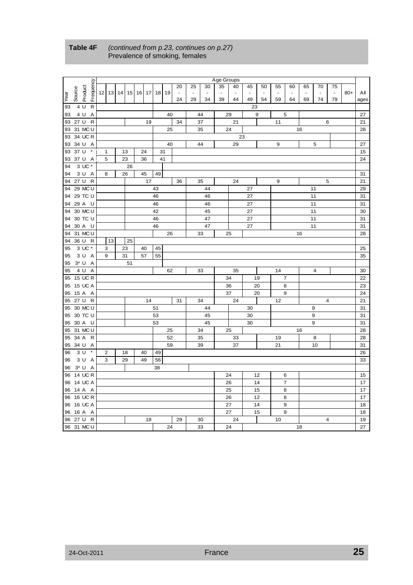|          |              |                      |                   |    |    |    |          |    |    |          | Age Groups |          |          |    |                          |                |    |                         |    |       |          |
|----------|--------------|----------------------|-------------------|----|----|----|----------|----|----|----------|------------|----------|----------|----|--------------------------|----------------|----|-------------------------|----|-------|----------|
|          |              |                      |                   |    |    |    |          | 20 | 25 | 30       | 35         | 40       | 45       | 50 | 55                       | 60             | 65 | 70                      | 75 |       |          |
| Year     | Source       | Frequency<br>Product | 12 13 14 15 16 17 |    |    |    | 18 19    | ÷, |    |          |            |          |          |    | $\overline{\phantom{a}}$ |                | ÷, |                         | ÷, | $80+$ | All      |
| 93       | 4 U          | $\mathsf{R}$         |                   |    |    |    |          | 24 | 29 | 34       | 39         | 44       | 49<br>23 | 54 | 59                       | 64             | 69 | 74                      | 79 |       | ages     |
| 93       | 4 U          | A                    |                   |    |    |    | 40       |    |    | 44       |            | 29       |          | 9  |                          | 5              |    |                         |    |       | 27       |
| 93       | 27 U         | $\mathsf{R}$         |                   |    | 19 |    |          | 34 |    | 37       |            | 21       |          |    | 11                       |                |    | 6                       |    |       | 21       |
| 93       |              | 31 MC U              |                   |    |    |    | 25       |    |    | 35       |            | 24       |          |    |                          |                | 16 |                         |    |       | 28       |
| 93       |              | 34 UC R              |                   |    |    |    |          |    |    |          |            | 23       |          |    |                          |                |    |                         |    |       |          |
| 93       |              | 34 U A               |                   |    |    |    | 40       |    |    | 44       |            | 29       |          |    | 9                        |                |    | 5                       |    |       | 27       |
| 93       | 37 U         | $\star$              | $\mathbf{1}$      | 13 | 24 |    | 31       |    |    |          |            |          |          |    |                          |                |    |                         |    |       | 15       |
| 93       |              | 37 U A               | 5                 | 23 | 36 |    | 41       |    |    |          |            |          |          |    |                          |                |    |                         |    |       | 24       |
| 94       |              | 3 UC *               |                   | 26 |    |    |          |    |    |          |            |          |          |    |                          |                |    |                         |    |       |          |
| 94       |              | 3 U A                | 8                 | 26 | 45 | 49 |          |    |    |          |            |          |          |    |                          |                |    |                         |    |       | 31       |
| 94       | 27 U         | $\mathsf{R}$         |                   |    | 17 |    |          | 36 |    | 35       |            | 24       |          |    | 9                        |                |    | 5                       |    |       | 21       |
| 94       |              | 29 MC U              |                   |    |    | 43 |          |    |    | 44       |            |          | 27       |    |                          |                |    | 11                      |    |       | 29       |
| 94       |              | 29 TC U              |                   |    |    | 46 |          |    |    | 46       |            |          | 27       |    |                          |                |    | 11                      |    |       | 31       |
| 94       |              | 29 A U               |                   |    |    | 46 |          |    |    | 46       |            |          | 27       |    |                          |                |    | 11                      |    |       | 31       |
| 94       |              | 30 MC U              |                   |    |    | 42 |          |    |    | 45       |            |          | 27       |    |                          |                |    | 11                      |    |       | 30       |
| 94       |              | 30 TC U              |                   |    |    | 46 |          |    |    | 47<br>47 |            |          | 27       |    |                          |                |    | 11                      |    |       | 31       |
| 94<br>94 |              | 30 A U<br>31 MC U    |                   |    |    | 46 | 26       |    |    |          |            |          | 27       |    |                          |                | 16 | 11                      |    |       | 31<br>28 |
| 94       | 36 U         | $\mathsf{R}$         | 13                | 25 |    |    |          |    |    | 33       |            | 25       |          |    |                          |                |    |                         |    |       |          |
| 95       |              | 3 UC *               | 3                 | 23 | 40 | 45 |          |    |    |          |            |          |          |    |                          |                |    |                         |    |       | 25       |
| 95       |              | 3 U A                | 9                 | 31 | 57 | 55 |          |    |    |          |            |          |          |    |                          |                |    |                         |    |       | 35       |
| 95       | $3^*$ U      | $\overline{A}$       |                   | 51 |    |    |          |    |    |          |            |          |          |    |                          |                |    |                         |    |       |          |
| 95       | 4 U          | $\overline{A}$       |                   |    |    |    | 62       |    |    | 33       |            | 35       |          |    | 14                       |                |    | $\overline{4}$          |    |       | 30       |
| 95       |              | 15 UC R              |                   |    |    |    |          |    |    |          |            | 34       |          | 19 |                          | $\overline{7}$ |    |                         |    |       | 22       |
| 95       |              | 15 UC A              |                   |    |    |    |          |    |    |          |            | 36       |          | 20 |                          | 8              |    |                         |    |       | 23       |
| 95       |              | 15 A A               |                   |    |    |    |          |    |    |          |            | 37       |          | 20 |                          | 9              |    |                         |    |       | 24       |
| 95       | 27 U         | $\mathsf{R}$         |                   |    | 14 |    |          | 31 |    | 34       |            | 24       |          |    | 12                       |                |    | $\overline{4}$          |    |       | 21       |
| 95       |              | 30 MC U              |                   |    |    | 51 |          |    |    | 44       |            |          | 30       |    |                          |                |    | 9                       |    |       | 31       |
| 95       |              | 30 TC U              |                   |    |    | 53 |          |    |    | 45       |            |          | 30       |    |                          |                |    | 9                       |    |       | 31       |
| 95       |              | 30 A U               |                   |    |    | 53 |          |    |    | 45       |            |          | 30       |    |                          |                |    | 9                       |    |       | 31       |
| 95       |              | 31 MC U              |                   |    |    |    | 25       |    |    | 34       |            | 25       |          |    |                          |                | 16 |                         |    |       | 28<br>28 |
| 95<br>95 | 34 A<br>34 U | $\mathsf{R}$<br>Α    |                   |    |    |    | 52<br>59 |    |    | 35<br>39 |            | 33<br>37 |          |    | 19<br>21                 |                |    | 8<br>10                 |    |       | 31       |
| 96       | 3U           | $\star$              | $\overline{c}$    | 18 | 40 | 49 |          |    |    |          |            |          |          |    |                          |                |    |                         |    |       | 26       |
| 96       |              | 3 U A                | 3                 | 29 | 49 | 56 |          |    |    |          |            |          |          |    |                          |                |    |                         |    |       | 33       |
| 96       | $3^*$ U      | A                    |                   |    |    | 38 |          |    |    |          |            |          |          |    |                          |                |    |                         |    |       |          |
| 96       |              | 14 UC R              |                   |    |    |    |          |    |    |          |            | 24       |          | 12 |                          | 6              |    |                         |    |       | 15       |
|          |              | 96 14 UC A           |                   |    |    |    |          |    |    |          |            | 26       |          | 14 |                          | $\overline{7}$ |    |                         |    |       | 17       |
| 96       | 14 A         | A                    |                   |    |    |    |          |    |    |          |            | 25       |          | 15 |                          | 8              |    |                         |    |       | 17       |
| 96       |              | 16 UC R              |                   |    |    |    |          |    |    |          |            | 26       |          | 12 |                          | 8              |    |                         |    |       | 17       |
| 96       |              | 16 UC A              |                   |    |    |    |          |    |    |          |            | 27       |          | 14 |                          | 9              |    |                         |    |       | 18       |
| 96       |              | 16 A A               |                   |    |    |    |          |    |    |          |            | 27       |          | 15 |                          | 9              |    |                         |    |       | 18       |
| 96       | 27 U         | $\mathsf{R}$         |                   |    | 18 |    |          | 29 |    | 30       |            | 24       |          |    | 10                       |                |    | $\overline{\mathbf{4}}$ |    |       | 19       |
|          |              | 96 31 MC U           |                   |    |    |    | 24       |    |    | 33       |            | 24       |          |    |                          |                | 18 |                         |    |       | 27       |

#### **Table 4F** *(continued from p.23, continues on p.27)*  Prevalence of smoking, females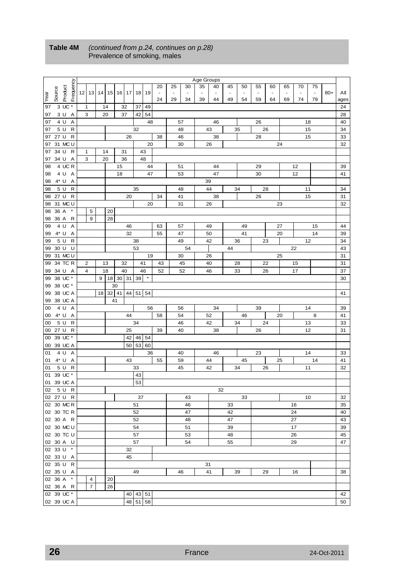|      |                       |                |    |                |    |           |       |              |    |              |                |    |    | Age Groups |                                |    |                          |    |    |    |    |                |       |      |
|------|-----------------------|----------------|----|----------------|----|-----------|-------|--------------|----|--------------|----------------|----|----|------------|--------------------------------|----|--------------------------|----|----|----|----|----------------|-------|------|
|      |                       |                |    |                |    |           |       |              |    |              | 20             | 25 | 30 | 35         | 40                             | 45 | 50                       | 55 | 60 | 65 | 70 | 75             |       |      |
|      |                       |                |    |                |    |           |       |              |    | 19           | $\blacksquare$ |    |    |            |                                |    | $\overline{\phantom{a}}$ | ä, |    |    |    | $\blacksquare$ | $80+$ |      |
| Year | Product<br>Source     | Frequency      |    | $12$   13      |    | $14$   15 |       | 16   17   18 |    |              | 24             | 29 | 34 | 39         | $\overline{\phantom{a}}$<br>44 | 49 | 54                       | 59 | 64 | 69 | 74 | 79             |       | Αll  |
|      | $3 \overline{UC}$ *   |                |    |                |    |           |       |              |    |              |                |    |    |            |                                |    |                          |    |    |    |    |                |       | ages |
| 97   |                       |                | 1  |                |    | 14        | 32    |              | 37 | 49           |                |    |    |            |                                |    |                          |    |    |    |    |                |       | 24   |
| 97   | 3 U A                 |                | 3  |                |    | 20        |       | 37           | 42 | 54           |                |    |    |            |                                |    |                          |    |    |    |    |                |       | 28   |
| 97   | 4 U                   | Α              |    |                |    |           |       |              |    | 48           |                |    | 57 |            | 46                             |    |                          | 26 |    |    |    | 18             |       | 40   |
| 97   | 5 U                   | $\mathsf{R}$   |    |                |    |           |       |              | 32 |              |                |    | 48 |            | 43                             |    | 35                       |    | 26 |    |    | 15             |       | 34   |
| 97   | 27 U                  | R              |    |                |    |           |       | 26           |    |              | 38             |    | 46 |            | 38                             |    |                          | 28 |    |    |    | 15             |       | 33   |
| 97   | 31 MC U               |                |    |                |    |           |       |              |    | 20           |                |    | 30 |            | 26                             |    |                          |    |    | 24 |    |                |       | 32   |
| 97   | 34 U<br>$\mathsf{R}$  |                | 1  |                |    | 14        | 31    |              |    | 43           |                |    |    |            |                                |    |                          |    |    |    |    |                |       |      |
| 97   | 34 U                  | Α              | 3  |                |    | 20        | 36    |              |    | 48           |                |    |    |            |                                |    |                          |    |    |    |    |                |       |      |
| 98   | 4 UC R                |                |    |                |    |           | 15    |              |    | 44           |                |    | 51 |            | 44                             |    |                          | 29 |    |    | 12 |                |       | 39   |
| 98   | 4 U A                 |                |    |                |    |           | 18    |              |    | 47           |                |    | 53 |            | 47                             |    |                          | 30 |    |    | 12 |                |       | 41   |
| 98   | $4^*$ U               | Α              |    |                |    |           |       |              |    |              |                |    |    | 39         |                                |    |                          |    |    |    |    |                |       |      |
| 98   | 5 U                   | R              |    |                |    |           |       |              | 35 |              |                |    | 48 |            | 44                             |    | 34                       |    | 28 |    |    | 11             |       | 34   |
|      |                       |                |    |                |    |           |       |              |    |              |                |    |    |            |                                |    |                          |    |    |    |    |                |       |      |
| 98   | 27 U                  | $\mathsf{R}$   |    |                |    |           |       | 20           |    |              | 34             |    | 41 |            | 38                             |    |                          | 26 |    |    |    | 15             |       | 31   |
| 98   | 31 MC U               |                |    |                |    |           |       |              |    | 20           |                |    | 31 |            | 26                             |    |                          |    |    | 23 |    |                |       | 32   |
| 98   | $\pmb{\ast}$<br>36 A  |                |    | 5              |    | 20        |       |              |    |              |                |    |    |            |                                |    |                          |    |    |    |    |                |       |      |
| 98   | 36 A                  | R              |    | 9              |    | 28        |       |              |    |              |                |    |    |            |                                |    |                          |    |    |    |    |                |       |      |
| 99   | 4 U                   | $\overline{A}$ |    |                |    |           |       | 46           |    |              | 63             |    | 57 |            | 49                             |    | 49                       |    |    | 27 |    | 15             |       | 44   |
| 99   | $4^*$ U               | Α              |    |                |    |           |       | 32           |    |              | 55             |    | 47 |            | 50                             |    | 41                       |    |    | 20 |    | 14             |       | 39   |
| 99   | 5 U                   | R              |    |                |    |           |       |              | 38 |              |                |    | 49 |            | 42                             |    | 36                       |    | 23 |    |    | 12             |       | 34   |
| 99   | 30 U                  | U              |    |                |    |           |       |              | 53 |              |                |    | 54 |            |                                | 44 |                          |    |    |    | 22 |                |       | 43   |
| 99   | 31 MC U               |                |    |                |    |           |       |              |    | 19           |                |    | 30 |            | 26                             |    |                          |    |    | 25 |    |                |       | 31   |
| 99   | 34 TC R               |                | 2  |                |    | 13        |       | 32           |    | 41           | 43             |    | 45 |            | 40                             |    | 28                       |    | 22 |    | 15 |                |       | 31   |
| 99   | 34 U A                |                | 4  |                |    | 18        |       | 40           |    | 46           | 52             |    | 52 |            | 46                             |    | 33                       |    | 26 |    | 17 |                |       | 37   |
| 99   | 38 UC *               |                |    |                | 9  | 18        | 30 31 |              | 39 | $\pmb{\ast}$ |                |    |    |            |                                |    |                          |    |    |    |    |                |       | 30   |
| 99   | 38 UC *               |                |    |                |    | 30        |       |              |    |              |                |    |    |            |                                |    |                          |    |    |    |    |                |       |      |
|      | 38 UC A               |                |    |                | 18 | $32$ 41   |       | 44           | 51 |              |                |    |    |            |                                |    |                          |    |    |    |    |                |       |      |
| 99   |                       |                |    |                |    |           |       |              |    | 54           |                |    |    |            |                                |    |                          |    |    |    |    |                |       | 41   |
| 99   | 38 UC A               |                |    |                |    | 41        |       |              |    |              |                |    |    |            |                                |    |                          |    |    |    |    |                |       |      |
| 00   | 4 U<br>$\overline{A}$ |                |    |                |    |           |       |              |    | 56           |                |    | 56 |            | 34                             |    |                          | 39 |    |    |    | 14             |       | 39   |
| 00   | 4* U<br>A             |                |    |                |    |           |       | 44           |    |              | 58             |    | 54 |            | 52                             |    | 46                       |    |    | 20 |    | 8              |       | 41   |
| 00   | 5 U                   | $\mathsf{R}$   |    |                |    |           |       |              | 34 |              |                |    | 46 |            | 42                             |    | 34                       |    | 24 |    |    | 13             |       | 33   |
|      | 00 27 U R             |                |    |                |    |           |       | 25           |    |              | 39             |    | 40 |            | 38                             |    |                          | 26 |    |    |    | 12             |       | 31   |
| 00   | 39 UC *               |                |    |                |    |           |       |              |    | 42 46 54     |                |    |    |            |                                |    |                          |    |    |    |    |                |       |      |
| 00   | 39 UC A               |                |    |                |    |           |       | 50           | 53 | 60           |                |    |    |            |                                |    |                          |    |    |    |    |                |       |      |
| 01   | 4 U<br>A              |                |    |                |    |           |       |              |    | 36           |                |    | 40 |            | 46                             |    |                          | 23 |    |    |    | 14             |       | 33   |
| 01   | 4* U A                |                |    |                |    |           |       | 43           |    |              | 55             |    | 59 |            | 44                             |    | 45                       |    |    | 25 |    | 14             |       | 41   |
| 01   | 5 U                   | R              |    |                |    |           |       |              | 33 |              |                |    | 45 |            | 42                             |    | 34                       |    | 26 |    |    | 11             |       | 32   |
| 01   | 39 UC *               |                |    |                |    |           |       |              | 43 |              |                |    |    |            |                                |    |                          |    |    |    |    |                |       |      |
|      | 01 39 UC A            |                |    |                |    |           |       |              | 53 |              |                |    |    |            |                                |    |                          |    |    |    |    |                |       |      |
|      | 02 5 U R              |                |    |                |    |           |       |              |    |              |                |    |    |            | 32                             |    |                          |    |    |    |    |                |       |      |
|      | 02 27 U R             |                |    |                |    |           |       |              |    | 37           |                |    | 43 |            |                                |    | 33                       |    |    |    |    | 10             |       | 32   |
|      | 02 30 MCR             |                |    |                |    |           |       |              | 51 |              |                |    | 46 |            |                                | 33 |                          |    |    |    | 16 |                |       | 35   |
|      |                       |                |    |                |    |           |       |              | 52 |              |                |    | 47 |            |                                | 42 |                          |    |    |    | 24 |                |       |      |
|      | 02 30 TC R            |                |    |                |    |           |       |              |    |              |                |    |    |            |                                |    |                          |    |    |    |    |                |       | 40   |
|      | 02 30 A R             |                |    |                |    |           |       |              | 52 |              |                |    | 48 |            |                                | 47 |                          |    |    |    | 27 |                |       | 43   |
|      | 02 30 MC U            |                |    |                |    |           |       |              | 54 |              |                |    | 51 |            |                                | 39 |                          |    |    |    | 17 |                |       | 39   |
|      | 02 30 TC U            |                |    |                |    |           |       |              | 57 |              |                |    | 53 |            |                                | 48 |                          |    |    |    | 26 |                |       | 45   |
|      | 02 30 A U             |                | 57 |                |    |           |       |              |    |              |                |    | 54 |            |                                | 55 |                          |    |    |    | 29 |                |       | 47   |
|      | 02 33 U *             |                |    |                |    |           |       | 32           |    |              |                |    |    |            |                                |    |                          |    |    |    |    |                |       |      |
|      | 02 33 U A             |                |    |                |    |           |       | 45           |    |              |                |    |    |            |                                |    |                          |    |    |    |    |                |       |      |
|      | 02 35 U R             |                |    |                |    |           |       |              |    |              |                |    |    | 31         |                                |    |                          |    |    |    |    |                |       |      |
|      | 02 35 U A             |                |    |                |    |           |       |              | 49 |              |                |    | 46 |            | 41                             |    | 39                       |    | 29 |    | 16 |                |       | 38   |
|      | 02 36 A *             |                |    | 4              |    | 20        |       |              |    |              |                |    |    |            |                                |    |                          |    |    |    |    |                |       |      |
|      | 02 36 A R             |                |    | $\overline{7}$ |    | 26        |       |              |    |              |                |    |    |            |                                |    |                          |    |    |    |    |                |       |      |
|      | 02 39 UC *            |                |    |                |    |           |       |              |    | 40 43 51     |                |    |    |            |                                |    |                          |    |    |    |    |                |       | 42   |
|      | 02 39 UC A            |                |    |                |    |           |       |              |    | 48 51 58     |                |    |    |            |                                |    |                          |    |    |    |    |                |       | 50   |
|      |                       |                |    |                |    |           |       |              |    |              |                |    |    |            |                                |    |                          |    |    |    |    |                |       |      |

#### **Table 4M** *(continued from p.24, continues on p.28)* Prevalence of smoking, males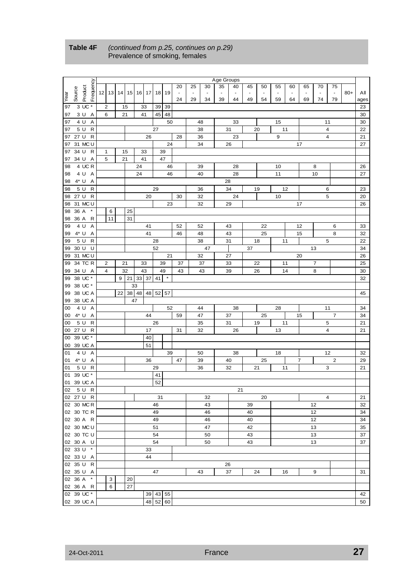|      |        |                      |             |    |       |             |                    |                          |    |    | Age Groups |                          |    |    |                |    |    |                 |                         |       |      |
|------|--------|----------------------|-------------|----|-------|-------------|--------------------|--------------------------|----|----|------------|--------------------------|----|----|----------------|----|----|-----------------|-------------------------|-------|------|
|      |        |                      |             |    |       |             |                    | 20                       | 25 | 30 | 35         | 40                       | 45 | 50 | 55             | 60 | 65 | 70              | 75                      |       |      |
|      | Source | Frequency<br>Product | $12$ 13     |    |       | 14 15 16 17 | 18 I<br>19         | $\overline{\phantom{a}}$ |    |    |            | $\overline{\phantom{m}}$ |    |    | $\blacksquare$ |    |    |                 | $\blacksquare$          | $80+$ | Αll  |
| Year |        |                      |             |    |       |             |                    | 24                       | 29 | 34 | 39         | 44                       | 49 | 54 | 59             | 64 | 69 | 74              | 79                      |       | ages |
| 97   |        | 3 UC *               | 2           | 15 |       | 33          | 39<br>39           |                          |    |    |            |                          |    |    |                |    |    |                 |                         |       | 23   |
| 97   |        | 3U<br>Α              | 6           | 21 |       | 41          | 45<br>48           |                          |    |    |            |                          |    |    |                |    |    |                 |                         |       | 30   |
| 97   | 4 U    | Α                    |             |    |       |             | 50                 |                          |    | 48 |            | 33                       |    |    | 15             |    |    |                 | 11                      |       | 30   |
| 97   | 5 U    | R                    |             |    |       |             | 27                 |                          |    | 38 | 31         |                          |    | 20 |                | 11 |    |                 | 4                       |       | 22   |
| 97   | 27 U   | $\mathsf{R}$         |             |    |       | 26          |                    | 28                       |    | 36 |            | 23                       |    |    | 9              |    |    |                 | $\overline{4}$          |       | 21   |
| 97   |        | 31 MC U              |             |    |       |             | 24                 |                          |    | 34 | 26         |                          |    |    |                |    | 17 |                 |                         |       | 27   |
| 97   | 34 U   | R                    | $\mathbf 1$ | 15 |       | 33          | 39                 |                          |    |    |            |                          |    |    |                |    |    |                 |                         |       |      |
|      | 34 U   | Α                    | 5           | 21 |       | 41          | 47                 |                          |    |    |            |                          |    |    |                |    |    |                 |                         |       |      |
| 97   |        | 4 UCR                |             |    |       |             |                    |                          |    |    |            |                          |    |    |                |    |    |                 |                         |       |      |
| 98   |        |                      |             |    |       | 24          | 46                 |                          |    | 39 |            | 28                       |    |    | 10             |    |    | 8               |                         |       | 26   |
| 98   |        | 4 U A                |             |    |       | 24          | 46                 |                          |    | 40 |            | 28                       |    |    | 11             |    |    | 10              |                         |       | 27   |
| 98   | 4* U   | Α                    |             |    |       |             |                    |                          |    |    | 28         |                          |    |    |                |    |    |                 |                         |       |      |
| 98   | 5 U    | R                    |             |    |       |             | 29                 |                          |    | 36 | 34         |                          |    | 19 |                | 12 |    |                 | 6                       |       | 23   |
| 98   | 27 U   | R                    |             |    |       | 20          |                    | 30                       |    | 32 |            | 24                       |    |    | 10             |    |    |                 | 5                       |       | 20   |
| 98   |        | 31 MC U              |             |    |       |             | 23                 |                          |    | 32 | 29         |                          |    |    |                |    | 17 |                 |                         |       | 26   |
| 98   | 36 A   | $\star$              | 6           |    | 25    |             |                    |                          |    |    |            |                          |    |    |                |    |    |                 |                         |       |      |
| 98   | 36 A   | R                    | 11          |    | 31    |             |                    |                          |    |    |            |                          |    |    |                |    |    |                 |                         |       |      |
| 99   | 4 U    | Α                    |             |    |       | 41          |                    | 52                       |    | 52 | 43         |                          |    | 22 |                |    | 12 |                 | 6                       |       | 33   |
| 99   | 4* U   | Α                    |             |    |       | 41          |                    | 46                       |    | 48 | 43         |                          |    | 25 |                |    | 15 |                 | 8                       |       | 32   |
| 99   | 5 U    | R                    |             |    |       |             | 28                 |                          |    | 38 | 31         |                          |    | 18 |                | 11 |    |                 | 5                       |       | 22   |
| 99   | 30 U   | U                    |             |    |       |             | 52                 |                          |    | 47 |            |                          | 37 |    |                |    |    | 13              |                         |       | 34   |
| 99   |        | 31 MC U              |             |    |       |             | 21                 |                          |    | 32 | 27         |                          |    |    |                |    | 20 |                 |                         |       | 26   |
| 99   |        | 34 TC R              | 2           | 21 |       | 33          | 39                 | 37                       |    | 37 | 33         |                          |    | 22 |                | 11 |    | $\overline{7}$  |                         |       | 25   |
| 99   |        | 34 U A               | 4           | 32 |       | 43          | 49                 | 43                       |    | 43 | 39         |                          |    | 26 |                | 14 |    | 8               |                         |       | 30   |
| 99   |        | 38 UC *              |             | 9  | 21    | 33 37       | $\pmb{\ast}$<br>41 |                          |    |    |            |                          |    |    |                |    |    |                 |                         |       | 32   |
| 99   |        | 38 UC *              |             |    | 33    |             |                    |                          |    |    |            |                          |    |    |                |    |    |                 |                         |       |      |
| 99   |        | 38 UC A              |             | 22 | 38 48 | 48          | 57<br>52           |                          |    |    |            |                          |    |    |                |    |    |                 |                         |       | 45   |
| 99   |        | 38 UC A              |             |    | 47    |             |                    |                          |    |    |            |                          |    |    |                |    |    |                 |                         |       |      |
| 00   |        | 4 U A                |             |    |       |             | 52                 |                          |    | 44 |            | 38                       |    |    | 28             |    |    |                 | 11                      |       | 34   |
| 00   |        | 4* U A               |             |    |       | 44          |                    | 59                       |    | 47 | 37         |                          |    | 25 |                |    | 15 |                 | $\overline{7}$          |       | 34   |
| 00   | 5 U    | R                    |             |    |       |             | 26                 |                          |    | 35 | 31         |                          |    | 19 |                | 11 |    |                 | 5                       |       | 21   |
|      |        | 00 27 U R            |             |    |       | 17          |                    | 31                       |    | 32 |            | 26                       |    |    | 13             |    |    |                 | $\overline{\mathbf{4}}$ |       | 21   |
| 00   |        | 39 UC *              |             |    |       | 40          |                    |                          |    |    |            |                          |    |    |                |    |    |                 |                         |       |      |
| 00   |        | 39 UC A              |             |    |       | 51          |                    |                          |    |    |            |                          |    |    |                |    |    |                 |                         |       |      |
| 01   | 4 U    | Α                    |             |    |       |             | 39                 |                          |    | 50 |            | 38                       |    |    | 18             |    |    |                 | 12                      |       | 32   |
| 01   |        | 4* U A               |             |    |       | 36          |                    | 47                       |    | 39 | 40         |                          |    | 25 |                |    | 7  |                 | $\overline{c}$          |       | 29   |
| 01   |        | R<br>5 U             |             |    |       |             | 29                 |                          |    | 36 | 32         |                          |    | 21 |                | 11 |    |                 | 3                       |       | 21   |
| 01   |        | 39 UC *              |             |    |       |             | 41                 |                          |    |    |            |                          |    |    |                |    |    |                 |                         |       |      |
|      |        | 01 39 UC A           |             |    |       |             | 52                 |                          |    |    |            |                          |    |    |                |    |    |                 |                         |       |      |
|      |        | 02 5 U R             |             |    |       |             |                    |                          |    |    |            | 21                       |    |    |                |    |    |                 |                         |       |      |
|      |        | 02 27 U R            |             |    |       |             | 31                 |                          |    | 32 |            |                          |    | 20 |                |    |    |                 | 4                       |       | 21   |
|      |        | 02 30 MC R           |             |    |       |             | 46                 |                          |    | 43 |            |                          | 39 |    |                |    |    | 12              |                         |       | 32   |
|      |        | 02 30 TC R           |             |    |       |             | 49                 |                          |    | 46 |            |                          | 40 |    |                |    |    | 12 <sub>2</sub> |                         |       | 34   |
|      |        | 02 30 A R            |             |    |       |             | 49                 |                          |    | 46 |            |                          | 40 |    |                |    |    | 12              |                         |       | 34   |
|      |        | 02 30 MC U           |             |    |       |             | 51                 |                          |    | 47 |            |                          | 42 |    |                |    |    | 13              |                         |       | 35   |
|      |        | 02 30 TC U           |             |    |       |             | 54                 |                          |    | 50 |            |                          | 43 |    |                |    |    | 13              |                         |       | 37   |
|      |        | 02 30 A U            |             |    |       |             | 54                 |                          |    | 50 |            |                          | 43 |    |                |    |    | 13              |                         |       | 37   |
|      |        | 02 33 U *            |             |    |       | 33          |                    |                          |    |    |            |                          |    |    |                |    |    |                 |                         |       |      |
|      |        | 02 33 U A            |             |    |       | 44          |                    |                          |    |    |            |                          |    |    |                |    |    |                 |                         |       |      |
|      |        | 02 35 U R            |             |    |       |             |                    |                          |    |    | 26         |                          |    |    |                |    |    |                 |                         |       |      |
|      |        | 02 35 U A            |             |    |       |             | 47                 |                          |    | 43 | 37         |                          |    | 24 |                | 16 |    | 9               |                         |       | 31   |
|      |        | 02 36 A *            | 3           |    | 20    |             |                    |                          |    |    |            |                          |    |    |                |    |    |                 |                         |       |      |
|      |        | 02 36 A R            | 6           |    | 27    |             |                    |                          |    |    |            |                          |    |    |                |    |    |                 |                         |       |      |
|      |        | 02 39 UC *           |             |    |       |             | 39 43 55           |                          |    |    |            |                          |    |    |                |    |    |                 |                         |       | 42   |
|      |        | 02 39 UC A           |             |    |       |             | 48 52 60           |                          |    |    |            |                          |    |    |                |    |    |                 |                         |       | 50   |

#### **Table 4F** *(continued from p.25, continues on p.29)*  Prevalence of smoking, females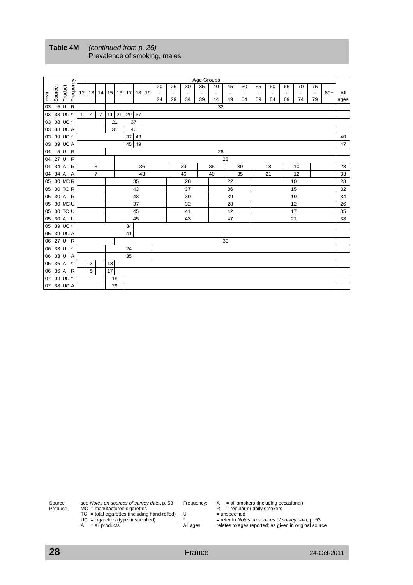|      |            |         |           |              |                |                 |           |    |             |         |  |    |    |    | Age Groups               |                          |    |                          |    |    |    |                          |                          |       |      |
|------|------------|---------|-----------|--------------|----------------|-----------------|-----------|----|-------------|---------|--|----|----|----|--------------------------|--------------------------|----|--------------------------|----|----|----|--------------------------|--------------------------|-------|------|
|      |            |         | Frequency |              |                |                 |           |    |             |         |  | 20 | 25 | 30 | 35                       | 40                       | 45 | 50                       | 55 | 60 | 65 | 70                       | 75                       |       |      |
| Year | Source     | Product |           |              | $12$   13      | 14 <sup>1</sup> | 15        |    | 16 17 18 19 |         |  |    |    |    | $\overline{\phantom{a}}$ | $\overline{\phantom{a}}$ |    | $\overline{\phantom{a}}$ |    | ٠  |    | $\overline{\phantom{a}}$ | $\overline{\phantom{a}}$ | $80+$ | All  |
|      |            |         |           |              |                |                 |           |    |             |         |  | 24 | 29 | 34 | 39                       | 44                       | 49 | 54                       | 59 | 64 | 69 | 74                       | 79                       |       | ages |
| 03   |            | 5 U R   |           |              |                |                 |           |    |             |         |  |    |    |    |                          | 32                       |    |                          |    |    |    |                          |                          |       |      |
|      | 03 38 UC * |         |           | $\mathbf{1}$ | 4 <sup>1</sup> | $\overline{7}$  | $11$   21 |    | 29 37       |         |  |    |    |    |                          |                          |    |                          |    |    |    |                          |                          |       |      |
|      | 03 38 UC * |         |           |              |                |                 | 21        |    |             | 37      |  |    |    |    |                          |                          |    |                          |    |    |    |                          |                          |       |      |
|      | 03 38 UC A |         |           |              |                |                 |           | 31 |             | 46      |  |    |    |    |                          |                          |    |                          |    |    |    |                          |                          |       |      |
|      | 03 39 UC * |         |           |              |                |                 |           |    |             | $37$ 43 |  |    |    |    |                          |                          |    |                          |    |    |    |                          |                          |       | 40   |
|      | 03 39 UC A |         |           |              |                |                 |           |    |             | 45 49   |  |    |    |    |                          |                          |    |                          |    |    |    |                          |                          |       | 47   |
| 04   |            | 5 U R   |           |              |                |                 |           |    |             |         |  |    |    |    |                          | 28                       |    |                          |    |    |    |                          |                          |       |      |
|      | 04 27 U R  |         |           |              |                |                 |           |    |             |         |  |    |    |    |                          |                          | 28 |                          |    |    |    |                          |                          |       |      |
|      | 04 34 A R  |         |           |              |                | 3               |           |    |             | 36      |  |    |    | 39 |                          | 35                       |    | 30                       |    | 18 |    | 10                       |                          |       | 28   |
|      | 04 34 A A  |         |           |              |                | $\overline{7}$  |           |    |             | 43      |  |    |    | 46 |                          | 40                       |    | 35                       |    | 21 |    | 12                       |                          |       | 33   |
|      | 05 30 MCR  |         |           |              |                |                 |           |    |             | 35      |  |    |    | 28 |                          |                          | 22 |                          |    |    |    | 10                       |                          |       | 23   |
|      | 05 30 TC R |         |           |              |                |                 |           |    |             | 43      |  |    |    | 37 |                          |                          | 36 |                          |    |    |    | 15                       |                          |       | 32   |
|      | 05 30 A R  |         |           |              |                |                 |           |    |             | 43      |  |    |    | 39 |                          |                          | 39 |                          |    |    |    | 19                       |                          |       | 34   |
|      | 05 30 MC U |         |           |              |                |                 |           |    |             | 37      |  |    |    | 32 |                          |                          | 28 |                          |    |    |    | 12                       |                          |       | 26   |
|      | 05 30 TC U |         |           |              |                |                 |           |    |             | 45      |  |    |    | 41 |                          |                          | 42 |                          |    |    |    | 17                       |                          |       | 35   |
|      | 05 30 A U  |         |           |              |                |                 |           |    |             | 45      |  |    |    | 43 |                          |                          | 47 |                          |    |    |    | 21                       |                          |       | 38   |
|      | 05 39 UC * |         |           |              |                |                 |           |    | 34          |         |  |    |    |    |                          |                          |    |                          |    |    |    |                          |                          |       |      |
|      | 05 39 UC A |         |           |              |                |                 |           |    | 41          |         |  |    |    |    |                          |                          |    |                          |    |    |    |                          |                          |       |      |
|      | 06 27 U R  |         |           |              |                |                 |           |    |             |         |  |    |    |    |                          |                          | 30 |                          |    |    |    |                          |                          |       |      |
|      | 06 33 U *  |         |           |              |                |                 |           |    | 24          |         |  |    |    |    |                          |                          |    |                          |    |    |    |                          |                          |       |      |
|      | 06 33 U A  |         |           |              |                |                 |           |    | 35          |         |  |    |    |    |                          |                          |    |                          |    |    |    |                          |                          |       |      |
|      | 06 36 A *  |         |           |              | 3              |                 | 13        |    |             |         |  |    |    |    |                          |                          |    |                          |    |    |    |                          |                          |       |      |
|      | 06 36 A R  |         |           | 5<br>17      |                |                 |           |    |             |         |  |    |    |    |                          |                          |    |                          |    |    |    |                          |                          |       |      |
|      | 07 38 UC * |         | 18        |              |                |                 |           |    |             |         |  |    |    |    |                          |                          |    |                          |    |    |    |                          |                          |       |      |
|      | 07 38 UC A |         | 29        |              |                |                 |           |    |             |         |  |    |    |    |                          |                          |    |                          |    |    |    |                          |                          |       |      |

#### **Table 4M** *(continued from p. 26)* Prevalence of smoking, males

Source: see *Notes on sources of survey data*, p. 53 Frequency:<br>Product: MC = manufactured cigarettes Product: MC = manufactured cigarettes  $R =$  regular or daily smokers  $TC = total$  cigarettes (including hand-rolled)  $U =$  unspecified UC = cigarettes (type unspecified)  $\qquad^*$  = refer to *Notes on sources of survey data*, p. 53 A = all products All ages: relates to ages reported; as given in original source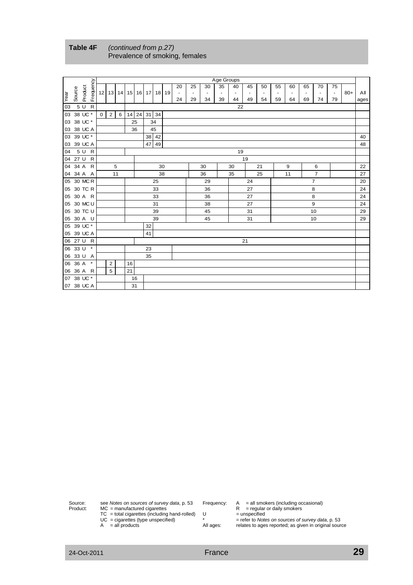|      |            |         |           |             |                |    |                         |             |    |       |                              |                          |                          | Age Groups               |                          |                          |                          |                          |    |                          |                          |                |       |      |
|------|------------|---------|-----------|-------------|----------------|----|-------------------------|-------------|----|-------|------------------------------|--------------------------|--------------------------|--------------------------|--------------------------|--------------------------|--------------------------|--------------------------|----|--------------------------|--------------------------|----------------|-------|------|
|      |            |         | Frequency |             |                |    |                         |             |    |       | 20                           | 25                       | 30                       | 35                       | 40                       | 45                       | 50                       | 55                       | 60 | 65                       | 70                       | 75             |       |      |
| Year | Source     | Product |           |             |                |    | 12 13 14 15 16 17 18 19 |             |    |       | $\qquad \qquad \blacksquare$ | $\overline{\phantom{a}}$ | $\overline{\phantom{a}}$ | $\overline{\phantom{a}}$ | $\overline{\phantom{a}}$ | $\overline{\phantom{a}}$ | $\overline{\phantom{a}}$ | $\overline{\phantom{a}}$ |    | $\overline{\phantom{a}}$ | $\overline{\phantom{a}}$ | $\blacksquare$ | $80+$ | All  |
|      |            |         |           |             |                |    |                         |             |    |       | 24                           | 29                       | 34                       | 39                       | 44                       | 49                       | 54                       | 59                       | 64 | 69                       | 74                       | 79             |       | ages |
| 03   |            | 5 U R   |           |             |                |    |                         |             |    |       |                              |                          |                          |                          | 22                       |                          |                          |                          |    |                          |                          |                |       |      |
|      | 03 38 UC * |         |           | $\mathbf 0$ | $\overline{2}$ | 6  |                         | 14 24 31 34 |    |       |                              |                          |                          |                          |                          |                          |                          |                          |    |                          |                          |                |       |      |
|      | 03 38 UC * |         |           |             |                |    |                         | 25          |    | 34    |                              |                          |                          |                          |                          |                          |                          |                          |    |                          |                          |                |       |      |
|      | 03 38 UC A |         |           |             |                |    |                         | 36          |    | 45    |                              |                          |                          |                          |                          |                          |                          |                          |    |                          |                          |                |       |      |
|      | 03 39 UC * |         |           |             |                |    |                         |             |    | 38 42 |                              |                          |                          |                          |                          |                          |                          |                          |    |                          |                          |                |       | 40   |
|      | 03 39 UC A |         |           |             |                |    |                         |             | 47 | 49    |                              |                          |                          |                          |                          |                          |                          |                          |    |                          |                          |                |       | 48   |
| 04   |            | 5 U R   |           |             |                |    |                         |             |    |       |                              |                          |                          |                          | 19                       |                          |                          |                          |    |                          |                          |                |       |      |
|      | 04 27 U R  |         |           |             |                |    |                         |             |    |       |                              |                          |                          |                          |                          | 19                       |                          |                          |    |                          |                          |                |       |      |
|      | 04 34 A R  |         |           |             |                | 5  |                         |             |    | 30    |                              |                          | 30                       |                          | 30                       |                          | 21                       |                          | 9  |                          | 6                        |                |       | 22   |
|      | 04 34 A A  |         |           |             |                | 11 |                         |             |    | 38    |                              |                          | 36                       |                          | 35                       |                          | 25                       |                          | 11 |                          | $\overline{7}$           |                |       | 27   |
|      | 05 30 MC R |         |           |             |                |    |                         |             |    | 25    |                              |                          | 29                       |                          |                          | 24                       |                          |                          |    |                          | $\overline{7}$           |                |       | 20   |
|      | 05 30 TC R |         |           |             |                |    |                         |             |    | 33    |                              |                          | 36                       |                          |                          | 27                       |                          |                          |    |                          | 8                        |                |       | 24   |
|      | 05 30 A R  |         |           |             |                |    |                         |             |    | 33    |                              |                          | 36                       |                          |                          | 27                       |                          |                          |    |                          | 8                        |                |       | 24   |
|      | 05 30 MC U |         |           |             |                |    |                         |             |    | 31    |                              |                          | 38                       |                          |                          | 27                       |                          |                          |    |                          | 9                        |                |       | 24   |
|      | 05 30 TC U |         |           |             |                |    |                         |             |    | 39    |                              |                          | 45                       |                          |                          | 31                       |                          |                          |    |                          | 10                       |                |       | 29   |
|      | 05 30 A U  |         |           |             |                |    |                         |             |    | 39    |                              |                          | 45                       |                          |                          | 31                       |                          |                          |    |                          | 10                       |                |       | 29   |
|      | 05 39 UC * |         |           |             |                |    |                         |             | 32 |       |                              |                          |                          |                          |                          |                          |                          |                          |    |                          |                          |                |       |      |
|      | 05 39 UC A |         |           |             |                |    |                         |             | 41 |       |                              |                          |                          |                          |                          |                          |                          |                          |    |                          |                          |                |       |      |
|      | 06 27 U R  |         |           |             |                |    |                         |             |    |       |                              |                          |                          |                          |                          | 21                       |                          |                          |    |                          |                          |                |       |      |
|      | 06 33 U *  |         |           |             |                |    |                         |             | 23 |       |                              |                          |                          |                          |                          |                          |                          |                          |    |                          |                          |                |       |      |
|      | 06 33 U A  |         |           |             |                |    |                         |             | 35 |       |                              |                          |                          |                          |                          |                          |                          |                          |    |                          |                          |                |       |      |
|      | 06 36 A *  |         |           |             | $\overline{2}$ |    | 16                      |             |    |       |                              |                          |                          |                          |                          |                          |                          |                          |    |                          |                          |                |       |      |
|      | 06 36 A R  |         |           |             | 5              |    | 21                      |             |    |       |                              |                          |                          |                          |                          |                          |                          |                          |    |                          |                          |                |       |      |
|      | 07 38 UC * |         |           |             |                |    |                         | 16          |    |       |                              |                          |                          |                          |                          |                          |                          |                          |    |                          |                          |                |       |      |
|      | 07 38 UC A |         |           |             |                |    | 31                      |             |    |       |                              |                          |                          |                          |                          |                          |                          |                          |    |                          |                          |                |       |      |

**Table 4F** *(continued from p.27)* Prevalence of smoking, females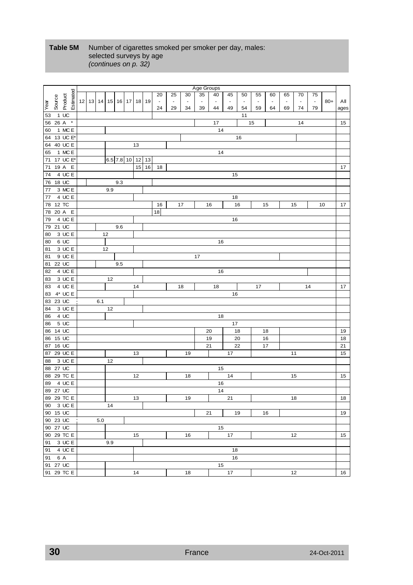#### **Table 5M** Number of cigarettes smoked per smoker per day, males: selected surveys by age *(continues on p. 32)*

|                   |              |                                       |     |                  |     |    |           |                |                |                | Age Groups     |                |                |                |                |                |                |                |                |       |          |
|-------------------|--------------|---------------------------------------|-----|------------------|-----|----|-----------|----------------|----------------|----------------|----------------|----------------|----------------|----------------|----------------|----------------|----------------|----------------|----------------|-------|----------|
|                   | Estimated    |                                       |     |                  |     |    |           | 20             | 25             | 30             | 35             | 40             | 45             | 50             | 55             | 60             | 65             | 70             | 75             |       |          |
| Source            | Product      | 12   13   14   15   16   17   18   19 |     |                  |     |    |           | $\blacksquare$ | $\blacksquare$ | $\blacksquare$ | $\blacksquare$ | $\blacksquare$ | $\blacksquare$ | $\blacksquare$ | $\blacksquare$ | $\blacksquare$ | $\blacksquare$ | $\blacksquare$ | $\blacksquare$ | $80+$ | All      |
| Year              |              |                                       |     |                  |     |    |           | 24             | 29             | 34             | 39             | 44             | 49             | 54             | 59             | 64             | 69             | 74             | 79             |       | ages     |
| 53                | 1 UC         |                                       |     |                  |     |    |           |                |                |                |                |                |                | 11             |                |                |                |                |                |       |          |
| 56 26 A           | $\pmb{*}$    |                                       |     |                  |     |    |           |                |                |                |                | 17             |                |                | 15             |                |                | 14             |                |       | 15       |
| 60                | 1 MC E       |                                       |     |                  |     |    |           |                |                |                |                | 14             |                |                |                |                |                |                |                |       |          |
| 64 13 UC E*       |              |                                       |     |                  |     |    |           |                |                |                |                |                |                | 16             |                |                |                |                |                |       |          |
| 64                | 40 UC E      |                                       |     |                  |     | 13 |           |                |                |                |                |                |                |                |                |                |                |                |                |       |          |
| 65                | 1 MC E       |                                       |     |                  |     |    |           |                |                |                |                | 14             |                |                |                |                |                |                |                |       |          |
| 71                | 17 UC E*     |                                       |     | 6.5 7.8 10 12 13 |     |    |           |                |                |                |                |                |                |                |                |                |                |                |                |       |          |
| 71                | 19 A E       |                                       |     |                  |     |    | $15$   16 | 18             |                |                |                |                |                |                |                |                |                |                |                |       | 17       |
| 74                | 4 UC E       |                                       |     |                  |     |    |           |                |                |                |                |                | 15             |                |                |                |                |                |                |       |          |
| 18 UC<br>76       |              |                                       |     |                  | 9.3 |    |           |                |                |                |                |                |                |                |                |                |                |                |                |       |          |
| 77                | 3 MC E       |                                       |     | 9.9              |     |    |           |                |                |                |                |                |                |                |                |                |                |                |                |       |          |
| 77                | 4 UC E       |                                       |     |                  |     |    |           |                |                |                |                |                | 18             |                |                |                |                |                |                |       |          |
| 12 TC<br>78       |              |                                       |     |                  |     |    |           | 16             |                | 17             |                | 16             |                | 16             |                | 15             |                | 15             |                | 10    | 17       |
| 78 20 A E         |              |                                       |     |                  |     |    |           | 18             |                |                |                |                |                |                |                |                |                |                |                |       |          |
| 79                | 4 UC E       |                                       |     |                  |     |    |           |                |                |                |                |                | 16             |                |                |                |                |                |                |       |          |
| 79 21 UC          |              |                                       |     |                  | 9.6 |    |           |                |                |                |                |                |                |                |                |                |                |                |                |       |          |
| 80                | 3 UC E       |                                       | 12  |                  |     |    |           |                |                |                |                |                |                |                |                |                |                |                |                |       |          |
| 80                | 6 UC         |                                       |     |                  |     |    |           |                |                |                |                | 16             |                |                |                |                |                |                |                |       |          |
| 81                | 3 UC E       |                                       | 12  |                  |     |    |           |                |                |                |                |                |                |                |                |                |                |                |                |       |          |
| 81                | 9 UC E       |                                       |     |                  |     |    |           |                |                |                | 17             |                |                |                |                |                |                |                |                |       |          |
| 81 22 UC          |              |                                       |     |                  | 9.5 |    |           |                |                |                |                |                |                |                |                |                |                |                |                |       |          |
| 82                | 4UCE         |                                       |     |                  |     |    |           |                |                |                |                | 16             |                |                |                |                |                |                |                |       |          |
| 83                | 3 UC E       |                                       |     | 12               |     |    |           |                |                |                |                |                |                |                |                |                |                |                |                |       |          |
| 83                | 4 UC E       |                                       |     |                  |     | 14 |           |                |                | 18             |                | 18             |                |                | 17             |                |                |                | 14             |       | 17       |
| 83                | $4^*$ UC E   |                                       |     |                  |     |    |           |                |                |                |                |                | 16             |                |                |                |                |                |                |       |          |
| 83 23 UC          |              |                                       | 6.1 |                  |     |    |           |                |                |                |                |                |                |                |                |                |                |                |                |       |          |
| 84                | 3 UC E       |                                       |     | 12               |     |    |           |                |                |                |                |                |                |                |                |                |                |                |                |       |          |
| 86                | 4 UC<br>5 UC |                                       |     |                  |     |    |           |                |                |                |                | 18             |                |                |                |                |                |                |                |       |          |
| 86<br>86 14 UC    |              |                                       |     |                  |     |    |           |                |                |                |                |                | 17             | 18             |                |                |                |                |                |       |          |
| 15 UC             |              |                                       |     |                  |     |    |           |                |                |                |                | 20<br>19       |                | 20             |                | 18<br>16       |                |                |                |       | 19<br>18 |
| 86<br>16 UC<br>87 |              |                                       |     |                  |     |    |           |                |                |                |                | 21             |                | 22             |                | 17             |                |                |                |       | 21       |
| 87                | 29 UC E      |                                       |     |                  |     | 13 |           |                |                | 19             |                |                | 17             |                |                |                |                | 11             |                |       | 15       |
| 88                | 3 UC E       |                                       |     | 12               |     |    |           |                |                |                |                |                |                |                |                |                |                |                |                |       |          |
| 88 27 UC          |              |                                       |     |                  |     |    |           |                |                |                |                | 15             |                |                |                |                |                |                |                |       |          |
| 88 29 TC E        |              |                                       |     |                  |     | 12 |           |                |                | 18             |                |                | 14             |                |                |                |                | 15             |                |       | 15       |
| 89                | 4 UC E       |                                       |     |                  |     |    |           |                |                |                |                | 16             |                |                |                |                |                |                |                |       |          |
| 89 27 UC          |              |                                       |     |                  |     |    |           |                |                |                |                | 14             |                |                |                |                |                |                |                |       |          |
| 89 29 TC E        |              |                                       |     |                  |     | 13 |           |                |                | 19             |                |                | 21             |                |                |                |                | 18             |                |       | 18       |
| 90 3 UC E         |              |                                       |     | 14               |     |    |           |                |                |                |                |                |                |                |                |                |                |                |                |       |          |
| 90 15 UC          |              |                                       |     |                  |     |    |           |                |                |                |                | 21             |                | 19             |                | 16             |                |                |                |       | 19       |
| 90 23 UC          |              |                                       | 5.0 |                  |     |    |           |                |                |                |                |                |                |                |                |                |                |                |                |       |          |
| 90 27 UC          |              |                                       |     |                  |     |    |           |                |                |                |                | 15             |                |                |                |                |                |                |                |       |          |
| 90 29 TC E        |              |                                       |     |                  |     | 15 |           |                |                | 16             |                |                | 17             |                |                |                |                | 12             |                |       | 15       |
| 91                | 3 UC E       |                                       |     | 9.9              |     |    |           |                |                |                |                |                |                |                |                |                |                |                |                |       |          |
| 91 4 UC E         |              |                                       |     |                  |     |    |           |                |                |                |                |                | 18             |                |                |                |                |                |                |       |          |
| 91 6 A            |              |                                       |     |                  |     |    |           |                |                |                |                |                | 16             |                |                |                |                |                |                |       |          |
| 91 27 UC          |              |                                       |     |                  |     |    |           |                |                |                |                | 15             |                |                |                |                |                |                |                |       |          |
| 91 29 TC E        |              |                                       |     |                  |     | 14 |           |                |                | 18             |                |                | 17             |                |                |                |                | 12             |                |       | 16       |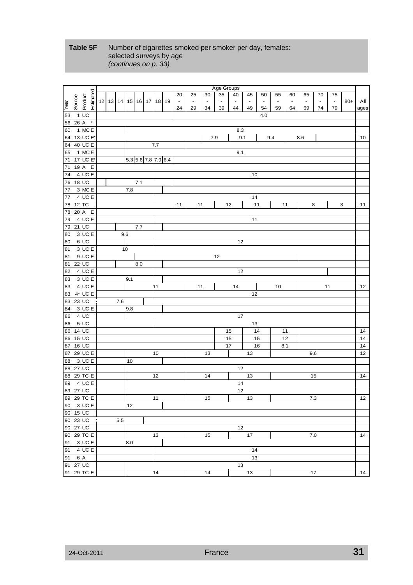#### **Table 5F** Number of cigarettes smoked per smoker per day, females: selected surveys by age *(continues on p. 33)*

|            |        |                      |           |    |     |                |                     |     |       |                |                          |                          | Age Groups |                |                |                          |                |                |                          |                |                |       |      |
|------------|--------|----------------------|-----------|----|-----|----------------|---------------------|-----|-------|----------------|--------------------------|--------------------------|------------|----------------|----------------|--------------------------|----------------|----------------|--------------------------|----------------|----------------|-------|------|
|            |        |                      |           |    |     |                |                     |     |       | 20             | 25                       | 30                       | 35         | 40             | 45             | 50                       | 55             | 60             | 65                       | 70             | 75             |       |      |
|            | Source | Product              | Estimated | 12 |     | 13 14 15 16 17 |                     |     | 18 19 | $\blacksquare$ | $\overline{\phantom{a}}$ | $\overline{\phantom{a}}$ | $\Box$     | $\blacksquare$ | $\blacksquare$ | $\overline{\phantom{a}}$ | $\blacksquare$ | $\blacksquare$ | $\overline{\phantom{a}}$ | $\blacksquare$ | $\blacksquare$ | $80+$ | All  |
| Year       |        |                      |           |    |     |                |                     |     |       | 24             | 29                       | 34                       | 39         | 44             | 49             | 54                       | 59             | 64             | 69                       | 74             | 79             |       | ages |
| 53         |        | $1$ UC               |           |    |     |                |                     |     |       |                |                          |                          |            |                |                | 4.0                      |                |                |                          |                |                |       |      |
| 56         | 26 A   |                      | $\star$   |    |     |                |                     |     |       |                |                          |                          |            |                |                |                          |                |                |                          |                |                |       |      |
| 60         |        | 1 MC E               |           |    |     |                |                     |     |       |                |                          |                          |            | 8.3            |                |                          |                |                |                          |                |                |       |      |
| 64         |        | 13 UC E*             |           |    |     |                |                     |     |       |                |                          | 7.9                      |            | 9.1            |                |                          | 9.4            |                | 8.6                      |                |                |       | 10   |
| 64         |        | 40 UC E              |           |    |     |                |                     | 7.7 |       |                |                          |                          |            |                |                |                          |                |                |                          |                |                |       |      |
| 65         |        | 1 MC E               |           |    |     |                |                     |     |       |                |                          |                          |            | 9.1            |                |                          |                |                |                          |                |                |       |      |
| 71         |        | 17 UC E*             |           |    |     |                | 5.3 5.6 7.8 7.9 6.4 |     |       |                |                          |                          |            |                |                |                          |                |                |                          |                |                |       |      |
| 71         |        | 19 A E               |           |    |     |                |                     |     |       |                |                          |                          |            |                |                |                          |                |                |                          |                |                |       |      |
| 74         |        | 4 UC E               |           |    |     |                |                     |     |       |                |                          |                          |            |                | 10             |                          |                |                |                          |                |                |       |      |
| 76         |        | 18 UC                |           |    |     |                | 7.1                 |     |       |                |                          |                          |            |                |                |                          |                |                |                          |                |                |       |      |
| 77         |        | 3 MC E               |           |    |     | 7.8            |                     |     |       |                |                          |                          |            |                |                |                          |                |                |                          |                |                |       |      |
| 77         |        | 4 UC E               |           |    |     |                |                     |     |       |                |                          |                          |            |                | 14             |                          |                |                |                          |                |                |       |      |
|            | 12 TC  |                      |           |    |     |                |                     |     |       | 11             |                          | 11                       |            | 12             |                | 11                       |                | 11             |                          |                |                | 3     | 11   |
| 78         |        |                      |           |    |     |                |                     |     |       |                |                          |                          |            |                |                |                          |                |                | 8                        |                |                |       |      |
| 78         |        | 20 A E               |           |    |     |                |                     |     |       |                |                          |                          |            |                | 11             |                          |                |                |                          |                |                |       |      |
| 79         | 21 UC  | 4 UC E               |           |    |     |                |                     |     |       |                |                          |                          |            |                |                |                          |                |                |                          |                |                |       |      |
| 79         |        |                      |           |    |     |                | 7.7                 |     |       |                |                          |                          |            |                |                |                          |                |                |                          |                |                |       |      |
| 80         |        | 3 UC E               |           |    |     | 9.6            |                     |     |       |                |                          |                          |            |                |                |                          |                |                |                          |                |                |       |      |
| 80         |        | 6 UC                 |           |    |     |                |                     |     |       |                |                          |                          |            | 12             |                |                          |                |                |                          |                |                |       |      |
| 81         |        | 3 UC E               |           |    |     | 10             |                     |     |       |                |                          |                          |            |                |                |                          |                |                |                          |                |                |       |      |
| 81         |        | 9 UC E               |           |    |     |                |                     |     |       |                |                          |                          | 12         |                |                |                          |                |                |                          |                |                |       |      |
| 81         |        | 22 UC                |           |    |     |                | 8.0                 |     |       |                |                          |                          |            |                |                |                          |                |                |                          |                |                |       |      |
| 82         |        | 4 UC E               |           |    |     |                |                     |     |       |                |                          |                          |            | 12             |                |                          |                |                |                          |                |                |       |      |
| 83         |        | 3 UC E               |           |    |     | 9.1            |                     |     |       |                |                          |                          |            |                |                |                          |                |                |                          |                |                |       |      |
| 83         |        | 4 UC E               |           |    |     |                |                     | 11  |       |                |                          | 11                       |            | 14             |                |                          | 10             |                |                          |                | 11             |       | 12   |
| 83         |        | $4^*$ UC E           |           |    |     |                |                     |     |       |                |                          |                          |            |                | 12             |                          |                |                |                          |                |                |       |      |
| 83         |        | 23 UC                |           |    | 7.6 |                |                     |     |       |                |                          |                          |            |                |                |                          |                |                |                          |                |                |       |      |
| 84         |        | 3 UC E               |           |    |     | 9.8            |                     |     |       |                |                          |                          |            |                |                |                          |                |                |                          |                |                |       |      |
| 86         |        | 4 UC                 |           |    |     |                |                     |     |       |                |                          |                          |            | 17             |                |                          |                |                |                          |                |                |       |      |
| 86         |        | 5 UC                 |           |    |     |                |                     |     |       |                |                          |                          |            |                | 13             |                          |                |                |                          |                |                |       |      |
| 86         | 14 UC  |                      |           |    |     |                |                     |     |       |                |                          |                          |            | 15             |                | 14                       |                | 11             |                          |                |                |       | 14   |
| 86         |        | 15 UC                |           |    |     |                |                     |     |       |                |                          |                          |            | 15             |                | 15                       |                | 12             |                          |                |                |       | 14   |
| 87         |        | 16 UC                |           |    |     |                |                     |     |       |                |                          |                          |            | 17             |                | 16                       |                | 8.1            |                          |                |                |       | 14   |
| 87         |        | $\overline{29}$ UC E |           |    |     |                |                     | 10  |       |                |                          | 13                       |            |                | 13             |                          |                |                | 9.6                      |                |                |       | 12   |
| 88         |        | 3 UC E               |           |    |     | 10             |                     |     |       |                |                          |                          |            |                |                |                          |                |                |                          |                |                |       |      |
| 88         | 27 UC  |                      |           |    |     |                |                     |     |       |                |                          |                          |            | 12             |                |                          |                |                |                          |                |                |       |      |
| 88         |        | 29 TC E              |           |    |     |                |                     | 12  |       |                |                          | 14                       |            |                | 13             |                          |                |                | 15                       |                |                |       | 14   |
| 89         |        | 4 UC E               |           |    |     |                |                     |     |       |                |                          |                          |            | 14             |                |                          |                |                |                          |                |                |       |      |
| 89 27 UC   |        |                      |           |    |     |                |                     |     |       |                |                          |                          |            | 12             |                |                          |                |                |                          |                |                |       |      |
|            |        | 89 29 TC E           |           |    |     |                |                     | 11  |       |                |                          | 15                       |            |                | 13             |                          |                |                | 7.3                      |                |                |       | 12   |
| 90 3 UC E  |        |                      |           |    |     | 12             |                     |     |       |                |                          |                          |            |                |                |                          |                |                |                          |                |                |       |      |
| 90 15 UC   |        |                      |           |    |     |                |                     |     |       |                |                          |                          |            |                |                |                          |                |                |                          |                |                |       |      |
| 90 23 UC   |        |                      |           |    | 5.5 |                |                     |     |       |                |                          |                          |            |                |                |                          |                |                |                          |                |                |       |      |
| 90 27 UC   |        |                      |           |    |     |                |                     |     |       |                |                          |                          |            | 12             |                |                          |                |                |                          |                |                |       |      |
| 90 29 TC E |        |                      |           |    |     |                |                     | 13  |       |                |                          | 15                       |            |                | 17             |                          |                |                | 7.0                      |                |                |       | 14   |
| 91         |        | 3 UC E               |           |    |     | 8.0            |                     |     |       |                |                          |                          |            |                |                |                          |                |                |                          |                |                |       |      |
|            |        | 91 4 UC E            |           |    |     |                |                     |     |       |                |                          |                          |            |                | 14             |                          |                |                |                          |                |                |       |      |
| 91 6 A     |        |                      |           |    |     |                |                     |     |       |                |                          |                          |            |                | 13             |                          |                |                |                          |                |                |       |      |
|            |        | 91 27 UC             |           |    |     |                |                     |     |       |                |                          |                          |            | 13             |                |                          |                |                |                          |                |                |       |      |
|            |        | 91 29 TC E           |           |    |     |                |                     | 14  |       |                |                          | 14                       |            |                | 13             |                          |                |                | 17                       |                |                |       | 14   |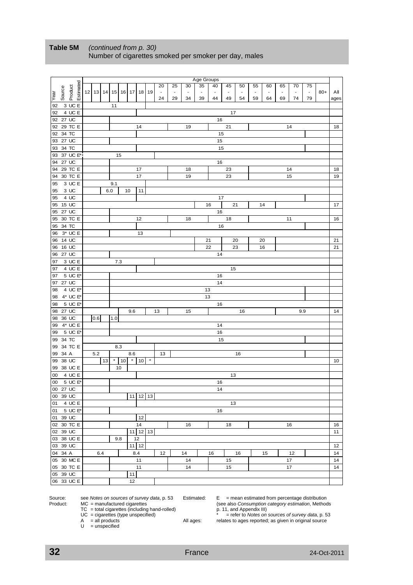|        |                      |                      |           |     |          |     |         |                 |                   | 20     | 25                       | 30             | Age Groups<br>35         | 40                       | 45             | 50             | 55       | 60                       | 65             | 70             | 75             |       |      |
|--------|----------------------|----------------------|-----------|-----|----------|-----|---------|-----------------|-------------------|--------|--------------------------|----------------|--------------------------|--------------------------|----------------|----------------|----------|--------------------------|----------------|----------------|----------------|-------|------|
|        | Source               | Estimated<br>Product | $12$   13 |     |          |     |         |                 | 14 15 16 17 18 19 | $\Box$ | $\overline{\phantom{a}}$ | $\blacksquare$ | $\overline{\phantom{a}}$ | $\overline{\phantom{a}}$ | $\blacksquare$ | $\blacksquare$ | $\omega$ | $\overline{\phantom{a}}$ | $\blacksquare$ | $\blacksquare$ | $\blacksquare$ | $80+$ | Αll  |
| Year   |                      |                      |           |     |          |     |         |                 |                   | 24     | 29                       | 34             | 39                       | 44                       | 49             | 54             | 59       | 64                       | 69             | 74             | 79             |       | ages |
| 92     |                      | 3 UC E               |           |     | 11       |     |         |                 |                   |        |                          |                |                          |                          |                |                |          |                          |                |                |                |       |      |
| 92     |                      | 4 UC E               |           |     |          |     |         |                 |                   |        |                          |                |                          |                          | 17             |                |          |                          |                |                |                |       |      |
| 92     | 27 UC                |                      |           |     |          |     |         |                 |                   |        |                          |                |                          | 16                       |                |                |          |                          |                |                |                |       |      |
| 92     |                      | 29 TC E              |           |     |          |     |         | 14              |                   |        |                          | 19             |                          |                          | 21             |                |          |                          |                | 14             |                |       | 18   |
| 92     | 34 TC                |                      |           |     |          |     |         |                 |                   |        |                          |                |                          | 15                       |                |                |          |                          |                |                |                |       |      |
| 93     | 27 UC                |                      |           |     |          |     |         |                 |                   |        |                          |                |                          | 15                       |                |                |          |                          |                |                |                |       |      |
|        | 93 34 TC             |                      |           |     |          |     |         |                 |                   |        |                          |                |                          |                          |                |                |          |                          |                |                |                |       |      |
|        |                      | 37 UC E*             |           |     |          |     |         |                 |                   |        |                          |                |                          | 15                       |                |                |          |                          |                |                |                |       |      |
| 93     |                      |                      |           |     |          | 15  |         |                 |                   |        |                          |                |                          |                          |                |                |          |                          |                |                |                |       |      |
| 94     | 27 UC                |                      |           |     |          |     |         |                 |                   |        |                          |                |                          | 16                       |                |                |          |                          |                |                |                |       |      |
| 94     |                      | 29 TC E              |           |     |          |     |         | 17              |                   |        |                          | 18             |                          |                          | 23             |                |          |                          |                | 14             |                |       | 18   |
|        |                      | 94 30 TC E           |           |     |          |     |         | 17              |                   |        |                          | 19             |                          |                          | 23             |                |          |                          |                | 15             |                |       | 19   |
| 95     |                      | 3 UC E               |           |     | 9.1      |     |         |                 |                   |        |                          |                |                          |                          |                |                |          |                          |                |                |                |       |      |
| 95     |                      | 3 UC                 |           |     | 6.0      |     | 10      | 11              |                   |        |                          |                |                          |                          |                |                |          |                          |                |                |                |       |      |
| 95     |                      | 4 UC                 |           |     |          |     |         |                 |                   |        |                          |                |                          | 17                       |                |                |          |                          |                |                |                |       |      |
| 95     | 15 UC                |                      |           |     |          |     |         |                 |                   |        |                          |                |                          | 16                       |                | 21             |          | 14                       |                |                |                |       | 17   |
| 95     | 27 UC                |                      |           |     |          |     |         |                 |                   |        |                          |                |                          | 16                       |                |                |          |                          |                |                |                |       |      |
| 95     |                      | 30 TC E              |           |     |          |     |         | 12              |                   |        |                          | 18             |                          |                          | 18             |                |          |                          |                | 11             |                |       | 16   |
| 95     | 34 TC                |                      |           |     |          |     |         |                 |                   |        |                          |                |                          | 16                       |                |                |          |                          |                |                |                |       |      |
| 96     |                      | $3*$ UC E            |           |     |          |     |         | 13              |                   |        |                          |                |                          |                          |                |                |          |                          |                |                |                |       |      |
| 96     | 14 UC                |                      |           |     |          |     |         |                 |                   |        |                          |                |                          | 21                       |                | 20             |          | 20                       |                |                |                |       | 21   |
| 96     | 16 UC                |                      |           |     |          |     |         |                 |                   |        |                          |                |                          | 22                       |                | 23             |          | 16                       |                |                |                |       | 21   |
| 96     | $27 \overline{UC}$   |                      |           |     |          |     |         |                 |                   |        |                          |                |                          | 14                       |                |                |          |                          |                |                |                |       |      |
| 97     |                      | 3 UC E               |           |     |          | 7.3 |         |                 |                   |        |                          |                |                          |                          |                |                |          |                          |                |                |                |       |      |
| 97     |                      | 4 UC E               |           |     |          |     |         |                 |                   |        |                          |                |                          |                          | 15             |                |          |                          |                |                |                |       |      |
| 97     |                      | 5 UC E*              |           |     |          |     |         |                 |                   |        |                          |                |                          | 16                       |                |                |          |                          |                |                |                |       |      |
| 97     | 27 UC                |                      |           |     |          |     |         |                 |                   |        |                          |                |                          | 14                       |                |                |          |                          |                |                |                |       |      |
| 98     |                      | 4 UC E*              |           |     |          |     |         |                 |                   |        |                          |                |                          | 13                       |                |                |          |                          |                |                |                |       |      |
| 98     |                      | $4^*$ UC $E^*$       |           |     |          |     |         |                 |                   |        |                          |                |                          | 13                       |                |                |          |                          |                |                |                |       |      |
| 98     |                      | 5 UC E*              |           |     |          |     |         |                 |                   |        |                          |                |                          | 16                       |                |                |          |                          |                |                |                |       |      |
| 98     | 27 UC                |                      |           |     |          |     | 9.6     |                 |                   | 13     |                          | 15             |                          |                          |                | 16             |          |                          |                |                | 9.9            |       | 14   |
| 98     | 36 UC                |                      | 0.6       |     | 1.0      |     |         |                 |                   |        |                          |                |                          |                          |                |                |          |                          |                |                |                |       |      |
| 99     |                      | $4^*$ UC E           |           |     |          |     |         |                 |                   |        |                          |                |                          | 14                       |                |                |          |                          |                |                |                |       |      |
| 99     |                      | 5 UC E*              |           |     |          |     |         |                 |                   |        |                          |                |                          | 16                       |                |                |          |                          |                |                |                |       |      |
|        | 99 34 TC             |                      |           |     |          |     |         |                 |                   |        |                          |                |                          | 15                       |                |                |          |                          |                |                |                |       |      |
| 99     |                      | 34 TC E              |           |     |          | 8.3 |         |                 |                   |        |                          |                |                          |                          |                |                |          |                          |                |                |                |       |      |
| 99     | 34 A                 |                      | 5.2       |     |          |     | 8.6     |                 |                   | 13     |                          |                |                          |                          |                | 16             |          |                          |                |                |                |       |      |
| 99     | 38 UC                |                      |           | 13  | $^\star$ | 10  | $\star$ | 10 <sup>1</sup> | $^\star$          |        |                          |                |                          |                          |                |                |          |                          |                |                |                |       | 10   |
|        |                      | 99 38 UC E           |           |     |          | 10  |         |                 |                   |        |                          |                |                          |                          |                |                |          |                          |                |                |                |       |      |
| 00     |                      | 4 UC E               |           |     |          |     |         |                 |                   |        |                          |                |                          |                          | 13             |                |          |                          |                |                |                |       |      |
| $00\,$ |                      | 5 UC E*              |           |     |          |     |         |                 |                   |        |                          |                |                          | 16                       |                |                |          |                          |                |                |                |       |      |
|        |                      |                      |           |     |          |     |         |                 |                   |        |                          |                |                          | 14                       |                |                |          |                          |                |                |                |       |      |
|        | 00 27 UC<br>00 39 UC |                      |           |     |          |     |         |                 | $11$ 12 13        |        |                          |                |                          |                          |                |                |          |                          |                |                |                |       |      |
|        |                      |                      |           |     |          |     |         |                 |                   |        |                          |                |                          |                          |                |                |          |                          |                |                |                |       |      |
|        |                      | 01 4 UC E            |           |     |          |     |         |                 |                   |        |                          |                |                          |                          | 13             |                |          |                          |                |                |                |       |      |
|        |                      | 01 5 UC E*           |           |     |          |     |         |                 |                   |        |                          |                |                          | 16                       |                |                |          |                          |                |                |                |       |      |
|        | 01 39 UC             |                      |           |     |          |     |         | 12              |                   |        |                          |                |                          |                          |                |                |          |                          |                |                |                |       |      |
|        |                      | 02 30 TC E           |           |     |          |     |         | 14              |                   |        |                          | 16             |                          |                          | 18             |                |          |                          |                | 16             |                |       | 16   |
|        | 02 39 UC             |                      |           |     |          |     |         |                 | $11$ 12 13        |        |                          |                |                          |                          |                |                |          |                          |                |                |                |       | 11   |
|        |                      | 03 38 UC E           |           |     |          | 9.8 |         | 12              |                   |        |                          |                |                          |                          |                |                |          |                          |                |                |                |       |      |
|        | 03 39 UC             |                      |           |     |          |     |         | $11$ 12         |                   |        |                          |                |                          |                          |                |                |          |                          |                |                |                |       | 12   |
|        | 04 34 A              |                      |           | 6.4 |          |     |         | 8.4             |                   | 12     |                          | 14             |                          | 16                       |                | 16             |          | 15                       |                | 12             |                |       | 14   |
|        |                      | 05 30 MC E           |           |     |          |     |         | 11              |                   |        |                          | 14             |                          |                          | 15             |                |          |                          |                | 17             |                |       | 14   |
|        |                      | 05 30 TC E           |           |     |          |     |         | 11              |                   |        |                          | 14             |                          |                          | 15             |                |          |                          |                | 17             |                |       | 14   |
|        |                      | 05 39 UC             |           |     |          |     | 11      |                 |                   |        |                          |                |                          |                          |                |                |          |                          |                |                |                |       |      |
|        |                      | 06 33 UC E           |           |     |          |     | 12      |                 |                   |        |                          |                |                          |                          |                |                |          |                          |                |                |                |       |      |

#### **Table 5M** *(continued from p. 30)*  Number of cigarettes smoked per smoker per day, males

TC = total cigarettes (including hand-rolled) p. 11, and Appendix III)

- 
- 
- $U =$  unspecified

Source: see *Notes on sources of survey data*, p. 53 Estimated: E = mean estimated from percentage distribution Product: MC = manufactured cigarettes (see also *Consumption category estimation*, Methods

UC extension category estimation, we<br>
p. 11, and Appendix III)<br>  $*$  = refer to *Notes on sources of survey data*, p. 53<br>
All ages: relates to ages reported; as given in original source relates to ages reported; as given in original source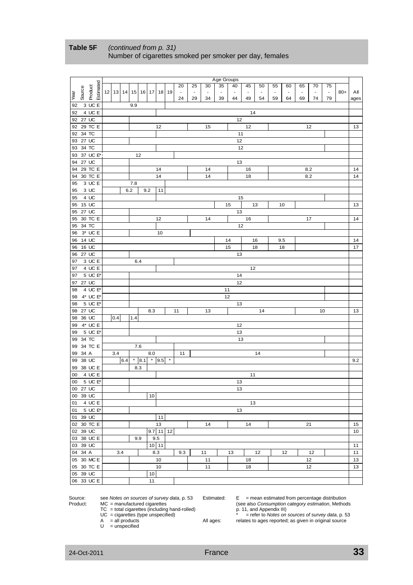|      |          |                      |       |          |         |         |                 |     |          |                          |                |                          | Age Groups               |                          |                |               |                          |     |                          |                          |                |       |      |
|------|----------|----------------------|-------|----------|---------|---------|-----------------|-----|----------|--------------------------|----------------|--------------------------|--------------------------|--------------------------|----------------|---------------|--------------------------|-----|--------------------------|--------------------------|----------------|-------|------|
|      |          |                      |       |          |         |         |                 |     |          | 20                       | 25             | 30                       | 35                       | 40                       | 45             | 50            | 55                       | 60  | 65                       | 70                       | 75             |       |      |
| Year | Source   | Estimated<br>Product | 12 13 | 14 15 16 |         |         | 17              | 18  | 19       | $\overline{\phantom{a}}$ | $\blacksquare$ | $\overline{\phantom{a}}$ | $\overline{\phantom{a}}$ | $\overline{\phantom{a}}$ | $\blacksquare$ | $\frac{1}{2}$ | $\overline{\phantom{a}}$ |     | $\overline{\phantom{a}}$ | $\overline{\phantom{a}}$ | $\blacksquare$ | $80+$ | Αll  |
|      |          |                      |       |          |         |         |                 |     |          | 24                       | 29             | 34                       | 39                       | 44                       | 49             | 54            | 59                       | 64  | 69                       | 74                       | 79             |       | ages |
| 92   |          | 3 UC E               |       |          | 9.9     |         |                 |     |          |                          |                |                          |                          |                          |                |               |                          |     |                          |                          |                |       |      |
| 92   |          | 4 UC E               |       |          |         |         |                 |     |          |                          |                |                          |                          |                          | 14             |               |                          |     |                          |                          |                |       |      |
|      | 92 27 UC |                      |       |          |         |         |                 |     |          |                          |                |                          |                          | 12                       |                |               |                          |     |                          |                          |                |       |      |
|      |          | 92 29 TC E           |       |          |         |         |                 | 12  |          |                          |                | 15                       |                          |                          | 12             |               |                          |     |                          | 12                       |                |       | 13   |
|      | 92 34 TC |                      |       |          |         |         |                 |     |          |                          |                |                          |                          | 11                       |                |               |                          |     |                          |                          |                |       |      |
|      | 93 27 UC |                      |       |          |         |         |                 |     |          |                          |                |                          |                          | 12                       |                |               |                          |     |                          |                          |                |       |      |
|      | 93 34 TC |                      |       |          |         |         |                 |     |          |                          |                |                          |                          | 12                       |                |               |                          |     |                          |                          |                |       |      |
|      |          | 93 37 UC E*          |       |          | 12      |         |                 |     |          |                          |                |                          |                          |                          |                |               |                          |     |                          |                          |                |       |      |
|      | 94 27 UC |                      |       |          |         |         |                 |     |          |                          |                |                          |                          | 13                       |                |               |                          |     |                          |                          |                |       |      |
|      |          | 94 29 TC E           |       |          |         |         |                 | 14  |          |                          |                | 14                       |                          |                          | 16             |               |                          |     |                          | 8.2                      |                |       | 14   |
|      |          | 94 30 TC E           |       |          |         |         |                 | 14  |          |                          |                | 14                       |                          |                          | 18             |               |                          |     |                          | 8.2                      |                |       | 14   |
| 95   |          | 3 UC E               |       |          | 7.8     |         |                 |     |          |                          |                |                          |                          |                          |                |               |                          |     |                          |                          |                |       |      |
| 95   | 3 UC     | 4 UC                 |       | 6.2      |         | 9.2     |                 | 11  |          |                          |                |                          |                          |                          |                |               |                          |     |                          |                          |                |       |      |
| 95   |          |                      |       |          |         |         |                 |     |          |                          |                |                          |                          | 15                       |                |               |                          |     |                          |                          |                |       |      |
|      | 95 15 UC |                      |       |          |         |         |                 |     |          |                          |                |                          |                          | 15                       |                | 13            |                          | 10  |                          |                          |                |       | 13   |
|      | 95 27 UC |                      |       |          |         |         |                 |     |          |                          |                |                          |                          | 13                       |                |               |                          |     |                          |                          |                |       |      |
|      | 95 34 TC | 95 30 TC E           |       |          |         |         |                 | 12  |          |                          |                | 14                       |                          | 12                       | 16             |               |                          |     |                          | 17                       |                |       | 14   |
| 96   |          | 3* UC E              |       |          |         |         |                 | 10  |          |                          |                |                          |                          |                          |                |               |                          |     |                          |                          |                |       |      |
|      | 96 14 UC |                      |       |          |         |         |                 |     |          |                          |                |                          |                          | 14                       |                | 16            |                          | 9.5 |                          |                          |                |       | 14   |
|      | 96 16 UC |                      |       |          |         |         |                 |     |          |                          |                |                          |                          | 15                       |                | 18            |                          | 18  |                          |                          |                |       | 17   |
|      | 96 27 UC |                      |       |          |         |         |                 |     |          |                          |                |                          |                          | 13                       |                |               |                          |     |                          |                          |                |       |      |
| 97   |          | 3 UC E               |       |          | 6.4     |         |                 |     |          |                          |                |                          |                          |                          |                |               |                          |     |                          |                          |                |       |      |
|      |          | 97 4 UC E            |       |          |         |         |                 |     |          |                          |                |                          |                          |                          | 12             |               |                          |     |                          |                          |                |       |      |
|      |          | 97 5 UC E*           |       |          |         |         |                 |     |          |                          |                |                          |                          | 14                       |                |               |                          |     |                          |                          |                |       |      |
|      | 97 27 UC |                      |       |          |         |         |                 |     |          |                          |                |                          |                          | 12                       |                |               |                          |     |                          |                          |                |       |      |
|      |          | 98 4 UC E*           |       |          |         |         |                 |     |          |                          |                |                          | 11                       |                          |                |               |                          |     |                          |                          |                |       |      |
|      |          | 98 4* UC E*          |       |          |         |         |                 |     |          |                          |                |                          |                          | 12                       |                |               |                          |     |                          |                          |                |       |      |
| 98   |          | 5 UC E*              |       |          |         |         |                 |     |          |                          |                |                          |                          | 13                       |                |               |                          |     |                          |                          |                |       |      |
|      | 98 27 UC |                      |       |          |         |         | 8.3             |     |          | 11                       |                | 13                       |                          |                          |                | 14            |                          |     |                          |                          | 10             |       | 13   |
|      | 98 36 UC |                      | 0.4   |          | 1.4     |         |                 |     |          |                          |                |                          |                          |                          |                |               |                          |     |                          |                          |                |       |      |
|      |          | 99 4* UC E           |       |          |         |         |                 |     |          |                          |                |                          |                          | 12                       |                |               |                          |     |                          |                          |                |       |      |
|      |          | 99 5 UC E*           |       |          |         |         |                 |     |          |                          |                |                          |                          | 13                       |                |               |                          |     |                          |                          |                |       |      |
|      | 99 34 TC |                      |       |          |         |         |                 |     |          |                          |                |                          |                          | 13                       |                |               |                          |     |                          |                          |                |       |      |
|      |          | 99 34 TC E           |       |          | $7.6\,$ |         |                 |     |          |                          |                |                          |                          |                          |                |               |                          |     |                          |                          |                |       |      |
|      | 99 34 A  |                      | 3.4   |          |         |         | 8.0             |     |          | 11                       |                |                          |                          |                          |                | 14            |                          |     |                          |                          |                |       |      |
|      | 99 38 UC |                      |       | 6.4      |         | $*$ 8.1 | $*$ 9.5         |     | $^\star$ |                          |                |                          |                          |                          |                |               |                          |     |                          |                          |                |       | 9.2  |
|      |          | 99 38 UC E           |       |          | 8.3     |         |                 |     |          |                          |                |                          |                          |                          |                |               |                          |     |                          |                          |                |       |      |
| 00   |          | 4 UC E               |       |          |         |         |                 |     |          |                          |                |                          |                          |                          | 11             |               |                          |     |                          |                          |                |       |      |
|      |          | 00 5 UC E            |       |          |         |         |                 |     |          |                          |                |                          |                          | 13                       |                |               |                          |     |                          |                          |                |       |      |
|      | 00 27 UC |                      |       |          |         |         |                 |     |          |                          |                |                          |                          | 13                       |                |               |                          |     |                          |                          |                |       |      |
|      | 00 39 UC |                      |       |          |         |         | 10              |     |          |                          |                |                          |                          |                          |                |               |                          |     |                          |                          |                |       |      |
|      |          | 01 4 UC E            |       |          |         |         |                 |     |          |                          |                |                          |                          |                          | 13             |               |                          |     |                          |                          |                |       |      |
|      |          | 01 5 UC E*           |       |          |         |         |                 |     |          |                          |                |                          |                          | 13                       |                |               |                          |     |                          |                          |                |       |      |
|      |          | 01 39 UC             |       |          |         |         |                 | 11  |          |                          |                |                          |                          |                          |                |               |                          |     |                          |                          |                |       |      |
|      |          | 02 30 TC E           |       |          |         |         |                 | 13  |          |                          |                | 14                       |                          |                          | 14             |               |                          |     |                          | 21                       |                |       | 15   |
|      | 02 39 UC |                      |       |          |         |         | $9.7$ 11 12     |     |          |                          |                |                          |                          |                          |                |               |                          |     |                          |                          |                |       | 10   |
|      |          | 03 38 UC E           |       |          | 9.9     |         |                 | 9.5 |          |                          |                |                          |                          |                          |                |               |                          |     |                          |                          |                |       |      |
|      | 03 39 UC |                      |       |          |         |         | $10$ 11         |     |          |                          |                |                          |                          |                          |                |               |                          |     |                          |                          |                |       | 11   |
|      | 04 34 A  |                      | 3.4   |          |         |         |                 | 8.3 |          | 9.3                      |                | 11                       |                          | 13                       |                | 12            |                          | 12  |                          | 12                       |                |       | 11   |
|      |          | 05 30 MC E           |       |          |         |         |                 | 10  |          |                          |                | 11                       |                          |                          | 18             |               |                          |     |                          | 12                       |                |       | 13   |
|      |          | 05 30 TC E           |       |          |         |         |                 | 10  |          |                          |                | 11                       |                          |                          | 18             |               |                          |     |                          | 12                       |                |       | 13   |
|      | 05 39 UC |                      |       |          |         |         | 10 <sup>1</sup> |     |          |                          |                |                          |                          |                          |                |               |                          |     |                          |                          |                |       |      |
|      |          | 06 33 UC E           |       |          |         |         | 11              |     |          |                          |                |                          |                          |                          |                |               |                          |     |                          |                          |                |       |      |

#### **Table 5F** *(continued from p. 31)* Number of cigarettes smoked per smoker per day, females

Source: see *Notes on sources of survey data*, p. 53 Estimated: E = mean estimated from percentage distribution Product: MC = manufactured cigarettes (see also *Consumption category estimation*, Methods

TC = total cigarettes (including hand-rolled) p. 11, and Appendix III)

- 
- $U =$  unspecified

 UC = cigarettes (type unspecified) \* = refer to *Notes on sources of survey data*, p. 53 All ages: relates to ages reported; as given in original source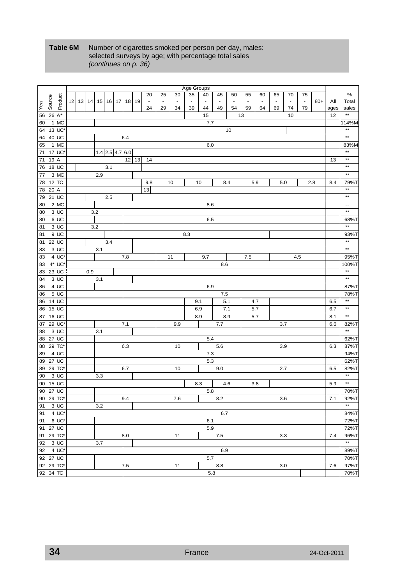#### Table 6M Number of cigarettes smoked per person per day, males: selected surveys by age; with percentage total sales *(continues on p. 36)*

|      |                 |           |       |     |     |                   |    |     |           |                |                |                | Age Groups |                |         |                |                          |                |                |                |                |       |      |                          |
|------|-----------------|-----------|-------|-----|-----|-------------------|----|-----|-----------|----------------|----------------|----------------|------------|----------------|---------|----------------|--------------------------|----------------|----------------|----------------|----------------|-------|------|--------------------------|
|      |                 |           |       |     |     |                   |    |     |           | 20             | 25             | 30             | 35         | 40             | 45      | 50             | 55                       | 60             | 65             | 70             | 75             |       |      | %                        |
| Year | Source          | Product   | 12 13 | 14  | 15  | 16                | 17 | 18  | 19        | $\blacksquare$ | $\blacksquare$ | $\blacksquare$ |            | $\blacksquare$ | ä,      | $\blacksquare$ | $\overline{\phantom{a}}$ | $\blacksquare$ | $\blacksquare$ | $\blacksquare$ | $\blacksquare$ | $80+$ | Αll  | Total                    |
|      |                 |           |       |     |     |                   |    |     |           | 24             | 29             | 34             | 39         | 44             | 49      | 54             | 59                       | 64             | 69             | 74             | 79             |       | ages | sales                    |
| 56   | 26 A*           |           |       |     |     |                   |    |     |           |                |                |                |            | 15             |         |                | 13                       |                |                | 10             |                |       | 12   | $**$                     |
| 60   |                 | 1 MC      |       |     |     |                   |    |     |           |                |                |                |            | 7.7            |         |                |                          |                |                |                |                |       |      | 114%M                    |
| 64   |                 | 13 UC*    |       |     |     |                   |    |     |           |                |                |                |            |                |         | 10             |                          |                |                |                |                |       |      | $^{\star\star}$          |
| 64   |                 | 40 UC     |       |     |     |                   |    | 6.4 |           |                |                |                |            |                |         |                |                          |                |                |                |                |       |      | $\star\star$             |
| 65   |                 | 1 MC      |       |     |     |                   |    |     |           |                |                |                |            | 6.0            |         |                |                          |                |                |                |                |       |      | 83%M                     |
| 71   |                 | 17 UC*    |       |     |     | $1.4$ 2.5 4.7 6.0 |    |     |           |                |                |                |            |                |         |                |                          |                |                |                |                |       |      | $^{\star\star}$          |
| 71   | 19 A            |           |       |     |     |                   |    |     | $12$   13 | 14             |                |                |            |                |         |                |                          |                |                |                |                |       | 13   | $^{\star\star}$          |
| 76   |                 | 18 UC     |       |     |     | 3.1               |    |     |           |                |                |                |            |                |         |                |                          |                |                |                |                |       |      | $\star\star$             |
| 77   |                 | 3 MC      |       |     | 2.9 |                   |    |     |           |                |                |                |            |                |         |                |                          |                |                |                |                |       |      | $\star\star$             |
| 78   | 12 TC           |           |       |     |     |                   |    |     |           | 9.8            |                | 10             |            | 10             |         | 8.4            |                          | 5.9            |                | 5.0            |                | 2.8   | 8.4  | 79%T                     |
| 78   | 20 A            |           |       |     |     |                   |    |     |           | 13             |                |                |            |                |         |                |                          |                |                |                |                |       |      | $**$                     |
| 79   |                 | 21 UC     |       |     |     | 2.5               |    |     |           |                |                |                |            |                |         |                |                          |                |                |                |                |       |      | $\star\star$             |
| 80   |                 | 2 MC      |       |     |     |                   |    |     |           |                |                |                |            | 8.6            |         |                |                          |                |                |                |                |       |      | $\overline{\phantom{a}}$ |
| 80   |                 | 3 UC      |       |     | 3.2 |                   |    |     |           |                |                |                |            |                |         |                |                          |                |                |                |                |       |      | $^{\star\star}$          |
| 80   |                 | 6 UC      |       |     |     |                   |    |     |           |                |                |                |            | 6.5            |         |                |                          |                |                |                |                |       |      | 68%T                     |
| 81   |                 | 3 UC      |       |     | 3.2 |                   |    |     |           |                |                |                |            |                |         |                |                          |                |                |                |                |       |      | $**$                     |
| 81   |                 | 9 UC      |       |     |     |                   |    |     |           |                |                |                | 8.3        |                |         |                |                          |                |                |                |                |       |      | 93%T                     |
| 81   |                 | 22 UC     |       |     |     | 3.4               |    |     |           |                |                |                |            |                |         |                |                          |                |                |                |                |       |      | $**$                     |
| 83   |                 | 3 UC      |       |     | 3.1 |                   |    |     |           |                |                |                |            |                |         |                |                          |                |                |                |                |       |      | $^{\star\star}$          |
| 83   |                 | 4 UC*     |       |     |     |                   |    | 7.8 |           |                |                | 11             |            | 9.7            |         |                | 7.5                      |                |                |                | 4.5            |       |      | 95%T                     |
| 83   |                 | 4* UC*    |       |     |     |                   |    |     |           |                |                |                |            |                | 8.6     |                |                          |                |                |                |                |       |      | 100%T                    |
| 83   |                 | 23 UC     |       | 0.9 |     |                   |    |     |           |                |                |                |            |                |         |                |                          |                |                |                |                |       |      | $\star\star$             |
| 84   |                 | 3UC       |       |     | 3.1 |                   |    |     |           |                |                |                |            |                |         |                |                          |                |                |                |                |       |      | $\star\star$             |
| 86   |                 | 4 UC      |       |     |     |                   |    |     |           |                |                |                |            | 6.9            |         |                |                          |                |                |                |                |       |      | 87%T                     |
| 86   |                 | 5 UC      |       |     |     |                   |    |     |           |                |                |                |            |                | $7.5\,$ |                |                          |                |                |                |                |       |      | 78%T                     |
| 86   |                 | 14 UC     |       |     |     |                   |    |     |           |                |                |                |            | 9.1            | 5.1     |                |                          | 4.7            |                |                |                |       | 6.5  | $**$                     |
| 86   | $15 \text{ UC}$ |           |       |     |     |                   |    |     |           |                |                |                |            | 6.9            | 7.1     |                |                          | 5.7            |                |                |                |       | 6.7  | $\star\star$             |
| 87   |                 | 16 UC     |       |     |     |                   |    |     |           |                |                |                |            | 8.9            |         | 8.9            |                          | 5.7            |                |                |                |       | 8.1  | $\star\star$             |
| 87   |                 | 29 UC*    |       |     |     |                   |    | 7.1 |           |                |                | 9.9            |            |                | 7.7     |                |                          |                |                | 3.7            |                |       | 6.6  | 82%T                     |
| 88   |                 | 3 UC      |       |     | 3.1 |                   |    |     |           |                |                |                |            |                |         |                |                          |                |                |                |                |       |      | $\star\star$             |
| 88   |                 | 27 UC     |       |     |     |                   |    |     |           |                |                |                |            | 5.4            |         |                |                          |                |                |                |                |       |      | 62%T                     |
| 88   |                 | 29 TC*    |       |     |     |                   |    | 6.3 |           |                |                | 10             |            |                | 5.6     |                |                          |                | 3.9            |                |                |       | 6.3  | 87%T                     |
| 89   |                 | 4 UC      |       |     |     |                   |    |     |           |                |                |                |            | 7.3            |         |                |                          |                |                |                |                |       |      | 94%T                     |
| 89   |                 | 27 UC     |       |     |     |                   |    |     |           |                |                |                |            | 5.3            |         |                |                          |                |                |                |                |       |      | 62%T                     |
| 89   |                 | 29 TC*    |       |     |     |                   |    | 6.7 |           |                |                | 10             |            |                | 9.0     |                |                          |                | 2.7            |                |                |       | 6.5  | 82%T                     |
| 90   |                 | 3 UC      |       |     | 3.3 |                   |    |     |           |                |                |                |            |                |         |                |                          |                |                |                |                |       |      | $\star\star$             |
| 90   |                 | 15 UC     |       |     |     |                   |    |     |           |                |                |                |            | 8.3            |         | 4.6            |                          | 3.8            |                |                |                |       | 5.9  | $\star\star$             |
|      | 90 27 UC        |           |       |     |     |                   |    |     |           |                |                |                |            | 5.8            |         |                |                          |                |                |                |                |       |      | 70%T                     |
|      | 90 29 TC*       |           |       |     |     |                   |    | 9.4 |           |                |                | 7.6            |            |                | 8.2     |                |                          |                |                | 3.6            |                |       | 7.1  | 92%T                     |
| 91   |                 | 3 UC      |       |     | 3.2 |                   |    |     |           |                |                |                |            |                |         |                |                          |                |                |                |                |       |      | $\star\star$             |
| 91   |                 | 4 UC*     |       |     |     |                   |    |     |           |                |                |                |            |                | 6.7     |                |                          |                |                |                |                |       |      | 84%T                     |
| 91   |                 | 6 UC*     |       |     |     |                   |    |     |           |                |                |                |            | 6.1            |         |                |                          |                |                |                |                |       |      | 72%T                     |
|      | 91 27 UC        |           |       |     |     |                   |    |     |           |                |                |                |            | 5.9            |         |                |                          |                |                |                |                |       |      | 72%T                     |
|      | 91 29 TC*       |           |       |     |     |                   |    | 8.0 |           |                |                | 11             |            |                | 7.5     |                |                          |                |                | 3.3            |                |       | 7.4  | 96%T                     |
|      | 92 3 UC         |           |       |     | 3.7 |                   |    |     |           |                |                |                |            |                |         |                |                          |                |                |                |                |       |      | $\star\star$             |
|      |                 | 92 4 UC*  |       |     |     |                   |    |     |           |                |                |                |            |                | 6.9     |                |                          |                |                |                |                |       |      | 89%T                     |
|      | 92 27 UC        |           |       |     |     |                   |    |     |           |                |                |                |            | 5.7            |         |                |                          |                |                |                |                |       |      | 70%T                     |
|      |                 | 92 29 TC* |       |     |     |                   |    | 7.5 |           |                |                | 11             |            |                | 8.8     |                |                          |                |                | 3.0            |                |       | 7.6  | 97%T                     |
|      | 92 34 TC        |           |       |     |     |                   |    |     |           |                |                |                |            | 5.8            |         |                |                          |                |                |                |                |       |      | 70%T                     |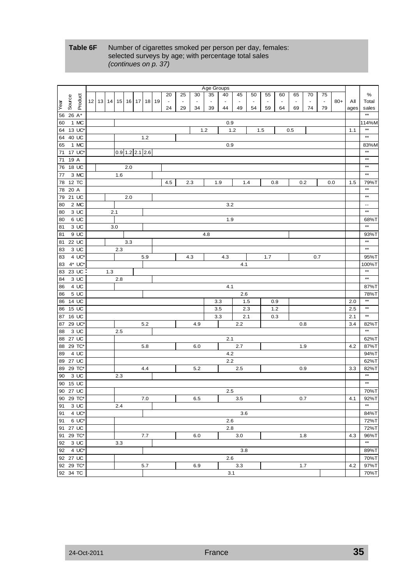#### **Table 6F** Number of cigarettes smoked per person per day, females: selected surveys by age; with percentage total sales *(continues on p. 37)*

|           |              |              |     |  |       |                   |         |         |     |    |                |                |                | Age Groups |                          |                       |    |        |                |        |                |        |       |      |                           |
|-----------|--------------|--------------|-----|--|-------|-------------------|---------|---------|-----|----|----------------|----------------|----------------|------------|--------------------------|-----------------------|----|--------|----------------|--------|----------------|--------|-------|------|---------------------------|
|           |              |              |     |  |       |                   |         |         |     |    | 20             | 25             | 30             | 35         | 40                       | 45                    | 50 | 55     | 60             | 65     | 70             | 75     |       |      | $\%$                      |
|           | Source       | Product      | 12  |  | 13 14 | 15                |         | $16$ 17 | 18  | 19 | $\blacksquare$ | $\blacksquare$ | $\blacksquare$ |            | $\overline{\phantom{a}}$ | $\tilde{\phantom{a}}$ | ÷, | $\sim$ | $\blacksquare$ | $\sim$ | $\blacksquare$ | $\Box$ | $80+$ | Αll  | Total                     |
| Year      |              |              |     |  |       |                   |         |         |     |    | 24             | 29             | 34             | 39         | 44                       | 49                    | 54 | 59     | 64             | 69     | 74             | 79     |       | ages | sales                     |
| 56        | 26 A*        |              |     |  |       |                   |         |         |     |    |                |                |                |            |                          |                       |    |        |                |        |                |        |       |      | $\star\star$              |
| 60        |              | 1 MC         |     |  |       |                   |         |         |     |    |                |                |                |            | 0.9                      |                       |    |        |                |        |                |        |       |      | 114%M                     |
| 64        |              | 13 UC*       |     |  |       |                   |         |         |     |    |                |                |                | 1.2        | 1.2                      |                       |    | 1.5    |                | 0.5    |                |        |       | 1.1  | $\star\star$              |
| 64        | 40 UC        |              |     |  |       |                   |         |         | 1.2 |    |                |                |                |            |                          |                       |    |        |                |        |                |        |       |      | $^{\star\star}$           |
| 65        |              | 1 MC         |     |  |       |                   |         |         |     |    |                |                |                |            | 0.9                      |                       |    |        |                |        |                |        |       |      | 83%M                      |
| 71        |              | 17 UC*       |     |  |       | $0.9$ 1.2 2.1 2.6 |         |         |     |    |                |                |                |            |                          |                       |    |        |                |        |                |        |       |      | $\star\star$              |
| 71        | 19 A         |              |     |  |       |                   |         |         |     |    |                |                |                |            |                          |                       |    |        |                |        |                |        |       |      | $\star\star$              |
| 76        | 18 UC        |              |     |  |       |                   | $2.0\,$ |         |     |    |                |                |                |            |                          |                       |    |        |                |        |                |        |       |      | $\star\star$              |
| 77        |              | 3 MC         |     |  |       | 1.6               |         |         |     |    |                |                |                |            |                          |                       |    |        |                |        |                |        |       |      | $^{\star\star}$           |
| 78        | 12 TC        |              |     |  |       |                   |         |         |     |    | 4.5            |                | 2.3            |            | 1.9                      | 1.4                   |    | 0.8    |                | 0.2    |                |        | 0.0   | 1.5  | 79%T                      |
| 78        | 20 A         |              |     |  |       |                   |         |         |     |    |                |                |                |            |                          |                       |    |        |                |        |                |        |       |      | $**$                      |
| 79        | 21 UC        |              |     |  |       |                   | $2.0\,$ |         |     |    |                |                |                |            |                          |                       |    |        |                |        |                |        |       |      | $\star\star$              |
|           |              |              |     |  |       |                   |         |         |     |    |                |                |                |            |                          |                       |    |        |                |        |                |        |       |      |                           |
| 80        |              | 2 MC         |     |  |       |                   |         |         |     |    |                |                |                |            | 3.2                      |                       |    |        |                |        |                |        |       |      | $\ddotsc$<br>$\star\star$ |
| 80        |              | 3 UC<br>6 UC |     |  | 2.1   |                   |         |         |     |    |                |                |                |            |                          |                       |    |        |                |        |                |        |       |      |                           |
| 80        |              |              |     |  |       |                   |         |         |     |    |                |                |                |            | 1.9                      |                       |    |        |                |        |                |        |       |      | 68%T<br>$**$              |
| 81        |              | 3 UC         |     |  |       | 3.0               |         |         |     |    |                |                |                |            |                          |                       |    |        |                |        |                |        |       |      |                           |
| 81        |              | 9 UC         |     |  |       |                   |         |         |     |    |                |                |                | 4.8        |                          |                       |    |        |                |        |                |        |       |      | 93%T<br>$^{\star\star}$   |
| 81        | <b>22 UC</b> |              |     |  |       |                   | 3.3     |         |     |    |                |                |                |            |                          |                       |    |        |                |        |                |        |       |      |                           |
| 83        |              | 3 UC         |     |  |       | 2.3               |         |         |     |    |                |                |                |            |                          |                       |    |        |                |        |                |        |       |      | $^{\star\star}$           |
| 83        |              | 4 UC*        |     |  |       |                   |         |         | 5.9 |    |                |                | 4.3            |            | 4.3                      |                       |    | 1.7    |                |        |                | 0.7    |       |      | 95%T                      |
| 83        |              | 4* UC*       |     |  |       |                   |         |         |     |    |                |                |                |            |                          | 4.1                   |    |        |                |        |                |        |       |      | 100%T                     |
| 83        | 23 UC        |              |     |  | 1.3   |                   |         |         |     |    |                |                |                |            |                          |                       |    |        |                |        |                |        |       |      | $^{\star\star}$           |
| 84        |              | 3 UC         |     |  |       | 2.8               |         |         |     |    |                |                |                |            |                          |                       |    |        |                |        |                |        |       |      | $^{\star\star}$           |
| 86        |              | 4 UC         |     |  |       |                   |         |         |     |    |                |                |                |            | 4.1                      |                       |    |        |                |        |                |        |       |      | 87%T                      |
| 86        |              | 5 UC         |     |  |       |                   |         |         |     |    |                |                |                |            |                          | 2.6                   |    |        |                |        |                |        |       |      | 78%T                      |
| 86        | 14 UC        |              |     |  |       |                   |         |         |     |    |                |                |                |            | 3.3                      | 1.5                   |    | 0.9    |                |        |                |        |       | 2.0  | $\star\star$              |
| 86        | 15 UC        |              |     |  |       |                   |         |         |     |    |                |                |                |            | $3.5\,$                  | 2.3                   |    |        | 1.2            |        |                |        |       | 2.5  | $\star\star$              |
| 87        | 16 UC        |              |     |  |       |                   |         |         |     |    |                |                |                |            | 3.3                      | 2.1                   |    | 0.3    |                |        |                |        |       | 2.1  | $\star\star$              |
| 87        |              | 29 UC'       |     |  |       |                   |         |         | 5.2 |    |                |                | 4.9            |            |                          | 2.2                   |    |        |                |        | 0.8            |        |       | 3.4  | 82%T                      |
| 88        |              | 3 UC         |     |  |       | 2.5               |         |         |     |    |                |                |                |            |                          |                       |    |        |                |        |                |        |       |      | $^{\star\star}$           |
| 88        | 27 UC        |              |     |  |       |                   |         |         |     |    |                |                |                |            | 2.1                      |                       |    |        |                |        |                |        |       |      | 62%T                      |
| 88        | 29 TC*       |              |     |  |       |                   |         |         | 5.8 |    |                |                | 6.0            |            |                          | 2.7                   |    |        |                | 1.9    |                |        |       | 4.2  | 87%T                      |
| 89        |              | 4 UC         |     |  |       |                   |         |         |     |    |                |                |                |            | 4.2                      |                       |    |        |                |        |                |        |       |      | 94%T                      |
| 89        | 27 UC        |              |     |  |       |                   |         |         |     |    |                |                |                |            | 2.2                      |                       |    |        |                |        |                |        |       |      | 62%T                      |
| 89        | 29 TC*       |              |     |  |       |                   |         |         | 4.4 |    |                |                | 5.2            |            |                          | 2.5                   |    |        |                |        | 0.9            |        |       | 3.3  | 82%T                      |
| 90        |              | 3 UC         |     |  |       | 2.3               |         |         |     |    |                |                |                |            |                          |                       |    |        |                |        |                |        |       |      | **                        |
| 90        | 15 UC        |              |     |  |       |                   |         |         |     |    |                |                |                |            |                          |                       |    |        |                |        |                |        |       |      | $**$                      |
| 90 27 UC  |              |              |     |  |       |                   |         |         |     |    |                |                |                |            | 2.5                      |                       |    |        |                |        |                |        |       |      | 70%T                      |
| 90 29 TC* |              |              |     |  |       |                   |         |         | 7.0 |    |                |                | 6.5            |            |                          | 3.5                   |    |        |                | 0.7    |                |        |       | 4.1  | 92%T                      |
| 91        |              | 3 UC         |     |  |       | 2.4               |         |         |     |    |                |                |                |            |                          |                       |    |        |                |        |                |        |       |      | $^{\star\star}$           |
| 91        | 4 UC*        |              |     |  |       |                   |         |         |     |    |                |                |                |            |                          | 3.6                   |    |        |                |        |                |        |       |      | 84%T                      |
| 91        |              | 6 UC*        |     |  |       |                   |         |         |     |    |                |                |                |            | 2.6                      |                       |    |        |                |        |                |        |       |      | 72%T                      |
| 91 27 UC  |              |              | 2.8 |  |       |                   |         |         |     |    |                |                |                |            |                          |                       |    | 72%T   |                |        |                |        |       |      |                           |
| 91 29 TC* |              |              |     |  |       |                   |         |         | 7.7 |    |                |                | 6.0            |            |                          | 3.0                   |    |        |                |        | 1.8            |        |       | 4.3  | 96%T                      |
| 92 3 UC   |              |              |     |  |       | 3.3               |         |         |     |    |                |                |                |            |                          |                       |    |        |                |        |                |        |       |      | $\star\star$              |
|           |              | 92 4 UC*     |     |  |       |                   |         |         |     |    |                |                |                |            |                          | 3.8                   |    |        |                |        |                |        |       |      | 89%T                      |
| 92 27 UC  |              |              |     |  |       |                   |         |         |     |    |                |                |                |            | 2.6                      |                       |    |        |                |        |                |        |       |      | 70%T                      |
| 92 29 TC* |              |              |     |  |       |                   |         |         | 5.7 |    |                |                | 6.9            |            |                          | 3.3                   |    |        |                |        | 1.7            |        |       | 4.2  | 97%T                      |
| 92 34 TC  |              |              |     |  |       |                   |         |         |     |    |                |                |                |            | 3.1                      |                       |    |        |                |        |                |        |       |      | 70%T                      |
|           |              |              |     |  |       |                   |         |         |     |    |                |                |                |            |                          |                       |    |        |                |        |                |        |       |      |                           |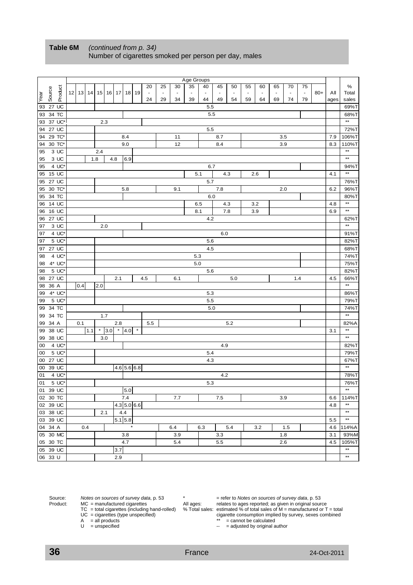|          |                       |                  |                          |       |     |         |     |                 |               |         |                |                |                | Age Groups |                |                |                      |    |                |                |               |                |       |      |                 |
|----------|-----------------------|------------------|--------------------------|-------|-----|---------|-----|-----------------|---------------|---------|----------------|----------------|----------------|------------|----------------|----------------|----------------------|----|----------------|----------------|---------------|----------------|-------|------|-----------------|
|          |                       |                  |                          |       |     |         |     |                 |               |         | 20             | 25             | 30             | 35         | 40             | 45             | 50                   | 55 | 60             | 65             | 70            | 75             |       |      | ℅               |
|          | Source                | Product          | $12$ 13                  |       | 14  | 15      | 16  | 17 <sup>1</sup> | 18            | 19      | $\blacksquare$ | $\blacksquare$ | $\blacksquare$ |            | $\blacksquare$ | $\blacksquare$ | $\ddot{\phantom{0}}$ | ٠  | $\blacksquare$ | $\blacksquare$ | $\frac{1}{2}$ | $\blacksquare$ | $80+$ | Αll  | Total           |
| Year     |                       |                  |                          |       |     |         |     |                 |               |         | 24             | 29             | 34             | 39         | 44             | 49             | 54                   | 59 | 64             | 69             | 74            | 79             |       | ages | sales           |
|          | 93 27 UC              |                  |                          |       |     |         |     |                 |               |         |                |                |                |            | 5.5            |                |                      |    |                |                |               |                |       |      | 69%T            |
| 93       | 34 TC                 |                  |                          |       |     |         |     |                 |               |         |                |                |                |            | 5.5            |                |                      |    |                |                |               |                |       |      | 68%T            |
| 93       |                       | 37 UC*           |                          |       |     | 2.3     |     |                 |               |         |                |                |                |            |                |                |                      |    |                |                |               |                |       |      | $\star\star$    |
| 94       | 27 UC                 |                  |                          |       |     |         |     |                 |               |         |                |                |                |            | $5.5\,$        |                |                      |    |                |                |               |                |       |      | 72%T            |
| 94       |                       | 29 TC*           |                          |       |     |         |     |                 | 8.4           |         |                |                | 11             |            |                | 8.7            |                      |    |                |                | 3.5           |                |       | 7.9  | 106%T           |
| 94       | 30 TC*                |                  |                          |       |     |         |     |                 | 9.0           |         |                |                | 12             |            |                | 8.4            |                      |    |                |                | 3.9           |                |       | 8.3  | 110%T           |
| 95       |                       | 3 UC             |                          |       |     | 2.4     |     |                 |               |         |                |                |                |            |                |                |                      |    |                |                |               |                |       |      | $\star\star$    |
| 95       |                       | 3 UC             |                          |       | 1.8 |         |     | 4.8             | 6.9           |         |                |                |                |            |                |                |                      |    |                |                |               |                |       |      | $\star\star$    |
| 95       |                       | 4 UC*            |                          |       |     |         |     |                 |               |         |                |                |                |            | 6.7            |                |                      |    |                |                |               |                |       |      | 94%T            |
| 95       | 15 UC                 |                  |                          |       |     |         |     |                 |               |         |                |                |                |            | 5.1            |                | 4.3                  |    | 2.6            |                |               |                |       | 4.1  | $**$            |
| 95       | 27 UC                 |                  |                          |       |     |         |     |                 |               |         |                |                |                |            | 5.7            |                |                      |    |                |                |               |                |       |      | 76%T            |
| 95       | 30 TC*                |                  |                          |       |     |         |     |                 | 5.8           |         |                |                | 9.1            |            |                | 7.8            |                      |    |                |                | 2.0           |                |       | 6.2  | 96%T            |
| 95       | 34 TC                 |                  |                          |       |     |         |     |                 |               |         |                |                |                |            | 6.0            |                |                      |    |                |                |               |                |       |      | 80%T            |
| 96       | 14 UC                 |                  |                          |       |     |         |     |                 |               |         |                |                |                |            | 6.5            |                | 4.3                  |    | 3.2            |                |               |                |       | 4.8  | $**$            |
| 96       | 16 UC                 |                  |                          |       |     |         |     |                 |               |         |                |                |                |            | 8.1            |                | 7.8                  |    | 3.9            |                |               |                |       | 6.9  | $**$            |
| 96       | 27 UC                 |                  |                          |       |     |         |     |                 |               |         |                |                |                |            | 4.2            |                |                      |    |                |                |               |                |       |      | 62%T<br>$**$    |
| 97       |                       | 3 UC             |                          |       |     | 2.0     |     |                 |               |         |                |                |                |            |                |                |                      |    |                |                |               |                |       |      |                 |
| 97       |                       | 4 UC*            |                          |       |     |         |     |                 |               |         |                |                |                |            |                | 6.0            |                      |    |                |                |               |                |       |      | 91%T            |
| 97       |                       | 5 UC*            |                          |       |     |         |     |                 |               |         |                |                |                |            | 5.6            |                |                      |    |                |                |               |                |       |      | 82%T            |
| 97       | 27 UC                 |                  | 4.5<br>5.3               |       |     |         |     |                 |               |         |                |                |                |            |                |                |                      |    |                |                |               |                |       |      | 68%T            |
| 98       |                       | 4 UC*            |                          |       |     |         |     |                 |               |         |                |                |                |            |                |                |                      |    |                |                |               |                |       |      | 74%T            |
| 98       |                       | 4* UC*<br>5 UC*  |                          |       |     |         |     |                 |               |         |                |                |                |            | 5.0            |                |                      |    |                |                |               |                |       |      | 75%T            |
| 98       |                       |                  |                          |       |     |         |     | 2.1             |               |         |                |                |                |            | 5.6            |                | 5.0                  |    |                |                |               |                |       | 4.5  | 82%T            |
| 98       | 27 UC<br>36 A         |                  |                          | 0.4   |     | 2.0     |     |                 |               |         | 4.5            |                | 6.1            |            |                |                |                      |    |                |                |               | 1.4            |       |      | 66%T<br>$**$    |
| 98<br>99 |                       | 4* UC*           |                          |       |     |         |     |                 |               |         |                |                |                |            | 5.3            |                |                      |    |                |                |               |                |       |      | 86%T            |
| 99       |                       | 5 UC*            |                          |       |     |         |     |                 |               |         |                |                |                |            | 5.5            |                |                      |    |                |                |               |                |       |      | 79%T            |
| 99       | 34 TC                 |                  |                          |       |     |         |     |                 |               |         |                |                |                |            | 5.0            |                |                      |    |                |                |               |                |       |      | 74%T            |
| 99       | 34 TC                 |                  |                          |       |     | $1.7$   |     |                 |               |         |                |                |                |            |                |                |                      |    |                |                |               |                |       |      | **              |
|          | 99 34 A               |                  |                          | 0.1   |     |         |     | 2.8             |               |         | 5.5            |                |                |            |                |                | 5.2                  |    |                |                |               |                |       |      | 82%A            |
| 99       | 38 UC                 |                  |                          | $1.1$ |     | $\star$ | 3.0 | $\star$         | 4.0           | $\star$ |                |                |                |            |                |                |                      |    |                |                |               |                |       | 3.1  | $^{\star\star}$ |
| 99       | 38 UC                 |                  |                          |       |     | 3.0     |     |                 |               |         |                |                |                |            |                |                |                      |    |                |                |               |                |       |      | $\star\star$    |
| 00       |                       | 4 UC*            |                          |       |     |         |     |                 |               |         |                |                |                |            |                | 4.9            |                      |    |                |                |               |                |       |      | 82%T            |
| 00       |                       | 5 UC*            |                          |       |     |         |     |                 |               |         |                |                |                |            | 5.4            |                |                      |    |                |                |               |                |       |      | 79%T            |
| 00       | 27 UC                 |                  |                          |       |     |         |     |                 |               |         |                |                |                |            | 4.3            |                |                      |    |                |                |               |                |       |      | 67%T            |
| 00       | 39 UC                 |                  |                          |       |     |         |     |                 | $4.6$ 5.6 6.8 |         |                |                |                |            |                |                |                      |    |                |                |               |                |       |      | $\star\star$    |
| 01       |                       | $4 \text{ UC}^*$ |                          |       |     |         |     |                 |               |         |                |                |                |            |                | 4.2            |                      |    |                |                |               |                |       |      | 78%T            |
| 01       |                       | $5 \text{ UC}^*$ |                          |       |     |         |     |                 |               |         |                |                |                |            | 5.3            |                |                      |    |                |                |               |                |       |      | 76%T            |
|          | $\overline{01}$ 39 UC |                  |                          |       |     |         |     |                 | 5.0           |         |                |                |                |            |                |                |                      |    |                |                |               |                |       |      | $^{\star\star}$ |
|          | 02 30 TC              |                  |                          |       |     |         |     |                 | 7.4           |         |                |                | 7.7            |            |                | 7.5            |                      |    |                |                | 3.9           |                |       | 6.6  | 114%T           |
|          | 02 39 UC              |                  |                          |       |     |         |     |                 | $4.3$ 5.0 6.6 |         |                |                |                |            |                |                |                      |    |                |                |               |                |       | 4.8  | $\star\star$    |
|          | 03 38 UC              |                  | 2.1<br>4.4               |       |     |         |     |                 |               |         |                |                |                |            |                |                |                      |    | $\star\star$   |                |               |                |       |      |                 |
|          | 03 39 UC              |                  |                          |       |     |         |     |                 | $5.1$ 5.8     |         |                |                |                |            |                |                |                      |    |                |                |               |                |       | 5.5  | $^{\star\star}$ |
|          | 04 34 A               |                  |                          | 0.4   |     |         |     |                 | $\star$       |         |                |                | 6.4            |            | 6.3            |                | 5.4                  |    | 3.2            |                | 1.5           |                |       | 4.6  | 114%A           |
|          | 05 30 MC              |                  |                          |       |     |         |     |                 | 3.8           |         |                |                | 3.9            |            |                | 3.3            |                      |    |                |                | 1.8           |                |       | 3.1  | 93%M            |
|          | 05 30 TC              |                  | 4.7<br>5.4<br>5.5<br>2.6 |       |     |         |     |                 |               |         |                |                |                |            | 4.5            | 105%T          |                      |    |                |                |               |                |       |      |                 |
|          | 05 39 UC              |                  |                          |       |     |         |     |                 |               |         |                |                |                |            |                |                |                      |    |                |                |               |                |       |      | $\star\star$    |
|          | 06 33 U               |                  | 3.7<br>2.9               |       |     |         |     |                 |               |         |                |                |                |            |                |                |                      |    |                |                |               |                |       |      | $\star\star$    |

#### **Table 6M** *(continued from p. 34)*  Number of cigarettes smoked per person per day, males

Source: *Notes on sources of survey data*, p. 53 \* = refer to *Notes on sources of survey data*, p. 53 Product: MC = manufactured cigarettes All ages: relates to ages reported; as given in original source TC = total cigarettes (including hand-rolled) % Total sales: estimated % of total sales of M = manufactured or T = total

Uniquentity of type uniqueness ( $\alpha$ ) is determined by survey, sexes combined<br>  $\alpha$  = cannot be calculated<br>  $\alpha$  = adjusted by original author  $A = all$  products  $A = 1$  = cannot be calculated

U = unspecified  $\Box$  = adjusted by original author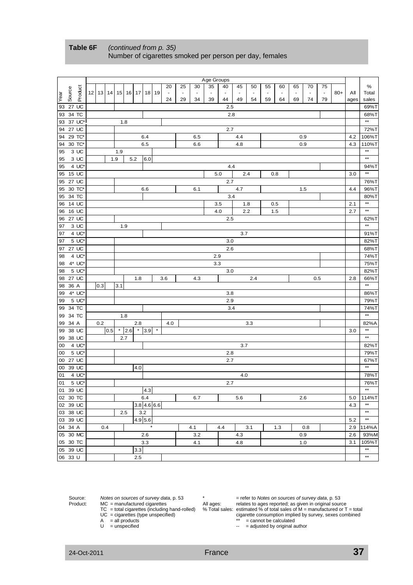|      |          |                       |     |          |     |         |         |                               |              |                |                |                | Age Groups |                |                |     |                          |                |    |                |        |       |      |                 |
|------|----------|-----------------------|-----|----------|-----|---------|---------|-------------------------------|--------------|----------------|----------------|----------------|------------|----------------|----------------|-----|--------------------------|----------------|----|----------------|--------|-------|------|-----------------|
|      |          |                       |     |          |     |         |         |                               |              | 20             | 25             | 30             | 35         | 40             | 45             | 50  | 55                       | 60             | 65 | 70             | 75     |       |      | %               |
| Year | Source   | Product               |     | 12 13 14 | 15  | 16      | 17      |                               | 18 19        | $\blacksquare$ | $\blacksquare$ | $\blacksquare$ | ä,         | $\blacksquare$ | $\blacksquare$ |     | $\overline{\phantom{a}}$ | $\blacksquare$ | ÷, | $\blacksquare$ | $\Box$ | $80+$ | ΑIΙ  | Total           |
|      |          |                       |     |          |     |         |         |                               |              | 24             | 29             | 34             | 39         | 44             | 49             | 54  | 59                       | 64             | 69 | 74             | 79     |       | ages | sales           |
| 93   |          | 27 UC                 |     |          |     |         |         |                               |              |                |                |                |            | 2.5            |                |     |                          |                |    |                |        |       |      | 69%T            |
| 93   | 34 TC    |                       |     |          |     |         |         |                               |              |                |                |                |            | 2.8            |                |     |                          |                |    |                |        |       |      | 68%T            |
| 93   |          | 37 UC*                |     |          |     | 1.8     |         |                               |              |                |                |                |            |                |                |     |                          |                |    |                |        |       |      | $\star\star$    |
| 94   |          | 27 UC                 |     |          |     |         |         |                               |              |                |                |                |            | 2.7            |                |     |                          |                |    |                |        |       |      | 72%T            |
| 94   |          | 29 TC*                |     |          |     |         |         | 6.4                           |              |                |                | 6.5            |            |                | 4.4            |     |                          |                |    | 0.9            |        |       | 4.2  | 106%T           |
| 94   |          | 30 TC*                |     |          |     |         |         | 6.5                           |              |                |                | 6.6            |            |                | 4.8            |     |                          |                |    | 0.9            |        |       | 4.3  | 110%T           |
| 95   |          | 3 UC                  |     |          | 1.9 |         |         |                               |              |                |                |                |            |                |                |     |                          |                |    |                |        |       |      | $^{\star\star}$ |
| 95   |          | 3 UC                  |     |          | 1.9 |         | 5.2     | 6.0                           |              |                |                |                |            |                |                |     |                          |                |    |                |        |       |      | $\star\star$    |
| 95   |          | 4 UC*                 |     |          |     |         |         |                               |              |                |                |                |            | 4.4            |                |     |                          |                |    |                |        |       |      | 94%T            |
| 95   |          | 15 UC                 |     |          |     |         |         |                               |              |                |                |                |            | 5.0            |                | 2.4 |                          | 0.8            |    |                |        |       | 3.0  | $\star\star$    |
| 95   |          | 27 UC                 |     |          |     |         |         |                               |              |                |                |                |            | 2.7            |                |     |                          |                |    |                |        |       |      | 76%T            |
| 95   |          | 30 TC*                |     |          |     |         |         | 6.6                           |              |                |                | 6.1            |            |                | 4.7            |     |                          |                |    | 1.5            |        |       | 4.4  | 96%T            |
| 95   |          | 34 TC                 |     |          |     |         |         |                               |              |                |                |                |            | 3.4            |                |     |                          |                |    |                |        |       |      | 80%T            |
| 96   | 14 UC    |                       |     |          |     |         |         |                               |              |                |                |                |            | 3.5            |                | 1.8 |                          | 0.5            |    |                |        |       | 2.1  | $^{\star\star}$ |
| 96   |          | 16 UC                 |     |          |     |         |         |                               |              |                |                |                |            | 4.0            |                | 2.2 |                          | 1.5            |    |                |        |       | 2.7  | $\star\star$    |
| 96   |          | 27 UC                 |     |          |     |         |         |                               |              |                |                |                |            | 2.5            |                |     |                          |                |    |                |        |       |      | 62%T            |
| 97   |          | $3\text{ UC}$         |     |          |     | 1.9     |         |                               |              |                |                |                |            |                |                |     |                          |                |    |                |        |       |      | $\star\star$    |
| 97   |          | 4 UC*                 |     |          |     |         |         |                               |              |                |                |                |            |                | 3.7            |     |                          |                |    |                |        |       |      | 91%T            |
| 97   |          | 5 UC*                 |     |          |     |         |         |                               |              |                |                |                |            | 3.0            |                |     |                          |                |    |                |        |       |      | 82%T            |
| 97   |          | 27 UC                 |     |          |     |         |         |                               |              |                |                |                |            | 2.6            |                |     |                          |                |    |                |        |       |      | 68%T            |
| 98   |          | 4 UC*                 |     |          |     |         |         |                               |              |                |                |                | 2.9        |                |                |     |                          |                |    |                |        |       |      | 74%T            |
| 98   |          | 4* UC*                |     |          |     |         |         |                               |              |                |                |                | 3.3        |                |                |     |                          |                |    |                |        |       |      | 75%T            |
| 98   |          | 5 UC*                 |     |          |     |         |         |                               |              |                |                |                |            | 3.0            |                |     |                          |                |    |                |        |       |      | 82%T            |
| 98   |          | 27 UC                 |     |          |     |         | 1.8     |                               |              | 3.6            |                | 4.3            |            |                |                | 2.4 |                          |                |    |                | 0.5    |       | 2.8  | 66%T            |
| 98   | 36 A     |                       | 0.3 |          | 3.1 |         |         |                               |              |                |                |                |            |                |                |     |                          |                |    |                |        |       |      | $\overline{**}$ |
| 99   |          | $4^*$ UC <sup>*</sup> |     |          |     |         |         |                               |              |                |                |                |            | 3.8            |                |     |                          |                |    |                |        |       |      | 86%T            |
| 99   |          | 5 UC*                 |     |          |     |         |         |                               |              |                |                |                |            | 2.9            |                |     |                          |                |    |                |        |       |      | 79%T            |
| 99   |          | 34 TC                 |     |          |     |         |         |                               |              |                |                |                |            | 3.4            |                |     |                          |                |    |                |        |       |      | 74%T            |
| 99   |          | 34 TC                 |     |          |     | 1.8     |         |                               |              |                |                |                |            |                |                |     |                          |                |    |                |        |       |      | $\star\star$    |
| 99   | 34 A     |                       | 0.2 |          |     |         | $2.8\,$ |                               |              | 4.0            |                |                |            |                |                | 3.3 |                          |                |    |                |        |       |      | 82%A            |
| 99   |          | 38 UC                 |     | 0.5      |     | $*$ 2.6 |         | $\overline{\phantom{0}1}$ 3.9 | $\pmb{\ast}$ |                |                |                |            |                |                |     |                          |                |    |                |        |       | 3.0  | $^{\star\star}$ |
| 99   |          | 38 UC                 |     |          |     | 2.7     |         |                               |              |                |                |                |            |                |                |     |                          |                |    |                |        |       |      | $^{\star\star}$ |
| 00   |          | 4 UC*                 |     |          |     |         |         |                               |              |                |                |                |            |                | 3.7            |     |                          |                |    |                |        |       |      | 82%T            |
| 00   |          | 5 UC*                 |     |          |     |         |         |                               |              |                |                |                |            | 2.8            |                |     |                          |                |    |                |        |       |      | 79%T            |
| 00   |          | 27 UC                 |     |          |     |         |         |                               |              |                |                |                |            | 2.7            |                |     |                          |                |    |                |        |       |      | 67%T            |
| 00   |          | 39 UC                 |     |          |     |         | 4.0     |                               |              |                |                |                |            |                |                |     |                          |                |    |                |        |       |      | **              |
| 01   |          | 4 UC*                 |     |          |     |         |         |                               |              |                |                |                |            |                | 4.0            |     |                          |                |    |                |        |       |      | 78%T            |
| 01   |          | $5 \text{ UC}^*$      |     |          |     |         |         |                               |              |                |                |                |            | 2.7            |                |     |                          |                |    |                |        |       |      | 76%T            |
|      | 01 39 UC |                       |     |          |     |         |         | 4.3                           |              |                |                |                |            |                |                |     |                          |                |    |                |        |       |      | $\star\star$    |
|      | 02 30 TC |                       |     |          |     |         |         | 6.4                           |              |                |                | 6.7            |            |                | 5.6            |     |                          |                |    | 2.6            |        |       | 5.0  | 114%T           |
|      | 02 39 UC |                       |     |          |     |         |         | $3.8$ 4.6 6.6                 |              |                |                |                |            |                |                |     |                          |                |    |                |        |       | 4.3  | $\star\star$    |
|      | 03 38 UC |                       |     |          |     | 2.5     |         | 3.2                           |              |                |                |                |            |                |                |     |                          |                |    |                |        |       |      | $^{\star\star}$ |
|      | 03 39 UC |                       |     |          |     |         |         | 4.9 5.6                       |              |                |                |                |            |                |                |     |                          |                |    |                |        |       | 5.2  | $\star\star$    |
|      | 04 34 A  |                       |     | 0.4      |     |         |         |                               |              |                |                | 4.1            |            | 4.4            |                | 3.1 |                          | 1.3            |    | 0.8            |        |       | 2.9  | 114%A           |
|      | 05 30 MC |                       |     |          |     |         |         | 2.6                           |              |                |                | 3.2            |            |                | 4.3            |     |                          |                |    | 0.9            |        |       | 2.6  | 93%M            |
|      | 05 30 TC |                       |     |          |     |         |         | 3.3                           |              |                |                | 4.1            |            |                | 4.8            |     |                          |                |    | 1.0            |        |       | 3.1  | 105%T           |
|      | 05 39 UC |                       |     |          |     |         | 3.3     |                               |              |                |                |                |            |                |                |     |                          |                |    |                |        |       |      | $^{\star\star}$ |
|      | 06 33 U  |                       |     |          |     |         | 2.5     |                               |              |                |                |                |            |                |                |     |                          |                |    |                |        |       |      | $\star\star$    |

## **Table 6F** *(continued from p. 35)* Number of cigarettes smoked per person per day, females

- 
- 
- 
- 

Source: *Notes on sources of survey data*, p. 53  $\qquad$   $\qquad$  = refer to *Notes on sources of survey data*, p. 53 Product: MC = manufactured cigarettes All ages: relates to ages reported; as given in original source TC = total cigarettes (including hand-rolled) % Total sales: estimated % of total sales of M = manufactured or T = total Cigarette consumption implied by survey, sexes combined<br> $\frac{1}{2}$ <br> $\frac{1}{2}$ <br> $\frac{1}{2}$  = cannot be calculated<br> $\frac{1}{2}$  = adjusted by original author

- $A = all$  products  $A = 1$  = cannot be calculated
- $U =$  unspecified  $U =$  = and  $U =$  = adjusted by original author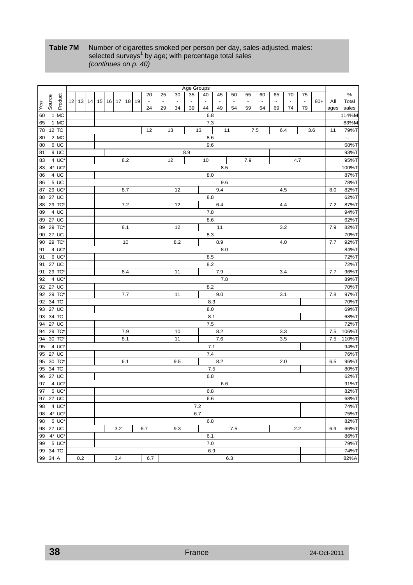## **Table 7M** Number of cigarettes smoked per person per day, sales-adjusted, males: selected surveys<sup>1</sup> by age; with percentage total sales *(continues on p. 40)*

|      |           |         |                 |                   |                 |                 |    |                 |     |    |                |                          |                          | Age Groups     |                |                     |                      |                |                |        |                          |                          |       |      |                  |
|------|-----------|---------|-----------------|-------------------|-----------------|-----------------|----|-----------------|-----|----|----------------|--------------------------|--------------------------|----------------|----------------|---------------------|----------------------|----------------|----------------|--------|--------------------------|--------------------------|-------|------|------------------|
|      |           |         |                 |                   |                 |                 |    |                 |     |    | 20             | 25                       | 30                       | 35             | 40             | 45                  | 50                   | 55             | 60             | 65     | 70                       | 75                       |       |      | $\%$             |
|      | Source    | Product | 12 <sub>1</sub> | 13                | 14 <sup>1</sup> | 15 <sup>1</sup> | 16 | 17 <sup>1</sup> | 18  | 19 | $\blacksquare$ | $\overline{\phantom{a}}$ | $\overline{\phantom{a}}$ | $\blacksquare$ | $\blacksquare$ | $\bar{\phantom{a}}$ | $\ddot{\phantom{0}}$ | $\blacksquare$ | $\blacksquare$ | $\sim$ | $\overline{\phantom{a}}$ | $\overline{\phantom{a}}$ | $80+$ | Αll  | Total            |
| Year |           |         |                 |                   |                 |                 |    |                 |     |    | 24             | 29                       | 34                       | 39             | 44             | 49                  | 54                   | 59             | 64             | 69     | 74                       | 79                       |       | ages | sales            |
| 60   |           | 1 MC    |                 |                   |                 |                 |    |                 |     |    |                |                          |                          |                | 6.8            |                     |                      |                |                |        |                          |                          |       |      | 114%M            |
| 65   |           | 1 MC    |                 |                   |                 |                 |    |                 |     |    |                |                          |                          |                | 7.3            |                     |                      |                |                |        |                          |                          |       |      | 83%M             |
| 78   | 12 TC     |         |                 |                   |                 |                 |    |                 |     |    | 12             |                          | 13                       |                | 13             |                     | 11                   |                | 7.5            |        | 6.4                      |                          | 3.6   | 11   | 79%T             |
| 80   |           | 2 MC    |                 |                   |                 |                 |    |                 |     |    |                |                          |                          |                | 8.6            |                     |                      |                |                |        |                          |                          |       |      | $\omega_{\rm m}$ |
| 80   |           | 6 UC    |                 |                   |                 |                 |    |                 |     |    |                |                          |                          |                | 9.6            |                     |                      |                |                |        |                          |                          |       |      | 68%T             |
|      |           | 9 UC    |                 |                   |                 |                 |    |                 |     |    |                |                          |                          |                |                |                     |                      |                |                |        |                          |                          |       |      | 93%T             |
| 81   |           |         |                 |                   |                 |                 |    |                 |     |    |                |                          |                          | 8.9            |                |                     |                      |                |                |        |                          |                          |       |      |                  |
| 83   |           | 4 UC*   |                 |                   |                 |                 |    |                 | 8.2 |    |                |                          | 12                       |                | 10             |                     |                      | 7.9            |                |        |                          | 4.7                      |       |      | 95%T             |
| 83   |           | 4* UC*  |                 |                   |                 |                 |    |                 |     |    |                |                          |                          |                |                | 8.5                 |                      |                |                |        |                          |                          |       |      | 100%T            |
| 86   |           | 4 UC    |                 |                   |                 |                 |    |                 |     |    |                |                          |                          |                | 8.0            |                     |                      |                |                |        |                          |                          |       |      | 87%T             |
| 86   |           | 5 UC    |                 |                   |                 |                 |    |                 |     |    |                |                          |                          |                |                | 9.6                 |                      |                |                |        |                          |                          |       |      | 78%T             |
| 87   | 29 UC     |         |                 |                   |                 |                 |    |                 | 8.7 |    |                |                          | 12                       |                |                | 9.4                 |                      |                |                |        | 4.5                      |                          |       | 8.0  | 82%T             |
| 88   | 27 UC     |         |                 |                   |                 |                 |    |                 |     |    |                |                          |                          |                | 8.8            |                     |                      |                |                |        |                          |                          |       |      | 62%T             |
| 88   | 29 TC*    |         |                 |                   |                 |                 |    |                 | 7.2 |    |                |                          | 12                       |                |                | 6.4                 |                      |                |                |        | 4.4                      |                          |       | 7.2  | 87%T             |
| 89   |           | 4 UC    |                 |                   |                 |                 |    |                 |     |    |                |                          |                          |                | 7.8            |                     |                      |                |                |        |                          |                          |       |      | 94%T             |
| 89   | 27 UC     |         |                 |                   |                 |                 |    |                 |     |    |                |                          |                          |                | 8.6            |                     |                      |                |                |        |                          |                          |       |      | 62%T             |
| 89   | 29 TC*    |         |                 |                   |                 |                 |    |                 | 8.1 |    |                |                          | 12                       |                |                | 11                  |                      |                |                |        | 3.2                      |                          |       | 7.9  | 82%T             |
| 90   | 27 UC     |         |                 |                   |                 |                 |    |                 |     |    |                |                          |                          |                | 8.3            |                     |                      |                |                |        |                          |                          |       |      | 70%T             |
| 90   | 29 TC*    |         |                 |                   |                 | 10              |    |                 |     |    |                |                          | 8.2                      |                |                | 8.9                 |                      |                |                |        | 4.0                      |                          |       | 7.7  | 92%T             |
| 91   |           | 4 UC*   |                 |                   |                 |                 |    |                 |     |    |                |                          |                          |                |                | 8.0                 |                      |                |                |        |                          |                          |       |      | 84%T             |
| 91   |           | 6 UC*   |                 |                   |                 |                 |    |                 |     |    |                |                          |                          |                | 8.5            |                     |                      |                |                |        |                          |                          |       |      | 72%T             |
| 91   | 27 UC     |         |                 |                   |                 |                 |    |                 |     |    |                |                          |                          |                | $8.2\,$        |                     |                      |                |                |        |                          |                          |       |      | 72%T             |
| 91   | 29 TC*    |         |                 |                   |                 |                 |    |                 | 8.4 |    |                |                          | 11                       |                |                | 7.9                 |                      |                |                |        | 3.4                      |                          |       | 7.7  | 96%T             |
| 92   |           | 4 UC*   |                 |                   |                 |                 |    |                 |     |    |                |                          |                          |                |                | 7.8                 |                      |                |                |        |                          |                          |       |      | 89%T             |
|      | 92 27 UC  |         |                 |                   |                 |                 |    |                 |     |    |                |                          |                          |                | $8.2\,$        |                     |                      |                |                |        |                          |                          |       |      | 70%T             |
| 92   | 29 TC*    |         |                 |                   |                 |                 |    |                 | 7.7 |    |                |                          | 11                       |                |                | 9.0                 |                      |                |                |        | 3.1                      |                          |       | 7.8  | 97%T             |
| 92   | 34 TC     |         |                 |                   |                 |                 |    |                 |     |    |                |                          |                          |                | 8.3            |                     |                      |                |                |        |                          |                          |       |      | 70%T             |
| 93   | 27 UC     |         |                 |                   |                 |                 |    |                 |     |    |                |                          |                          |                | 8.0            |                     |                      |                |                |        |                          |                          |       |      | 69%T             |
| 93   | 34 TC     |         |                 |                   |                 |                 |    |                 |     |    |                |                          |                          |                | 8.1            |                     |                      |                |                |        |                          |                          |       |      | 68%T             |
|      | 94 27 UC  |         |                 |                   |                 |                 |    |                 |     |    |                |                          |                          |                | $7.5\,$        |                     |                      |                |                |        |                          |                          |       |      | 72%T             |
| 94   | 29 TC*    |         |                 |                   |                 |                 |    |                 |     |    |                |                          |                          |                |                | 8.2                 |                      |                |                |        |                          |                          |       | 7.5  | 106%T            |
|      |           |         |                 |                   |                 |                 |    |                 | 7.9 |    |                |                          | 10                       |                |                |                     |                      |                |                |        | 3.3                      |                          |       |      |                  |
| 94   | 30 TC*    |         |                 |                   |                 |                 |    |                 | 8.1 |    |                |                          | 11                       |                |                | 7.6                 |                      |                |                |        | 3.5                      |                          |       | 7.5  | 110%T            |
| 95   |           | 4 UC'   |                 |                   |                 |                 |    |                 |     |    |                |                          |                          |                | 7.1            |                     |                      |                |                |        |                          |                          |       |      | 94%T             |
| 95   | 27 UC     |         |                 |                   |                 |                 |    |                 |     |    |                |                          |                          |                | 7.4            |                     |                      |                |                |        |                          |                          |       |      | 76%T             |
| 95   | 30 TC*    |         |                 |                   |                 |                 |    |                 | 6.1 |    |                |                          | 9.5                      |                |                | 8.2                 |                      |                |                |        | 2.0                      |                          |       | 6.5  | 96%T             |
| 95   | 34 TC     |         |                 |                   |                 |                 |    |                 |     |    |                |                          |                          |                | 7.5            |                     |                      |                |                |        |                          |                          |       |      | 80%T             |
| 96   | 27 UC     |         |                 |                   |                 |                 |    |                 |     |    |                |                          |                          |                | 6.8            |                     |                      |                |                |        |                          |                          |       |      | 62%T             |
| 97   |           | 4 UC    |                 |                   |                 |                 |    |                 |     |    |                |                          |                          |                |                | 6.6                 |                      |                |                |        |                          |                          |       |      | 91%T             |
| 97   |           | 5 UC*   |                 |                   |                 |                 |    |                 |     |    |                |                          |                          |                | 6.8            |                     |                      |                |                |        |                          |                          |       |      | 82%T             |
|      | 97 27 UC  |         |                 |                   |                 |                 |    |                 |     |    |                |                          |                          |                | 6.6            |                     |                      |                |                |        |                          |                          |       |      | 68%T             |
| 98   | 4 UC'     |         |                 |                   |                 |                 |    |                 |     |    |                |                          |                          | 7.2            |                |                     |                      |                |                |        |                          |                          |       |      | 74%T             |
|      | 98 4* UC* |         |                 |                   |                 |                 |    |                 |     |    |                |                          |                          | 6.7            |                |                     |                      |                |                |        |                          |                          |       |      | 75%T             |
|      | 98 5 UC*  |         |                 |                   |                 |                 |    |                 |     |    |                |                          |                          |                | 6.8            |                     |                      |                |                |        |                          |                          |       |      | 82%T             |
|      | 98 27 UC  |         |                 |                   |                 |                 |    | 3.2             |     |    | 6.7            |                          | 9.3                      |                |                |                     | 7.5                  |                |                |        |                          | 2.2                      |       | 6.9  | 66%T             |
|      | 99 4* UC* |         |                 |                   |                 |                 |    |                 |     |    |                |                          |                          |                | 6.1            |                     |                      |                |                |        |                          |                          |       |      | 86%T             |
|      | 99 5 UC*  |         |                 |                   |                 |                 |    |                 |     |    |                |                          |                          |                | 7.0            |                     |                      |                |                |        |                          |                          |       |      | 79%T             |
|      | 99 34 TC  |         |                 |                   |                 |                 |    |                 |     |    |                |                          |                          |                | 6.9            |                     |                      |                |                |        |                          |                          |       |      | 74%T             |
|      | 99 34 A   |         |                 | 0.2<br>3.4<br>6.7 |                 |                 |    |                 |     |    |                |                          |                          |                |                |                     | 6.3                  |                |                |        |                          |                          |       |      | 82%A             |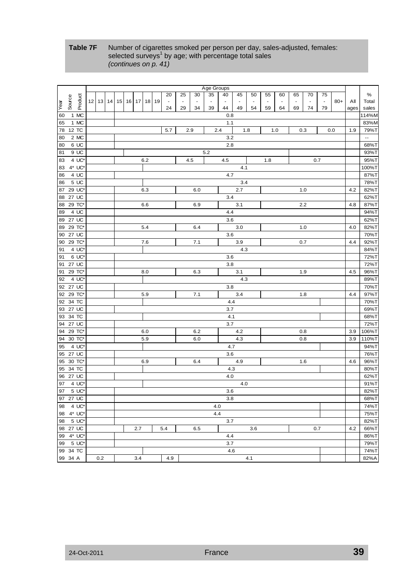## **Table 7F** Number of cigarettes smoked per person per day, sales-adjusted, females: selected surveys<sup>1</sup> by age; with percentage total sales *(continues on p. 41)*

| $\%$<br>35<br>20<br>25<br>30<br>40<br>45<br>50<br>55<br>60<br>65<br>70<br>75<br>Product<br>Source<br>12<br>Year<br>13<br>14<br>15<br>$16$ 17<br>18<br>19<br>$\blacksquare$<br>$\tilde{\phantom{a}}$<br>$\blacksquare$<br>$80+$<br>Αll<br>$\blacksquare$<br>$\blacksquare$<br>$\blacksquare$<br>$\blacksquare$<br>$\sim$<br>÷,<br>$\sim$<br>$\sim$<br>$\sim$<br>39<br>49<br>79<br>24<br>29<br>34<br>44<br>54<br>59<br>64<br>74<br>69<br>ages<br>1 MC<br>60<br>0.8<br>1 MC<br>1.1<br>65<br>12 TC<br>5.7<br>1.8<br>78<br>2.9<br>2.4<br>0.3<br>0.0<br>1.9<br>1.0<br>2 MC<br>$\ddotsc$<br>80<br>3.2<br>6 UC<br>2.8<br>80<br>9 UC<br>81<br>5.2<br>4 UC*<br>83<br>6.2<br>4.5<br>4.5<br>1.8<br>0.7<br>4* UC'<br>100%T<br>83<br>4.1<br>4.7<br>87%T<br>86<br>4 UC<br>3.4<br>78%T<br>5 UC<br>86<br>29 UC'<br>2.7<br>1.0<br>4.2<br>82%T<br>87<br>6.3<br>6.0<br>62%T<br>27 UC<br>3.4<br>88<br>29 TC*<br>6.6<br>6.9<br>3.1<br>87%T<br>88<br>2.2<br>4.8<br>4 UC<br>4.4<br>94%T<br>89<br>27 UC<br>3.6<br>62%T<br>89<br>3.0<br>29 TC*<br>5.4<br>1.0<br>82%T<br>89<br>6.4<br>4.0<br>27 UC<br>70%T<br>90<br>3.6<br>29 TC*<br>7.6<br>7.1<br>3.9<br>92%T<br>90<br>0.7<br>4.4<br>4 UC'<br>4.3<br>84%T<br>91<br>6 UC*<br>72%T<br>91<br>3.6<br>$3.8\,$<br>72%T<br>27 UC<br>91<br>96%T<br>91<br>29 TC*<br>6.3<br>3.1<br>1.9<br>8.0<br>4.5<br>4 UC*<br>$4.3$<br>89%T<br>92<br>92 27 UC<br>70%T<br>3.8<br>29 TC*<br>3.4<br>5.9<br>7.1<br>1.8<br>97%T<br>92<br>4.4<br>34 TC<br>4.4<br>70%T<br>92<br>27 UC<br>3.7<br>69%T<br>93<br>4.1<br>93 34 TC<br>$3.7\,$<br>27 UC<br>94<br>29 TC*<br>6.0<br>6.2<br>4.2<br>0.8<br>94<br>3.9<br>30 TC*<br>5.9<br>4.3<br>3.9<br>94<br>6.0<br>0.8<br>4 UC*<br>95<br>4.7<br>$3.6\,$<br>95 27 UC<br>30 TC*<br>4.9<br>6.9<br>6.4<br>1.6<br>95<br>4.6<br>4.3<br>34 TC<br>95<br>27 UC<br>4.0<br>96<br>4 UC*<br>4.0<br>97<br>5 UC*<br>97<br>3.6<br>97 27 UC<br>3.8<br>98 4 UC*<br>4.0<br>98 4* UC*<br>4.4<br>98 5 UC*<br>3.7 |  |  |  | Age Groups |  |  |  |  |  |  |  |  |  |  |  |      |  |  |       |
|----------------------------------------------------------------------------------------------------------------------------------------------------------------------------------------------------------------------------------------------------------------------------------------------------------------------------------------------------------------------------------------------------------------------------------------------------------------------------------------------------------------------------------------------------------------------------------------------------------------------------------------------------------------------------------------------------------------------------------------------------------------------------------------------------------------------------------------------------------------------------------------------------------------------------------------------------------------------------------------------------------------------------------------------------------------------------------------------------------------------------------------------------------------------------------------------------------------------------------------------------------------------------------------------------------------------------------------------------------------------------------------------------------------------------------------------------------------------------------------------------------------------------------------------------------------------------------------------------------------------------------------------------------------------------------------------------------------------------------------------------------------------------------------------------------------------------------------------------------------------------------------------------------------------------|--|--|--|------------|--|--|--|--|--|--|--|--|--|--|--|------|--|--|-------|
|                                                                                                                                                                                                                                                                                                                                                                                                                                                                                                                                                                                                                                                                                                                                                                                                                                                                                                                                                                                                                                                                                                                                                                                                                                                                                                                                                                                                                                                                                                                                                                                                                                                                                                                                                                                                                                                                                                                            |  |  |  |            |  |  |  |  |  |  |  |  |  |  |  |      |  |  |       |
|                                                                                                                                                                                                                                                                                                                                                                                                                                                                                                                                                                                                                                                                                                                                                                                                                                                                                                                                                                                                                                                                                                                                                                                                                                                                                                                                                                                                                                                                                                                                                                                                                                                                                                                                                                                                                                                                                                                            |  |  |  |            |  |  |  |  |  |  |  |  |  |  |  |      |  |  | Total |
|                                                                                                                                                                                                                                                                                                                                                                                                                                                                                                                                                                                                                                                                                                                                                                                                                                                                                                                                                                                                                                                                                                                                                                                                                                                                                                                                                                                                                                                                                                                                                                                                                                                                                                                                                                                                                                                                                                                            |  |  |  |            |  |  |  |  |  |  |  |  |  |  |  |      |  |  | sales |
|                                                                                                                                                                                                                                                                                                                                                                                                                                                                                                                                                                                                                                                                                                                                                                                                                                                                                                                                                                                                                                                                                                                                                                                                                                                                                                                                                                                                                                                                                                                                                                                                                                                                                                                                                                                                                                                                                                                            |  |  |  |            |  |  |  |  |  |  |  |  |  |  |  |      |  |  | 114%M |
|                                                                                                                                                                                                                                                                                                                                                                                                                                                                                                                                                                                                                                                                                                                                                                                                                                                                                                                                                                                                                                                                                                                                                                                                                                                                                                                                                                                                                                                                                                                                                                                                                                                                                                                                                                                                                                                                                                                            |  |  |  |            |  |  |  |  |  |  |  |  |  |  |  |      |  |  | 83%M  |
|                                                                                                                                                                                                                                                                                                                                                                                                                                                                                                                                                                                                                                                                                                                                                                                                                                                                                                                                                                                                                                                                                                                                                                                                                                                                                                                                                                                                                                                                                                                                                                                                                                                                                                                                                                                                                                                                                                                            |  |  |  |            |  |  |  |  |  |  |  |  |  |  |  |      |  |  | 79%T  |
|                                                                                                                                                                                                                                                                                                                                                                                                                                                                                                                                                                                                                                                                                                                                                                                                                                                                                                                                                                                                                                                                                                                                                                                                                                                                                                                                                                                                                                                                                                                                                                                                                                                                                                                                                                                                                                                                                                                            |  |  |  |            |  |  |  |  |  |  |  |  |  |  |  |      |  |  |       |
|                                                                                                                                                                                                                                                                                                                                                                                                                                                                                                                                                                                                                                                                                                                                                                                                                                                                                                                                                                                                                                                                                                                                                                                                                                                                                                                                                                                                                                                                                                                                                                                                                                                                                                                                                                                                                                                                                                                            |  |  |  |            |  |  |  |  |  |  |  |  |  |  |  |      |  |  | 68%T  |
|                                                                                                                                                                                                                                                                                                                                                                                                                                                                                                                                                                                                                                                                                                                                                                                                                                                                                                                                                                                                                                                                                                                                                                                                                                                                                                                                                                                                                                                                                                                                                                                                                                                                                                                                                                                                                                                                                                                            |  |  |  |            |  |  |  |  |  |  |  |  |  |  |  |      |  |  | 93%T  |
|                                                                                                                                                                                                                                                                                                                                                                                                                                                                                                                                                                                                                                                                                                                                                                                                                                                                                                                                                                                                                                                                                                                                                                                                                                                                                                                                                                                                                                                                                                                                                                                                                                                                                                                                                                                                                                                                                                                            |  |  |  |            |  |  |  |  |  |  |  |  |  |  |  |      |  |  | 95%T  |
|                                                                                                                                                                                                                                                                                                                                                                                                                                                                                                                                                                                                                                                                                                                                                                                                                                                                                                                                                                                                                                                                                                                                                                                                                                                                                                                                                                                                                                                                                                                                                                                                                                                                                                                                                                                                                                                                                                                            |  |  |  |            |  |  |  |  |  |  |  |  |  |  |  |      |  |  |       |
|                                                                                                                                                                                                                                                                                                                                                                                                                                                                                                                                                                                                                                                                                                                                                                                                                                                                                                                                                                                                                                                                                                                                                                                                                                                                                                                                                                                                                                                                                                                                                                                                                                                                                                                                                                                                                                                                                                                            |  |  |  |            |  |  |  |  |  |  |  |  |  |  |  |      |  |  |       |
|                                                                                                                                                                                                                                                                                                                                                                                                                                                                                                                                                                                                                                                                                                                                                                                                                                                                                                                                                                                                                                                                                                                                                                                                                                                                                                                                                                                                                                                                                                                                                                                                                                                                                                                                                                                                                                                                                                                            |  |  |  |            |  |  |  |  |  |  |  |  |  |  |  |      |  |  |       |
|                                                                                                                                                                                                                                                                                                                                                                                                                                                                                                                                                                                                                                                                                                                                                                                                                                                                                                                                                                                                                                                                                                                                                                                                                                                                                                                                                                                                                                                                                                                                                                                                                                                                                                                                                                                                                                                                                                                            |  |  |  |            |  |  |  |  |  |  |  |  |  |  |  |      |  |  |       |
|                                                                                                                                                                                                                                                                                                                                                                                                                                                                                                                                                                                                                                                                                                                                                                                                                                                                                                                                                                                                                                                                                                                                                                                                                                                                                                                                                                                                                                                                                                                                                                                                                                                                                                                                                                                                                                                                                                                            |  |  |  |            |  |  |  |  |  |  |  |  |  |  |  |      |  |  |       |
|                                                                                                                                                                                                                                                                                                                                                                                                                                                                                                                                                                                                                                                                                                                                                                                                                                                                                                                                                                                                                                                                                                                                                                                                                                                                                                                                                                                                                                                                                                                                                                                                                                                                                                                                                                                                                                                                                                                            |  |  |  |            |  |  |  |  |  |  |  |  |  |  |  |      |  |  |       |
|                                                                                                                                                                                                                                                                                                                                                                                                                                                                                                                                                                                                                                                                                                                                                                                                                                                                                                                                                                                                                                                                                                                                                                                                                                                                                                                                                                                                                                                                                                                                                                                                                                                                                                                                                                                                                                                                                                                            |  |  |  |            |  |  |  |  |  |  |  |  |  |  |  |      |  |  |       |
|                                                                                                                                                                                                                                                                                                                                                                                                                                                                                                                                                                                                                                                                                                                                                                                                                                                                                                                                                                                                                                                                                                                                                                                                                                                                                                                                                                                                                                                                                                                                                                                                                                                                                                                                                                                                                                                                                                                            |  |  |  |            |  |  |  |  |  |  |  |  |  |  |  |      |  |  |       |
|                                                                                                                                                                                                                                                                                                                                                                                                                                                                                                                                                                                                                                                                                                                                                                                                                                                                                                                                                                                                                                                                                                                                                                                                                                                                                                                                                                                                                                                                                                                                                                                                                                                                                                                                                                                                                                                                                                                            |  |  |  |            |  |  |  |  |  |  |  |  |  |  |  |      |  |  |       |
|                                                                                                                                                                                                                                                                                                                                                                                                                                                                                                                                                                                                                                                                                                                                                                                                                                                                                                                                                                                                                                                                                                                                                                                                                                                                                                                                                                                                                                                                                                                                                                                                                                                                                                                                                                                                                                                                                                                            |  |  |  |            |  |  |  |  |  |  |  |  |  |  |  |      |  |  |       |
|                                                                                                                                                                                                                                                                                                                                                                                                                                                                                                                                                                                                                                                                                                                                                                                                                                                                                                                                                                                                                                                                                                                                                                                                                                                                                                                                                                                                                                                                                                                                                                                                                                                                                                                                                                                                                                                                                                                            |  |  |  |            |  |  |  |  |  |  |  |  |  |  |  |      |  |  |       |
|                                                                                                                                                                                                                                                                                                                                                                                                                                                                                                                                                                                                                                                                                                                                                                                                                                                                                                                                                                                                                                                                                                                                                                                                                                                                                                                                                                                                                                                                                                                                                                                                                                                                                                                                                                                                                                                                                                                            |  |  |  |            |  |  |  |  |  |  |  |  |  |  |  |      |  |  |       |
|                                                                                                                                                                                                                                                                                                                                                                                                                                                                                                                                                                                                                                                                                                                                                                                                                                                                                                                                                                                                                                                                                                                                                                                                                                                                                                                                                                                                                                                                                                                                                                                                                                                                                                                                                                                                                                                                                                                            |  |  |  |            |  |  |  |  |  |  |  |  |  |  |  |      |  |  |       |
|                                                                                                                                                                                                                                                                                                                                                                                                                                                                                                                                                                                                                                                                                                                                                                                                                                                                                                                                                                                                                                                                                                                                                                                                                                                                                                                                                                                                                                                                                                                                                                                                                                                                                                                                                                                                                                                                                                                            |  |  |  |            |  |  |  |  |  |  |  |  |  |  |  |      |  |  |       |
|                                                                                                                                                                                                                                                                                                                                                                                                                                                                                                                                                                                                                                                                                                                                                                                                                                                                                                                                                                                                                                                                                                                                                                                                                                                                                                                                                                                                                                                                                                                                                                                                                                                                                                                                                                                                                                                                                                                            |  |  |  |            |  |  |  |  |  |  |  |  |  |  |  |      |  |  |       |
|                                                                                                                                                                                                                                                                                                                                                                                                                                                                                                                                                                                                                                                                                                                                                                                                                                                                                                                                                                                                                                                                                                                                                                                                                                                                                                                                                                                                                                                                                                                                                                                                                                                                                                                                                                                                                                                                                                                            |  |  |  |            |  |  |  |  |  |  |  |  |  |  |  |      |  |  |       |
|                                                                                                                                                                                                                                                                                                                                                                                                                                                                                                                                                                                                                                                                                                                                                                                                                                                                                                                                                                                                                                                                                                                                                                                                                                                                                                                                                                                                                                                                                                                                                                                                                                                                                                                                                                                                                                                                                                                            |  |  |  |            |  |  |  |  |  |  |  |  |  |  |  |      |  |  |       |
|                                                                                                                                                                                                                                                                                                                                                                                                                                                                                                                                                                                                                                                                                                                                                                                                                                                                                                                                                                                                                                                                                                                                                                                                                                                                                                                                                                                                                                                                                                                                                                                                                                                                                                                                                                                                                                                                                                                            |  |  |  |            |  |  |  |  |  |  |  |  |  |  |  |      |  |  |       |
|                                                                                                                                                                                                                                                                                                                                                                                                                                                                                                                                                                                                                                                                                                                                                                                                                                                                                                                                                                                                                                                                                                                                                                                                                                                                                                                                                                                                                                                                                                                                                                                                                                                                                                                                                                                                                                                                                                                            |  |  |  |            |  |  |  |  |  |  |  |  |  |  |  |      |  |  |       |
|                                                                                                                                                                                                                                                                                                                                                                                                                                                                                                                                                                                                                                                                                                                                                                                                                                                                                                                                                                                                                                                                                                                                                                                                                                                                                                                                                                                                                                                                                                                                                                                                                                                                                                                                                                                                                                                                                                                            |  |  |  |            |  |  |  |  |  |  |  |  |  |  |  |      |  |  |       |
|                                                                                                                                                                                                                                                                                                                                                                                                                                                                                                                                                                                                                                                                                                                                                                                                                                                                                                                                                                                                                                                                                                                                                                                                                                                                                                                                                                                                                                                                                                                                                                                                                                                                                                                                                                                                                                                                                                                            |  |  |  |            |  |  |  |  |  |  |  |  |  |  |  |      |  |  |       |
|                                                                                                                                                                                                                                                                                                                                                                                                                                                                                                                                                                                                                                                                                                                                                                                                                                                                                                                                                                                                                                                                                                                                                                                                                                                                                                                                                                                                                                                                                                                                                                                                                                                                                                                                                                                                                                                                                                                            |  |  |  |            |  |  |  |  |  |  |  |  |  |  |  |      |  |  | 68%T  |
|                                                                                                                                                                                                                                                                                                                                                                                                                                                                                                                                                                                                                                                                                                                                                                                                                                                                                                                                                                                                                                                                                                                                                                                                                                                                                                                                                                                                                                                                                                                                                                                                                                                                                                                                                                                                                                                                                                                            |  |  |  |            |  |  |  |  |  |  |  |  |  |  |  |      |  |  | 72%T  |
|                                                                                                                                                                                                                                                                                                                                                                                                                                                                                                                                                                                                                                                                                                                                                                                                                                                                                                                                                                                                                                                                                                                                                                                                                                                                                                                                                                                                                                                                                                                                                                                                                                                                                                                                                                                                                                                                                                                            |  |  |  |            |  |  |  |  |  |  |  |  |  |  |  |      |  |  | 106%T |
|                                                                                                                                                                                                                                                                                                                                                                                                                                                                                                                                                                                                                                                                                                                                                                                                                                                                                                                                                                                                                                                                                                                                                                                                                                                                                                                                                                                                                                                                                                                                                                                                                                                                                                                                                                                                                                                                                                                            |  |  |  |            |  |  |  |  |  |  |  |  |  |  |  |      |  |  | 110%T |
|                                                                                                                                                                                                                                                                                                                                                                                                                                                                                                                                                                                                                                                                                                                                                                                                                                                                                                                                                                                                                                                                                                                                                                                                                                                                                                                                                                                                                                                                                                                                                                                                                                                                                                                                                                                                                                                                                                                            |  |  |  |            |  |  |  |  |  |  |  |  |  |  |  |      |  |  | 94%T  |
|                                                                                                                                                                                                                                                                                                                                                                                                                                                                                                                                                                                                                                                                                                                                                                                                                                                                                                                                                                                                                                                                                                                                                                                                                                                                                                                                                                                                                                                                                                                                                                                                                                                                                                                                                                                                                                                                                                                            |  |  |  |            |  |  |  |  |  |  |  |  |  |  |  |      |  |  | 76%T  |
|                                                                                                                                                                                                                                                                                                                                                                                                                                                                                                                                                                                                                                                                                                                                                                                                                                                                                                                                                                                                                                                                                                                                                                                                                                                                                                                                                                                                                                                                                                                                                                                                                                                                                                                                                                                                                                                                                                                            |  |  |  |            |  |  |  |  |  |  |  |  |  |  |  |      |  |  | 96%T  |
|                                                                                                                                                                                                                                                                                                                                                                                                                                                                                                                                                                                                                                                                                                                                                                                                                                                                                                                                                                                                                                                                                                                                                                                                                                                                                                                                                                                                                                                                                                                                                                                                                                                                                                                                                                                                                                                                                                                            |  |  |  |            |  |  |  |  |  |  |  |  |  |  |  |      |  |  | 80%T  |
|                                                                                                                                                                                                                                                                                                                                                                                                                                                                                                                                                                                                                                                                                                                                                                                                                                                                                                                                                                                                                                                                                                                                                                                                                                                                                                                                                                                                                                                                                                                                                                                                                                                                                                                                                                                                                                                                                                                            |  |  |  |            |  |  |  |  |  |  |  |  |  |  |  |      |  |  | 62%T  |
|                                                                                                                                                                                                                                                                                                                                                                                                                                                                                                                                                                                                                                                                                                                                                                                                                                                                                                                                                                                                                                                                                                                                                                                                                                                                                                                                                                                                                                                                                                                                                                                                                                                                                                                                                                                                                                                                                                                            |  |  |  |            |  |  |  |  |  |  |  |  |  |  |  |      |  |  | 91%T  |
|                                                                                                                                                                                                                                                                                                                                                                                                                                                                                                                                                                                                                                                                                                                                                                                                                                                                                                                                                                                                                                                                                                                                                                                                                                                                                                                                                                                                                                                                                                                                                                                                                                                                                                                                                                                                                                                                                                                            |  |  |  |            |  |  |  |  |  |  |  |  |  |  |  |      |  |  | 82%T  |
|                                                                                                                                                                                                                                                                                                                                                                                                                                                                                                                                                                                                                                                                                                                                                                                                                                                                                                                                                                                                                                                                                                                                                                                                                                                                                                                                                                                                                                                                                                                                                                                                                                                                                                                                                                                                                                                                                                                            |  |  |  |            |  |  |  |  |  |  |  |  |  |  |  |      |  |  | 68%T  |
|                                                                                                                                                                                                                                                                                                                                                                                                                                                                                                                                                                                                                                                                                                                                                                                                                                                                                                                                                                                                                                                                                                                                                                                                                                                                                                                                                                                                                                                                                                                                                                                                                                                                                                                                                                                                                                                                                                                            |  |  |  |            |  |  |  |  |  |  |  |  |  |  |  |      |  |  | 74%T  |
|                                                                                                                                                                                                                                                                                                                                                                                                                                                                                                                                                                                                                                                                                                                                                                                                                                                                                                                                                                                                                                                                                                                                                                                                                                                                                                                                                                                                                                                                                                                                                                                                                                                                                                                                                                                                                                                                                                                            |  |  |  |            |  |  |  |  |  |  |  |  |  |  |  |      |  |  | 75%T  |
|                                                                                                                                                                                                                                                                                                                                                                                                                                                                                                                                                                                                                                                                                                                                                                                                                                                                                                                                                                                                                                                                                                                                                                                                                                                                                                                                                                                                                                                                                                                                                                                                                                                                                                                                                                                                                                                                                                                            |  |  |  |            |  |  |  |  |  |  |  |  |  |  |  |      |  |  | 82%T  |
| 98 27 UC<br>2.7<br>5.4<br>6.5<br>3.6<br>0.7<br>4.2                                                                                                                                                                                                                                                                                                                                                                                                                                                                                                                                                                                                                                                                                                                                                                                                                                                                                                                                                                                                                                                                                                                                                                                                                                                                                                                                                                                                                                                                                                                                                                                                                                                                                                                                                                                                                                                                         |  |  |  |            |  |  |  |  |  |  |  |  |  |  |  |      |  |  | 66%T  |
| 99 4* UC*<br>4.4                                                                                                                                                                                                                                                                                                                                                                                                                                                                                                                                                                                                                                                                                                                                                                                                                                                                                                                                                                                                                                                                                                                                                                                                                                                                                                                                                                                                                                                                                                                                                                                                                                                                                                                                                                                                                                                                                                           |  |  |  |            |  |  |  |  |  |  |  |  |  |  |  |      |  |  | 86%T  |
| 3.7<br>99 5 UC*                                                                                                                                                                                                                                                                                                                                                                                                                                                                                                                                                                                                                                                                                                                                                                                                                                                                                                                                                                                                                                                                                                                                                                                                                                                                                                                                                                                                                                                                                                                                                                                                                                                                                                                                                                                                                                                                                                            |  |  |  |            |  |  |  |  |  |  |  |  |  |  |  |      |  |  | 79%T  |
| 99 34 TC<br>4.6                                                                                                                                                                                                                                                                                                                                                                                                                                                                                                                                                                                                                                                                                                                                                                                                                                                                                                                                                                                                                                                                                                                                                                                                                                                                                                                                                                                                                                                                                                                                                                                                                                                                                                                                                                                                                                                                                                            |  |  |  |            |  |  |  |  |  |  |  |  |  |  |  | 74%T |  |  |       |
| 99 34 A<br>0.2<br>3.4<br>4.9<br>4.1                                                                                                                                                                                                                                                                                                                                                                                                                                                                                                                                                                                                                                                                                                                                                                                                                                                                                                                                                                                                                                                                                                                                                                                                                                                                                                                                                                                                                                                                                                                                                                                                                                                                                                                                                                                                                                                                                        |  |  |  |            |  |  |  |  |  |  |  |  |  |  |  |      |  |  | 82%A  |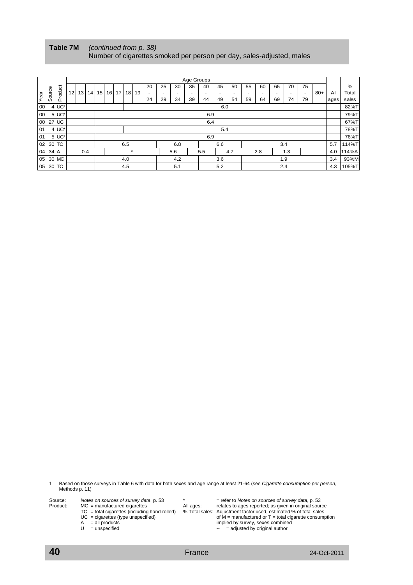| Table 7M | (continued from p. 38)                                                |
|----------|-----------------------------------------------------------------------|
|          | Number of cigarettes smoked per person per day, sales-adjusted, males |

|         |        |                  |                 |    |                 |                          |  |         |                 |      |    |    |     | Age Groups |                          |     |       |      |     |                          |     |                          |       |      |       |
|---------|--------|------------------|-----------------|----|-----------------|--------------------------|--|---------|-----------------|------|----|----|-----|------------|--------------------------|-----|-------|------|-----|--------------------------|-----|--------------------------|-------|------|-------|
|         |        |                  |                 |    |                 |                          |  |         |                 |      | 20 | 25 | 30  | 35         | 40                       | 45  | 50    | 55   | 60  | 65                       | 70  | 75                       |       |      | %     |
|         | Source | Product          | 12 <sub>1</sub> | 13 | 14 <sup>1</sup> | 15 <sub>l</sub>          |  | 16   17 | 18 <sup>1</sup> | 19 I |    |    |     |            | $\overline{\phantom{0}}$ | -   |       |      |     | $\overline{\phantom{0}}$ |     | $\overline{\phantom{0}}$ | $80+$ | All  | Total |
| Year    |        |                  |                 |    |                 |                          |  |         |                 |      | 24 | 29 | 34  | 39         | 44                       | 49  | 54    | 59   | 64  | 69                       | 74  | 79                       |       | ages | sales |
| 00      |        | $4 \text{ UC}^*$ |                 |    |                 |                          |  |         |                 |      |    |    |     |            |                          | 6.0 |       |      |     |                          |     |                          |       |      | 82%T  |
| 00      |        | 5 UC*            |                 |    |                 |                          |  |         |                 |      |    |    |     |            | 6.9                      |     |       |      |     |                          |     |                          |       |      | 79%T  |
| 00      |        | 27 UC            |                 |    |                 | 6.4                      |  |         |                 |      |    |    |     |            |                          |     |       | 67%T |     |                          |     |                          |       |      |       |
| 101     |        | 4 UC*            |                 |    |                 |                          |  |         |                 |      |    |    |     |            |                          | 5.4 |       |      |     |                          |     |                          |       |      | 78%T  |
| 101     |        | 5 UC*            |                 |    |                 |                          |  |         |                 |      |    |    |     |            | 6.9                      |     |       |      |     |                          |     |                          |       |      | 76%T  |
|         |        | 02 30 TC         |                 |    |                 | 6.5<br>3.4<br>6.8<br>6.6 |  |         |                 |      |    |    |     |            |                          | 5.7 | 114%T |      |     |                          |     |                          |       |      |       |
| 04 34 A |        |                  |                 |    | 0.4             |                          |  |         | $\star$         |      |    |    | 5.6 |            | 5.5                      |     | 4.7   |      | 2.8 |                          | 1.3 |                          |       | 4.0  | 114%A |
|         |        | 05 30 MC         |                 |    |                 |                          |  |         | 4.0             |      |    |    | 4.2 |            |                          | 3.6 |       |      |     |                          | 1.9 |                          |       | 3.4  | 93%M  |
|         |        | 05 30 TC         |                 |    |                 |                          |  |         | 4.5             |      |    |    | 5.1 |            |                          | 5.2 |       |      |     |                          | 2.4 |                          |       | 4.3  | 105%T |

1 Based on those surveys in Table 6 with data for both sexes and age range at least 21-64 (see *Cigarette consumption per person*, Methods p. 11)

| Source:  | Notes on sources of survey data, p. 53          |           | $=$ refer to Notes on sources of survey data, p. 53               |
|----------|-------------------------------------------------|-----------|-------------------------------------------------------------------|
| Product: | $MC =$ manufactured cigarettes                  | All ages: | relates to ages reported; as given in original source             |
|          | $TC = total$ cigarettes (including hand-rolled) |           | % Total sales: Adjustment factor used, estimated % of total sales |
|          | $UC =$ cigarettes (type unspecified)            |           | of $M =$ manufactured or $T =$ total cigarette consumption        |
|          | $=$ all products<br>A                           |           | implied by survey, sexes combined                                 |
|          | = unspecified                                   |           | $-$ = adjusted by original author                                 |
|          |                                                 |           |                                                                   |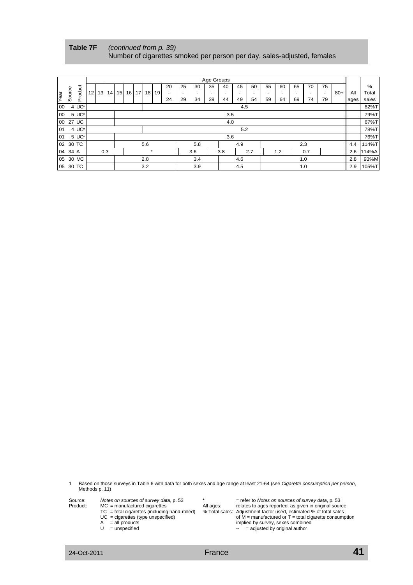**Table 7F** *(continued from p. 39)* Number of cigarettes smoked per person per day, sales-adjusted, females

|      |         |          |                 |                 |                 |                       |                 |                 |     |           |    |    |     | Age Groups |     |      |      |    |     |    |     |                |       |      |       |
|------|---------|----------|-----------------|-----------------|-----------------|-----------------------|-----------------|-----------------|-----|-----------|----|----|-----|------------|-----|------|------|----|-----|----|-----|----------------|-------|------|-------|
|      |         |          |                 |                 |                 |                       |                 |                 |     |           | 20 | 25 | 30  | 35         | 40  | 45   | 50   | 55 | 60  | 65 | 70  | 75             |       |      | $\%$  |
|      | Source  | Product  | 12 <sub>1</sub> | 13 <sup>1</sup> | 14 <sup>1</sup> | 15                    | 16 <sup>1</sup> | 17 <sup>1</sup> |     | $18$   19 |    |    |     |            |     |      |      |    |     |    |     | $\blacksquare$ | $80+$ | ΑIΙ  | Total |
| Year |         |          |                 |                 |                 |                       |                 |                 |     |           | 24 | 29 | 34  | 39         | 44  | 49   | 54   | 59 | 64  | 69 | 74  | 79             |       | ages | sales |
| 00   |         | 4 UC*    |                 |                 |                 |                       |                 |                 |     |           |    |    |     |            |     | 4.5  |      |    |     |    |     |                |       |      | 82%T  |
| 00   |         | 5 UC*    |                 |                 |                 |                       |                 |                 |     |           |    |    |     |            | 3.5 |      |      |    |     |    |     |                |       |      | 79%T  |
|      |         | 00 27 UC |                 |                 |                 | 4.0                   |                 |                 |     |           |    |    |     |            |     |      | 67%T |    |     |    |     |                |       |      |       |
| 01   |         | 4 UC*    |                 |                 |                 | 5.2                   |                 |                 |     |           |    |    |     |            |     | 78%T |      |    |     |    |     |                |       |      |       |
| 01   |         | 5 UC*    |                 |                 |                 |                       |                 |                 |     |           |    |    |     |            | 3.6 |      |      |    |     |    |     |                |       |      | 76%T  |
|      |         | 02 30 TC |                 |                 |                 |                       |                 |                 | 5.6 |           |    |    | 5.8 |            |     | 4.9  |      |    |     |    | 2.3 |                |       | 4.4  | 114%T |
|      | 04 34 A |          |                 |                 | 0.3             | $\star$<br>3.6<br>3.8 |                 |                 |     |           |    |    |     |            |     |      | 2.7  |    | 1.2 |    | 0.7 |                |       | 2.6  | 114%A |
|      |         | 05 30 MC |                 |                 |                 |                       |                 |                 | 2.8 |           |    |    | 3.4 |            |     | 4.6  |      |    |     |    | 1.0 |                |       | 2.8  | 93%M  |
|      |         | 05 30 TC |                 |                 |                 |                       |                 |                 | 3.2 |           |    |    | 3.9 |            |     | 4.5  |      |    |     |    | 1.0 |                |       | 2.9  | 105%T |

1 Based on those surveys in Table 6 with data for both sexes and age range at least 21-64 (see *Cigarette consumption per person*, Methods p. 11)

| Source:  | Notes on sources of survey data, p. 53 |           | $=$ refer to Notes on sources of survey data, p. 53 |
|----------|----------------------------------------|-----------|-----------------------------------------------------|
| Product: | $MC$ = manufactured cigarettes         | All ages: | relates to ages reported; as given in original sour |

| Product: | $MC$ = manufactured cigarettes | All ages: | relates to ages reported; as given in original source                                                                 |
|----------|--------------------------------|-----------|-----------------------------------------------------------------------------------------------------------------------|
|          |                                |           | $TC =$ total gigarattes (ingluding band relled) $Q$ Total sales: Adjustment fector used, estimated $Q$ of total sales |

- 
- 
- 

 TC = total cigarettes (including hand-rolled) % Total sales: Adjustment factor used, estimated % of total sales  $UC =$  cigarettes (type unspecified) of M = manufactured or T = total cigarette consumption

A = all products implied by survey, sexes combined  $U =$  unspecified  $U =$  = and  $U =$  = adjusted by original author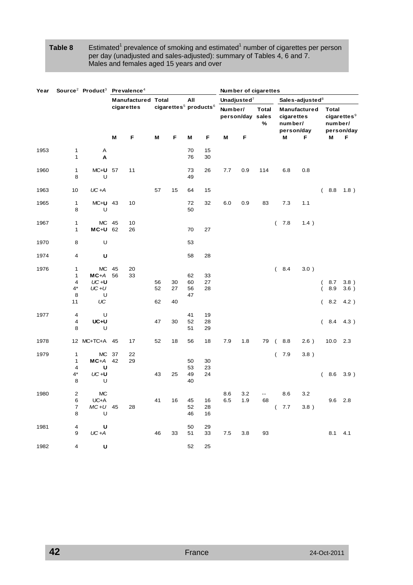## Table 8 Estimated<sup>1</sup> prevalence of smoking and estimated<sup>1</sup> number of cigarettes per person per day (unadjusted and sales-adjusted): summary of Tables 4, 6 and 7. Males and females aged 15 years and over

| Year |                                            | Source <sup>2</sup> Product <sup>3</sup> Prevalence <sup>4</sup> |          |                           |                |                                               |                      |                |            |                  | Number of cigarettes |                         |                             |                             |                                       |
|------|--------------------------------------------|------------------------------------------------------------------|----------|---------------------------|----------------|-----------------------------------------------|----------------------|----------------|------------|------------------|----------------------|-------------------------|-----------------------------|-----------------------------|---------------------------------------|
|      |                                            |                                                                  |          | <b>Manufactured Total</b> |                |                                               | All                  |                |            | Unadjusted $7$   |                      |                         | Sales-adjusted <sup>8</sup> |                             |                                       |
|      |                                            |                                                                  |          | cigarettes                |                | cigarettes <sup>5</sup> products <sup>6</sup> |                      |                | Number/    | person/day sales | <b>Total</b><br>℅    | cigarettes<br>number/   | Manufactured<br>person/day  | <b>Total</b><br>number/     | cigarettes <sup>9</sup><br>person/day |
|      |                                            |                                                                  | M        | F                         | M              | F                                             | M                    | F              | Μ          | F                |                      | M                       | F                           | M                           | F                                     |
| 1953 | 1<br>1                                     | Α<br>A                                                           |          |                           |                |                                               | 70<br>76             | 15<br>30       |            |                  |                      |                         |                             |                             |                                       |
| 1960 | 1<br>8                                     | MC+U 57<br>U                                                     |          | 11                        |                |                                               | 73<br>49             | 26             | 7.7        | 0.9              | 114                  | 6.8                     | 0.8                         |                             |                                       |
| 1963 | 10                                         | $UC+A$                                                           |          |                           | 57             | 15                                            | 64                   | 15             |            |                  |                      |                         |                             | 8.8<br>(                    | 1.8)                                  |
| 1965 | $\mathbf{1}$<br>8                          | $MC+U$ 43<br>U                                                   |          | 10                        |                |                                               | 72<br>50             | 32             | 6.0        | 0.9              | 83                   | 7.3                     | 1.1                         |                             |                                       |
| 1967 | $\mathbf{1}$<br>$\mathbf{1}$               | <b>MC</b><br>MC+U 62                                             | 45       | 10<br>26                  |                |                                               | 70                   | 27             |            |                  |                      | 7.8<br>$\overline{ }$   | 1.4)                        |                             |                                       |
| 1970 | 8                                          | U                                                                |          |                           |                |                                               | 53                   |                |            |                  |                      |                         |                             |                             |                                       |
| 1974 | 4                                          | U                                                                |          |                           |                |                                               | 58                   | 28             |            |                  |                      |                         |                             |                             |                                       |
| 1976 | 1<br>$\mathbf{1}$<br>4<br>$4^*$<br>8<br>11 | <b>MC</b><br>$MC+A$<br>$UC + U$<br>$UC+U$<br>U<br>UC             | 45<br>56 | 20<br>33                  | 56<br>52<br>62 | 30<br>27<br>40                                | 62<br>60<br>56<br>47 | 33<br>27<br>28 |            |                  |                      | (8.4)                   | 3.0)                        | 8.7<br>(<br>8.9<br>8.2<br>( | 3.8)<br>3.6)<br>4.2)                  |
| 1977 | 4<br>4<br>8                                | U<br>UC+U<br>U                                                   |          |                           | 47             | 30                                            | 41<br>52<br>51       | 19<br>28<br>29 |            |                  |                      |                         |                             | 8.4<br>(                    | 4.3)                                  |
| 1978 |                                            | 12 MC+TC+A 45                                                    |          | 17                        | 52             | 18                                            | 56                   | 18             | 7.9        | 1.8              | 79                   | 8.8<br>$\left($         | 2.6)                        | 10.0                        | 2.3                                   |
| 1979 | 1<br>$\mathbf{1}$<br>4<br>$4^*$            | <b>MC</b><br>$MC+A$<br>U<br>$UC + U$                             | 37<br>42 | 22<br>29                  | 43             | 25                                            | 50<br>53<br>49       | 30<br>23<br>24 |            |                  |                      | 7.9<br>$\overline{(\ }$ | 3.8)                        | 8.6<br>(                    | 3.9)                                  |
| 1980 | 8<br>2<br>6<br>$\boldsymbol{7}$            | U<br><b>MC</b><br>UC+A<br>$MC+U$ 45                              |          | 28                        | 41             | 16                                            | 40<br>45<br>52       | 16<br>28       | 8.6<br>6.5 | 3.2<br>1.9       | 68                   | 8.6<br>(7.7)            | 3.2<br>3.8)                 |                             | $9.6$ 2.8                             |
| 1981 | 8<br>4<br>9                                | $\overline{U}$<br>U<br>$UC+A$                                    |          |                           | 46             | 33                                            | 46<br>50<br>51       | 16<br>29<br>33 | $7.5\,$    | 3.8              | 93                   |                         |                             | $8.1$ 4.1                   |                                       |
| 1982 | $\overline{\mathbf{4}}$                    | $\mathsf{U}$                                                     |          |                           |                |                                               | 52                   | 25             |            |                  |                      |                         |                             |                             |                                       |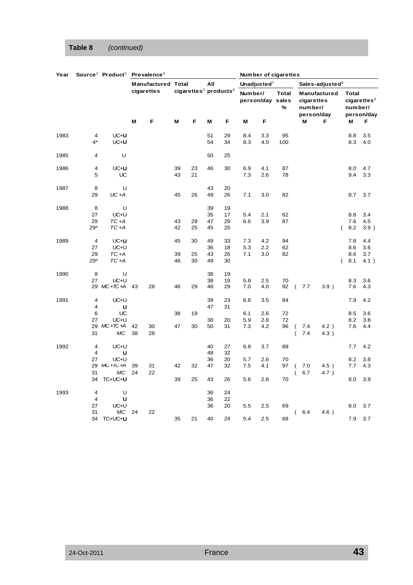# **Table 8** *(continued)*

| Year |                         | Source <sup>2</sup> Product <sup>3</sup> Prevalence <sup>4</sup> |          |                           |    |                                               |          |          |         |                  | Number of cigarettes |                              |                                          |   |                  |                                          |
|------|-------------------------|------------------------------------------------------------------|----------|---------------------------|----|-----------------------------------------------|----------|----------|---------|------------------|----------------------|------------------------------|------------------------------------------|---|------------------|------------------------------------------|
|      |                         |                                                                  |          | <b>Manufactured Total</b> |    |                                               | All      |          |         | Unadjusted $7$   |                      |                              | Sales-adjusted $8$                       |   |                  |                                          |
|      |                         |                                                                  |          | cigarettes                |    | cigarettes <sup>5</sup> products <sup>6</sup> |          |          | Number/ | person/day sales | <b>Total</b><br>%    | number/                      | Manufactured<br>cigarettes<br>person/day |   | Total<br>number/ | $cigare$ ttes <sup>9</sup><br>person/day |
|      |                         |                                                                  | M        | F                         | M  | F                                             | М        | F        | M       | F                |                      | M                            | F                                        |   | M                | F                                        |
| 1983 | 4                       | UC+U                                                             |          |                           |    |                                               | 51       | 29       | 8.4     | 3.3              | 95                   |                              |                                          |   | 8.8              | 3.5                                      |
|      | 4*                      | UC+U                                                             |          |                           |    |                                               | 54       | 34       | 8.3     | 4.0              | 100                  |                              |                                          |   | 8.3              | 4.0                                      |
| 1985 | 4                       | U                                                                |          |                           |    |                                               | 50       | 25       |         |                  |                      |                              |                                          |   |                  |                                          |
| 1986 | 4                       | UC+U                                                             |          |                           | 39 | 23                                            | 46       | 30       | 6.9     | 4.1              | 87                   |                              |                                          |   | 8.0              | 4.7                                      |
|      | 5                       | UC                                                               |          |                           | 43 | 21                                            |          |          | 7.3     | 2.6              | 78                   |                              |                                          |   | 9.4              | 3.3                                      |
| 1987 | 8                       | U                                                                |          |                           |    |                                               | 43       | 20       |         |                  |                      |                              |                                          |   |                  |                                          |
|      | 29                      | $UC+A$                                                           |          |                           | 45 | 26                                            | 49       | 26       | 7.1     | 3.0              | 82                   |                              |                                          |   | 8.7              | 3.7                                      |
| 1988 | 8                       | U                                                                |          |                           |    |                                               | 39       | 19       |         |                  |                      |                              |                                          |   |                  |                                          |
|      | 27                      | UC+U                                                             |          |                           |    |                                               | 35       | 17       | 5.4     | 2.1              | 62                   |                              |                                          |   | 8.8              | 3.4                                      |
|      | 29                      | $TC + A$                                                         |          |                           | 43 | 29                                            | 47       | 29       | 6.6     | 3.9              | 87                   |                              |                                          |   | 7.6              | 4.5                                      |
|      | $29*$                   | TC+A                                                             |          |                           | 42 | 25                                            | 45       | 25       |         |                  |                      |                              |                                          | ( | 8.2              | 3.9)                                     |
| 1989 | $\overline{4}$          | UC+U                                                             |          |                           | 45 | 30                                            | 49       | 33       | 7.3     | 4.2              | 94                   |                              |                                          |   | 7.8              | 4.4                                      |
|      | 27                      | UC+U                                                             |          |                           |    |                                               | 36       | 18       | 5.3     | 2.2              | 62                   |                              |                                          |   | 8.6              | 3.6                                      |
|      | 29                      | $TC + A$                                                         |          |                           | 39 | 25                                            | 43       | 26       | 7.1     | 3.0              | 82                   |                              |                                          |   | 8.6              | 3.7                                      |
|      | $29*$                   | $TC + A$                                                         |          |                           | 46 | 30                                            | 49       | 30       |         |                  |                      |                              |                                          | ( | 8.1              | 4.1)                                     |
| 1990 | 8                       | U                                                                |          |                           |    |                                               | 38       | 19       |         |                  |                      |                              |                                          |   |                  |                                          |
|      | 27                      | UC+U                                                             |          |                           |    |                                               | 38       | 19       | 5.8     | 2.5              | 70                   |                              |                                          |   | 8.3              | 3.6                                      |
|      |                         | 29 $MC+TC+A$ 43                                                  |          | 28                        | 46 | 29                                            | 48       | 29       | 7.0     | 4.0              | 92                   | 7.7<br>$\left($              | 3.9)                                     |   | 7.6              | 4.3                                      |
| 1991 | 4<br>4                  | UC+U                                                             |          |                           |    |                                               | 39<br>47 | 23<br>31 | 6.6     | 3.5              | 84                   |                              |                                          |   | 7.9              | 4.2                                      |
|      | 6                       | U<br>UC                                                          |          |                           | 38 | 19                                            |          |          | 6.1     | 2.6              | 72                   |                              |                                          |   | 8.5              | 3.6                                      |
|      | 27                      | UC+U                                                             |          |                           |    |                                               | 38       | 20       | 5.9     | 2.8              | 72                   |                              |                                          |   | 8.2              | 3.8                                      |
|      |                         | 29 MC+IC+A                                                       | 42       | 30                        | 47 | 30                                            | 50       | 31       | 7.3     | 4.2              | 96                   | 7.4<br>$\overline{ }$        | 4.2)                                     |   | 7.6              | 4.4                                      |
|      | 31                      | МC                                                               | 38       | 28                        |    |                                               |          |          |         |                  |                      | 7.4                          | 4.3)                                     |   |                  |                                          |
| 1992 | $\overline{\mathbf{4}}$ | UC+U                                                             |          |                           |    |                                               | 40       | 27       | 6.8     | 3.7              | 89                   |                              |                                          |   | 7.7              | 4.2                                      |
|      | 4                       | U                                                                |          |                           |    |                                               | 48       | 32       |         |                  |                      |                              |                                          |   |                  |                                          |
|      | 27                      | UC+U                                                             |          |                           |    |                                               | 36       | 20       | 5.7     | 2.6              | 70                   |                              |                                          |   | 8.2              | 3.8                                      |
|      | 31                      | 29 MC + IC + A<br>МC                                             | 39<br>24 | 31<br>22                  | 42 | 32                                            | 47       | 32       | 7.5     | 4.1              | 97                   | 7.0<br>$\overline{ }$<br>6.7 | 4.5)<br>4.7)                             |   | 7.7              | 4.3                                      |
|      | 34                      | TC+UC+U                                                          |          |                           | 39 | 25                                            | 43       | 26       | 5.6     | 2.8              | 70                   | $\overline{ }$               |                                          |   | 8.0              | 3.9                                      |
| 1993 |                         |                                                                  |          |                           |    |                                               |          |          |         |                  |                      |                              |                                          |   |                  |                                          |
|      | 4<br>4                  | U<br>U                                                           |          |                           |    |                                               | 36<br>36 | 24<br>22 |         |                  |                      |                              |                                          |   |                  |                                          |
|      | 27                      | UC+U                                                             |          |                           |    |                                               | 36       | 20       | 5.5     | 2.5              | 69                   |                              |                                          |   | 8.0              | 3.7                                      |
|      | 31                      | МC                                                               | 24       | 22                        |    |                                               |          |          |         |                  |                      | 6.4<br>$\overline{ }$        | 4.6)                                     |   |                  |                                          |
|      | 34                      | TC+UC+U                                                          |          |                           | 35 | 21                                            | 40       | 24       | 5.4     | 2.5              | 68                   |                              |                                          |   | 7.9              | 3.7                                      |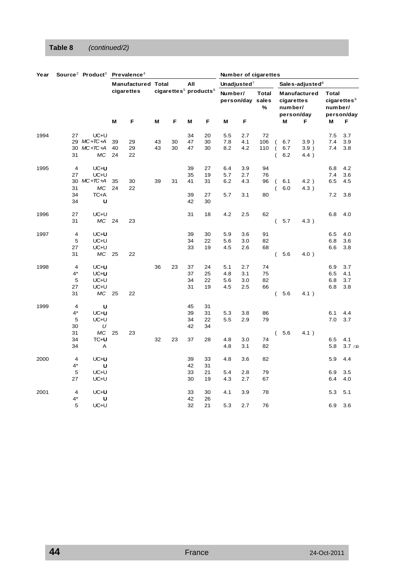# **Table 8** *(continued/2)*

| Year |                                              | Source <sup>2</sup> Product <sup>3</sup> Prevalence <sup>4</sup> |                |                           |          |                                               |                            |                            |                          |                          | Number of cigarettes                  |                                                    |                   |                                          |                          |                                       |
|------|----------------------------------------------|------------------------------------------------------------------|----------------|---------------------------|----------|-----------------------------------------------|----------------------------|----------------------------|--------------------------|--------------------------|---------------------------------------|----------------------------------------------------|-------------------|------------------------------------------|--------------------------|---------------------------------------|
|      |                                              |                                                                  |                | <b>Manufactured Total</b> |          |                                               | All                        |                            |                          | Unadjusted $7$           |                                       |                                                    |                   | Sales-adjusted <sup>8</sup>              |                          |                                       |
|      |                                              |                                                                  |                | cigarettes                |          | cigarettes <sup>5</sup> products <sup>6</sup> |                            |                            | Number/                  |                          | <b>Total</b><br>person/day sales<br>% |                                                    | number/           | Manufactured<br>cigarettes<br>person/day | <b>Total</b><br>number/  | cigarettes <sup>9</sup><br>person/day |
|      |                                              |                                                                  | M              | F                         | M        | F                                             | M                          | F                          | Μ                        | F                        |                                       | M                                                  |                   | F                                        | Μ                        | F                                     |
| 1994 | 27<br>31                                     | UC+U<br>29 $MC+TC+A$<br>30 $MC+IC+A$<br>МC                       | 39<br>40<br>24 | 29<br>29<br>22            | 43<br>43 | 30<br>30                                      | 34<br>47<br>47             | 20<br>30<br>30             | 5.5<br>7.8<br>8.2        | 2.7<br>4.1<br>4.2        | 72<br>106<br>110                      | $\overline{ }$<br>$\overline{ }$<br>$\overline{ }$ | 6.7<br>6.7<br>6.2 | 3.9)<br>3.9)<br>4.4)                     | 7.5<br>7.4<br>7.4        | 3.7<br>3.9<br>3.8                     |
| 1995 | $\overline{4}$<br>27<br>30<br>31<br>34<br>34 | UC+U<br>UC+U<br>$MC+IC+A$<br>МC<br>TC+A<br>U                     | 35<br>24       | 30<br>22                  | 39       | 31                                            | 39<br>35<br>41<br>39<br>42 | 27<br>19<br>31<br>27<br>30 | 6.4<br>5.7<br>6.2<br>5.7 | 3.9<br>2.7<br>4.3<br>3.1 | 94<br>76<br>96<br>80                  | (<br>$\overline{(}$                                | 6.1<br>6.0        | 4.2)<br>4.3)                             | 6.8<br>7.4<br>6.5<br>7.2 | 4.2<br>3.6<br>4.5<br>3.8              |
| 1996 | 27<br>31                                     | UC+U<br>MC 24                                                    |                | 23                        |          |                                               | 31                         | 18                         | 4.2                      | 2.5                      | 62                                    | $\overline{(\ }$<br>5.7                            |                   | 4.3)                                     | 6.8                      | 4.0                                   |
| 1997 | 4<br>5<br>27<br>31                           | UC+U<br>UC+U<br>UC+U<br>MC 25                                    |                | 22                        |          |                                               | 39<br>34<br>33             | 30<br>22<br>19             | 5.9<br>5.6<br>4.5        | 3.6<br>3.0<br>2.6        | 91<br>82<br>68                        | $\overline{(\ }$                                   | 5.6               | $4.0$ )                                  | 6.5<br>6.8<br>6.6        | 4.0<br>3.6<br>3.8                     |
| 1998 | $\overline{4}$<br>$4^*$<br>5<br>27<br>31     | UC+U<br>UC+U<br>UC+U<br>UC+U<br>MC 25                            |                | 22                        | 36       | 23                                            | 37<br>37<br>34<br>31       | 24<br>25<br>22<br>19       | 5.1<br>4.8<br>5.6<br>4.5 | 2.7<br>3.1<br>3.0<br>2.5 | 74<br>75<br>82<br>66                  | $\left($                                           | 5.6               | 4.1)                                     | 6.9<br>6.5<br>6.8<br>6.8 | 3.7<br>4.1<br>3.7<br>3.8              |
| 1999 | $\overline{4}$<br>$4^*$<br>5<br>30           | U<br>UC+U<br>UC+U<br>U                                           |                |                           |          |                                               | 45<br>39<br>34<br>42       | 31<br>31<br>22<br>34       | 5.3<br>5.5               | 3.8<br>2.9               | 86<br>79                              |                                                    |                   |                                          | 6.1<br>7.0               | 4.4<br>3.7                            |
|      | 31<br>34<br>34                               | МC<br>TC+U<br>Α                                                  | 25             | 23                        | 32       | 23                                            | 37                         | 28                         | 4.8<br>4.8               | 3.0<br>3.1               | 74<br>82                              | $\left($                                           | 5.6               | 4.1)                                     | 6.5<br>5.8               | 4.1<br>3.7 / 10                       |
| 2000 | $\overline{4}$<br>$4^*$<br>5<br>27           | UC+U<br>U<br>UC+U<br>UC+U                                        |                |                           |          |                                               | 39<br>42<br>33<br>30       | 33<br>31<br>21<br>19       | 4.8<br>5.4<br>4.3        | 3.6<br>2.8<br>2.7        | 82<br>79<br>67                        |                                                    |                   |                                          | 5.9<br>6.9<br>6.4        | 4.4<br>3.5<br>4.0                     |
| 2001 | 4<br>4*<br>5                                 | UC+U<br>U<br>UC+U                                                |                |                           |          |                                               | 33<br>42<br>32             | 30<br>26<br>21             | 4.1<br>5.3               | 3.9<br>2.7               | 78<br>76                              |                                                    |                   |                                          | 5.3<br>6.9               | 5.1<br>3.6                            |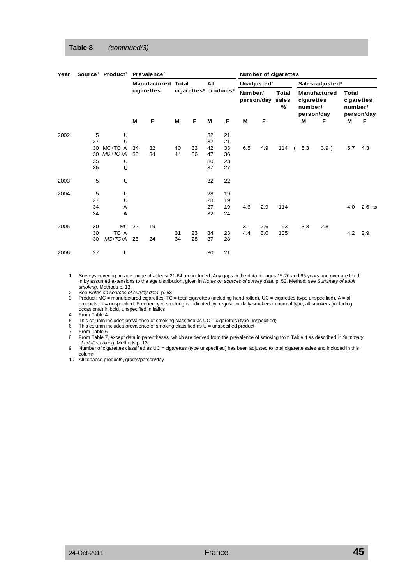## **Table 8** *(continued/3)*

| Year | Source <sup>2</sup> Product <sup>3</sup> |           | Prevalence <sup>4</sup> |                           |    |    | Number of cigarettes |    |     |                |     |                                               |     |                             |     |                       |  |                                                     |  |                                                            |
|------|------------------------------------------|-----------|-------------------------|---------------------------|----|----|----------------------|----|-----|----------------|-----|-----------------------------------------------|-----|-----------------------------|-----|-----------------------|--|-----------------------------------------------------|--|------------------------------------------------------------|
|      |                                          |           |                         | <b>Manufactured Total</b> |    |    | All                  |    |     | Unadjusted $7$ |     |                                               |     | Sales-adjusted <sup>8</sup> |     |                       |  |                                                     |  |                                                            |
|      |                                          |           |                         |                           |    |    |                      |    |     | cigarettes     |     | cigarettes <sup>5</sup> products <sup>6</sup> |     |                             |     | Number/<br>person/day |  | Manufactured<br>cigarettes<br>number/<br>person/day |  | <b>Total</b><br>$cigare$ ttes $9$<br>number/<br>person/day |
|      |                                          |           | м                       | F                         | М  | F  | М                    | F  | М   | F              |     |                                               | М   | F                           | M   | F                     |  |                                                     |  |                                                            |
| 2002 | 5                                        | U         |                         |                           |    |    | 32                   | 21 |     |                |     |                                               |     |                             |     |                       |  |                                                     |  |                                                            |
|      | 27                                       | U         |                         |                           |    |    | 32                   | 21 |     |                |     |                                               |     |                             |     |                       |  |                                                     |  |                                                            |
|      | 30                                       | MC+TC+A   | 34                      | 32                        | 40 | 33 | 42                   | 33 | 6.5 | 4.9            | 114 |                                               | 5.3 | $3.9$ )                     | 5.7 | 4.3                   |  |                                                     |  |                                                            |
|      | 30                                       | $MC+IC+A$ | 38                      | 34                        | 44 | 36 | 47                   | 36 |     |                |     |                                               |     |                             |     |                       |  |                                                     |  |                                                            |
|      | 35                                       | U         |                         |                           |    |    | 30                   | 23 |     |                |     |                                               |     |                             |     |                       |  |                                                     |  |                                                            |
|      | 35                                       | U         |                         |                           |    |    | 37                   | 27 |     |                |     |                                               |     |                             |     |                       |  |                                                     |  |                                                            |
| 2003 | 5                                        | U         |                         |                           |    |    | 32                   | 22 |     |                |     |                                               |     |                             |     |                       |  |                                                     |  |                                                            |
| 2004 | 5                                        | U         |                         |                           |    |    | 28                   | 19 |     |                |     |                                               |     |                             |     |                       |  |                                                     |  |                                                            |
|      | 27                                       | U         |                         |                           |    |    | 28                   | 19 |     |                |     |                                               |     |                             |     |                       |  |                                                     |  |                                                            |
|      | 34                                       | Α         |                         |                           |    |    | 27                   | 19 | 4.6 | 2.9            | 114 |                                               |     |                             | 4.0 | 2.6/10                |  |                                                     |  |                                                            |
|      | 34                                       | Α         |                         |                           |    |    | 32                   | 24 |     |                |     |                                               |     |                             |     |                       |  |                                                     |  |                                                            |
| 2005 | 30                                       | МC        | 22                      | 19                        |    |    |                      |    | 3.1 | 2.6            | 93  |                                               | 3.3 | 2.8                         |     |                       |  |                                                     |  |                                                            |
|      | 30                                       | TC+A      |                         |                           | 31 | 23 | 34                   | 23 | 4.4 | 3.0            | 105 |                                               |     |                             | 4.2 | 2.9                   |  |                                                     |  |                                                            |
|      | 30                                       | $MC+IC+A$ | 25                      | 24                        | 34 | 28 | 37                   | 28 |     |                |     |                                               |     |                             |     |                       |  |                                                     |  |                                                            |
| 2006 | 27                                       | U         |                         |                           |    |    | 30                   | 21 |     |                |     |                                               |     |                             |     |                       |  |                                                     |  |                                                            |

1 Surveys covering an age range of at least 21-64 are included. Any gaps in the data for ages 15-20 and 65 years and over are filled in by assumed extensions to the age distribution, given in *Notes on sources of survey data*, p. 53. Method: see *Summary of adult smoking*, Methods p. 13.

2 See *Notes on sources of survey data*, p. 53

3 Product: MC = manufactured cigarettes, TC = total cigarettes (including hand-rolled), UC = cigarettes (type unspecified), A = all products, U = unspecified. Frequency of smoking is indicated by: regular or daily smokers in normal type, all smokers (including occasional) in bold, unspecified in italics

4 From Table 4

5 This column includes prevalence of smoking classified as UC = cigarettes (type unspecified)

6 This column includes prevalence of smoking classified as  $U =$  unspecified product

7 From Table 6<br>8 From Table 7,

8 From Table 7, except data in parentheses, which are derived from the prevalence of smoking from Table 4 as described in *Summary of adult smoking*, Methods p. 13

9 Number of cigarettes classified as UC = cigarettes (type unspecified) has been adjusted to total cigarette sales and included in this column

10 All tobacco products, grams/person/day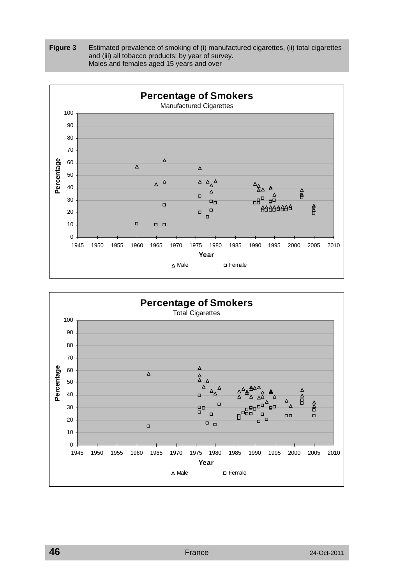



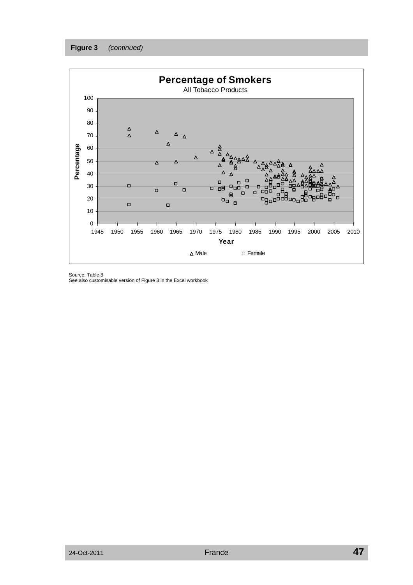

Source: Table 8

See also customisable version of Figure 3 in the Excel workbook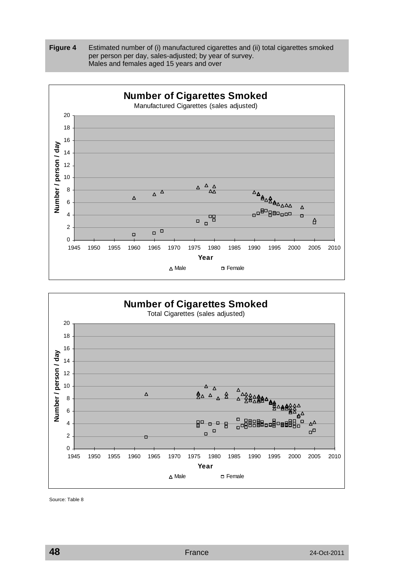





Source: Table 8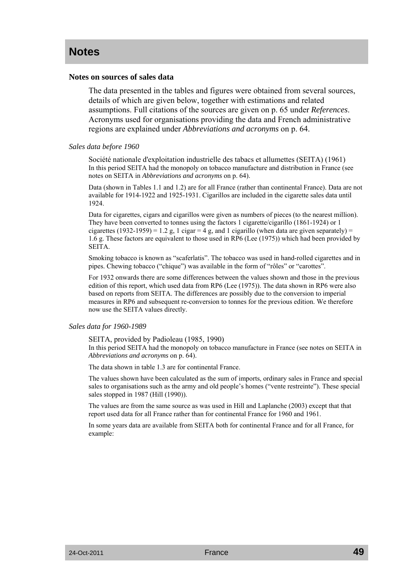# **Notes**

## **Notes on sources of sales data**

The data presented in the tables and figures were obtained from several sources, details of which are given below, together with estimations and related assumptions. Full citations of the sources are given on p. 65 under *References*. Acronyms used for organisations providing the data and French administrative regions are explained under *Abbreviations and acronyms* on p. 64.

#### *Sales data before 1960*

Société nationale d'exploitation industrielle des tabacs et allumettes (SEITA) (1961) In this period SEITA had the monopoly on tobacco manufacture and distribution in France (see notes on SEITA in *Abbreviations and acronyms* on p. 64).

Data (shown in Tables 1.1 and 1.2) are for all France (rather than continental France). Data are not available for 1914-1922 and 1925-1931. Cigarillos are included in the cigarette sales data until 1924.

Data for cigarettes, cigars and cigarillos were given as numbers of pieces (to the nearest million). They have been converted to tonnes using the factors 1 cigarette/cigarillo (1861-1924) or 1 cigarettes (1932-1959) = 1.2 g, 1 cigar = 4 g, and 1 cigarillo (when data are given separately) = 1.6 g. These factors are equivalent to those used in RP6 (Lee (1975)) which had been provided by SEITA.

Smoking tobacco is known as "scaferlatis". The tobacco was used in hand-rolled cigarettes and in pipes. Chewing tobacco ("chique") was available in the form of "rôles" or "carottes".

For 1932 onwards there are some differences between the values shown and those in the previous edition of this report, which used data from RP6 (Lee (1975)). The data shown in RP6 were also based on reports from SEITA. The differences are possibly due to the conversion to imperial measures in RP6 and subsequent re-conversion to tonnes for the previous edition. We therefore now use the SEITA values directly.

## *Sales data for 1960-1989*

SEITA, provided by Padioleau (1985, 1990)

In this period SEITA had the monopoly on tobacco manufacture in France (see notes on SEITA in *Abbreviations and acronyms* on p. 64).

The data shown in table 1.3 are for continental France.

The values shown have been calculated as the sum of imports, ordinary sales in France and special sales to organisations such as the army and old people's homes ("vente restreinte"). These special sales stopped in 1987 (Hill (1990)).

The values are from the same source as was used in Hill and Laplanche (2003) except that that report used data for all France rather than for continental France for 1960 and 1961.

In some years data are available from SEITA both for continental France and for all France, for example: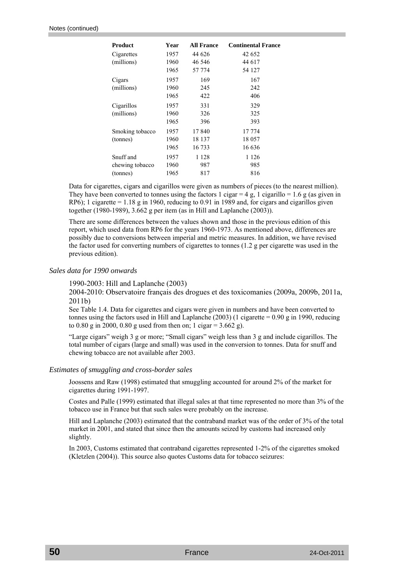| <b>Product</b>  | Year | <b>All France</b> | <b>Continental France</b> |
|-----------------|------|-------------------|---------------------------|
| Cigarettes      | 1957 | 44 626            | 42 652                    |
| (millions)      | 1960 | 46 546            | 44 617                    |
|                 | 1965 | 57 774            | 54 127                    |
| Cigars          | 1957 | 169               | 167                       |
| (millions)      | 1960 | 245               | 242                       |
|                 | 1965 | 422               | 406                       |
| Cigarillos      | 1957 | 331               | 329                       |
| (millions)      | 1960 | 326               | 325                       |
|                 | 1965 | 396               | 393                       |
| Smoking tobacco | 1957 | 17840             | 17 774                    |
| (tonnes)        | 1960 | 18 137            | 18 057                    |
|                 | 1965 | 16 733            | 16 636                    |
| Snuff and       | 1957 | 1 1 2 8           | 1 1 2 6                   |
| chewing tobacco | 1960 | 987               | 985                       |
| (tonnes)        | 1965 | 817               | 816                       |

Data for cigarettes, cigars and cigarillos were given as numbers of pieces (to the nearest million). They have been converted to tonnes using the factors 1 cigar =  $4 g$ , 1 cigarillo = 1.6 g (as given in RP6); 1 cigarette =  $1.18$  g in 1960, reducing to 0.91 in 1989 and, for cigars and cigarillos given together (1980-1989), 3.662 g per item (as in Hill and Laplanche (2003)).

There are some differences between the values shown and those in the previous edition of this report, which used data from RP6 for the years 1960-1973. As mentioned above, differences are possibly due to conversions between imperial and metric measures. In addition, we have revised the factor used for converting numbers of cigarettes to tonnes (1.2 g per cigarette was used in the previous edition).

#### *Sales data for 1990 onwards*

1990-2003: Hill and Laplanche (2003)

2004-2010: Observatoire français des drogues et des toxicomanies (2009a, 2009b, 2011a, 2011b)

See Table 1.4. Data for cigarettes and cigars were given in numbers and have been converted to tonnes using the factors used in Hill and Laplanche (2003) (1 cigarette =  $0.90 \text{ g}$  in 1990, reducing to 0.80 g in 2000, 0.80 g used from then on; 1 cigar =  $3.662$  g).

"Large cigars" weigh 3 g or more; "Small cigars" weigh less than 3 g and include cigarillos. The total number of cigars (large and small) was used in the conversion to tonnes. Data for snuff and chewing tobacco are not available after 2003.

#### *Estimates of smuggling and cross-border sales*

Joossens and Raw (1998) estimated that smuggling accounted for around 2% of the market for cigarettes during 1991-1997.

Costes and Palle (1999) estimated that illegal sales at that time represented no more than 3% of the tobacco use in France but that such sales were probably on the increase.

Hill and Laplanche (2003) estimated that the contraband market was of the order of 3% of the total market in 2001, and stated that since then the amounts seized by customs had increased only slightly.

In 2003, Customs estimated that contraband cigarettes represented 1-2% of the cigarettes smoked (Kletzlen (2004)). This source also quotes Customs data for tobacco seizures: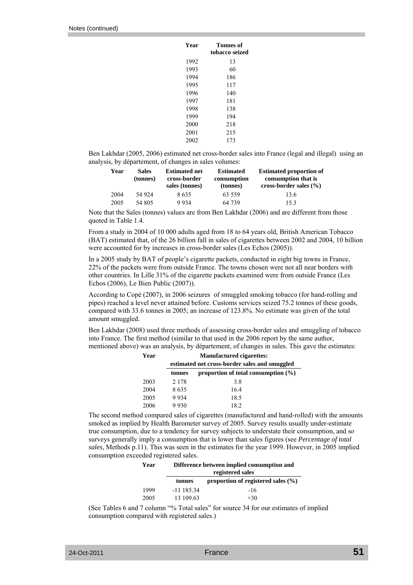| Year | Tonnes of      |  |  |  |  |
|------|----------------|--|--|--|--|
|      | tobacco seized |  |  |  |  |
| 1992 | 13             |  |  |  |  |
| 1993 | 60             |  |  |  |  |
| 1994 | 186            |  |  |  |  |
| 1995 | 117            |  |  |  |  |
| 1996 | 140            |  |  |  |  |
| 1997 | 181            |  |  |  |  |
| 1998 | 138            |  |  |  |  |
| 1999 | 194            |  |  |  |  |
| 2000 | 218            |  |  |  |  |
| 2001 | 215            |  |  |  |  |
| 2002 | 173            |  |  |  |  |

Ben Lakhdar (2005, 2006) estimated net cross-border sales into France (legal and illegal) using an analysis, by département, of changes in sales volumes:

| Year | <b>Sales</b><br>(tonnes) | <b>Estimated net</b><br>cross-border<br>sales (tonnes) | <b>Estimated</b><br>consumption<br>(tonnes) | <b>Estimated proportion of</b><br>consumption that is<br>cross-border sales $(\% )$ |
|------|--------------------------|--------------------------------------------------------|---------------------------------------------|-------------------------------------------------------------------------------------|
| 2004 | 54 924                   | 8635                                                   | 63 559                                      | 13.6                                                                                |
| 2005 | 54 805                   | 9934                                                   | 64 739                                      | 15.3                                                                                |

Note that the Sales (tonnes) values are from Ben Lakhdar (2006) and are different from those quoted in Table 1.4.

From a study in 2004 of 10 000 adults aged from 18 to 64 years old, British American Tobacco (BAT) estimated that, of the 26 billion fall in sales of cigarettes between 2002 and 2004, 10 billion were accounted for by increases in cross-border sales (Les Echos (2005)).

In a 2005 study by BAT of people's cigarette packets, conducted in eight big towns in France, 22% of the packets were from outside France. The towns chosen were not all near borders with other countries. In Lille 31% of the cigarette packets examined were from outside France (Les Echos (2006), Le Bien Public (2007)).

According to Copé (2007), in 2006 seizures of smuggled smoking tobacco (for hand-rolling and pipes) reached a level never attained before. Customs services seized 75.2 tonnes of these goods, compared with 33.6 tonnes in 2005; an increase of 123.8%. No estimate was given of the total amount smuggled.

Ben Lakhdar (2008) used three methods of assessing cross-border sales and smuggling of tobacco into France. The first method (similar to that used in the 2006 report by the same author, mentioned above) was an analysis, by département, of changes in sales. This gave the estimates:

| Year | <b>Manufactured cigarettes:</b> |                                               |  |  |  |  |  |
|------|---------------------------------|-----------------------------------------------|--|--|--|--|--|
|      |                                 | estimated net cross-border sales and smuggled |  |  |  |  |  |
|      | tonnes                          | proportion of total consumption $(\% )$       |  |  |  |  |  |
| 2003 | 2 1 7 8                         | 3.8                                           |  |  |  |  |  |
| 2004 | 8635                            | 16.4                                          |  |  |  |  |  |
| 2005 | 9934                            | 18.5                                          |  |  |  |  |  |
| 2006 | 9930                            | 18.2                                          |  |  |  |  |  |

The second method compared sales of cigarettes (manufactured and hand-rolled) with the amounts smoked as implied by Health Barometer survey of 2005. Survey results usually under-estimate true consumption, due to a tendency for survey subjects to understate their consumption, and so surveys generally imply a consumption that is lower than sales figures (see *Percentage of total sales*, Methods p.11). This was seen in the estimates for the year 1999. However, in 2005 implied consumption exceeded registered sales.

| Year | Difference between implied consumption and<br>registered sales |                                        |  |  |  |
|------|----------------------------------------------------------------|----------------------------------------|--|--|--|
|      | tonnes                                                         | proportion of registered sales $(\%$ ) |  |  |  |
| 1999 | $-11$ 185.34                                                   | -16                                    |  |  |  |
| 2005 | 13 109.63                                                      | $+30$                                  |  |  |  |

(See Tables 6 and 7 column "% Total sales" for source 34 for our estimates of implied consumption compared with registered sales.)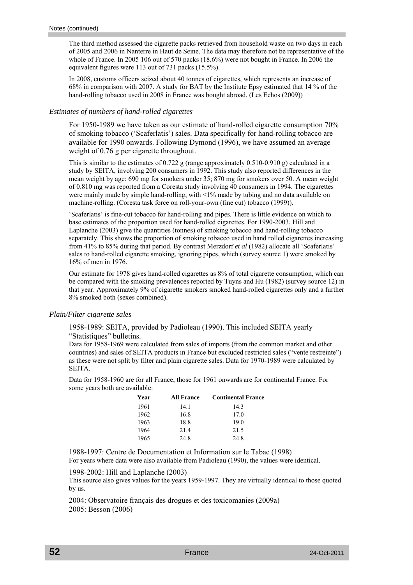The third method assessed the cigarette packs retrieved from household waste on two days in each of 2005 and 2006 in Nanterre in Haut de Seine. The data may therefore not be representative of the whole of France. In 2005 106 out of 570 packs (18.6%) were not bought in France. In 2006 the equivalent figures were 113 out of 731 packs (15.5%).

In 2008, customs officers seized about 40 tonnes of cigarettes, which represents an increase of 68% in comparison with 2007. A study for BAT by the Institute Epsy estimated that 14 % of the hand-rolling tobacco used in 2008 in France was bought abroad. (Les Echos (2009))

## *Estimates of numbers of hand-rolled cigarettes*

For 1950-1989 we have taken as our estimate of hand-rolled cigarette consumption 70% of smoking tobacco ('Scaferlatis') sales. Data specifically for hand-rolling tobacco are available for 1990 onwards. Following Dymond (1996), we have assumed an average weight of 0.76 g per cigarette throughout.

This is similar to the estimates of 0.722 g (range approximately 0.510-0.910 g) calculated in a study by SEITA, involving 200 consumers in 1992. This study also reported differences in the mean weight by age: 690 mg for smokers under 35; 870 mg for smokers over 50. A mean weight of 0.810 mg was reported from a Coresta study involving 40 consumers in 1994. The cigarettes were mainly made by simple hand-rolling, with <1% made by tubing and no data available on machine-rolling. (Coresta task force on roll-your-own (fine cut) tobacco (1999)).

'Scaferlatis' is fine-cut tobacco for hand-rolling and pipes. There is little evidence on which to base estimates of the proportion used for hand-rolled cigarettes. For 1990-2003, Hill and Laplanche (2003) give the quantities (tonnes) of smoking tobacco and hand-rolling tobacco separately. This shows the proportion of smoking tobacco used in hand rolled cigarettes increasing from 41% to 85% during that period. By contrast Merzdorf *et al* (1982) allocate all 'Scaferlatis' sales to hand-rolled cigarette smoking, ignoring pipes, which (survey source 1) were smoked by 16% of men in 1976.

Our estimate for 1978 gives hand-rolled cigarettes as 8% of total cigarette consumption, which can be compared with the smoking prevalences reported by Tuyns and Hu (1982) (survey source 12) in that year. Approximately 9% of cigarette smokers smoked hand-rolled cigarettes only and a further 8% smoked both (sexes combined).

## *Plain/Filter cigarette sales*

1958-1989: SEITA, provided by Padioleau (1990). This included SEITA yearly "Statistiques" bulletins.

Data for 1958-1969 were calculated from sales of imports (from the common market and other countries) and sales of SEITA products in France but excluded restricted sales ("vente restreinte") as these were not split by filter and plain cigarette sales. Data for 1970-1989 were calculated by SEITA.

Data for 1958-1960 are for all France; those for 1961 onwards are for continental France. For some years both are available:

| Year | <b>All France</b> | <b>Continental France</b> |
|------|-------------------|---------------------------|
| 1961 | 14.1              | 14.3                      |
| 1962 | 16.8              | 17.0                      |
| 1963 | 18.8              | 19.0                      |
| 1964 | 21.4              | 21.5                      |
| 1965 | 24.8              | 24.8                      |

1988-1997: Centre de Documentation et Information sur le Tabac (1998) For years where data were also available from Padioleau (1990), the values were identical.

1998-2002: Hill and Laplanche (2003)

This source also gives values for the years 1959-1997. They are virtually identical to those quoted by us.

2004: Observatoire français des drogues et des toxicomanies (2009a) 2005: Besson (2006)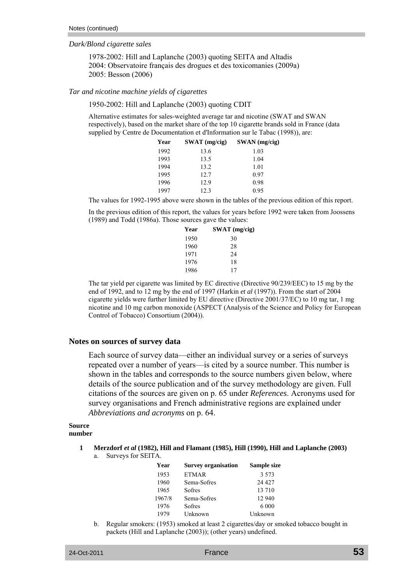## *Dark/Blond cigarette sales*

1978-2002: Hill and Laplanche (2003) quoting SEITA and Altadis 2004: Observatoire français des drogues et des toxicomanies (2009a) 2005: Besson (2006)

#### *Tar and nicotine machine yields of cigarettes*

#### 1950-2002: Hill and Laplanche (2003) quoting CDIT

Alternative estimates for sales-weighted average tar and nicotine (SWAT and SWAN respectively), based on the market share of the top 10 cigarette brands sold in France (data supplied by Centre de Documentation et d'Information sur le Tabac (1998)), are:

| Year | $SWAT$ (mg/cig) | SWAN (mg/cig) |
|------|-----------------|---------------|
| 1992 | 13.6            | 1.03          |
| 1993 | 13.5            | 1.04          |
| 1994 | 13.2            | 1.01          |
| 1995 | 12.7            | 0.97          |
| 1996 | 12.9            | 0.98          |
| 1997 | 12.3            | 0.95          |

The values for 1992-1995 above were shown in the tables of the previous edition of this report.

In the previous edition of this report, the values for years before 1992 were taken from Joossens (1989) and Todd (1986a). Those sources gave the values:

| Year | $SWAT$ (mg/cig) |
|------|-----------------|
| 1950 | 30              |
| 1960 | 28              |
| 1971 | 24              |
| 1976 | 18              |
| 1986 | 17              |

The tar yield per cigarette was limited by EC directive (Directive 90/239/EEC) to 15 mg by the end of 1992, and to 12 mg by the end of 1997 (Harkin *et al* (1997)). From the start of 2004 cigarette yields were further limited by EU directive (Directive 2001/37/EC) to 10 mg tar, 1 mg nicotine and 10 mg carbon monoxide (ASPECT (Analysis of the Science and Policy for European Control of Tobacco) Consortium (2004)).

#### **Notes on sources of survey data**

Each source of survey data—either an individual survey or a series of surveys repeated over a number of years—is cited by a source number. This number is shown in the tables and corresponds to the source numbers given below, where details of the source publication and of the survey methodology are given. Full citations of the sources are given on p. 65 under *References*. Acronyms used for survey organisations and French administrative regions are explained under *Abbreviations and acronyms* on p. 64.

#### **Source number**

- **1 Merzdorf** *et al* **(1982), Hill and Flamant (1985), Hill (1990), Hill and Laplanche (2003)** 
	- a. Surveys for SEITA.

| Year   | <b>Survey organisation</b> | Sample size |
|--------|----------------------------|-------------|
| 1953   | <b>ETMAR</b>               | 3.573       |
| 1960   | Sema-Sofres                | 24 4 27     |
| 1965   | <b>Sofres</b>              | 13 710      |
| 1967/8 | Sema-Sofres                | 12 940      |
| 1976   | Sofres                     | 6 000       |
| 1979   | Unknown                    | Unknown     |

 b. Regular smokers: (1953) smoked at least 2 cigarettes/day or smoked tobacco bought in packets (Hill and Laplanche (2003)); (other years) undefined.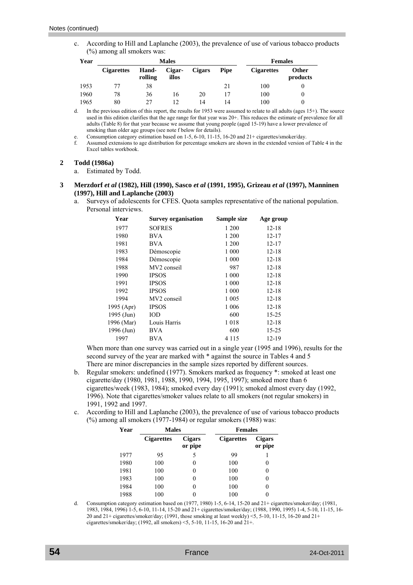c. According to Hill and Laplanche (2003), the prevalence of use of various tobacco products (%) among all smokers was:

| Year |                   | <b>Males</b>            | <b>Females</b>  |               |             |                   |                          |
|------|-------------------|-------------------------|-----------------|---------------|-------------|-------------------|--------------------------|
|      | <b>Cigarettes</b> | <b>Hand-</b><br>rolling | Cigar-<br>illos | <b>Cigars</b> | <b>Pipe</b> | <b>Cigarettes</b> | <b>Other</b><br>products |
| 1953 | 77                | 38                      |                 |               | 21          | 100               |                          |
| 1960 | 78                | 36                      | 16              | 20            | 17          | 100               | $\Omega$                 |
| 1965 | 80                | 27                      | 12              | 14            | 14          | 100               | 0                        |

d. In the previous edition of this report, the results for 1953 were assumed to relate to all adults (ages 15+). The source used in this edition clarifies that the age range for that year was 20+. This reduces the estimate of prevalence for all adults (Table 8) for that year because we assume that young people (aged 15-19) have a lower prevalence of smoking than older age groups (see note f below for details).

e. Consumption category estimation based on  $1-5$ ,  $6-10$ ,  $11-15$ ,  $16-20$  and  $21+$  cigarettes/smoker/day.<br>Assumed extensions to age distribution for percentage smokers are shown in the extended version of

 f. Assumed extensions to age distribution for percentage smokers are shown in the extended version of Table 4 in the Excel tables workbook.

#### **2 Todd (1986a)**

a. Estimated by Todd.

- **3 Merzdorf** *et al* **(1982), Hill (1990), Sasco** *et al* **(1991, 1995), Grizeau** *et al* **(1997), Manninen (1997), Hill and Laplanche (2003)** 
	- a. Surveys of adolescents for CFES. Quota samples representative of the national population. Personal interviews.

| Year       | <b>Survey organisation</b> | Sample size | Age group |
|------------|----------------------------|-------------|-----------|
| 1977       | <b>SOFRES</b>              | 1 200       | $12 - 18$ |
| 1980       | <b>BVA</b>                 | 1 200       | $12 - 17$ |
| 1981       | <b>BVA</b>                 | 1 200       | $12 - 17$ |
| 1983       | Démoscopie                 | 1 000       | $12 - 18$ |
| 1984       | Démoscopie                 | 1 000       | $12 - 18$ |
| 1988       | MV2 conseil                | 987         | $12 - 18$ |
| 1990       | <b>IPSOS</b>               | 1 000       | $12 - 18$ |
| 1991       | <b>IPSOS</b>               | 1 000       | $12 - 18$ |
| 1992       | <b>IPSOS</b>               | 1 000       | $12 - 18$ |
| 1994       | MV2 conseil                | 1 0 0 5     | $12 - 18$ |
| 1995 (Apr) | <b>IPSOS</b>               | 1 0 0 6     | $12 - 18$ |
| 1995 (Jun) | IOD                        | 600         | 15-25     |
| 1996 (Mar) | Louis Harris               | 1018        | $12 - 18$ |
| 1996 (Jun) | <b>BVA</b>                 | 600         | $15 - 25$ |
| 1997       | <b>BVA</b>                 | 4 1 1 5     | $12 - 19$ |

 When more than one survey was carried out in a single year (1995 and 1996), results for the second survey of the year are marked with  $*$  against the source in Tables 4 and 5 There are minor discrepancies in the sample sizes reported by different sources.

- b. Regular smokers: undefined (1977). Smokers marked as frequency \*: smoked at least one cigarette/day (1980, 1981, 1988, 1990, 1994, 1995, 1997); smoked more than 6 cigarettes/week (1983, 1984); smoked every day (1991); smoked almost every day (1992, 1996). Note that cigarettes/smoker values relate to all smokers (not regular smokers) in 1991, 1992 and 1997.
- c. According to Hill and Laplanche (2003), the prevalence of use of various tobacco products (%) among all smokers (1977-1984) or regular smokers (1988) was:

| Year | <b>Males</b>      |                          | <b>Females</b>    |                          |
|------|-------------------|--------------------------|-------------------|--------------------------|
|      | <b>Cigarettes</b> | <b>Cigars</b><br>or pipe | <b>Cigarettes</b> | <b>Cigars</b><br>or pipe |
| 1977 | 95                | 5                        | 99                |                          |
| 1980 | 100               |                          | 100               | 0                        |
| 1981 | 100               |                          | 100               | 0                        |
| 1983 | 100               |                          | 100               | 0                        |
| 1984 | 100               |                          | 100               | 0                        |
| 1988 | 100               |                          | 100               |                          |

 d. Consumption category estimation based on (1977, 1980) 1-5, 6-14, 15-20 and 21+ cigarettes/smoker/day; (1981, 1983, 1984, 1996) 1-5, 6-10, 11-14, 15-20 and 21+ cigarettes/smoker/day; (1988, 1990, 1995) 1-4, 5-10, 11-15, 16- 20 and 21+ cigarettes/smoker/day; (1991, those smoking at least weekly)  $\leq$ , 5-10, 11-15, 16-20 and 21+ cigarettes/smoker/day; (1992, all smokers) <5, 5-10, 11-15, 16-20 and 21+.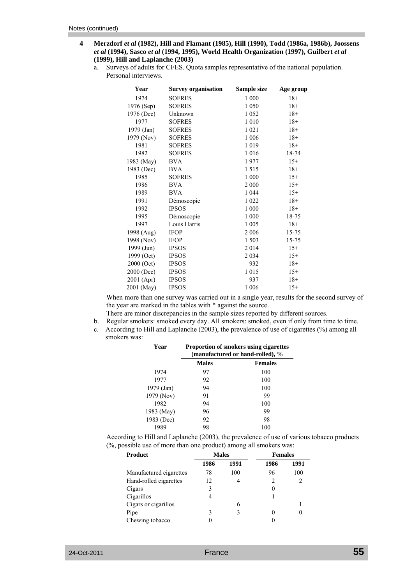- **4 Merzdorf** *et al* **(1982), Hill and Flamant (1985), Hill (1990), Todd (1986a, 1986b), Joossens** *et al* **(1994), Sasco** *et al* **(1994, 1995), World Health Organization (1997), Guilbert** *et al* **(1999), Hill and Laplanche (2003)** 
	- a. Surveys of adults for CFES. Quota samples representative of the national population. Personal interviews.

| Year       | <b>Survey organisation</b> | Sample size | Age group |
|------------|----------------------------|-------------|-----------|
| 1974       | <b>SOFRES</b>              | 1 000       | $18+$     |
| 1976 (Sep) | <b>SOFRES</b>              | 1 0 5 0     | $18+$     |
| 1976 (Dec) | Unknown                    | 1 0 5 2     | $18+$     |
| 1977       | <b>SOFRES</b>              | $1\;010$    | $18+$     |
| 1979 (Jan) | <b>SOFRES</b>              | 1 0 2 1     | $18+$     |
| 1979 (Nov) | <b>SOFRES</b>              | 1 0 0 6     | $18+$     |
| 1981       | <b>SOFRES</b>              | 1019        | $18+$     |
| 1982       | <b>SOFRES</b>              | 1 0 1 6     | 18-74     |
| 1983 (May) | <b>BVA</b>                 | 1977        | $15+$     |
| 1983 (Dec) | <b>BVA</b>                 | 1515        | $18+$     |
| 1985       | <b>SOFRES</b>              | 1 000       | $15+$     |
| 1986       | <b>BVA</b>                 | 2 0 0 0     | $15+$     |
| 1989       | <b>BVA</b>                 | 1 0 4 4     | $15+$     |
| 1991       | Démoscopie                 | 1 0 2 2     | $18+$     |
| 1992       | <b>IPSOS</b>               | 1 000       | $18+$     |
| 1995       | Démoscopie                 | 1 000       | 18-75     |
| 1997       | Louis Harris               | 1 0 0 5     | $18+$     |
| 1998 (Aug) | <b>IFOP</b>                | 2 0 0 6     | 15-75     |
| 1998 (Nov) | <b>IFOP</b>                | 1 503       | 15-75     |
| 1999 (Jun) | <b>IPSOS</b>               | 2014        | $15+$     |
| 1999 (Oct) | <b>IPSOS</b>               | 2 0 3 4     | $15+$     |
| 2000 (Oct) | <b>IPSOS</b>               | 932         | $18+$     |
| 2000 (Dec) | <b>IPSOS</b>               | 1015        | $15+$     |
| 2001 (Apr) | <b>IPSOS</b>               | 937         | $18+$     |
| 2001 (May) | <b>IPSOS</b>               | 1 0 0 6     | $15+$     |

 When more than one survey was carried out in a single year, results for the second survey of the year are marked in the tables with \* against the source.

There are minor discrepancies in the sample sizes reported by different sources.

 b. Regular smokers: smoked every day. All smokers: smoked, even if only from time to time. c. According to Hill and Laplanche (2003), the prevalence of use of cigarettes (%) among all smokers was:

| Year       |              | <b>Proportion of smokers using cigarettes</b><br>(manufactured or hand-rolled), % |
|------------|--------------|-----------------------------------------------------------------------------------|
|            | <b>Males</b> | <b>Females</b>                                                                    |
| 1974       | 97           | 100                                                                               |
| 1977       | 92           | 100                                                                               |
| 1979 (Jan) | 94           | 100                                                                               |
| 1979 (Nov) | 91           | 99                                                                                |
| 1982       | 94           | 100                                                                               |
| 1983 (May) | 96           | 99                                                                                |
| 1983 (Dec) | 92           | 98                                                                                |
| 1989       | 98           | 100                                                                               |

 According to Hill and Laplanche (2003), the prevalence of use of various tobacco products (%, possible use of more than one product) among all smokers was:

| Product                 | <b>Males</b> |      | <b>Females</b> |      |
|-------------------------|--------------|------|----------------|------|
|                         | 1986         | 1991 | 1986           | 1991 |
| Manufactured cigarettes | 78           | 100  | 96             | 100  |
| Hand-rolled cigarettes  | 12           |      | 2              |      |
| Cigars                  | 3            |      |                |      |
| Cigarillos              | 4            |      |                |      |
| Cigars or cigarillos    |              | 6    |                |      |
| Pipe                    | 3            | 3    |                | 0    |
| Chewing tobacco         |              |      |                |      |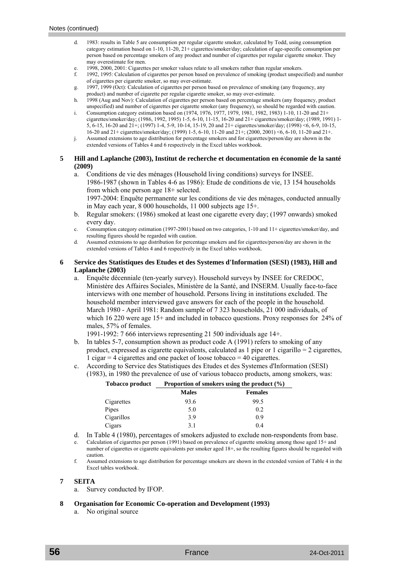- 1983: results in Table 5 are consumption per regular cigarette smoker, calculated by Todd, using consumption category estimation based on 1-10, 11-20, 21+ cigarettes/smoker/day; calculation of age-specific consumption per person based on percentage smokers of any product and number of cigarettes per regular cigarette smoker. They may overestimate for men.
- e. 1998, 2000, 2001: Cigarettes per smoker values relate to all smokers rather than regular smokers.
- f. 1992, 1995: Calculation of cigarettes per person based on prevalence of smoking (product unspecified) and number of cigarettes per cigarette smoker, so may over-estimate.
- g. 1997, 1999 (Oct): Calculation of cigarettes per person based on prevalence of smoking (any frequency, any product) and number of cigarette per regular cigarette smoker, so may over-estimate.
- h. 1998 (Aug and Nov): Calculation of cigarettes per person based on percentage smokers (any frequency, product unspecified) and number of cigarettes per cigarette smoker (any frequency), so should be regarded with caution.
- i. Consumption category estimation based on (1974, 1976, 1977, 1979, 1981, 1982, 1983) 1-10, 11-20 and 21+ cigarettes/smoker/day; (1986, 1992, 1995) 1-5, 6-10, 11-15, 16-20 and 21+ cigarettes/smoker/day; (1989, 1991) 1- 5, 6-15, 16-20 and 21+; (1997) 1-4, 5-9, 10-14, 15-19, 20 and 21+ cigarettes/smoker/day; (1998) <6, 6-9, 10-15, 16-20 and 21+ cigarettes/smoker/day; (1999) 1-5, 6-10, 11-20 and 21+; (2000, 2001) <6, 6-10, 11-20 and 21+.
- j. Assumed extensions to age distribution for percentage smokers and for cigarettes/person/day are shown in the extended versions of Tables 4 and 6 respectively in the Excel tables workbook.

#### **5 Hill and Laplanche (2003), Institut de recherche et documentation en économie de la santé (2009)**

 a. Conditions de vie des ménages (Household living conditions) surveys for INSEE. 1986-1987 (shown in Tables 4-6 as 1986): Etude de conditions de vie, 13 154 households from which one person age 18+ selected.

 1997-2004: Enquête permanente sur les conditions de vie des ménages, conducted annually in May each year, 8 000 households, 11 000 subjects age 15+.

- b. Regular smokers: (1986) smoked at least one cigarette every day; (1997 onwards) smoked every day.
- c. Consumption category estimation (1997-2001) based on two categories, 1-10 and 11+ cigarettes/smoker/day, and resulting figures should be regarded with caution.
- d. Assumed extensions to age distribution for percentage smokers and for cigarettes/person/day are shown in the extended versions of Tables 4 and 6 respectively in the Excel tables workbook.

### **6 Service des Statistiques des Etudes et des Systemes d'Information (SESI) (1983), Hill and Laplanche (2003)**

a. Enquête décenniale (ten-yearly survey). Household surveys by INSEE for CREDOC, Ministère des Affaires Sociales, Ministère de la Santé, and INSERM. Usually face-to-face interviews with one member of household. Persons living in institutions excluded. The household member interviewed gave answers for each of the people in the household. March 1980 - April 1981: Random sample of 7 323 households, 21 000 individuals, of which 16 220 were age 15+ and included in tobacco questions. Proxy responses for 24% of males, 57% of females.

1991-1992: 7 666 interviews representing 21 500 individuals age 14+.

- b. In tables 5-7, consumption shown as product code A (1991) refers to smoking of any product, expressed as cigarette equivalents, calculated as 1 pipe or 1 cigarillo  $= 2$  cigarettes, 1 cigar = 4 cigarettes and one packet of loose tobacco = 40 cigarettes.
- c. According to Service des Statistiques des Etudes et des Systemes d'Information (SESI) (1983), in 1980 the prevalence of use of various tobacco products, among smokers, was:

| <b>Tobacco product</b> | Proportion of smokers using the product $(\%)$ |                |  |
|------------------------|------------------------------------------------|----------------|--|
|                        | <b>Males</b>                                   | <b>Females</b> |  |
| Cigarettes             | 93.6                                           | 99.5           |  |
| Pipes                  | 5.0                                            | 0.2            |  |
| Cigarillos             | 3.9                                            | 0.9            |  |
| Cigars                 | 31                                             | 0 <sub>4</sub> |  |

d. In Table 4 (1980), percentages of smokers adjusted to exclude non-respondents from base.

 e. Calculation of cigarettes per person (1991) based on prevalence of cigarette smoking among those aged 15+ and number of cigarettes or cigarette equivalents per smoker aged 18+, so the resulting figures should be regarded with caution.

 f. Assumed extensions to age distribution for percentage smokers are shown in the extended version of Table 4 in the Excel tables workbook.

## **7 SEITA**

a. Survey conducted by IFOP.

#### **8 Organisation for Economic Co-operation and Development (1993)**

a. No original source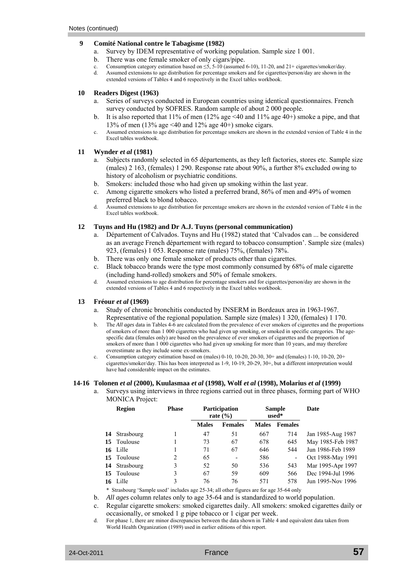#### **9 Comité National contre le Tabagisme (1982)**

- a. Survey by IDEM representative of working population. Sample size 1 001.
- b. There was one female smoker of only cigars/pipe.
- c. Consumption category estimation based on  $\leq 5$ , 5-10 (assumed 6-10), 11-20, and 21+ cigarettes/smoker/day.
- d. Assumed extensions to age distribution for percentage smokers and for cigarettes/person/day are shown in the extended versions of Tables 4 and 6 respectively in the Excel tables workbook.

### **10 Readers Digest (1963)**

- a. Series of surveys conducted in European countries using identical questionnaires. French survey conducted by SOFRES. Random sample of about 2 000 people.
- b. It is also reported that  $11\%$  of men  $(12\%$  age  $\leq 40$  and  $11\%$  age  $40+)$  smoke a pipe, and that 13% of men (13% age <40 and 12% age 40+) smoke cigars.
- c. Assumed extensions to age distribution for percentage smokers are shown in the extended version of Table 4 in the Excel tables workbook.

## **11 Wynder** *et al* **(1981)**

- a. Subjects randomly selected in 65 départements, as they left factories, stores etc. Sample size (males) 2 163, (females) 1 290. Response rate about 90%, a further 8% excluded owing to history of alcoholism or psychiatric conditions.
- b. Smokers: included those who had given up smoking within the last year.
- c. Among cigarette smokers who listed a preferred brand, 86% of men and 49% of women preferred black to blond tobacco.
- d. Assumed extensions to age distribution for percentage smokers are shown in the extended version of Table 4 in the Excel tables workbook.

#### **12 Tuyns and Hu (1982) and Dr A.J. Tuyns (personal communication)**

- a. Département of Calvados. Tuyns and Hu (1982) stated that 'Calvados can ... be considered as an average French département with regard to tobacco consumption'. Sample size (males) 923, (females) 1 053. Response rate (males) 75%, (females) 78%.
- b. There was only one female smoker of products other than cigarettes.
- c. Black tobacco brands were the type most commonly consumed by 68% of male cigarette (including hand-rolled) smokers and 50% of female smokers.
- d. Assumed extensions to age distribution for percentage smokers and for cigarettes/person/day are shown in the extended versions of Tables 4 and 6 respectively in the Excel tables workbook.

#### **13 Fréour** *et al* **(1969)**

- a. Study of chronic bronchitis conducted by INSERM in Bordeaux area in 1963-1967. Representative of the regional population. Sample size (males) 1 320, (females) 1 170.
- b. The *All ages* data in Tables 4-6 are calculated from the prevalence of ever smokers of cigarettes and the proportions of smokers of more than 1 000 cigarettes who had given up smoking, or smoked in specific categories. The agespecific data (females only) are based on the prevalence of ever smokers of cigarettes and the proportion of smokers of more than 1 000 cigarettes who had given up smoking for more than 10 years, and may therefore overestimate as they include some ex-smokers.
- c. Consumption category estimation based on (males) 0-10, 10-20, 20-30, 30+ and (females) 1-10, 10-20, 20+ cigarettes/smoker/day. This has been interpreted as 1-9, 10-19, 20-29, 30+, but a different interpretation would have had considerable impact on the estimates.

#### **14-16 Tolonen** *et al* **(2000), Kuulasmaa** *et al* **(1998), Wolf** *et al* **(1998), Molarius** *et al* **(1999)**

a. Surveys using interviews in three regions carried out in three phases, forming part of WHO MONICA Project:

| <b>Region</b> | <b>Phase</b> |              | <b>Participation</b><br>rate $(\% )$ |              | <b>Sample</b><br>used* | Date              |
|---------------|--------------|--------------|--------------------------------------|--------------|------------------------|-------------------|
|               |              | <b>Males</b> | <b>Females</b>                       | <b>Males</b> | <b>Females</b>         |                   |
| 14 Strasbourg |              | 47           | 51                                   | 667          | 714                    | Jan 1985-Aug 1987 |
| 15 Toulouse   |              | 73           | 67                                   | 678          | 645                    | May 1985-Feb 1987 |
| 16 Lille      |              | 71           | 67                                   | 646          | 544                    | Jun 1986-Feb 1989 |
| 15 Toulouse   | 2            | 65           | $\overline{\phantom{0}}$             | 586          | ٠                      | Oct 1988-May 1991 |
| 14 Strasbourg | 3            | 52           | 50                                   | 536          | 543                    | Mar 1995-Apr 1997 |
| 15 Toulouse   | 3            | 67           | 59                                   | 609          | 566                    | Dec 1994-Jul 1996 |
| 16 Lille      | 3            | 76           | 76                                   | 571          | 578                    | Jun 1995-Nov 1996 |

\* Strasbourg 'Sample used' includes age 25-34; all other figures are for age 35-64 only

b. *All ages* column relates only to age 35-64 and is standardized to world population.

c. Regular cigarette smokers: smoked cigarettes daily. All smokers: smoked cigarettes daily or occasionally, or smoked 1 g pipe tobacco or 1 cigar per week.

For phase 1, there are minor discrepancies between the data shown in Table 4 and equivalent data taken from World Health Organization (1989) used in earlier editions of this report.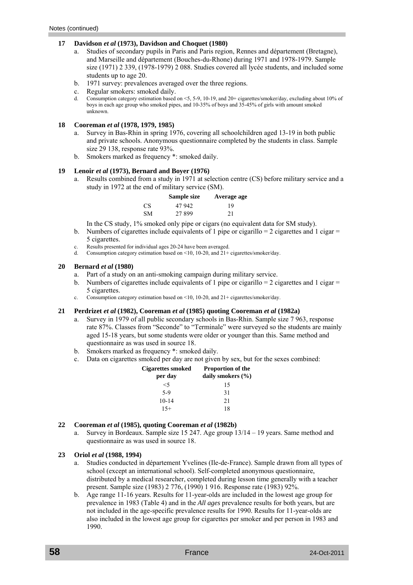#### **17 Davidson** *et al* **(1973), Davidson and Choquet (1980)**

- a. Studies of secondary pupils in Paris and Paris region, Rennes and département (Bretagne), and Marseille and département (Bouches-du-Rhone) during 1971 and 1978-1979. Sample size (1971) 2 339, (1978-1979) 2 088. Studies covered all lycée students, and included some students up to age 20.
- b. 1971 survey: prevalences averaged over the three regions.
- c. Regular smokers: smoked daily.
- d. Consumption category estimation based on <5, 5-9, 10-19, and 20+ cigarettes/smoker/day, excluding about 10% of boys in each age group who smoked pipes, and 10-35% of boys and 35-45% of girls with amount smoked unknown.

#### **18 Cooreman** *et al* **(1978, 1979, 1985)**

- a. Survey in Bas-Rhin in spring 1976, covering all schoolchildren aged 13-19 in both public and private schools. Anonymous questionnaire completed by the students in class. Sample size 29 138, response rate 93%.
- b. Smokers marked as frequency \*: smoked daily.

#### **19 Lenoir** *et al* **(1973), Bernard and Boyer (1976)**

a. Results combined from a study in 1971 at selection centre (CS) before military service and a study in 1972 at the end of military service (SM).

|    | Sample size | Average age |
|----|-------------|-------------|
| CS | 47 942      | 19          |
| SМ | 27899       | 21          |

In the CS study, 1% smoked only pipe or cigars (no equivalent data for SM study).

- b. Numbers of cigarettes include equivalents of 1 pipe or cigarillo  $= 2$  cigarettes and 1 cigar  $=$ 5 cigarettes.
- c. Results presented for individual ages 20-24 have been averaged.
- d. Consumption category estimation based on <10, 10-20, and 21+ cigarettes/smoker/day.

#### **20 Bernard** *et al* **(1980)**

- a. Part of a study on an anti-smoking campaign during military service.
- b. Numbers of cigarettes include equivalents of 1 pipe or cigarillo  $= 2$  cigarettes and 1 cigar  $=$ 5 cigarettes.
- c. Consumption category estimation based on <10, 10-20, and 21+ cigarettes/smoker/day.

#### **21 Perdrizet** *et al* **(1982), Cooreman** *et al* **(1985) quoting Cooreman** *et al* **(1982a)**

- a. Survey in 1979 of all public secondary schools in Bas-Rhin. Sample size 7 963, response rate 87%. Classes from "Seconde" to "Terminale" were surveyed so the students are mainly aged 15-18 years, but some students were older or younger than this. Same method and questionnaire as was used in source 18.
- b. Smokers marked as frequency \*: smoked daily.
- c. Data on cigarettes smoked per day are not given by sex, but for the sexes combined:

| <b>Cigarettes smoked</b><br>per day | <b>Proportion of the</b><br>daily smokers $(\% )$ |  |  |
|-------------------------------------|---------------------------------------------------|--|--|
| <5                                  | 15                                                |  |  |
| $5-9$                               | 31                                                |  |  |
| $10 - 14$                           | 21                                                |  |  |
| $15+$                               | 18                                                |  |  |

#### **22 Cooreman** *et al* **(1985), quoting Cooreman** *et al* **(1982b)**

a. Survey in Bordeaux. Sample size 15 247. Age group 13/14 – 19 years. Same method and questionnaire as was used in source 18.

#### **23 Oriol** *et al* **(1988, 1994)**

- a. Studies conducted in département Yvelines (Ile-de-France). Sample drawn from all types of school (except an international school). Self-completed anonymous questionnaire, distributed by a medical researcher, completed during lesson time generally with a teacher present. Sample size (1983) 2 776, (1990) 1 916. Response rate (1983) 92%.
- b. Age range 11-16 years. Results for 11-year-olds are included in the lowest age group for prevalence in 1983 (Table 4) and in the *All ages* prevalence results for both years, but are not included in the age-specific prevalence results for 1990. Results for 11-year-olds are also included in the lowest age group for cigarettes per smoker and per person in 1983 and 1990.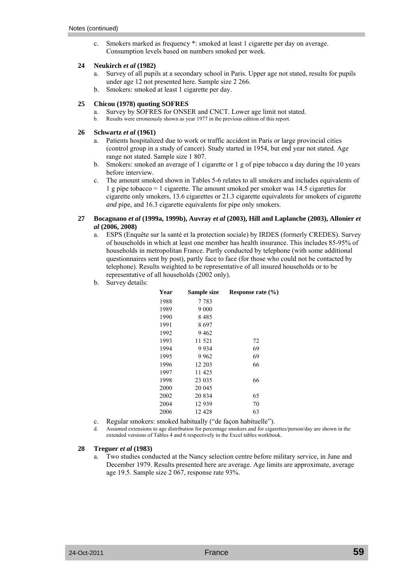c. Smokers marked as frequency \*: smoked at least 1 cigarette per day on average. Consumption levels based on numbers smoked per week.

#### **24 Neukirch** *et al* **(1982)**

- a. Survey of all pupils at a secondary school in Paris. Upper age not stated, results for pupils under age 12 not presented here. Sample size 2 266.
- b. Smokers: smoked at least 1 cigarette per day.

## **25 Chicou (1978) quoting SOFRES**

- a. Survey by SOFRES for ONSER and CNCT. Lower age limit not stated.
- b. Results were erroneously shown as year 1977 in the previous edition of this report.

## **26 Schwartz** *et al* **(1961)**

- a. Patients hospitalized due to work or traffic accident in Paris or large provincial cities (control group in a study of cancer). Study started in 1954, but end year not stated. Age range not stated. Sample size 1 807.
- b. Smokers: smoked an average of 1 cigarette or 1 g of pipe tobacco a day during the 10 years before interview.
- c. The amount smoked shown in Tables 5-6 relates to all smokers and includes equivalents of 1 g pipe tobacco = 1 cigarette. The amount smoked per smoker was 14.5 cigarettes for cigarette only smokers, 13.6 cigarettes or 21.3 cigarette equivalents for smokers of cigarette *and* pipe, and 16.3 cigarette equivalents for pipe only smokers.

#### **27 Bocagnano** *et al* **(1999a, 1999b), Auvray** *et al* **(2003), Hill and Laplanche (2003), Allonier** *et al* **(2006, 2008)**

- a. ESPS (Enquête sur la santé et la protection sociale) by IRDES (formerly CREDES). Survey of households in which at least one member has health insurance. This includes 85-95% of households in metropolitan France. Partly conducted by telephone (with some additional questionnaires sent by post), partly face to face (for those who could not be contacted by telephone). Results weighted to be representative of all insured households or to be representative of all households (2002 only).
- b. Survey details:

| Year | Sample size | Response rate $(\% )$ |
|------|-------------|-----------------------|
| 1988 | 7 7 8 3     |                       |
| 1989 | 9 0 0 0     |                       |
| 1990 | 8485        |                       |
| 1991 | 8697        |                       |
| 1992 | 9462        |                       |
| 1993 | 11 521      | 72                    |
| 1994 | 9934        | 69                    |
| 1995 | 9 9 6 2     | 69                    |
| 1996 | 12 203      | 66                    |
| 1997 | 11 425      |                       |
| 1998 | 23 035      | 66                    |
| 2000 | 20 045      |                       |
| 2002 | 20 834      | 65                    |
| 2004 | 12939       | 70                    |
| 2006 | 12428       | 63                    |
|      |             |                       |

- c. Regular smokers: smoked habitually ("de façon habituelle").
- d. Assumed extensions to age distribution for percentage smokers and for cigarettes/person/day are shown in the extended versions of Tables 4 and 6 respectively in the Excel tables workbook.

#### **28 Treguer** *et al* **(1983)**

a. Two studies conducted at the Nancy selection centre before military service, in June and December 1979. Results presented here are average. Age limits are approximate, average age 19.5. Sample size 2 067, response rate 93%.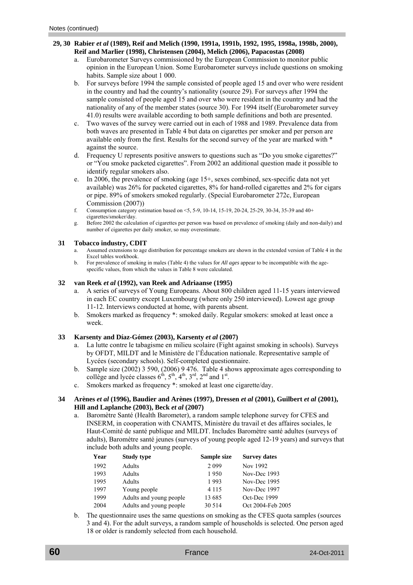## **29, 30 Rabier** *et al* **(1989), Reif and Melich (1990, 1991a, 1991b, 1992, 1995, 1998a, 1998b, 2000), Reif and Marlier (1998), Christensen (2004), Melich (2006), Papacostas (2008)**

- a. Eurobarometer Surveys commissioned by the European Commission to monitor public opinion in the European Union. Some Eurobarometer surveys include questions on smoking habits. Sample size about 1 000.
- b. For surveys before 1994 the sample consisted of people aged 15 and over who were resident in the country and had the country's nationality (source 29). For surveys after 1994 the sample consisted of people aged 15 and over who were resident in the country and had the nationality of any of the member states (source 30). For 1994 itself (Eurobarometer survey 41.0) results were available according to both sample definitions and both are presented.
- c. Two waves of the survey were carried out in each of 1988 and 1989. Prevalence data from both waves are presented in Table 4 but data on cigarettes per smoker and per person are available only from the first. Results for the second survey of the year are marked with \* against the source.
- d. Frequency U represents positive answers to questions such as "Do you smoke cigarettes?" or "You smoke packeted cigarettes". From 2002 an additional question made it possible to identify regular smokers also.
- e. In 2006, the prevalence of smoking (age 15+, sexes combined, sex-specific data not yet available) was 26% for packeted cigarettes, 8% for hand-rolled cigarettes and 2% for cigars or pipe. 89% of smokers smoked regularly. (Special Eurobarometer 272c, European Commission (2007))
- f. Consumption category estimation based on <5, 5-9, 10-14, 15-19, 20-24, 25-29, 30-34, 35-39 and 40+ cigarettes/smoker/day.
- g. Before 2002 the calculation of cigarettes per person was based on prevalence of smoking (daily and non-daily) and number of cigarettes per daily smoker, so may overestimate.

## **31 Tobacco industry, CDIT**

- a. Assumed extensions to age distribution for percentage smokers are shown in the extended version of Table 4 in the Excel tables workbook.
- b. For prevalence of smoking in males (Table 4) the values for *All ages* appear to be incompatible with the agespecific values, from which the values in Table 8 were calculated.

## **32 van Reek** *et al* **(1992), van Reek and Adriaanse (1995)**

- a. A series of surveys of Young Europeans. About 800 children aged 11-15 years interviewed in each EC country except Luxembourg (where only 250 interviewed). Lowest age group 11-12. Interviews conducted at home, with parents absent.
- b. Smokers marked as frequency \*: smoked daily. Regular smokers: smoked at least once a week.

## **33 Karsenty and Díaz-Gómez (2003), Karsenty** *et al* **(2007)**

- a. La lutte contre le tabagisme en milieu scolaire (Fight against smoking in schools). Surveys by OFDT, MILDT and le Ministère de l'Éducation nationale. Representative sample of Lycées (secondary schools). Self-completed questionnaire.
- b. Sample size (2002) 3 590, (2006) 9 476. Table 4 shows approximate ages corresponding to collège and lycée classes  $6<sup>th</sup>$ ,  $5<sup>th</sup>$ ,  $4<sup>th</sup>$ ,  $3<sup>rd</sup>$ ,  $2<sup>nd</sup>$  and  $1<sup>st</sup>$ .
- c. Smokers marked as frequency \*: smoked at least one cigarette/day.

#### **34 Arènes** *et al* **(1996), Baudier and Arènes (1997), Dressen** *et al* **(2001), Guilbert** *et al* **(2001), Hill and Laplanche (2003), Beck** *et al* **(2007)**

a. Baromètre Santé (Health Barometer), a random sample telephone survey for CFES and INSERM, in cooperation with CNAMTS, Ministère du travail et des affaires sociales, le Haut-Comité de santé publique and MILDT. Includes Baromètre santé adultes (surveys of adults), Baromètre santé jeunes (surveys of young people aged 12-19 years) and surveys that include both adults and young people.

| Year | <b>Study type</b>       | Sample size | <b>Survey dates</b> |
|------|-------------------------|-------------|---------------------|
| 1992 | Adults                  | 2 0 9 9     | Nov 1992            |
| 1993 | Adults                  | 1950        | Nov-Dec 1993        |
| 1995 | Adults                  | 1993        | Nov-Dec 1995        |
| 1997 | Young people            | 4 1 1 5     | Nov-Dec 1997        |
| 1999 | Adults and young people | 13 685      | Oct-Dec 1999        |
| 2004 | Adults and young people | 30 5 14     | Oct 2004-Feb 2005   |

 b. The questionnaire uses the same questions on smoking as the CFES quota samples (sources 3 and 4). For the adult surveys, a random sample of households is selected. One person aged 18 or older is randomly selected from each household.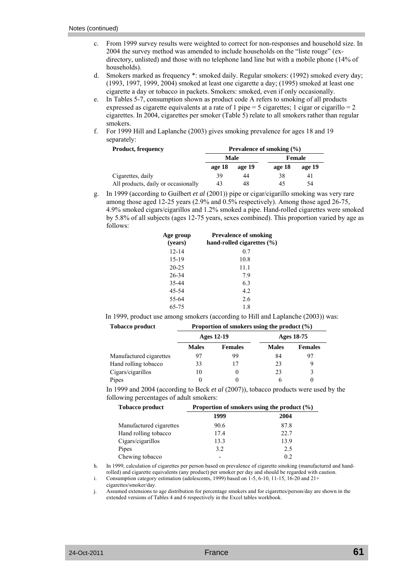- c. From 1999 survey results were weighted to correct for non-responses and household size. In 2004 the survey method was amended to include households on the "liste rouge" (exdirectory, unlisted) and those with no telephone land line but with a mobile phone (14% of households).
- d. Smokers marked as frequency \*: smoked daily. Regular smokers: (1992) smoked every day; (1993, 1997, 1999, 2004) smoked at least one cigarette a day; (1995) smoked at least one cigarette a day or tobacco in packets. Smokers: smoked, even if only occasionally.
- e. In Tables 5-7, consumption shown as product code A refers to smoking of all products expressed as cigarette equivalents at a rate of 1 pipe = 5 cigarettes; 1 cigar or cigarillo =  $2$ cigarettes. In 2004, cigarettes per smoker (Table 5) relate to all smokers rather than regular smokers.
- f. For 1999 Hill and Laplanche (2003) gives smoking prevalence for ages 18 and 19 separately:

| <b>Product, frequency</b>           | Prevalence of smoking $(\% )$ |        |        |        |  |
|-------------------------------------|-------------------------------|--------|--------|--------|--|
|                                     | Male                          |        |        | Female |  |
|                                     | age 18                        | age 19 | age 18 | age 19 |  |
| Cigarettes, daily                   | 39                            | 44     | 38     | 41     |  |
| All products, daily or occasionally | 43                            | 48     | 45     | 54     |  |

 g. In 1999 (according to Guilbert *et al* (2001)) pipe or cigar/cigarillo smoking was very rare among those aged 12-25 years (2.9% and 0.5% respectively). Among those aged 26-75, 4.9% smoked cigars/cigarillos and 1.2% smoked a pipe. Hand-rolled cigarettes were smoked by 5.8% of all subjects (ages 12-75 years, sexes combined). This proportion varied by age as follows:

| <b>Prevalence of smoking</b><br>hand-rolled cigarettes $(\% )$ |
|----------------------------------------------------------------|
| 0.7                                                            |
| 10.8                                                           |
| 11.1                                                           |
| 7.9                                                            |
| 6.3                                                            |
| 4.2                                                            |
| 2.6                                                            |
| 1.8                                                            |
|                                                                |

In 1999, product use among smokers (according to Hill and Laplanche (2003)) was:

| <b>Tobacco product</b>  | Proportion of smokers using the product $(\% )$ |                |              |                |
|-------------------------|-------------------------------------------------|----------------|--------------|----------------|
|                         | Ages 12-19                                      |                | Ages 18-75   |                |
|                         | <b>Males</b>                                    | <b>Females</b> | <b>Males</b> | <b>Females</b> |
| Manufactured cigarettes | 97                                              | 99             | 84           | 97             |
| Hand rolling tobacco    | 33                                              | 17             | 23           | 9              |
| Cigars/cigarillos       | 10                                              | 0              | 23           | 3              |
| Pipes                   |                                                 |                |              |                |

 In 1999 and 2004 (according to Beck *et al* (2007)), tobacco products were used by the following percentages of adult smokers:

| <b>Tobacco product</b>  | Proportion of smokers using the product $(\% )$ |      |  |
|-------------------------|-------------------------------------------------|------|--|
|                         | 1999                                            | 2004 |  |
| Manufactured cigarettes | 90.6                                            | 87.8 |  |
| Hand rolling tobacco    | 17.4                                            | 22.7 |  |
| Cigars/cigarillos       | 13.3                                            | 13.9 |  |
| Pipes                   | 3.2                                             | 2.5  |  |
| Chewing tobacco         |                                                 | 02   |  |

 h. In 1999, calculation of cigarettes per person based on prevalence of cigarette smoking (manufactured and handrolled) and cigarette equivalents (any product) per smoker per day and should be regarded with caution.

i. Consumption category estimation (adolescents, 1999) based on 1-5, 6-10, 11-15, 16-20 and 21+

cigarettes/smoker/day.

 j. Assumed extensions to age distribution for percentage smokers and for cigarettes/person/day are shown in the extended versions of Tables 4 and 6 respectively in the Excel tables workbook.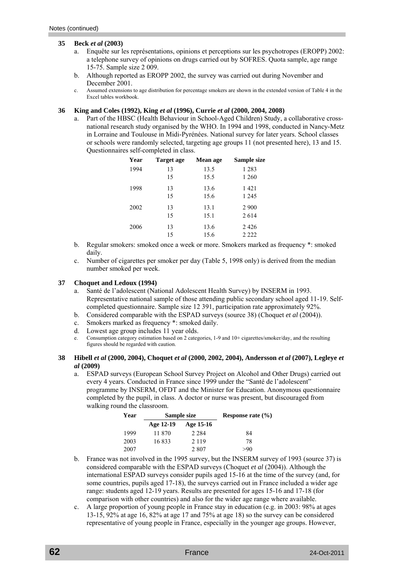#### **35 Beck** *et al* **(2003)**

- a. Enquête sur les représentations, opinions et perceptions sur les psychotropes (EROPP) 2002: a telephone survey of opinions on drugs carried out by SOFRES. Quota sample, age range 15-75. Sample size 2 009.
- b. Although reported as EROPP 2002, the survey was carried out during November and December 2001.
- c. Assumed extensions to age distribution for percentage smokers are shown in the extended version of Table 4 in the Excel tables workbook.

### **36 King and Coles (1992), King** *et al* **(1996), Currie** *et al* **(2000, 2004, 2008)**

a. Part of the HBSC (Health Behaviour in School-Aged Children) Study, a collaborative crossnational research study organised by the WHO. In 1994 and 1998, conducted in Nancy-Metz in Lorraine and Toulouse in Midi-Pyrénées. National survey for later years. School classes or schools were randomly selected, targeting age groups 11 (not presented here), 13 and 15. Questionnaires self-completed in class.

| Year | Target age | Mean age | Sample size |
|------|------------|----------|-------------|
| 1994 | 13         | 13.5     | 1 2 8 3     |
|      | 15         | 15.5     | 1 260       |
| 1998 | 13         | 13.6     | 1421        |
|      | 15         | 15.6     | 1 2 4 5     |
| 2002 | 13         | 13.1     | 2 9 0 0     |
|      | 15         | 15.1     | 2614        |
| 2006 | 13         | 13.6     | 2426        |
|      | 15         | 15.6     | 2 2 2 2     |

- b. Regular smokers: smoked once a week or more. Smokers marked as frequency \*: smoked daily.
- c. Number of cigarettes per smoker per day (Table 5, 1998 only) is derived from the median number smoked per week.

#### **37 Choquet and Ledoux (1994)**

- a. Santé de l'adolescent (National Adolescent Health Survey) by INSERM in 1993. Representative national sample of those attending public secondary school aged 11-19. Selfcompleted questionnaire. Sample size 12 391, participation rate approximately 92%.
- b. Considered comparable with the ESPAD surveys (source 38) (Choquet *et al* (2004)).
- c. Smokers marked as frequency \*: smoked daily.
- d. Lowest age group includes 11 year olds.
- e. Consumption category estimation based on 2 categories, 1-9 and 10+ cigarettes/smoker/day, and the resulting figures should be regarded with caution.
- **38 Hibell** *et al* **(2000, 2004), Choquet** *et al* **(2000, 2002, 2004), Andersson** *et al* **(2007), Legleye** *et al* **(2009)** 
	- a. ESPAD surveys (European School Survey Project on Alcohol and Other Drugs) carried out every 4 years. Conducted in France since 1999 under the "Santé de l'adolescent" programme by INSERM, OFDT and the Minister for Education. Anonymous questionnaire completed by the pupil, in class. A doctor or nurse was present, but discouraged from walking round the classroom.

| Year | Sample size |           | Response rate $(\% )$ |
|------|-------------|-----------|-----------------------|
|      | Age 12-19   | Age 15-16 |                       |
| 1999 | 11 870      | 2 2 8 4   | 84                    |
| 2003 | 16833       | 2 1 1 9   | 78                    |
| 2007 |             | 2807      | >90                   |

- b. France was not involved in the 1995 survey, but the INSERM survey of 1993 (source 37) is considered comparable with the ESPAD surveys (Choquet *et al* (2004)). Although the international ESPAD surveys consider pupils aged 15-16 at the time of the survey (and, for some countries, pupils aged 17-18), the surveys carried out in France included a wider age range: students aged 12-19 years. Results are presented for ages 15-16 and 17-18 (for comparison with other countries) and also for the wider age range where available.
- c. A large proportion of young people in France stay in education (e.g. in 2003: 98% at ages 13-15, 92% at age 16, 82% at age 17 and 75% at age 18) so the survey can be considered representative of young people in France, especially in the younger age groups. However,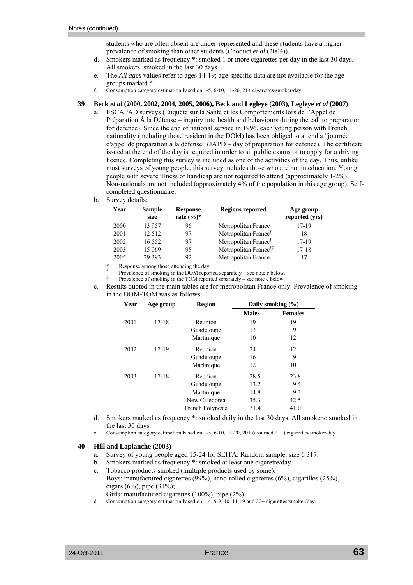students who are often absent are under-represented and these students have a higher prevalence of smoking than other students (Choquet *et al* (2004)).

- d. Smokers marked as frequency \*: smoked 1 or more cigarettes per day in the last 30 days. All smokers: smoked in the last 30 days.
- e. The *All ages* values refer to ages 14-19; age-specific data are not available for the age groups marked \*.
- f. Consumption category estimation based on 1-5, 6-10, 11-20, 21+ cigarettes/smoker/day.

#### **39 Beck** *et al* **(2000, 2002, 2004, 2005, 2006), Beck and Legleye (2003), Legleye** *et al* **(2007)**

- a. ESCAPAD surveys (Enquête sur la Santé et les Comportements lors de l'Appel de Préparation  $\dot{A}$  la Défense – inquiry into health and behaviours during the call to preparation for defence). Since the end of national service in 1996, each young person with French nationality (including those resident in the DOM) has been obliged to attend a "journée d'appel de préparation à la défense" (JAPD – day of preparation for defence). The certificate issued at the end of the day is required in order to sit public exams or to apply for a driving licence. Completing this survey is included as one of the activities of the day. Thus, unlike most surveys of young people, this survey includes those who are not in education. Young people with severe illness or handicap are not required to attend (approximately 1-2%). Non-nationals are not included (approximately 4% of the population in this age group). Selfcompleted questionnaire.
- b. Survey details:

| Year | <b>Sample</b><br>size | <b>Response</b><br>rate $(\%)^*$ | <b>Regions reported</b>           | Age group<br>reported (yrs) |
|------|-----------------------|----------------------------------|-----------------------------------|-----------------------------|
| 2000 | 13 957                | 96                               | Metropolitan France               | 17-19                       |
| 2001 | 12 5 12               | 97                               | Metropolitan France <sup>†</sup>  | 18                          |
| 2002 | 16 5 5 2              | 97                               | Metropolitan France <sup>†</sup>  | $17-19$                     |
| 2003 | 15 069                | 98                               | Metropolitan France <sup>†‡</sup> | $17 - 18$                   |
| 2005 | 29 3 9 3              | 92                               | Metropolitan France               |                             |

Response among those attending the day.

† 1920 - 1920 - 1920 - 1920 - 1920 - 1920 - 1920 - 1920 - 1920 - 1920 - 1920 - 1920 - 1920 - 1920 - 1920 - 1920<br>Die geskiedenische Statistiker († 1920 - 1920 - 1920 - 1920 - 1920 - 1920 - 1920 - 1920 - 1920 - 1920 - 1920 Prevalence of smoking in the DOM reported separately – see note c below.

- ‡ († 1955)<br>⊅ († 1956) Prevalence of smoking in the TOM reported separately – see note c below.
	- c. Results quoted in the main tables are for metropolitan France only. Prevalence of smoking in the DOM-TOM was as follows:

| Year | Age group | <b>Region</b>    | Daily smoking $(\% )$ |                |
|------|-----------|------------------|-----------------------|----------------|
|      |           |                  | <b>Males</b>          | <b>Females</b> |
| 2001 | $17 - 18$ | Réunion          | 19                    | 19             |
|      |           | Guadeloupe       | 13                    | 9              |
|      |           | Martinique       | 10                    | 12             |
| 2002 | $17 - 19$ | Réunion          | 24                    | 12             |
|      |           | Guadeloupe       | 16                    | 9              |
|      |           | Martinique       | 12                    | 10             |
| 2003 | $17 - 18$ | Réunion          | 28.5                  | 23.8           |
|      |           | Guadeloupe       | 13.2                  | 9.4            |
|      |           | Martinique       | 14.8                  | 9.3            |
|      |           | New Caledonia    | 35.3                  | 42.5           |
|      |           | French Polynesia | 31.4                  | 41.0           |

- d. Smokers marked as frequency \*: smoked daily in the last 30 days. All smokers: smoked in the last 30 days.
- e. Consumption category estimation based on 1-5, 6-10, 11-20, 20+ (assumed 21+) cigarettes/smoker/day.

#### **40 Hill and Laplanche (2003)**

- a. Survey of young people aged 15-24 for SEITA. Random sample, size 6 317.
- b. Smokers marked as frequency \*: smoked at least one cigarette/day.
- c. Tobacco products smoked (multiple products used by some): Boys: manufactured cigarettes (99%), hand-rolled cigarettes (6%), cigarillos (25%), cigars (6%), pipe  $(31\%)$ ;
- Girls: manufactured cigarettes  $(100\%)$ , pipe  $(2\%)$ .<br>
Consumption category estimation based on 1-4–5-9–10–11-19
- Consumption category estimation based on  $1-4$ ,  $5-9$ ,  $10$ ,  $11-19$  and  $20+$  cigarettes/smoker/day.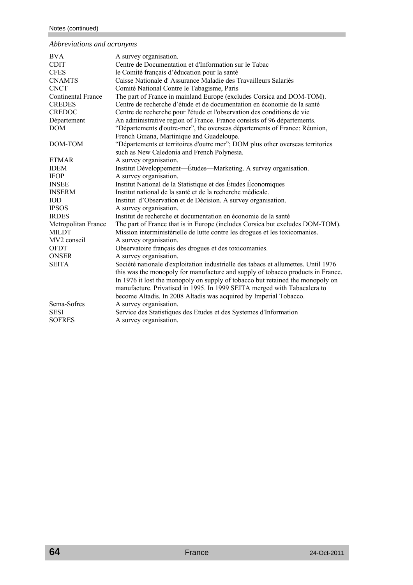## *Abbreviations and acronyms*

| <b>BVA</b>                | A survey organisation.                                                             |
|---------------------------|------------------------------------------------------------------------------------|
| <b>CDIT</b>               | Centre de Documentation et d'Information sur le Tabac                              |
| <b>CFES</b>               | le Comité français d'éducation pour la santé                                       |
| <b>CNAMTS</b>             | Caisse Nationale d'Assurance Maladie des Travailleurs Salariés                     |
| <b>CNCT</b>               | Comité National Contre le Tabagisme, Paris                                         |
| <b>Continental France</b> | The part of France in mainland Europe (excludes Corsica and DOM-TOM).              |
| <b>CREDES</b>             | Centre de recherche d'étude et de documentation en économie de la santé            |
| <b>CREDOC</b>             | Centre de recherche pour l'étude et l'observation des conditions de vie            |
| Département               | An administrative region of France. France consists of 96 départements.            |
| <b>DOM</b>                | "Départements d'outre-mer", the overseas départements of France: Réunion,          |
|                           | French Guiana, Martinique and Guadeloupe.                                          |
| DOM-TOM                   | "Départements et territoires d'outre mer"; DOM plus other overseas territories     |
|                           | such as New Caledonia and French Polynesia.                                        |
| <b>ETMAR</b>              | A survey organisation.                                                             |
| <b>IDEM</b>               | Institut Développement—Études—Marketing. A survey organisation.                    |
| <b>IFOP</b>               | A survey organisation.                                                             |
| <b>INSEE</b>              | Institut National de la Statistique et des Études Économiques                      |
| <b>INSERM</b>             | Institut national de la santé et de la recherche médicale.                         |
| <b>IOD</b>                | Institut d'Observation et de Décision. A survey organisation.                      |
| <b>IPSOS</b>              | A survey organisation.                                                             |
| <b>IRDES</b>              | Institut de recherche et documentation en économie de la santé                     |
| Metropolitan France       | The part of France that is in Europe (includes Corsica but excludes DOM-TOM).      |
| <b>MILDT</b>              | Mission interministérielle de lutte contre les drogues et les toxicomanies.        |
| MV2 conseil               | A survey organisation.                                                             |
| <b>OFDT</b>               | Observatoire français des drogues et des toxicomanies.                             |
| <b>ONSER</b>              | A survey organisation.                                                             |
| <b>SEITA</b>              | Société nationale d'exploitation industrielle des tabacs et allumettes. Until 1976 |
|                           | this was the monopoly for manufacture and supply of tobacco products in France.    |
|                           | In 1976 it lost the monopoly on supply of tobacco but retained the monopoly on     |
|                           | manufacture. Privatised in 1995. In 1999 SEITA merged with Tabacalera to           |
|                           | become Altadis. In 2008 Altadis was acquired by Imperial Tobacco.                  |
| Sema-Sofres               | A survey organisation.                                                             |
| <b>SESI</b>               | Service des Statistiques des Etudes et des Systemes d'Information                  |
| <b>SOFRES</b>             | A survey organisation.                                                             |
|                           |                                                                                    |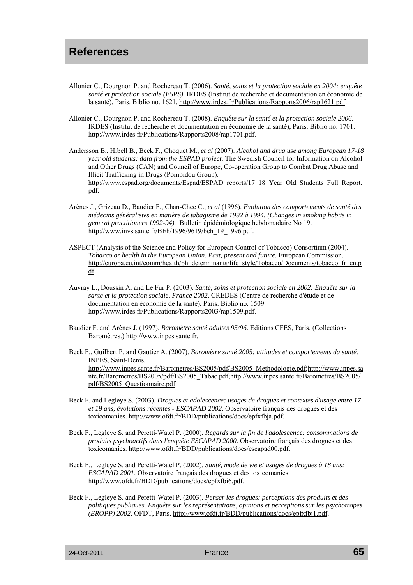- Allonier C., Dourgnon P. and Rochereau T. (2006). *Santé, soins et la protection sociale en 2004: enquête santé et protection sociale (ESPS)*. IRDES (Institut de recherche et documentation en économie de la santé), Paris. Biblio no. 1621. http://www.irdes.fr/Publications/Rapports2006/rap1621.pdf.
- Allonier C., Dourgnon P. and Rochereau T. (2008). *Enquête sur la santé et la protection sociale 2006*. IRDES (Institut de recherche et documentation en économie de la santé), Paris. Biblio no. 1701. http://www.irdes.fr/Publications/Rapports2008/rap1701.pdf.
- Andersson B., Hibell B., Beck F., Choquet M., *et al* (2007). *Alcohol and drug use among European 17-18 year old students: data from the ESPAD project*. The Swedish Council for Information on Alcohol and Other Drugs (CAN) and Council of Europe, Co-operation Group to Combat Drug Abuse and Illicit Trafficking in Drugs (Pompidou Group). http://www.espad.org/documents/Espad/ESPAD\_reports/17\_18\_Year\_Old\_Students\_Full\_Report. pdf.
- Arènes J., Grizeau D., Baudier F., Chan-Chee C., *et al* (1996). *Evolution des comportements de santé des médecins généralistes en matière de tabagisme de 1992 à 1994. (Changes in smoking habits in general practitioners 1992-94)*. Bulletin épidémiologique hebdomadaire No 19. http://www.invs.sante.fr/BEh/1996/9619/beh\_19\_1996.pdf.
- ASPECT (Analysis of the Science and Policy for European Control of Tobacco) Consortium (2004). *Tobacco or health in the European Union. Past, present and future*. European Commission. http://europa.eu.int/comm/health/ph\_determinants/life\_style/Tobacco/Documents/tobacco\_fr\_en.p df.
- Auvray L., Doussin A. and Le Fur P. (2003). *Santé, soins et protection sociale en 2002: Enquête sur la santé et la protection sociale, France 2002*. CREDES (Centre de recherche d'étude et de documentation en économie de la santé), Paris. Biblio no. 1509. http://www.irdes.fr/Publications/Rapports2003/rap1509.pdf.
- Baudier F. and Arènes J. (1997). *Baromètre santé adultes 95/96*. Éditions CFES, Paris. (Collections Baromètres.) http://www.inpes.sante.fr.
- Beck F., Guilbert P. and Gautier A. (2007). *Baromètre santé 2005: attitudes et comportements da santé*. INPES, Saint-Denis. http://www.inpes.sante.fr/Barometres/BS2005/pdf/BS2005\_Methodologie.pdf;http://www.inpes.sa nte.fr/Barometres/BS2005/pdf/BS2005\_Tabac.pdf;http://www.inpes.sante.fr/Barometres/BS2005/ pdf/BS2005\_Questionnaire.pdf.
- Beck F. and Legleye S. (2003). *Drogues et adolescence: usages de drogues et contextes d'usage entre 17 et 19 ans, évolutions récentes - ESCAPAD 2002*. Observatoire français des drogues et des toxicomanies. http://www.ofdt.fr/BDD/publications/docs/epfxfbja.pdf.
- Beck F., Legleye S. and Peretti-Watel P. (2000). *Regards sur la fin de l'adolescence: consommations de produits psychoactifs dans l'enquête ESCAPAD 2000*. Observatoire français des drogues et des toxicomanies. http://www.ofdt.fr/BDD/publications/docs/escapad00.pdf.
- Beck F., Legleye S. and Peretti-Watel P. (2002). *Santé, mode de vie et usages de drogues à 18 ans: ESCAPAD 2001*. Observatoire français des drogues et des toxicomanies. http://www.ofdt.fr/BDD/publications/docs/epfxfbi6.pdf.
- Beck F., Legleye S. and Peretti-Watel P. (2003). *Penser les drogues: perceptions des produits et des politiques publiques. Enquête sur les représentations, opinions et perceptions sur les psychotropes (EROPP) 2002*. OFDT, Paris. http://www.ofdt.fr/BDD/publications/docs/epfxfbj1.pdf.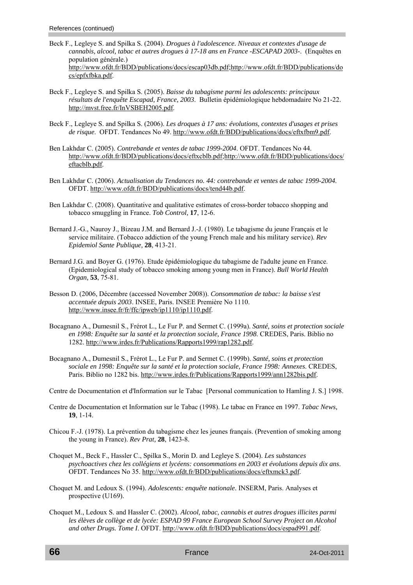- Beck F., Legleye S. and Spilka S. (2004). *Drogues à l'adolescence. Niveaux et contextes d'usage de cannabis, alcool, tabac et autres drogues à 17-18 ans en France -ESCAPAD 2003-*. (Enquêtes en population générale.) http://www.ofdt.fr/BDD/publications/docs/escap03db.pdf;http://www.ofdt.fr/BDD/publications/do cs/epfxfbka.pdf.
- Beck F., Legleye S. and Spilka S. (2005). *Baisse du tabagisme parmi les adolescents: principaux résultats de l'enquête Escapad, France, 2003*. Bulletin épidémiologique hebdomadaire No 21-22. http://mvst.free.fr/InVSBEH2005.pdf.
- Beck F., Legleye S. and Spilka S. (2006). *Les droques à 17 ans: évolutions, contextes d'usages et prises de risque*. OFDT. Tendances No 49. http://www.ofdt.fr/BDD/publications/docs/eftxfbm9.pdf.
- Ben Lakhdar C. (2005). *Contrebande et ventes de tabac 1999-2004*. OFDT. Tendances No 44. http://www.ofdt.fr/BDD/publications/docs/eftxcblb.pdf;http://www.ofdt.fr/BDD/publications/docs/ eftacblb.pdf.
- Ben Lakhdar C. (2006). *Actualisation du Tendances no. 44: contrebande et ventes de tabac 1999-2004*. OFDT. http://www.ofdt.fr/BDD/publications/docs/tend44b.pdf.
- Ben Lakhdar C. (2008). Quantitative and qualitative estimates of cross-border tobacco shopping and tobacco smuggling in France. *Tob Control,* **17**, 12-6.
- Bernard J.-G., Nauroy J., Bizeau J.M. and Bernard J.-J. (1980). Le tabagisme du jeune Français et le service militaire. (Tobacco addiction of the young French male and his military service). *Rev Epidemiol Sante Publique,* **28**, 413-21.
- Bernard J.G. and Boyer G. (1976). Etude épidémiologique du tabagisme de l'adulte jeune en France. (Epidemiological study of tobacco smoking among young men in France). *Bull World Health Organ,* **53**, 75-81.
- Besson D. (2006, Décembre (accessed November 2008)). *Consommation de tabac: la baisse s'est accentuée depuis 2003*. INSEE, Paris. INSEE Première No 1110. http://www.insee.fr/fr/ffc/ipweb/ip1110/ip1110.pdf.
- Bocagnano A., Dumesnil S., Frérot L., Le Fur P. and Sermet C. (1999a). *Santé, soins et protection sociale en 1998: Enquête sur la santé et la protection sociale, France 1998*. CREDES, Paris. Biblio no 1282. http://www.irdes.fr/Publications/Rapports1999/rap1282.pdf.
- Bocagnano A., Dumesnil S., Frérot L., Le Fur P. and Sermet C. (1999b). *Santé, soins et protection sociale en 1998: Enquête sur la santé et la protection sociale, France 1998: Annexes*. CREDES, Paris. Biblio no 1282 bis. http://www.irdes.fr/Publications/Rapports1999/ann1282bis.pdf.
- Centre de Documentation et d'Information sur le Tabac [Personal communication to Hamling J. S.] 1998.
- Centre de Documentation et Information sur le Tabac (1998). Le tabac en France en 1997. *Tabac News,* **19**, 1-14.
- Chicou F.-J. (1978). La prévention du tabagisme chez les jeunes français. (Prevention of smoking among the young in France). *Rev Prat,* **28**, 1423-8.
- Choquet M., Beck F., Hassler C., Spilka S., Morin D. and Legleye S. (2004). *Les substances psychoactives chez les collégiens et lycéens: consommations en 2003 et évolutions depuis dix ans*. OFDT. Tendances No 35. http://www.ofdt.fr/BDD/publications/docs/eftxmck3.pdf.
- Choquet M. and Ledoux S. (1994). *Adolescents: enquête nationale*. INSERM, Paris. Analyses et prospective (U169).
- Choquet M., Ledoux S. and Hassler C. (2002). *Alcool, tabac, cannabis et autres drogues illicites parmi*  les élèves de collège et de lycée: ESPAD 99 France European School Survey Project on Alcohol *and other Drugs. Tome I*. OFDT. http://www.ofdt.fr/BDD/publications/docs/espad991.pdf.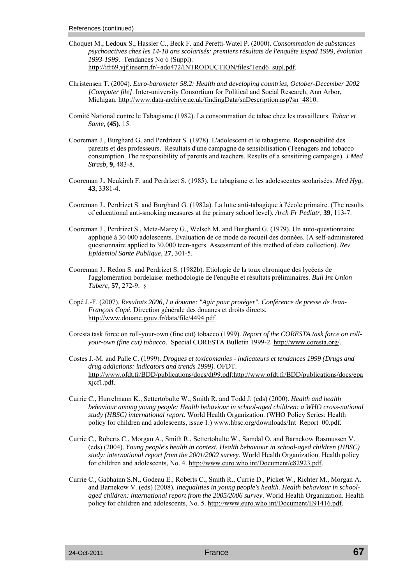- Choquet M., Ledoux S., Hassler C., Beck F. and Peretti-Watel P. (2000). *Consommation de substances psychoactives chez les 14-18 ans scolarisés: premiers résultats de l'enquête Espad 1999, évolution 1993-1999*. Tendances No 6 (Suppl). http://ifr69.vjf.inserm.fr/~ado472/INTRODUCTION/files/Tend6\_supl.pdf.
- Christensen T. (2004). *Euro-barometer 58.2: Health and developing countries, October-December 2002 [Computer file]*. Inter-university Consortium for Political and Social Research, Ann Arbor, Michigan. http://www.data-archive.ac.uk/findingData/snDescription.asp?sn=4810.
- Comité National contre le Tabagisme (1982). La consommation de tabac chez les travailleurs. *Tabac et Sante,* **(45)**, 15.
- Cooreman J., Burghard G. and Perdrizet S. (1978). L'adolescent et le tabagisme. Responsabilité des parents et des professeurs. Résultats d'une campagne de sensibilisation (Teenagers and tobacco consumption. The responsibility of parents and teachers. Results of a sensitizing campaign). *J Med Strasb,* **9**, 483-8.
- Cooreman J., Neukirch F. and Perdrizet S. (1985). Le tabagisme et les adolescentes scolarisées. *Med Hyg,* **43**, 3381-4.
- Cooreman J., Perdrizet S. and Burghard G. (1982a). La lutte anti-tabagique à l'école primaire. (The results of educational anti-smoking measures at the primary school level). *Arch Fr Pediatr,* **39**, 113-7.
- Cooreman J., Perdrizet S., Metz-Marcy G., Welsch M. and Burghard G. (1979). Un auto-questionnaire appliqué à 30 000 adolescents. Evaluation de ce mode de recueil des données. (A self-administered questionnaire applied to 30,000 teen-agers. Assessment of this method of data collection). *Rev Epidemiol Sante Publique,* **27**, 301-5.
- Cooreman J., Redon S. and Perdrizet S. (1982b). Etiologie de la toux chronique des lycéens de l'agglomération bordelaise: methodologie de l'enquête et résultats préliminaires. *Bull Int Union Tuberc,* **57**, 272-9. §
- Copé J.-F. (2007). *Resultats 2006, La douane: "Agir pour protéger". Conférence de presse de Jean-François Copé*. Direction générale des douanes et droits directs. http://www.douane.gouv.fr/data/file/4494.pdf.
- Coresta task force on roll-your-own (fine cut) tobacco (1999). *Report of the CORESTA task force on rollyour-own (fine cut) tobacco*. Special CORESTA Bulletin 1999-2. http://www.coresta.org/.
- Costes J.-M. and Palle C. (1999). *Drogues et toxicomanies indicateurs et tendances 1999 (Drugs and drug addictions: indicators and trends 1999)*. OFDT. http://www.ofdt.fr/BDD/publications/docs/dt99.pdf;http://www.ofdt.fr/BDD/publications/docs/epa xjcf1.pdf.
- Currie C., Hurrelmann K., Settertobulte W., Smith R. and Todd J. (eds) (2000). *Health and health behaviour among young people: Health behaviour in school-aged children: a WHO cross-national study (HBSC) international report*. World Health Organization. (WHO Policy Series: Health policy for children and adolescents, issue 1.) www.hbsc.org/downloads/Int\_Report\_00.pdf.
- Currie C., Roberts C., Morgan A., Smith R., Settertobulte W., Samdal O. and Barnekow Rasmussen V. (eds) (2004). *Young people's health in context. Health behaviour in school-aged children (HBSC) study: international report from the 2001/2002 survey*. World Health Organization. Health policy for children and adolescents, No. 4. http://www.euro.who.int/Document/e82923.pdf.
- Currie C., Gabhainn S.N., Godeau E., Roberts C., Smith R., Currie D., Picket W., Richter M., Morgan A. and Barnekow V. (eds) (2008). *Inequalities in young people's health. Health behaviour in schoolaged children: international report from the 2005/2006 survey*. World Health Organization. Health policy for children and adolescents, No. 5. http://www.euro.who.int/Document/E91416.pdf.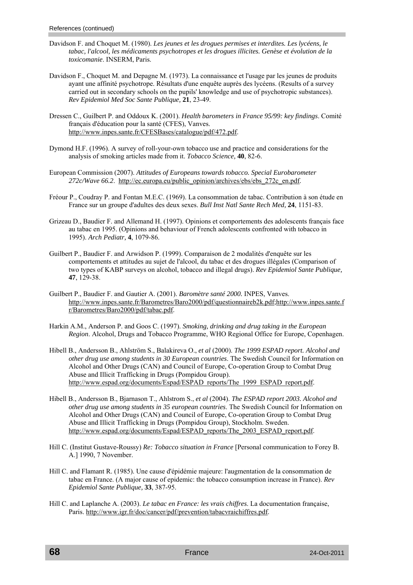- Davidson F. and Choquet M. (1980). *Les jeunes et les drogues permises et interdites. Les lycéens, le tabac, l'alcool, les médicaments psychotropes et les drogues illicites. Genèse et évolution de la toxicomanie*. INSERM, Paris.
- Davidson F., Choquet M. and Depagne M. (1973). La connaissance et l'usage par les jeunes de produits ayant une affinité psychotrope. Résultats d'une enquête auprès des lycéens. (Results of a survey carried out in secondary schools on the pupils' knowledge and use of psychotropic substances). *Rev Epidemiol Med Soc Sante Publique,* **21**, 23-49.
- Dressen C., Guilbert P. and Oddoux K. (2001). *Health barometers in France 95/99: key findings*. Comité français d'éducation pour la santé (CFES), Vanves. http://www.inpes.sante.fr/CFESBases/catalogue/pdf/472.pdf.
- Dymond H.F. (1996). A survey of roll-your-own tobacco use and practice and considerations for the analysis of smoking articles made from it. *Tobacco Science,* **40**, 82-6.
- European Commission (2007). *Attitudes of Europeans towards tobacco. Special Eurobarometer 272c/Wave 66.2*. http://ec.europa.eu/public\_opinion/archives/ebs/ebs\_272c\_en.pdf.
- Fréour P., Coudray P. and Fontan M.E.C. (1969). La consommation de tabac. Contribution à son étude en France sur un groupe d'adultes des deux sexes. *Bull Inst Natl Sante Rech Med,* **24**, 1151-83.
- Grizeau D., Baudier F. and Allemand H. (1997). Opinions et comportements des adolescents français face au tabac en 1995. (Opinions and behaviour of French adolescents confronted with tobacco in 1995). *Arch Pediatr,* **4**, 1079-86.
- Guilbert P., Baudier F. and Arwidson P. (1999). Comparaison de 2 modalités d'enquête sur les comportements et attitudes au sujet de l'alcool, du tabac et des drogues illégales (Comparison of two types of KABP surveys on alcohol, tobacco and illegal drugs). *Rev Epidemiol Sante Publique,* **47**, 129-38.
- Guilbert P., Baudier F. and Gautier A. (2001). *Baromètre santé 2000.* INPES, Vanves. http://www.inpes.sante.fr/Barometres/Baro2000/pdf/questionnaireb2k.pdf;http://www.inpes.sante.f r/Barometres/Baro2000/pdf/tabac.pdf.
- Harkin A.M., Anderson P. and Goos C. (1997). *Smoking, drinking and drug taking in the European Region*. Alcohol, Drugs and Tobacco Programme, WHO Regional Office for Europe, Copenhagen.
- Hibell B., Andersson B., Ahlström S., Balakireva O., *et al* (2000). *The 1999 ESPAD report. Alcohol and other drug use among students in 30 European countries*. The Swedish Council for Information on Alcohol and Other Drugs (CAN) and Council of Europe, Co-operation Group to Combat Drug Abuse and Illicit Trafficking in Drugs (Pompidou Group). http://www.espad.org/documents/Espad/ESPAD\_reports/The\_1999\_ESPAD\_report.pdf.
- Hibell B., Andersson B., Bjarnason T., Ahlstrom S., *et al* (2004). *The ESPAD report 2003. Alcohol and other drug use among students in 35 european countries*. The Swedish Council for Information on Alcohol and Other Drugs (CAN) and Council of Europe, Co-operation Group to Combat Drug Abuse and Illicit Trafficking in Drugs (Pompidou Group), Stockholm. Sweden. http://www.espad.org/documents/Espad/ESPAD\_reports/The\_2003\_ESPAD\_report.pdf.
- Hill C. (Institut Gustave-Roussy) *Re: Tobacco situation in France* [Personal communication to Forey B. A.] 1990, 7 November.
- Hill C. and Flamant R. (1985). Une cause d'épidémie majeure: l'augmentation de la consommation de tabac en France. (A major cause of epidemic: the tobacco consumption increase in France). *Rev Epidemiol Sante Publique,* **33**, 387-95.
- Hill C. and Laplanche A. (2003). *Le tabac en France: les vrais chiffres*. La documentation française, Paris. http://www.igr.fr/doc/cancer/pdf/prevention/tabacvraichiffres.pdf.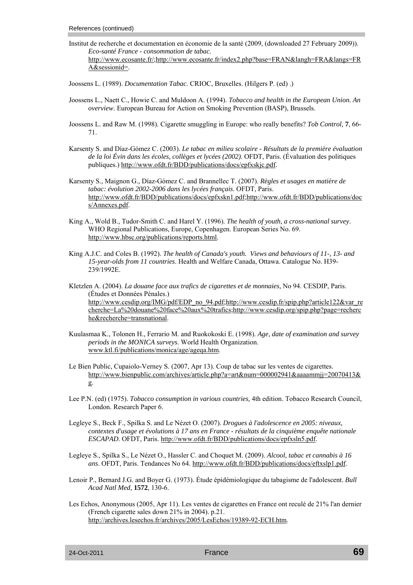- Institut de recherche et documentation en économie de la santé (2009, (downloaded 27 February 2009)). *Eco-santé France - consommation de tabac*. http://www.ecosante.fr/;http://www.ecosante.fr/index2.php?base=FRAN&langh=FRA&langs=FR A&sessionid=.
- Joossens L. (1989). *Documentation Tabac*. CRIOC, Bruxelles. (Hilgers P. (ed) .)
- Joossens L., Naett C., Howie C. and Muldoon A. (1994). *Tobacco and health in the European Union. An overview*. European Bureau for Action on Smoking Prevention (BASP), Brussels.
- Joossens L. and Raw M. (1998). Cigarette smuggling in Europe: who really benefits? *Tob Control,* **7**, 66- 71.
- Karsenty S. and Díaz-Gómez C. (2003). *Le tabac en milieu scolaire Résultats de la première évaluation de la loi Évin dans les écoles, collèges et lycées (2002)*. OFDT, Paris. (Évaluation des politiques publiques.) http://www.ofdt.fr/BDD/publications/docs/epfxskjc.pdf.
- Karsenty S., Maignon G., Díaz-Gómez C. and Brannellec T. (2007). *Règles et usages en matière de tabac: évolution 2002-2006 dans les lycées français*. OFDT, Paris. http://www.ofdt.fr/BDD/publications/docs/epfxskn1.pdf;http://www.ofdt.fr/BDD/publications/doc s/Annexes.pdf.
- King A., Wold B., Tudor-Smith C. and Harel Y. (1996). *The health of youth, a cross-national survey*. WHO Regional Publications, Europe, Copenhagen. European Series No. 69. http://www.hbsc.org/publications/reports.html.
- King A.J.C. and Coles B. (1992). *The health of Canada's youth. Views and behaviours of 11-, 13- and 15-year-olds from 11 countries*. Health and Welfare Canada, Ottawa. Catalogue No. H39- 239/1992E.
- Kletzlen A. (2004). *La douane face aux trafics de cigarettes et de monnaies,* No 94. CESDIP, Paris. (Études et Données Pénales.) http://www.cesdip.org/IMG/pdf/EDP\_no\_94.pdf;http://www.cesdip.fr/spip.php?article122&var\_re cherche=La%20douane%20face%20aux%20trafics;http://www.cesdip.org/spip.php?page=recherc he&recherche=transnational.
- Kuulasmaa K., Tolonen H., Ferrario M. and Ruokokoski E. (1998). *Age, date of examination and survey periods in the MONICA surveys*. World Health Organization. www.ktl.fi/publications/monica/age/ageqa.htm.
- Le Bien Public, Cupaiolo-Verney S. (2007, Apr 13). Coup de tabac sur les ventes de cigarettes. http://www.bienpublic.com/archives/article.php?a=art&num=000002941&aaaammjj=20070413& g.
- Lee P.N. (ed) (1975). *Tobacco consumption in various countries,* 4th edition. Tobacco Research Council, London. Research Paper 6.
- Legleye S., Beck F., Spilka S. and Le Nézet O. (2007). *Drogues à l'adolescence en 2005: niveaux, contextes d'usage et évolutions à 17 ans en France - résultats de la cinquième enquête nationale ESCAPAD*. OFDT, Paris. http://www.ofdt.fr/BDD/publications/docs/epfxsln5.pdf.
- Legleye S., Spilka S., Le Nézet O., Hassler C. and Choquet M. (2009). *Alcool, tabac et cannabis à 16 ans*. OFDT, Paris. Tendances No 64. http://www.ofdt.fr/BDD/publications/docs/eftxslp1.pdf.
- Lenoir P., Bernard J.G. and Boyer G. (1973). Étude épidémiologique du tabagisme de l'adolescent. *Bull Acad Natl Med,* **1572**, 130-6.
- Les Echos, Anonymous (2005, Apr 11). Les ventes de cigarettes en France ont reculé de 21% l'an dernier (French cigarette sales down 21% in 2004). p.21. http://archives.lesechos.fr/archives/2005/LesEchos/19389-92-ECH.htm.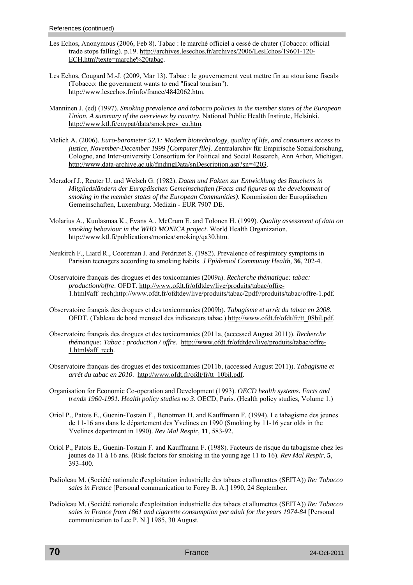- Les Echos, Anonymous (2006, Feb 8). Tabac : le marché officiel a cessé de chuter (Tobacco: official trade stops falling). p.19. http://archives.lesechos.fr/archives/2006/LesEchos/19601-120- ECH.htm?texte=marche%20tabac.
- Les Echos, Cougard M.-J. (2009, Mar 13). Tabac : le gouvernement veut mettre fin au «tourisme fiscal» (Tobacco: the government wants to end "fiscal tourism"). http://www.lesechos.fr/info/france/4842062.htm.
- Manninen J. (ed) (1997). *Smoking prevalence and tobacco policies in the member states of the European Union. A summary of the overviews by country*. National Public Health Institute, Helsinki. http://www.ktl.fi/enypat/data/smokprev\_eu.htm.
- Melich A. (2006). *Euro-barometer 52.1: Modern biotechnology, quality of life, and consumers access to justice, November-December 1999 [Computer file]*. Zentralarchiv für Empirische Sozialforschung, Cologne, and Inter-university Consortium for Political and Social Research, Ann Arbor, Michigan. http://www.data-archive.ac.uk/findingData/snDescription.asp?sn=4203.
- Merzdorf J., Reuter U. and Welsch G. (1982). *Daten und Fakten zur Entwicklung des Rauchens in Mitgliedsländern der Europäischen Gemeinschaften (Facts and figures on the development of smoking in the member states of the European Communities)*. Kommission der Europäischen Gemeinschaften, Luxemburg. Medizin - EUR 7907 DE.
- Molarius A., Kuulasmaa K., Evans A., McCrum E. and Tolonen H. (1999). *Quality assessment of data on smoking behaviour in the WHO MONICA project*. World Health Organization. http://www.ktl.fi/publications/monica/smoking/qa30.htm.
- Neukirch F., Liard R., Cooreman J. and Perdrizet S. (1982). Prevalence of respiratory symptoms in Parisian teenagers according to smoking habits. *J Epidemiol Community Health,* **36**, 202-4.
- Observatoire français des drogues et des toxicomanies (2009a). *Recherche thématique: tabac: production/offre*. OFDT. http://www.ofdt.fr/ofdtdev/live/produits/tabac/offre-1.html#aff\_rech;http://www.ofdt.fr/ofdtdev/live/produits/tabac/2pdf//produits/tabac/offre-1.pdf.
- Observatoire français des drogues et des toxicomanies (2009b). *Tabagisme et arrêt du tabac en 2008*. OFDT. (Tableau de bord mensuel des indicateurs tabac.) http://www.ofdt.fr/ofdt/fr/tt\_08bil.pdf.
- Observatoire français des drogues et des toxicomanies (2011a, (accessed August 2011)). *Recherche thématique: Tabac : production / offre*. http://www.ofdt.fr/ofdtdev/live/produits/tabac/offre-1.html#aff\_rech.
- Observatoire français des drogues et des toxicomanies (2011b, (accessed August 2011)). *Tabagisme et arrêt du tabac en 2010*. http://www.ofdt.fr/ofdt/fr/tt\_10bil.pdf.
- Organisation for Economic Co-operation and Development (1993). *OECD health systems. Facts and trends 1960-1991. Health policy studies no 3*. OECD, Paris. (Health policy studies*,* Volume 1.)
- Oriol P., Patois E., Guenin-Tostain F., Benotman H. and Kauffmann F. (1994). Le tabagisme des jeunes de 11-16 ans dans le département des Yvelines en 1990 (Smoking by 11-16 year olds in the Yvelines department in 1990). *Rev Mal Respir,* **11**, 583-92.
- Oriol P., Patois E., Guenin-Tostain F. and Kauffmann F. (1988). Facteurs de risque du tabagisme chez les jeunes de 11 à 16 ans. (Risk factors for smoking in the young age 11 to 16). *Rev Mal Respir,* **5**, 393-400.
- Padioleau M. (Société nationale d'exploitation industrielle des tabacs et allumettes (SEITA)) *Re: Tobacco sales in France* [Personal communication to Forey B. A.] 1990, 24 September.
- Padioleau M. (Société nationale d'exploitation industrielle des tabacs et allumettes (SEITA)) *Re: Tobacco sales in France from 1861 and cigarette consumption per adult for the years 1974-84* [Personal communication to Lee P. N.] 1985, 30 August.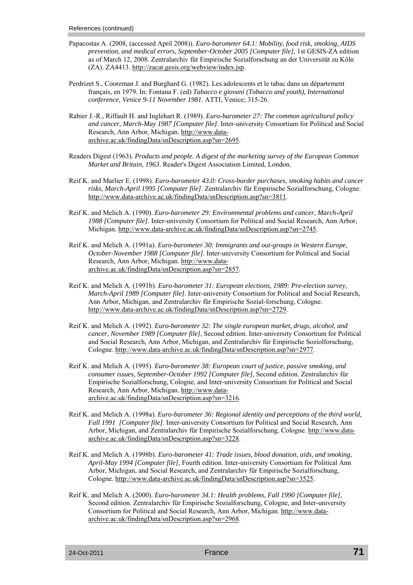- Papacostas A. (2008, (accessed April 2008)). *Euro-barometer 64.1: Mobility, food risk, smoking, AIDS prevention, and medical errors, September-October 2005 [Computer file],* 1st GESIS-ZA edition as of March 12, 2008. Zentralarchiv für Empirische Sozialforschung an der Universität zu Köln (ZA). ZA4413. http://zacat.gesis.org/webview/index.jsp.
- Perdrizet S., Cooreman J. and Burghard G. (1982). Les adolescents et le tabac dans un département français, en 1979. In: Fontana F. (ed) *Tabacco e giovani (Tobacco and youth), International conference, Venice 9-11 November 1981*. ATTI, Venice; 315-26.
- Rabier J.-R., Riffault H. and Inglehart R. (1989). *Euro-barometer 27: The common agricultural policy and cancer, March-May 1987 [Computer file]*. Inter-university Consortium for Political and Social Research, Ann Arbor, Michigan. http://www.dataarchive.ac.uk/findingData/snDescription.asp?sn=2695.
- Readers Digest (1963). *Products and people. A digest of the marketing survey of the European Common Market and Britain, 1963*. Reader's Digest Association Limited, London.
- Reif K. and Marlier E. (1998). *Euro-barometer 43.0: Cross-border purchases, smoking habits and cancer risks, March-April 1995 [Computer file]*. Zentralarchiv für Empirische Sozialforschung, Cologne. http://www.data-archive.ac.uk/findingData/snDescription.asp?sn=3811.
- Reif K. and Melich A. (1990). *Euro-barometer 29: Environmental problems and cancer, March-April 1988 [Computer file]*. Inter-university Consortium for Political and Social Research, Ann Arbor, Michigan. http://www.data-archive.ac.uk/findingData/snDescription.asp?sn=2745.
- Reif K. and Melich A. (1991a). *Euro-barometer 30: Immigrants and out-groups in Western Europe, October-November 1988 [Computer file]*. Inter-university Consortium for Political and Social Research, Ann Arbor, Michigan. http://www.dataarchive.ac.uk/findingData/snDescription.asp?sn=2857.
- Reif K. and Melich A. (1991b). *Euro-barometer 31: European elections, 1989: Pre-election survey, March-April 1989 [Computer file]*. Inter-university Consortium for Political and Social Research, Ann Arbor, Michigan, and Zentralarchiv für Empirische Sozial-forschung, Cologne. http://www.data-archive.ac.uk/findingData/snDescription.asp?sn=2729.
- Reif K. and Melich A. (1992). *Euro-barometer 32: The single european market, drugs, alcohol, and cancer, November 1989 [Computer file],* Second edition. Inter-university Consortium for Political and Social Research, Ann Arbor, Michigan, and Zentralarchiv für Empirische Soziolforschung, Cologne. http://www.data-archive.ac.uk/findingData/snDescription.asp?sn=2977.
- Reif K. and Melich A. (1995). *Euro-barometer 38: European court of justice, passive smoking, and consumer issues, September-October 1992 [Computer file],* Second edition. Zentralarchiv für Empirische Sozialforschung, Cologne, and Inter-university Consortium for Political and Social Research, Ann Arbor, Michigan. http://www.dataarchive.ac.uk/findingData/snDescription.asp?sn=3216.
- Reif K. and Melich A. (1998a). *Euro-barometer 36: Regional identity and perceptions of the third world, Fall 1991 [Computer file]*. Inter-university Consortium for Political and Social Research, Ann Arbor, Michigan, and Zentralarchiv für Empirische Sozialforschung, Cologne. http://www.dataarchive.ac.uk/findingData/snDescription.asp?sn=3228.
- Reif K. and Melich A. (1998b). *Euro-barometer 41: Trade issues, blood donation, aids, and smoking, April-May 1994 [Computer file],* Fourth edition. Inter-university Consortium for Political Ann Arbor, Michigan, and Social Research, and Zentralarchiv für Empirische Sozialforschung, Cologne. http://www.data-archive.ac.uk/findingData/snDescription.asp?sn=3525.
- Reif K. and Melich A. (2000). *Euro-barometer 34.1: Health problems, Fall 1990 [Computer file],*  Second edition. Zentralarchiv für Empirische Sozialforschung, Cologne, and Inter-university Consortium for Political and Social Research, Ann Arbor, Michigan. http://www.dataarchive.ac.uk/findingData/snDescription.asp?sn=2968.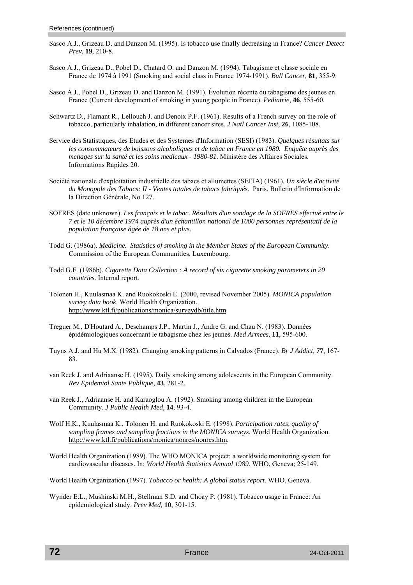- Sasco A.J., Grizeau D. and Danzon M. (1995). Is tobacco use finally decreasing in France? *Cancer Detect Prev,* **19**, 210-8.
- Sasco A.J., Grizeau D., Pobel D., Chatard O. and Danzon M. (1994). Tabagisme et classe sociale en France de 1974 à 1991 (Smoking and social class in France 1974-1991). *Bull Cancer,* **81**, 355-9.
- Sasco A.J., Pobel D., Grizeau D. and Danzon M. (1991). Évolution récente du tabagisme des jeunes en France (Current development of smoking in young people in France). *Pediatrie,* **46**, 555-60.
- Schwartz D., Flamant R., Lellouch J. and Denoix P.F. (1961). Results of a French survey on the role of tobacco, particularly inhalation, in different cancer sites. *J Natl Cancer Inst,* **26**, 1085-108.
- Service des Statistiques, des Etudes et des Systemes d'Information (SESI) (1983). *Quelques résultats sur les consommateurs de boissons alcoholiques et de tabac en France en 1980. Enquête auprès des menages sur la santé et les soins medicaux - 1980-81*. Ministère des Affaires Sociales. Informations Rapides 20.
- Société nationale d'exploitation industrielle des tabacs et allumettes (SEITA) (1961). *Un siècle d'activité du Monopole des Tabacs: II - Ventes totales de tabacs fabriqués*. Paris. Bulletin d'Information de la Direction Générale, No 127.
- SOFRES (date unknown). *Les français et le tabac. Résultats d'un sondage de la SOFRES effectué entre le 7 et le 10 décembre 1974 auprès d'un échantillon national de 1000 personnes représentatif de la population française âgée de 18 ans et plus*.
- Todd G. (1986a). *Medicine. Statistics of smoking in the Member States of the European Community*. Commission of the European Communities, Luxembourg.
- Todd G.F. (1986b). *Cigarette Data Collection : A record of six cigarette smoking parameters in 20 countries.* Internal report.
- Tolonen H., Kuulasmaa K. and Ruokokoski E. (2000, revised November 2005). *MONICA population survey data book*. World Health Organization. http://www.ktl.fi/publications/monica/surveydb/title.htm.
- Treguer M., D'Houtard A., Deschamps J.P., Martin J., Andre G. and Chau N. (1983). Données épidémiologiques concernant le tabagisme chez les jeunes. *Med Armees,* **11**, 595-600.
- Tuyns A.J. and Hu M.X. (1982). Changing smoking patterns in Calvados (France). *Br J Addict,* **77**, 167- 83.
- van Reek J. and Adriaanse H. (1995). Daily smoking among adolescents in the European Community. *Rev Epidemiol Sante Publique,* **43**, 281-2.
- van Reek J., Adriaanse H. and Karaoglou A. (1992). Smoking among children in the European Community. *J Public Health Med,* **14**, 93-4.
- Wolf H.K., Kuulasmaa K., Tolonen H. and Ruokokoski E. (1998). *Participation rates, quality of sampling frames and sampling fractions in the MONICA surveys*. World Health Organization. http://www.ktl.fi/publications/monica/nonres/nonres.htm.
- World Health Organization (1989). The WHO MONICA project: a worldwide monitoring system for cardiovascular diseases. In: *World Health Statistics Annual 1989*. WHO, Geneva; 25-149.
- World Health Organization (1997). *Tobacco or health: A global status report*. WHO, Geneva.
- Wynder E.L., Mushinski M.H., Stellman S.D. and Choay P. (1981). Tobacco usage in France: An epidemiological study. *Prev Med,* **10**, 301-15.